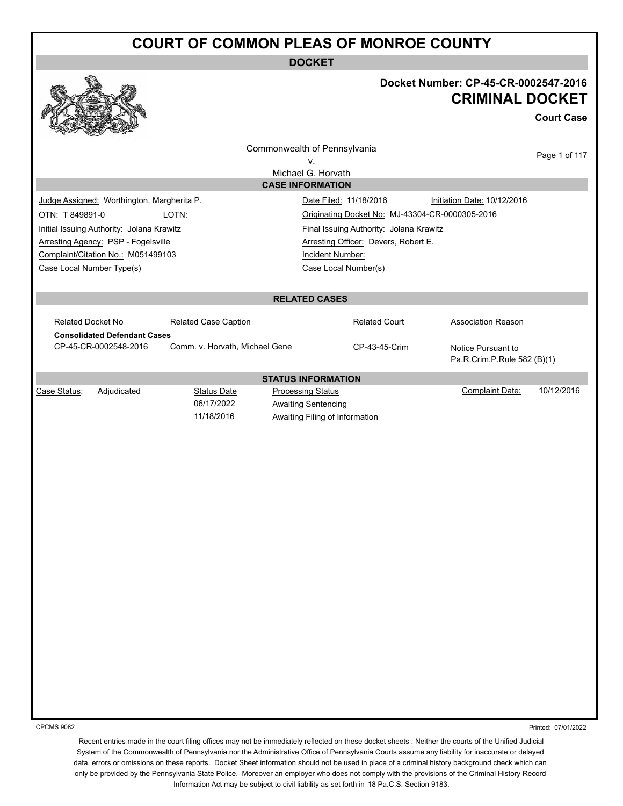**DOCKET**



### **Docket Number: CP-45-CR-0002547-2016 CRIMINAL DOCKET**

**Court Case**

|                                                                                  |                                  | Commonwealth of Pennsylvania                    |                                                                                 |                                                   |                     |
|----------------------------------------------------------------------------------|----------------------------------|-------------------------------------------------|---------------------------------------------------------------------------------|---------------------------------------------------|---------------------|
|                                                                                  |                                  | v.                                              |                                                                                 |                                                   | Page 1 of 117       |
|                                                                                  |                                  | Michael G. Horvath<br><b>CASE INFORMATION</b>   |                                                                                 |                                                   |                     |
| Judge Assigned: Worthington, Margherita P.                                       |                                  |                                                 |                                                                                 |                                                   |                     |
|                                                                                  | LOTN:                            |                                                 | Date Filed: 11/18/2016<br>Originating Docket No: MJ-43304-CR-0000305-2016       | Initiation Date: 10/12/2016                       |                     |
| OTN: T 849891-0                                                                  |                                  |                                                 |                                                                                 |                                                   |                     |
| Initial Issuing Authority: Jolana Krawitz<br>Arresting Agency: PSP - Fogelsville |                                  |                                                 | Final Issuing Authority: Jolana Krawitz<br>Arresting Officer: Devers, Robert E. |                                                   |                     |
| Complaint/Citation No.: M051499103                                               |                                  |                                                 | Incident Number:                                                                |                                                   |                     |
| Case Local Number Type(s)                                                        |                                  |                                                 | Case Local Number(s)                                                            |                                                   |                     |
|                                                                                  |                                  |                                                 |                                                                                 |                                                   |                     |
|                                                                                  |                                  | <b>RELATED CASES</b>                            |                                                                                 |                                                   |                     |
| <b>Related Docket No</b>                                                         | <b>Related Case Caption</b>      |                                                 | <b>Related Court</b>                                                            | <b>Association Reason</b>                         |                     |
| <b>Consolidated Defendant Cases</b>                                              |                                  |                                                 |                                                                                 |                                                   |                     |
| CP-45-CR-0002548-2016                                                            | Comm. v. Horvath, Michael Gene   |                                                 | CP-43-45-Crim                                                                   | Notice Pursuant to<br>Pa.R.Crim.P.Rule 582 (B)(1) |                     |
|                                                                                  |                                  |                                                 |                                                                                 |                                                   |                     |
| Adjudicated                                                                      |                                  | <b>STATUS INFORMATION</b>                       |                                                                                 | Complaint Date:                                   | 10/12/2016          |
| Case Status:                                                                     | <b>Status Date</b><br>06/17/2022 | <b>Processing Status</b><br>Awaiting Sentencing |                                                                                 |                                                   |                     |
|                                                                                  | 11/18/2016                       | Awaiting Filing of Information                  |                                                                                 |                                                   |                     |
|                                                                                  |                                  |                                                 |                                                                                 |                                                   |                     |
|                                                                                  |                                  |                                                 |                                                                                 |                                                   |                     |
|                                                                                  |                                  |                                                 |                                                                                 |                                                   |                     |
|                                                                                  |                                  |                                                 |                                                                                 |                                                   |                     |
|                                                                                  |                                  |                                                 |                                                                                 |                                                   |                     |
|                                                                                  |                                  |                                                 |                                                                                 |                                                   |                     |
|                                                                                  |                                  |                                                 |                                                                                 |                                                   |                     |
|                                                                                  |                                  |                                                 |                                                                                 |                                                   |                     |
|                                                                                  |                                  |                                                 |                                                                                 |                                                   |                     |
|                                                                                  |                                  |                                                 |                                                                                 |                                                   |                     |
|                                                                                  |                                  |                                                 |                                                                                 |                                                   |                     |
|                                                                                  |                                  |                                                 |                                                                                 |                                                   |                     |
|                                                                                  |                                  |                                                 |                                                                                 |                                                   |                     |
|                                                                                  |                                  |                                                 |                                                                                 |                                                   |                     |
|                                                                                  |                                  |                                                 |                                                                                 |                                                   |                     |
|                                                                                  |                                  |                                                 |                                                                                 |                                                   |                     |
|                                                                                  |                                  |                                                 |                                                                                 |                                                   |                     |
|                                                                                  |                                  |                                                 |                                                                                 |                                                   |                     |
|                                                                                  |                                  |                                                 |                                                                                 |                                                   |                     |
|                                                                                  |                                  |                                                 |                                                                                 |                                                   |                     |
|                                                                                  |                                  |                                                 |                                                                                 |                                                   |                     |
| <b>CPCMS 9082</b>                                                                |                                  |                                                 |                                                                                 |                                                   | Printed: 07/01/2022 |

CPCMS 9082

Printed: 07/01/2022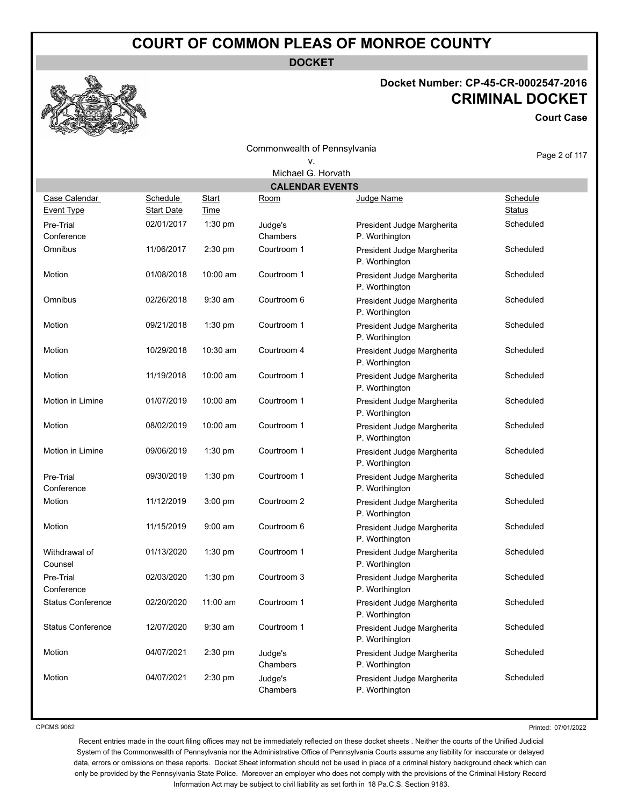**DOCKET**



## **Docket Number: CP-45-CR-0002547-2016 CRIMINAL DOCKET**

**Court Case**

Commonwealth of Pennsylvania v.

Page 2 of 117

|                             |                               |                      | Michael G. Horvath     |                                              |                           |
|-----------------------------|-------------------------------|----------------------|------------------------|----------------------------------------------|---------------------------|
|                             |                               |                      | <b>CALENDAR EVENTS</b> |                                              |                           |
| Case Calendar<br>Event Type | Schedule<br><b>Start Date</b> | <b>Start</b><br>Time | Room                   | Judge Name                                   | Schedule<br><b>Status</b> |
| Pre-Trial<br>Conference     | 02/01/2017                    | 1:30 pm              | Judge's<br>Chambers    | President Judge Margherita<br>P. Worthington | Scheduled                 |
| Omnibus                     | 11/06/2017                    | 2:30 pm              | Courtroom 1            | President Judge Margherita<br>P. Worthington | Scheduled                 |
| Motion                      | 01/08/2018                    | 10:00 am             | Courtroom 1            | President Judge Margherita<br>P. Worthington | Scheduled                 |
| Omnibus                     | 02/26/2018                    | 9:30 am              | Courtroom 6            | President Judge Margherita<br>P. Worthington | Scheduled                 |
| Motion                      | 09/21/2018                    | 1:30 pm              | Courtroom 1            | President Judge Margherita<br>P. Worthington | Scheduled                 |
| Motion                      | 10/29/2018                    | 10:30 am             | Courtroom 4            | President Judge Margherita<br>P. Worthington | Scheduled                 |
| Motion                      | 11/19/2018                    | 10:00 am             | Courtroom 1            | President Judge Margherita<br>P. Worthington | Scheduled                 |
| Motion in Limine            | 01/07/2019                    | 10:00 am             | Courtroom 1            | President Judge Margherita<br>P. Worthington | Scheduled                 |
| Motion                      | 08/02/2019                    | 10:00 am             | Courtroom 1            | President Judge Margherita<br>P. Worthington | Scheduled                 |
| Motion in Limine            | 09/06/2019                    | 1:30 pm              | Courtroom 1            | President Judge Margherita<br>P. Worthington | Scheduled                 |
| Pre-Trial<br>Conference     | 09/30/2019                    | 1:30 pm              | Courtroom 1            | President Judge Margherita<br>P. Worthington | Scheduled                 |
| Motion                      | 11/12/2019                    | $3:00$ pm            | Courtroom 2            | President Judge Margherita<br>P. Worthington | Scheduled                 |
| Motion                      | 11/15/2019                    | $9:00$ am            | Courtroom 6            | President Judge Margherita<br>P. Worthington | Scheduled                 |
| Withdrawal of<br>Counsel    | 01/13/2020                    | 1:30 pm              | Courtroom 1            | President Judge Margherita<br>P. Worthington | Scheduled                 |
| Pre-Trial<br>Conference     | 02/03/2020                    | 1:30 pm              | Courtroom 3            | President Judge Margherita<br>P. Worthington | Scheduled                 |
| <b>Status Conference</b>    | 02/20/2020                    | 11:00 am             | Courtroom 1            | President Judge Margherita<br>P. Worthington | Scheduled                 |
| <b>Status Conference</b>    | 12/07/2020                    | $9:30$ am            | Courtroom 1            | President Judge Margherita<br>P. Worthington | Scheduled                 |
| Motion                      | 04/07/2021                    | 2:30 pm              | Judge's<br>Chambers    | President Judge Margherita<br>P. Worthington | Scheduled                 |
| Motion                      | 04/07/2021                    | 2:30 pm              | Judge's<br>Chambers    | President Judge Margherita<br>P. Worthington | Scheduled                 |

CPCMS 9082

Printed: 07/01/2022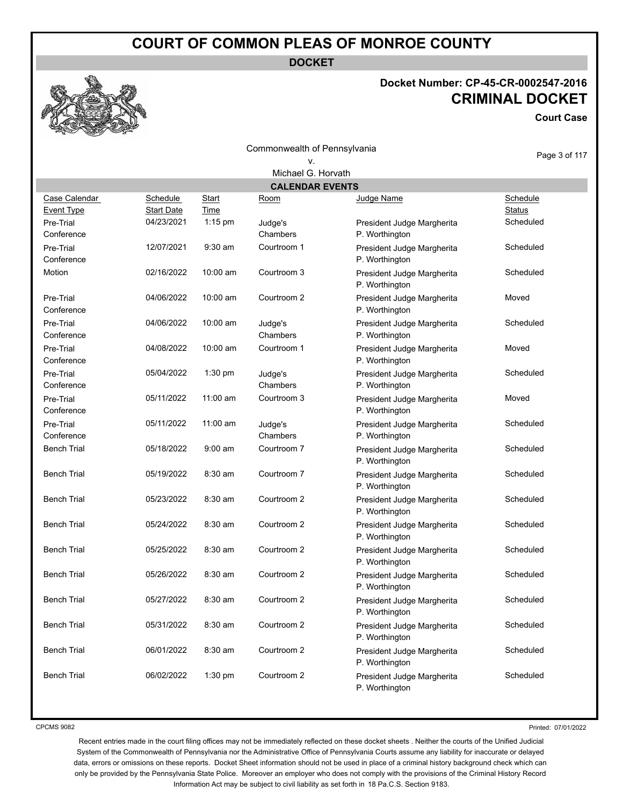**DOCKET**

## **Docket Number: CP-45-CR-0002547-2016 CRIMINAL DOCKET**

**Court Case**

Commonwealth of Pennsylvania v.

Page 3 of 117

|                                    |                                      |                      | Michael G. Horvath     |                                              |                           |
|------------------------------------|--------------------------------------|----------------------|------------------------|----------------------------------------------|---------------------------|
|                                    |                                      |                      | <b>CALENDAR EVENTS</b> |                                              |                           |
| Case Calendar<br><b>Event Type</b> | <b>Schedule</b><br><b>Start Date</b> | <b>Start</b><br>Time | Room                   | Judge Name                                   | Schedule<br><b>Status</b> |
| Pre-Trial<br>Conference            | 04/23/2021                           | $1:15$ pm            | Judge's<br>Chambers    | President Judge Margherita<br>P. Worthington | Scheduled                 |
| Pre-Trial<br>Conference            | 12/07/2021                           | $9:30$ am            | Courtroom 1            | President Judge Margherita<br>P. Worthington | Scheduled                 |
| Motion                             | 02/16/2022                           | 10:00 am             | Courtroom 3            | President Judge Margherita<br>P. Worthington | Scheduled                 |
| Pre-Trial<br>Conference            | 04/06/2022                           | 10:00 am             | Courtroom 2            | President Judge Margherita<br>P. Worthington | Moved                     |
| Pre-Trial<br>Conference            | 04/06/2022                           | 10:00 am             | Judge's<br>Chambers    | President Judge Margherita<br>P. Worthington | Scheduled                 |
| Pre-Trial<br>Conference            | 04/08/2022                           | 10:00 am             | Courtroom 1            | President Judge Margherita<br>P. Worthington | Moved                     |
| Pre-Trial<br>Conference            | 05/04/2022                           | 1:30 pm              | Judge's<br>Chambers    | President Judge Margherita<br>P. Worthington | Scheduled                 |
| Pre-Trial<br>Conference            | 05/11/2022                           | 11:00 am             | Courtroom 3            | President Judge Margherita<br>P. Worthington | Moved                     |
| Pre-Trial<br>Conference            | 05/11/2022                           | 11:00 am             | Judge's<br>Chambers    | President Judge Margherita<br>P. Worthington | Scheduled                 |
| <b>Bench Trial</b>                 | 05/18/2022                           | $9:00$ am            | Courtroom 7            | President Judge Margherita<br>P. Worthington | Scheduled                 |
| <b>Bench Trial</b>                 | 05/19/2022                           | 8:30 am              | Courtroom 7            | President Judge Margherita<br>P. Worthington | Scheduled                 |
| <b>Bench Trial</b>                 | 05/23/2022                           | 8:30 am              | Courtroom 2            | President Judge Margherita<br>P. Worthington | Scheduled                 |
| <b>Bench Trial</b>                 | 05/24/2022                           | 8:30 am              | Courtroom 2            | President Judge Margherita<br>P. Worthington | Scheduled                 |
| <b>Bench Trial</b>                 | 05/25/2022                           | 8:30 am              | Courtroom 2            | President Judge Margherita<br>P. Worthington | Scheduled                 |
| <b>Bench Trial</b>                 | 05/26/2022                           | 8:30 am              | Courtroom 2            | President Judge Margherita<br>P. Worthington | Scheduled                 |
| <b>Bench Trial</b>                 | 05/27/2022                           | 8:30 am              | Courtroom 2            | President Judge Margherita<br>P. Worthington | Scheduled                 |
| <b>Bench Trial</b>                 | 05/31/2022                           | 8:30 am              | Courtroom 2            | President Judge Margherita<br>P. Worthington | Scheduled                 |
| <b>Bench Trial</b>                 | 06/01/2022                           | 8:30 am              | Courtroom 2            | President Judge Margherita<br>P. Worthington | Scheduled                 |
| <b>Bench Trial</b>                 | 06/02/2022                           | $1:30$ pm            | Courtroom 2            | President Judge Margherita<br>P. Worthington | Scheduled                 |

CPCMS 9082

Printed: 07/01/2022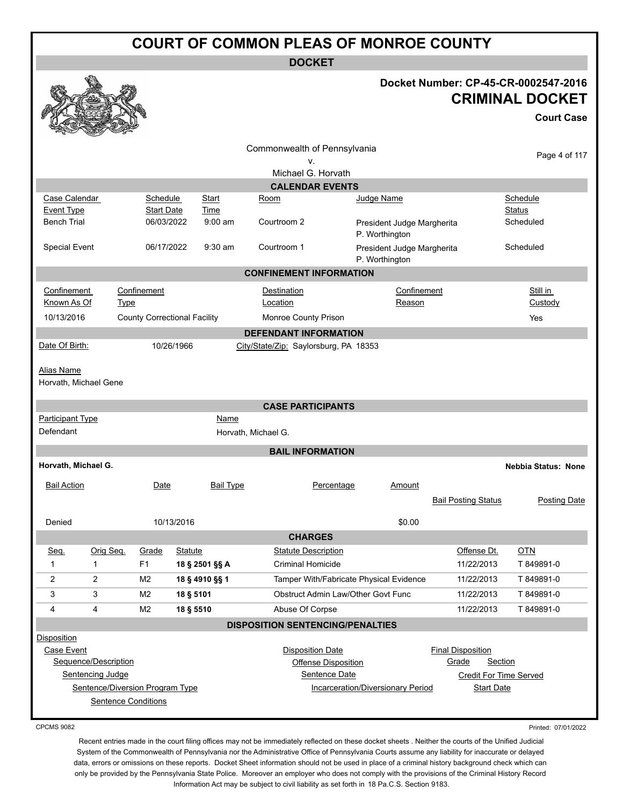**DOCKET**

#### **Docket Number: CP-45-CR-0002547-2016 CRIMINAL DOCKET**

|                                            |                      |                                 |                                     |                                         |                     |                                              |                               | <b>Court Case</b>          |
|--------------------------------------------|----------------------|---------------------------------|-------------------------------------|-----------------------------------------|---------------------|----------------------------------------------|-------------------------------|----------------------------|
|                                            |                      |                                 |                                     | Commonwealth of Pennsylvania<br>۷.      |                     |                                              |                               | Page 4 of 117              |
|                                            |                      |                                 |                                     | Michael G. Horvath                      |                     |                                              |                               |                            |
|                                            |                      |                                 |                                     | <b>CALENDAR EVENTS</b>                  |                     |                                              |                               |                            |
| Case Calendar                              |                      | Schedule                        | Start                               | <u>Room</u>                             |                     | Judge Name                                   |                               | Schedule                   |
| <b>Event Type</b><br><b>Bench Trial</b>    |                      | <b>Start Date</b><br>06/03/2022 | Time<br>$9:00$ am                   | Courtroom 2                             |                     | President Judge Margherita<br>P. Worthington |                               | <b>Status</b><br>Scheduled |
| <b>Special Event</b>                       |                      | 06/17/2022                      | 9:30 am                             | Courtroom 1                             |                     | President Judge Margherita<br>P. Worthington |                               | Scheduled                  |
|                                            |                      |                                 |                                     | <b>CONFINEMENT INFORMATION</b>          |                     |                                              |                               |                            |
| Confinement<br>Known As Of                 |                      | Confinement<br><u>Type</u>      |                                     | Destination<br>Location                 |                     | Confinement<br>Reason                        |                               | Still in<br>Custody        |
| 10/13/2016                                 |                      |                                 | <b>County Correctional Facility</b> | Monroe County Prison                    |                     |                                              |                               | Yes                        |
|                                            |                      |                                 |                                     | <b>DEFENDANT INFORMATION</b>            |                     |                                              |                               |                            |
| Date Of Birth:                             |                      |                                 | 10/26/1966                          | City/State/Zip: Saylorsburg, PA 18353   |                     |                                              |                               |                            |
| <b>Alias Name</b><br>Horvath, Michael Gene |                      |                                 |                                     |                                         |                     |                                              |                               |                            |
|                                            |                      |                                 |                                     | <b>CASE PARTICIPANTS</b>                |                     |                                              |                               |                            |
| <b>Participant Type</b>                    |                      |                                 | Name                                |                                         |                     |                                              |                               |                            |
| Defendant                                  |                      |                                 |                                     | Horvath, Michael G.                     |                     |                                              |                               |                            |
|                                            |                      |                                 |                                     | <b>BAIL INFORMATION</b>                 |                     |                                              |                               |                            |
| Horvath, Michael G.                        |                      |                                 |                                     |                                         |                     |                                              |                               | <b>Nebbia Status: None</b> |
| <b>Bail Action</b>                         |                      | Date                            | <b>Bail Type</b>                    |                                         | Percentage          | <u>Amount</u>                                |                               |                            |
|                                            |                      |                                 |                                     |                                         |                     |                                              | <b>Bail Posting Status</b>    | Posting Date               |
| Denied                                     |                      |                                 | 10/13/2016                          |                                         |                     | \$0.00                                       |                               |                            |
|                                            |                      |                                 |                                     | <b>CHARGES</b>                          |                     |                                              |                               |                            |
| Seq.                                       | Orig Seq.            | Grade                           | <b>Statute</b>                      | <b>Statute Description</b>              |                     |                                              | Offense Dt.                   | OTN                        |
| 1                                          | $\mathbf{1}$         | F <sub>1</sub>                  | 18 § 2501 §§ A                      | <b>Criminal Homicide</b>                |                     |                                              | 11/22/2013                    | T 849891-0                 |
| 2                                          | 2                    | M2                              | 18 § 4910 §§ 1                      |                                         |                     | Tamper With/Fabricate Physical Evidence      | 11/22/2013                    | T 849891-0                 |
| 3                                          | 3                    | M <sub>2</sub>                  | 18 § 5101                           | Obstruct Admin Law/Other Govt Func      |                     |                                              | 11/22/2013                    | T 849891-0                 |
| 4                                          | 4                    | M2                              | 18 § 5510                           | Abuse Of Corpse                         |                     |                                              | 11/22/2013                    | T 849891-0                 |
|                                            |                      |                                 |                                     | <b>DISPOSITION SENTENCING/PENALTIES</b> |                     |                                              |                               |                            |
| <b>Disposition</b>                         |                      |                                 |                                     |                                         |                     |                                              |                               |                            |
| Case Event                                 |                      |                                 |                                     | <b>Disposition Date</b>                 |                     |                                              | <b>Final Disposition</b>      |                            |
|                                            | Sequence/Description |                                 |                                     |                                         | Offense Disposition |                                              | Grade<br>Section              |                            |
|                                            | Sentencing Judge     |                                 |                                     |                                         | Sentence Date       |                                              | <b>Credit For Time Served</b> |                            |
|                                            |                      | Sentence/Diversion Program Type |                                     |                                         |                     | <b>Incarceration/Diversionary Period</b>     | <b>Start Date</b>             |                            |
|                                            |                      | <b>Sentence Conditions</b>      |                                     |                                         |                     |                                              |                               |                            |

CPCMS 9082

Printed: 07/01/2022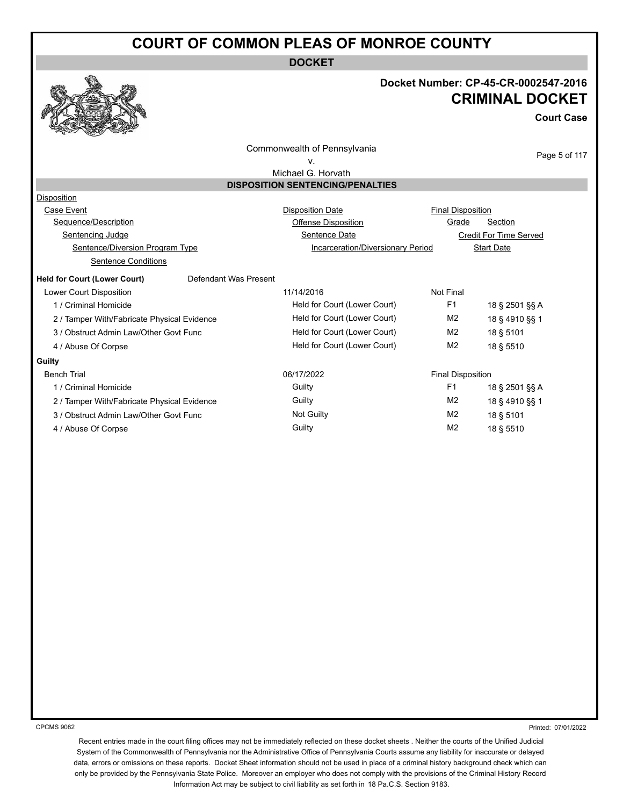**DOCKET**

### **Docket Number: CP-45-CR-0002547-2016 CRIMINAL DOCKET**

**Court Case**

Commonwealth of Pennsylvania

#### v.

Page 5 of 117

#### Michael G. Horvath **DISPOSITION SENTENCING/PENALTIES**

| Disposition                                 |                       |                                   |                          |                        |
|---------------------------------------------|-----------------------|-----------------------------------|--------------------------|------------------------|
| Case Event                                  |                       | <b>Disposition Date</b>           | <b>Final Disposition</b> |                        |
| Sequence/Description                        |                       | <b>Offense Disposition</b>        | Grade                    | Section                |
| Sentencing Judge                            |                       | Sentence Date                     |                          | Credit For Time Served |
| Sentence/Diversion Program Type             |                       | Incarceration/Diversionary Period |                          | <b>Start Date</b>      |
| <b>Sentence Conditions</b>                  |                       |                                   |                          |                        |
| <b>Held for Court (Lower Court)</b>         | Defendant Was Present |                                   |                          |                        |
| Lower Court Disposition                     |                       | 11/14/2016                        | Not Final                |                        |
| 1 / Criminal Homicide                       |                       | Held for Court (Lower Court)      | F <sub>1</sub>           | 18 § 2501 §§ A         |
| 2 / Tamper With/Fabricate Physical Evidence |                       | Held for Court (Lower Court)      | M <sub>2</sub>           | 18 § 4910 §§ 1         |
| 3 / Obstruct Admin Law/Other Govt Func      |                       | Held for Court (Lower Court)      | M <sub>2</sub>           | 18 § 5101              |
| 4 / Abuse Of Corpse                         |                       | Held for Court (Lower Court)      | M2                       | 18 § 5510              |
| Guilty                                      |                       |                                   |                          |                        |
| <b>Bench Trial</b>                          |                       | 06/17/2022                        | <b>Final Disposition</b> |                        |
| 1 / Criminal Homicide                       |                       | Guilty                            | F <sub>1</sub>           | 18 § 2501 §§ A         |
| 2 / Tamper With/Fabricate Physical Evidence |                       | Guilty                            | M2                       | 18 § 4910 §§ 1         |
| 3 / Obstruct Admin Law/Other Govt Func      |                       | Not Guilty                        | M <sub>2</sub>           | 18 § 5101              |
| 4 / Abuse Of Corpse                         |                       | Guilty                            | M <sub>2</sub>           | 18 § 5510              |

CPCMS 9082

Printed: 07/01/2022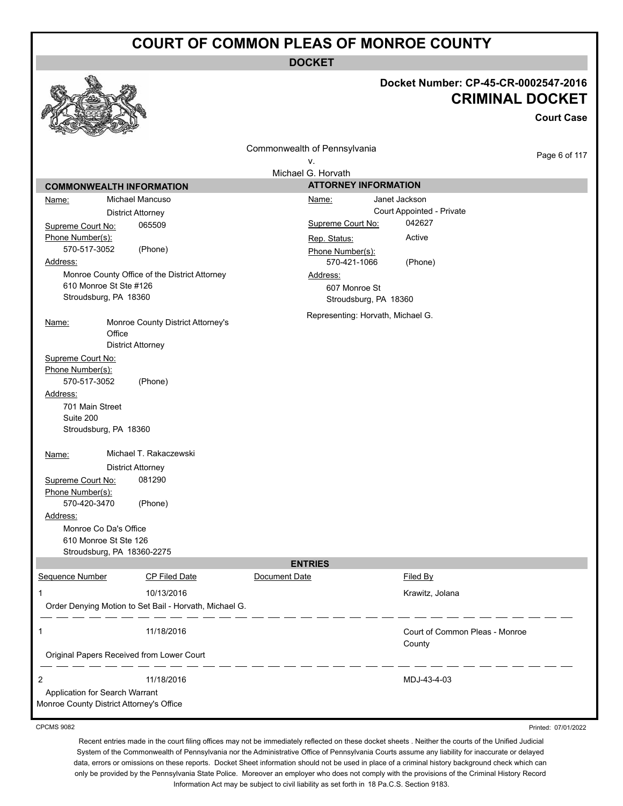**DOCKET**

|                                  |                                                                      |                              |                                        |                                          | Docket Number: CP-45-CR-0002547-2016<br><b>CRIMINAL DOCKET</b><br><b>Court Case</b> |
|----------------------------------|----------------------------------------------------------------------|------------------------------|----------------------------------------|------------------------------------------|-------------------------------------------------------------------------------------|
|                                  |                                                                      | Commonwealth of Pennsylvania |                                        |                                          | Page 6 of 117                                                                       |
|                                  |                                                                      | v.<br>Michael G. Horvath     |                                        |                                          |                                                                                     |
|                                  | <b>COMMONWEALTH INFORMATION</b>                                      |                              | <b>ATTORNEY INFORMATION</b>            |                                          |                                                                                     |
| Name:                            | Michael Mancuso                                                      | Name:                        |                                        | Janet Jackson                            |                                                                                     |
|                                  | <b>District Attorney</b>                                             |                              |                                        | Court Appointed - Private                |                                                                                     |
| Supreme Court No:                | 065509                                                               |                              | Supreme Court No:                      | 042627                                   |                                                                                     |
| Phone Number(s):                 |                                                                      | Rep. Status:                 |                                        | Active                                   |                                                                                     |
| 570-517-3052                     | (Phone)                                                              |                              | Phone Number(s):                       |                                          |                                                                                     |
| Address:                         |                                                                      |                              | 570-421-1066                           | (Phone)                                  |                                                                                     |
|                                  | Monroe County Office of the District Attorney                        | Address:                     |                                        |                                          |                                                                                     |
|                                  | 610 Monroe St Ste #126<br>Stroudsburg, PA 18360                      |                              | 607 Monroe St<br>Stroudsburg, PA 18360 |                                          |                                                                                     |
|                                  |                                                                      |                              | Representing: Horvath, Michael G.      |                                          |                                                                                     |
| Name:                            | Monroe County District Attorney's                                    |                              |                                        |                                          |                                                                                     |
|                                  | Office                                                               |                              |                                        |                                          |                                                                                     |
| Supreme Court No:                | <b>District Attorney</b>                                             |                              |                                        |                                          |                                                                                     |
| Phone Number(s):                 |                                                                      |                              |                                        |                                          |                                                                                     |
| 570-517-3052                     | (Phone)                                                              |                              |                                        |                                          |                                                                                     |
| Address:                         |                                                                      |                              |                                        |                                          |                                                                                     |
| 701 Main Street                  |                                                                      |                              |                                        |                                          |                                                                                     |
| Suite 200                        |                                                                      |                              |                                        |                                          |                                                                                     |
|                                  | Stroudsburg, PA 18360                                                |                              |                                        |                                          |                                                                                     |
| Name:                            | Michael T. Rakaczewski                                               |                              |                                        |                                          |                                                                                     |
|                                  | <b>District Attorney</b>                                             |                              |                                        |                                          |                                                                                     |
| Supreme Court No:                | 081290                                                               |                              |                                        |                                          |                                                                                     |
| Phone Number(s):<br>570-420-3470 | (Phone)                                                              |                              |                                        |                                          |                                                                                     |
| Address:                         |                                                                      |                              |                                        |                                          |                                                                                     |
| Monroe Co Da's Office            |                                                                      |                              |                                        |                                          |                                                                                     |
| 610 Monroe St Ste 126            |                                                                      |                              |                                        |                                          |                                                                                     |
|                                  | Stroudsburg, PA 18360-2275                                           |                              |                                        |                                          |                                                                                     |
|                                  |                                                                      | <b>ENTRIES</b>               |                                        |                                          |                                                                                     |
| Sequence Number                  | CP Filed Date                                                        | Document Date                |                                        | Filed By                                 |                                                                                     |
| 1                                | 10/13/2016<br>Order Denying Motion to Set Bail - Horvath, Michael G. |                              |                                        | Krawitz, Jolana                          |                                                                                     |
| 1                                | 11/18/2016                                                           |                              |                                        | Court of Common Pleas - Monroe<br>County |                                                                                     |
|                                  | Original Papers Received from Lower Court                            |                              |                                        |                                          |                                                                                     |
| 2                                | 11/18/2016                                                           |                              |                                        | MDJ-43-4-03                              |                                                                                     |
| Application for Search Warrant   |                                                                      |                              |                                        |                                          |                                                                                     |
|                                  | Monroe County District Attorney's Office                             |                              |                                        |                                          |                                                                                     |

CPCMS 9082

Recent entries made in the court filing offices may not be immediately reflected on these docket sheets . Neither the courts of the Unified Judicial System of the Commonwealth of Pennsylvania nor the Administrative Office of Pennsylvania Courts assume any liability for inaccurate or delayed data, errors or omissions on these reports. Docket Sheet information should not be used in place of a criminal history background check which can only be provided by the Pennsylvania State Police. Moreover an employer who does not comply with the provisions of the Criminal History Record Information Act may be subject to civil liability as set forth in 18 Pa.C.S. Section 9183.

Printed: 07/01/2022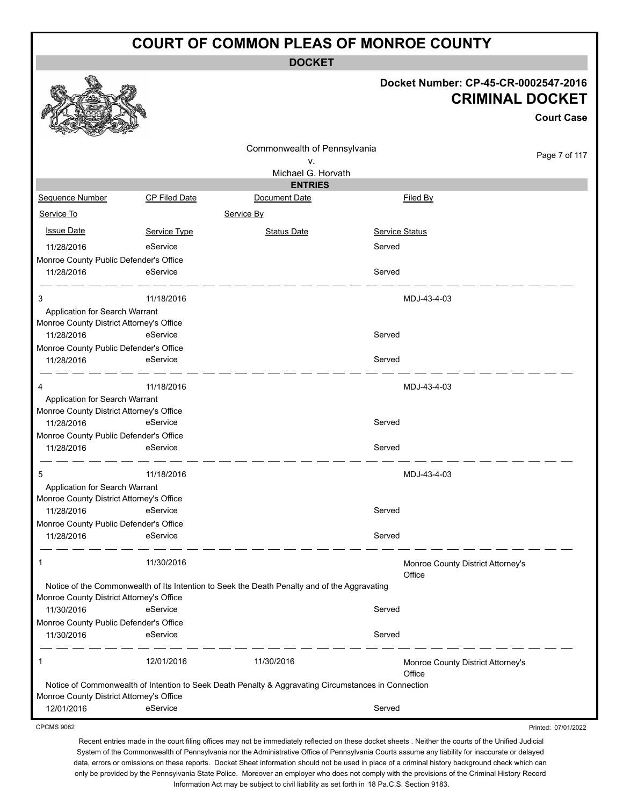**DOCKET**

#### **Docket Number: CP-45-CR-0002547-2016 CRIMINAL DOCKET**

Printed: 07/01/2022

|                                                        |                      |                                                                                                     |                | <b>Court Case</b>                 |
|--------------------------------------------------------|----------------------|-----------------------------------------------------------------------------------------------------|----------------|-----------------------------------|
|                                                        |                      | Commonwealth of Pennsylvania                                                                        |                |                                   |
|                                                        |                      | ν.                                                                                                  |                | Page 7 of 117                     |
|                                                        |                      | Michael G. Horvath                                                                                  |                |                                   |
|                                                        |                      | <b>ENTRIES</b>                                                                                      |                |                                   |
| Sequence Number                                        | <b>CP Filed Date</b> | Document Date                                                                                       | Filed By       |                                   |
| Service To                                             |                      | Service By                                                                                          |                |                                   |
| <b>Issue Date</b>                                      | Service Type         | <b>Status Date</b>                                                                                  | Service Status |                                   |
| 11/28/2016                                             | eService             |                                                                                                     | Served         |                                   |
| Monroe County Public Defender's Office                 |                      |                                                                                                     |                |                                   |
| 11/28/2016                                             | eService             |                                                                                                     | Served         |                                   |
| 3                                                      | 11/18/2016           |                                                                                                     |                | MDJ-43-4-03                       |
| Application for Search Warrant                         |                      |                                                                                                     |                |                                   |
| Monroe County District Attorney's Office<br>11/28/2016 | eService             |                                                                                                     | Served         |                                   |
| Monroe County Public Defender's Office                 |                      |                                                                                                     |                |                                   |
| 11/28/2016                                             | eService             |                                                                                                     | Served         |                                   |
| 4                                                      | 11/18/2016           |                                                                                                     |                | MDJ-43-4-03                       |
| Application for Search Warrant                         |                      |                                                                                                     |                |                                   |
| Monroe County District Attorney's Office<br>11/28/2016 | eService             |                                                                                                     | Served         |                                   |
| Monroe County Public Defender's Office                 |                      |                                                                                                     |                |                                   |
| 11/28/2016                                             | eService             |                                                                                                     | Served         |                                   |
| 5                                                      | 11/18/2016           |                                                                                                     |                | MDJ-43-4-03                       |
| Application for Search Warrant                         |                      |                                                                                                     |                |                                   |
| Monroe County District Attorney's Office               |                      |                                                                                                     |                |                                   |
| 11/28/2016                                             | eService             |                                                                                                     | Served         |                                   |
| Monroe County Public Defender's Office                 |                      |                                                                                                     |                |                                   |
| 11/28/2016                                             | eService             |                                                                                                     | Served         |                                   |
|                                                        | 11/30/2016           |                                                                                                     | Office         | Monroe County District Attorney's |
|                                                        |                      | Notice of the Commonwealth of Its Intention to Seek the Death Penalty and of the Aggravating        |                |                                   |
| Monroe County District Attorney's Office               |                      |                                                                                                     |                |                                   |
| 11/30/2016                                             | eService             |                                                                                                     | Served         |                                   |
| Monroe County Public Defender's Office<br>11/30/2016   | eService             |                                                                                                     | Served         |                                   |
| $\mathbf{1}$                                           | 12/01/2016           | 11/30/2016                                                                                          | Office         | Monroe County District Attorney's |
|                                                        |                      | Notice of Commonwealth of Intention to Seek Death Penalty & Aggravating Circumstances in Connection |                |                                   |
| Monroe County District Attorney's Office               |                      |                                                                                                     |                |                                   |
| 12/01/2016                                             | eService             |                                                                                                     | Served         |                                   |

CPCMS 9082

R,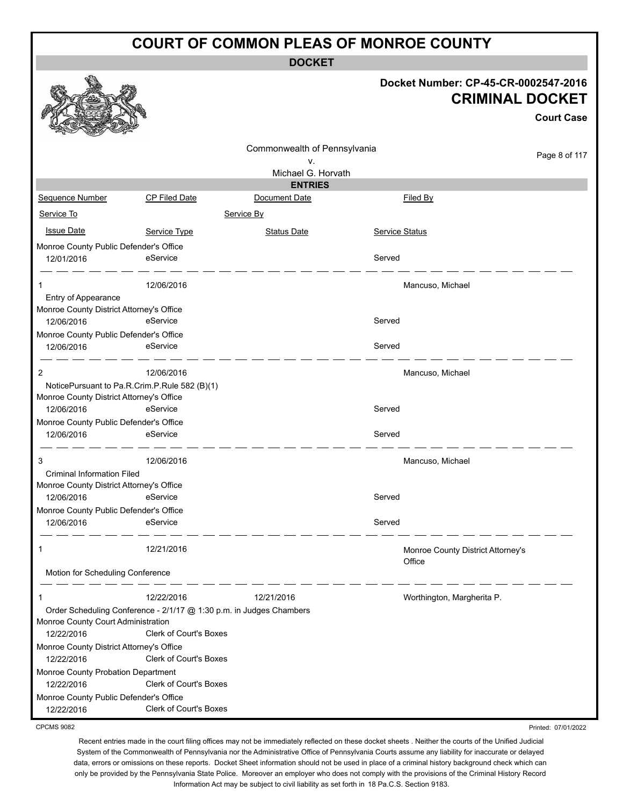**DOCKET**

| Docket Number: CP-45-CR-0002547-2016 |
|--------------------------------------|
| <b>CRIMINAL DOCKET</b>               |

**Court Case**

Printed: 07/01/2022

|                                                        |                                                                     |                              |                       |                                   | <b>Court Case</b> |
|--------------------------------------------------------|---------------------------------------------------------------------|------------------------------|-----------------------|-----------------------------------|-------------------|
|                                                        |                                                                     | Commonwealth of Pennsylvania |                       |                                   |                   |
|                                                        |                                                                     | ٧.                           |                       |                                   | Page 8 of 117     |
|                                                        |                                                                     | Michael G. Horvath           |                       |                                   |                   |
|                                                        |                                                                     | <b>ENTRIES</b>               |                       |                                   |                   |
| Sequence Number                                        | <b>CP Filed Date</b>                                                | Document Date                |                       | Filed By                          |                   |
| Service To                                             |                                                                     | Service By                   |                       |                                   |                   |
| <b>Issue Date</b>                                      | Service Type                                                        | <b>Status Date</b>           | <b>Service Status</b> |                                   |                   |
| Monroe County Public Defender's Office                 |                                                                     |                              |                       |                                   |                   |
| 12/01/2016                                             | eService                                                            |                              | Served                |                                   |                   |
|                                                        | 12/06/2016                                                          |                              |                       | Mancuso, Michael                  |                   |
| Entry of Appearance                                    |                                                                     |                              |                       |                                   |                   |
| Monroe County District Attorney's Office               |                                                                     |                              |                       |                                   |                   |
| 12/06/2016                                             | eService                                                            |                              | Served                |                                   |                   |
| Monroe County Public Defender's Office                 |                                                                     |                              |                       |                                   |                   |
| 12/06/2016                                             | eService                                                            |                              | Served                |                                   |                   |
| 2                                                      | 12/06/2016                                                          |                              |                       | Mancuso, Michael                  |                   |
|                                                        | NoticePursuant to Pa.R.Crim.P.Rule 582 (B)(1)                       |                              |                       |                                   |                   |
| Monroe County District Attorney's Office               |                                                                     |                              |                       |                                   |                   |
| 12/06/2016                                             | eService                                                            |                              | Served                |                                   |                   |
| Monroe County Public Defender's Office                 |                                                                     |                              |                       |                                   |                   |
| 12/06/2016                                             | eService                                                            |                              | Served                |                                   |                   |
| 3                                                      | 12/06/2016                                                          |                              |                       | Mancuso, Michael                  |                   |
| <b>Criminal Information Filed</b>                      |                                                                     |                              |                       |                                   |                   |
| Monroe County District Attorney's Office               |                                                                     |                              |                       |                                   |                   |
| 12/06/2016                                             | eService                                                            |                              | Served                |                                   |                   |
| Monroe County Public Defender's Office                 |                                                                     |                              |                       |                                   |                   |
| 12/06/2016                                             | eService                                                            |                              | Served                |                                   |                   |
| 1                                                      | 12/21/2016                                                          |                              |                       | Monroe County District Attorney's |                   |
|                                                        |                                                                     |                              |                       | Office                            |                   |
| Motion for Scheduling Conference                       |                                                                     |                              |                       |                                   |                   |
|                                                        | 12/22/2016                                                          | 12/21/2016                   |                       | Worthington, Margherita P.        |                   |
|                                                        | Order Scheduling Conference - 2/1/17 @ 1:30 p.m. in Judges Chambers |                              |                       |                                   |                   |
| Monroe County Court Administration                     |                                                                     |                              |                       |                                   |                   |
| 12/22/2016                                             | <b>Clerk of Court's Boxes</b>                                       |                              |                       |                                   |                   |
| Monroe County District Attorney's Office<br>12/22/2016 | Clerk of Court's Boxes                                              |                              |                       |                                   |                   |
| Monroe County Probation Department                     |                                                                     |                              |                       |                                   |                   |
| 12/22/2016                                             | Clerk of Court's Boxes                                              |                              |                       |                                   |                   |
| Monroe County Public Defender's Office                 |                                                                     |                              |                       |                                   |                   |
| 12/22/2016                                             | Clerk of Court's Boxes                                              |                              |                       |                                   |                   |

CPCMS 9082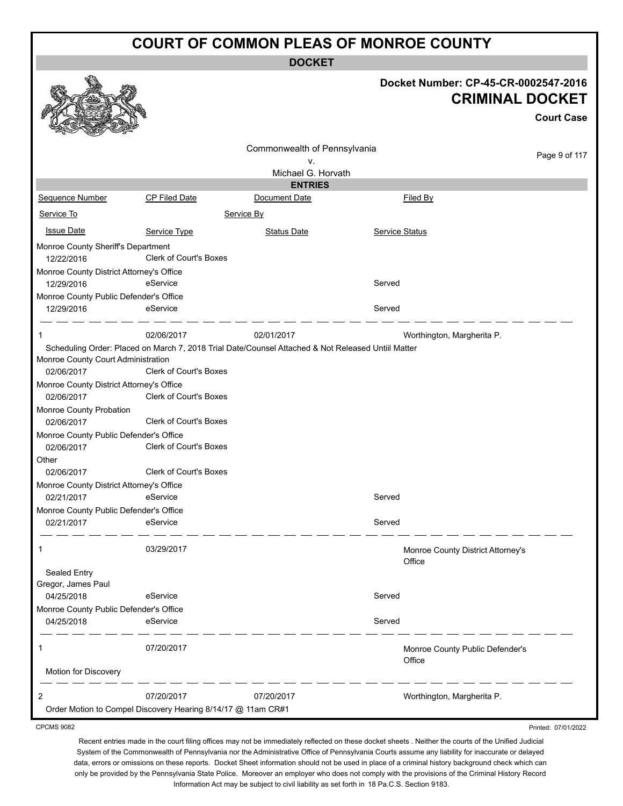**DOCKET**

| Docket Number: CP-45-CR-0002547-2016 |
|--------------------------------------|
| <b>CRIMINAL DOCKET</b>               |

**Court Case**

Printed: 07/01/2022

|                                          |                                                                                                    |                              |                |                                             | Court Case    |
|------------------------------------------|----------------------------------------------------------------------------------------------------|------------------------------|----------------|---------------------------------------------|---------------|
|                                          |                                                                                                    | Commonwealth of Pennsylvania |                |                                             |               |
|                                          |                                                                                                    | ٧.                           |                |                                             | Page 9 of 117 |
|                                          |                                                                                                    | Michael G. Horvath           |                |                                             |               |
|                                          |                                                                                                    | <b>ENTRIES</b>               |                |                                             |               |
| Sequence Number                          | <b>CP Filed Date</b>                                                                               | Document Date                |                | <b>Filed By</b>                             |               |
| Service To                               |                                                                                                    | Service By                   |                |                                             |               |
| <b>Issue Date</b>                        | Service Type                                                                                       | <b>Status Date</b>           | Service Status |                                             |               |
| Monroe County Sheriff's Department       |                                                                                                    |                              |                |                                             |               |
| 12/22/2016                               | Clerk of Court's Boxes                                                                             |                              |                |                                             |               |
| Monroe County District Attorney's Office |                                                                                                    |                              |                |                                             |               |
| 12/29/2016                               | eService                                                                                           |                              | Served         |                                             |               |
| Monroe County Public Defender's Office   |                                                                                                    |                              |                |                                             |               |
| 12/29/2016                               | eService                                                                                           |                              | Served         |                                             |               |
| 1                                        | 02/06/2017                                                                                         | 02/01/2017                   |                | Worthington, Margherita P.                  |               |
|                                          | Scheduling Order: Placed on March 7, 2018 Trial Date/Counsel Attached & Not Released Untiil Matter |                              |                |                                             |               |
| Monroe County Court Administration       |                                                                                                    |                              |                |                                             |               |
| 02/06/2017                               | <b>Clerk of Court's Boxes</b>                                                                      |                              |                |                                             |               |
| Monroe County District Attorney's Office |                                                                                                    |                              |                |                                             |               |
| 02/06/2017                               | Clerk of Court's Boxes                                                                             |                              |                |                                             |               |
| Monroe County Probation                  |                                                                                                    |                              |                |                                             |               |
| 02/06/2017                               | Clerk of Court's Boxes                                                                             |                              |                |                                             |               |
| Monroe County Public Defender's Office   |                                                                                                    |                              |                |                                             |               |
| 02/06/2017                               | Clerk of Court's Boxes                                                                             |                              |                |                                             |               |
| Other                                    |                                                                                                    |                              |                |                                             |               |
| 02/06/2017                               | Clerk of Court's Boxes                                                                             |                              |                |                                             |               |
| Monroe County District Attorney's Office |                                                                                                    |                              |                |                                             |               |
| 02/21/2017                               | eService                                                                                           |                              | Served         |                                             |               |
| Monroe County Public Defender's Office   |                                                                                                    |                              |                |                                             |               |
| 02/21/2017                               | eService                                                                                           |                              | Served         |                                             |               |
| 1                                        | 03/29/2017                                                                                         |                              |                | Monroe County District Attorney's<br>Office |               |
| Sealed Entry                             |                                                                                                    |                              |                |                                             |               |
| Gregor, James Paul<br>04/25/2018         | eService                                                                                           |                              | Served         |                                             |               |
| Monroe County Public Defender's Office   |                                                                                                    |                              |                |                                             |               |
|                                          | eService                                                                                           |                              | Served         |                                             |               |
| 04/25/2018                               |                                                                                                    |                              |                |                                             |               |
| 1                                        | 07/20/2017                                                                                         |                              |                | Monroe County Public Defender's<br>Office   |               |
| Motion for Discovery                     |                                                                                                    |                              |                |                                             |               |
| 2                                        | 07/20/2017                                                                                         | 07/20/2017                   |                | Worthington, Margherita P.                  |               |
|                                          | Order Motion to Compel Discovery Hearing 8/14/17 @ 11am CR#1                                       |                              |                |                                             |               |
|                                          |                                                                                                    |                              |                |                                             |               |

CPCMS 9082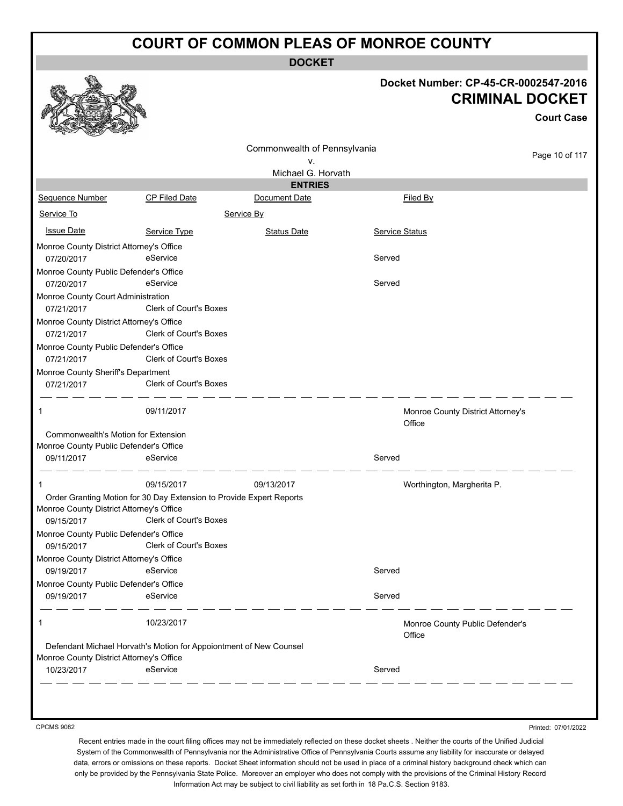**DOCKET**

### **Docket Number: CP-45-CR-0002547-2016 CRIMINAL DOCKET**

**Court Case**

|                                          |                                                                      | Commonwealth of Pennsylvania<br>v. |                |                                             | Page 10 of 117 |
|------------------------------------------|----------------------------------------------------------------------|------------------------------------|----------------|---------------------------------------------|----------------|
|                                          |                                                                      | Michael G. Horvath                 |                |                                             |                |
|                                          |                                                                      | <b>ENTRIES</b>                     |                |                                             |                |
| <b>Sequence Number</b>                   | <b>CP Filed Date</b>                                                 | Document Date                      |                | Filed By                                    |                |
| Service To                               |                                                                      | Service By                         |                |                                             |                |
| <b>Issue Date</b>                        | Service Type                                                         | <b>Status Date</b>                 | Service Status |                                             |                |
| Monroe County District Attorney's Office |                                                                      |                                    |                |                                             |                |
| 07/20/2017                               | eService                                                             |                                    | Served         |                                             |                |
| Monroe County Public Defender's Office   |                                                                      |                                    |                |                                             |                |
| 07/20/2017                               | eService                                                             |                                    | Served         |                                             |                |
| Monroe County Court Administration       |                                                                      |                                    |                |                                             |                |
| 07/21/2017                               | <b>Clerk of Court's Boxes</b>                                        |                                    |                |                                             |                |
| Monroe County District Attorney's Office |                                                                      |                                    |                |                                             |                |
| 07/21/2017                               | <b>Clerk of Court's Boxes</b>                                        |                                    |                |                                             |                |
| Monroe County Public Defender's Office   |                                                                      |                                    |                |                                             |                |
| 07/21/2017                               | Clerk of Court's Boxes                                               |                                    |                |                                             |                |
| Monroe County Sheriff's Department       |                                                                      |                                    |                |                                             |                |
| 07/21/2017                               | Clerk of Court's Boxes                                               |                                    |                |                                             |                |
| 1                                        | 09/11/2017                                                           |                                    |                | Monroe County District Attorney's<br>Office |                |
| Commonwealth's Motion for Extension      |                                                                      |                                    |                |                                             |                |
| Monroe County Public Defender's Office   |                                                                      |                                    |                |                                             |                |
| 09/11/2017                               | eService                                                             |                                    | Served         |                                             |                |
| 1                                        | 09/15/2017                                                           | 09/13/2017                         |                | Worthington, Margherita P.                  |                |
|                                          | Order Granting Motion for 30 Day Extension to Provide Expert Reports |                                    |                |                                             |                |
| Monroe County District Attorney's Office |                                                                      |                                    |                |                                             |                |
| 09/15/2017                               | Clerk of Court's Boxes                                               |                                    |                |                                             |                |
| Monroe County Public Defender's Office   |                                                                      |                                    |                |                                             |                |
| 09/15/2017                               | <b>Clerk of Court's Boxes</b>                                        |                                    |                |                                             |                |
| Monroe County District Attorney's Office |                                                                      |                                    |                |                                             |                |
| 09/19/2017                               | eService                                                             |                                    | Served         |                                             |                |
| Monroe County Public Defender's Office   |                                                                      |                                    |                |                                             |                |
| 09/19/2017                               | eService                                                             |                                    | Served         |                                             |                |
| 1                                        | 10/23/2017                                                           |                                    |                | Monroe County Public Defender's<br>Office   |                |
|                                          | Defendant Michael Horvath's Motion for Appoiontment of New Counsel   |                                    |                |                                             |                |
| Monroe County District Attorney's Office |                                                                      |                                    |                |                                             |                |
| 10/23/2017                               | eService                                                             |                                    | Served         |                                             |                |

CPCMS 9082

Recent entries made in the court filing offices may not be immediately reflected on these docket sheets . Neither the courts of the Unified Judicial System of the Commonwealth of Pennsylvania nor the Administrative Office of Pennsylvania Courts assume any liability for inaccurate or delayed data, errors or omissions on these reports. Docket Sheet information should not be used in place of a criminal history background check which can only be provided by the Pennsylvania State Police. Moreover an employer who does not comply with the provisions of the Criminal History Record Information Act may be subject to civil liability as set forth in 18 Pa.C.S. Section 9183.

Printed: 07/01/2022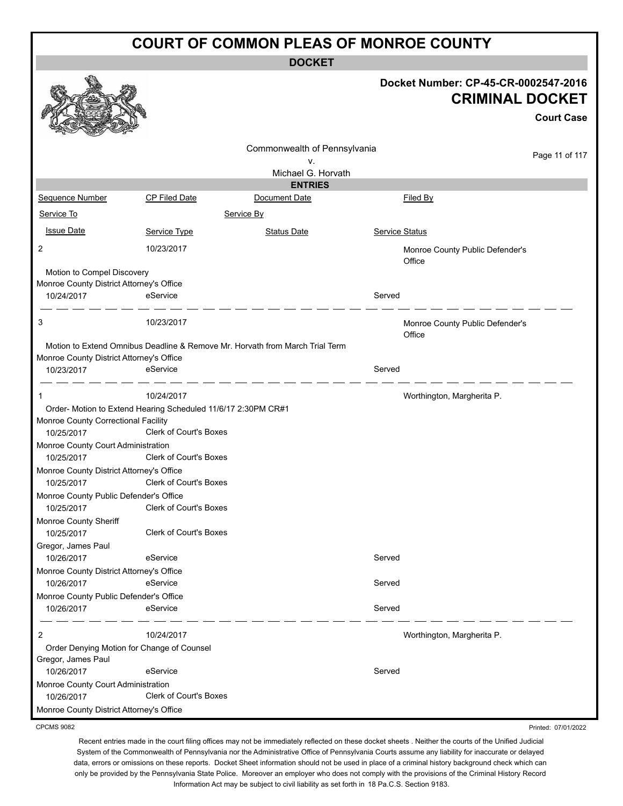**DOCKET**

#### **Docket Number: CP-45-CR-0002547-2016 CRIMINAL DOCKET**

Printed: 07/01/2022

|                                                                  |                                                               |                                                                              |        |                                           | <b>Court Case</b> |
|------------------------------------------------------------------|---------------------------------------------------------------|------------------------------------------------------------------------------|--------|-------------------------------------------|-------------------|
|                                                                  |                                                               | Commonwealth of Pennsylvania<br>v.                                           |        |                                           | Page 11 of 117    |
|                                                                  |                                                               | Michael G. Horvath                                                           |        |                                           |                   |
|                                                                  |                                                               | <b>ENTRIES</b>                                                               |        |                                           |                   |
| Sequence Number                                                  | <b>CP Filed Date</b>                                          | Document Date                                                                |        | Filed By                                  |                   |
| Service To                                                       |                                                               | Service By                                                                   |        |                                           |                   |
| <b>Issue Date</b>                                                | Service Type                                                  | <b>Status Date</b>                                                           |        | Service Status                            |                   |
| 2                                                                | 10/23/2017                                                    |                                                                              |        | Monroe County Public Defender's<br>Office |                   |
| Motion to Compel Discovery                                       |                                                               |                                                                              |        |                                           |                   |
| Monroe County District Attorney's Office<br>10/24/2017           | eService                                                      |                                                                              | Served |                                           |                   |
| 3                                                                | 10/23/2017                                                    |                                                                              |        | Monroe County Public Defender's<br>Office |                   |
|                                                                  |                                                               | Motion to Extend Omnibus Deadline & Remove Mr. Horvath from March Trial Term |        |                                           |                   |
| Monroe County District Attorney's Office                         |                                                               |                                                                              |        |                                           |                   |
| 10/23/2017                                                       | eService                                                      |                                                                              | Served |                                           |                   |
| 1                                                                | 10/24/2017                                                    |                                                                              |        | Worthington, Margherita P.                |                   |
|                                                                  | Order- Motion to Extend Hearing Scheduled 11/6/17 2:30PM CR#1 |                                                                              |        |                                           |                   |
| Monroe County Correctional Facility                              |                                                               |                                                                              |        |                                           |                   |
| 10/25/2017                                                       | <b>Clerk of Court's Boxes</b>                                 |                                                                              |        |                                           |                   |
| Monroe County Court Administration                               |                                                               |                                                                              |        |                                           |                   |
| 10/25/2017                                                       | <b>Clerk of Court's Boxes</b>                                 |                                                                              |        |                                           |                   |
| Monroe County District Attorney's Office                         |                                                               |                                                                              |        |                                           |                   |
| 10/25/2017                                                       | <b>Clerk of Court's Boxes</b>                                 |                                                                              |        |                                           |                   |
| Monroe County Public Defender's Office                           |                                                               |                                                                              |        |                                           |                   |
| 10/25/2017                                                       | Clerk of Court's Boxes                                        |                                                                              |        |                                           |                   |
| Monroe County Sheriff                                            |                                                               |                                                                              |        |                                           |                   |
| 10/25/2017                                                       | Clerk of Court's Boxes                                        |                                                                              |        |                                           |                   |
| Gregor, James Paul                                               |                                                               |                                                                              | Served |                                           |                   |
| 10/26/2017                                                       | eService                                                      |                                                                              |        |                                           |                   |
| Monroe County District Attorney's Office<br>10/26/2017           | eService                                                      |                                                                              | Served |                                           |                   |
|                                                                  |                                                               |                                                                              |        |                                           |                   |
| Monroe County Public Defender's Office<br>10/26/2017             | eService                                                      |                                                                              | Served |                                           |                   |
| 2                                                                | 10/24/2017                                                    |                                                                              |        | Worthington, Margherita P.                |                   |
| Order Denying Motion for Change of Counsel<br>Gregor, James Paul |                                                               |                                                                              |        |                                           |                   |
| 10/26/2017                                                       | eService                                                      |                                                                              | Served |                                           |                   |
| Monroe County Court Administration                               |                                                               |                                                                              |        |                                           |                   |
| 10/26/2017                                                       | Clerk of Court's Boxes                                        |                                                                              |        |                                           |                   |
| Monroe County District Attorney's Office                         |                                                               |                                                                              |        |                                           |                   |

CPCMS 9082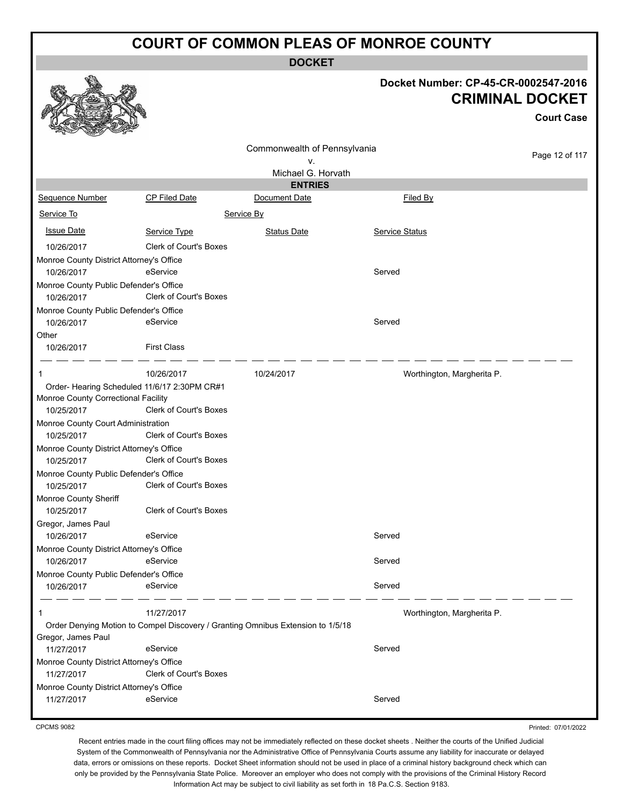**DOCKET**

### **Docket Number: CP-45-CR-0002547-2016 CRIMINAL DOCKET**

**Court Case**

|                                                      |                                                                                 | Commonwealth of Pennsylvania |                            |                |
|------------------------------------------------------|---------------------------------------------------------------------------------|------------------------------|----------------------------|----------------|
|                                                      |                                                                                 | ٧.                           |                            | Page 12 of 117 |
|                                                      |                                                                                 | Michael G. Horvath           |                            |                |
|                                                      |                                                                                 | <b>ENTRIES</b>               |                            |                |
| Sequence Number                                      | <b>CP Filed Date</b>                                                            | Document Date                | Filed By                   |                |
| Service To                                           |                                                                                 | Service By                   |                            |                |
| <b>Issue Date</b>                                    | Service Type                                                                    | <b>Status Date</b>           | Service Status             |                |
| 10/26/2017                                           | <b>Clerk of Court's Boxes</b>                                                   |                              |                            |                |
| Monroe County District Attorney's Office             |                                                                                 |                              |                            |                |
| 10/26/2017                                           | eService                                                                        |                              | Served                     |                |
| Monroe County Public Defender's Office<br>10/26/2017 | <b>Clerk of Court's Boxes</b>                                                   |                              |                            |                |
| Monroe County Public Defender's Office               |                                                                                 |                              |                            |                |
| 10/26/2017                                           | eService                                                                        |                              | Served                     |                |
| Other                                                |                                                                                 |                              |                            |                |
| 10/26/2017                                           | <b>First Class</b>                                                              |                              |                            |                |
|                                                      |                                                                                 |                              |                            |                |
| 1                                                    | 10/26/2017                                                                      | 10/24/2017                   | Worthington, Margherita P. |                |
|                                                      | Order- Hearing Scheduled 11/6/17 2:30PM CR#1                                    |                              |                            |                |
| Monroe County Correctional Facility                  |                                                                                 |                              |                            |                |
| 10/25/2017                                           | <b>Clerk of Court's Boxes</b>                                                   |                              |                            |                |
| Monroe County Court Administration                   |                                                                                 |                              |                            |                |
| 10/25/2017                                           | <b>Clerk of Court's Boxes</b>                                                   |                              |                            |                |
| Monroe County District Attorney's Office             |                                                                                 |                              |                            |                |
| 10/25/2017                                           | Clerk of Court's Boxes                                                          |                              |                            |                |
| Monroe County Public Defender's Office               |                                                                                 |                              |                            |                |
| 10/25/2017                                           | Clerk of Court's Boxes                                                          |                              |                            |                |
| Monroe County Sheriff                                |                                                                                 |                              |                            |                |
| 10/25/2017                                           | Clerk of Court's Boxes                                                          |                              |                            |                |
| Gregor, James Paul                                   |                                                                                 |                              |                            |                |
| 10/26/2017                                           | eService                                                                        |                              | Served                     |                |
| Monroe County District Attorney's Office             |                                                                                 |                              |                            |                |
| 10/26/2017                                           | eService                                                                        |                              | Served                     |                |
| Monroe County Public Defender's Office               |                                                                                 |                              |                            |                |
| 10/26/2017                                           | eService                                                                        |                              | Served                     |                |
| 1                                                    | 11/27/2017                                                                      |                              | Worthington, Margherita P. |                |
|                                                      | Order Denying Motion to Compel Discovery / Granting Omnibus Extension to 1/5/18 |                              |                            |                |
| Gregor, James Paul                                   |                                                                                 |                              |                            |                |
| 11/27/2017                                           | eService                                                                        |                              | Served                     |                |
| Monroe County District Attorney's Office             |                                                                                 |                              |                            |                |
| 11/27/2017                                           | Clerk of Court's Boxes                                                          |                              |                            |                |
| Monroe County District Attorney's Office             |                                                                                 |                              |                            |                |
| 11/27/2017                                           | eService                                                                        |                              | Served                     |                |
|                                                      |                                                                                 |                              |                            |                |

CPCMS 9082

Printed: 07/01/2022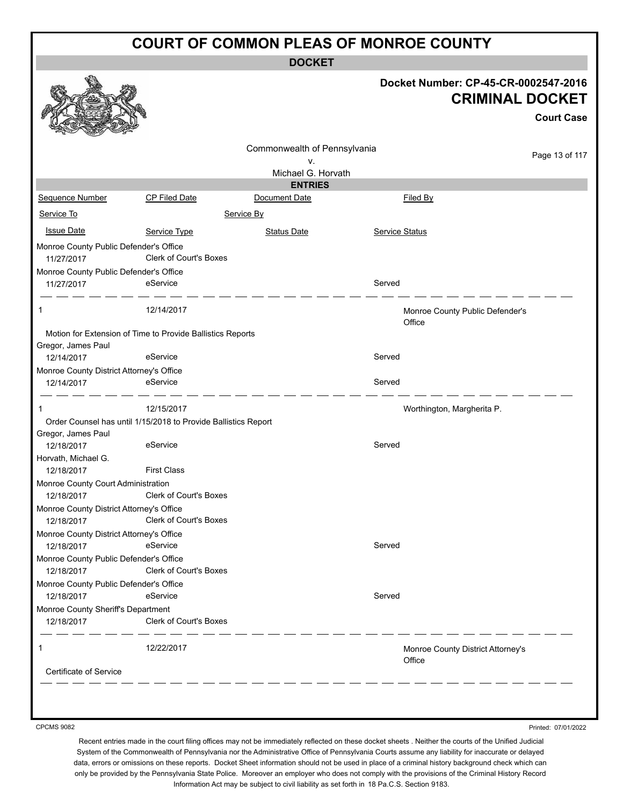**DOCKET**

|                                                                |                               |                                      | Docket Number: CP-45-CR-0002547-2016<br><b>CRIMINAL DOCKET</b><br><b>Court Case</b> |
|----------------------------------------------------------------|-------------------------------|--------------------------------------|-------------------------------------------------------------------------------------|
|                                                                |                               | Commonwealth of Pennsylvania         | Page 13 of 117                                                                      |
|                                                                |                               | v.                                   |                                                                                     |
|                                                                |                               | Michael G. Horvath<br><b>ENTRIES</b> |                                                                                     |
| Sequence Number                                                | <b>CP Filed Date</b>          | Document Date                        | Filed By                                                                            |
| Service To                                                     |                               | Service By                           |                                                                                     |
| <b>Issue Date</b>                                              |                               |                                      |                                                                                     |
|                                                                | Service Type                  | <b>Status Date</b>                   | Service Status                                                                      |
| Monroe County Public Defender's Office<br>11/27/2017           | <b>Clerk of Court's Boxes</b> |                                      |                                                                                     |
| Monroe County Public Defender's Office                         |                               |                                      |                                                                                     |
| 11/27/2017                                                     | eService                      |                                      | Served                                                                              |
| 1                                                              | 12/14/2017                    |                                      | Monroe County Public Defender's<br>Office                                           |
| Motion for Extension of Time to Provide Ballistics Reports     |                               |                                      |                                                                                     |
| Gregor, James Paul                                             |                               |                                      |                                                                                     |
| 12/14/2017                                                     | eService                      |                                      | Served                                                                              |
| Monroe County District Attorney's Office<br>12/14/2017         | eService                      |                                      | Served                                                                              |
| 1                                                              | 12/15/2017                    |                                      | Worthington, Margherita P.                                                          |
| Order Counsel has until 1/15/2018 to Provide Ballistics Report |                               |                                      |                                                                                     |
| Gregor, James Paul                                             |                               |                                      |                                                                                     |
| 12/18/2017                                                     | eService                      |                                      | Served                                                                              |
| Horvath, Michael G.                                            |                               |                                      |                                                                                     |
| 12/18/2017                                                     | <b>First Class</b>            |                                      |                                                                                     |
| Monroe County Court Administration                             |                               |                                      |                                                                                     |
| 12/18/2017                                                     | Clerk of Court's Boxes        |                                      |                                                                                     |
| Monroe County District Attorney's Office<br>12/18/2017         | <b>Clerk of Court's Boxes</b> |                                      |                                                                                     |
| Monroe County District Attorney's Office                       |                               |                                      |                                                                                     |
| 12/18/2017                                                     | eService                      |                                      | Served                                                                              |
| Monroe County Public Defender's Office                         |                               |                                      |                                                                                     |
| 12/18/2017                                                     | Clerk of Court's Boxes        |                                      |                                                                                     |
| Monroe County Public Defender's Office                         |                               |                                      |                                                                                     |
| 12/18/2017                                                     | eService                      |                                      | Served                                                                              |
| Monroe County Sheriff's Department<br>12/18/2017               | Clerk of Court's Boxes        |                                      |                                                                                     |
| $\mathbf 1$                                                    | 12/22/2017                    |                                      | Monroe County District Attorney's                                                   |
| Certificate of Service                                         |                               |                                      | Office                                                                              |
|                                                                |                               |                                      |                                                                                     |

CPCMS 9082

Recent entries made in the court filing offices may not be immediately reflected on these docket sheets . Neither the courts of the Unified Judicial System of the Commonwealth of Pennsylvania nor the Administrative Office of Pennsylvania Courts assume any liability for inaccurate or delayed data, errors or omissions on these reports. Docket Sheet information should not be used in place of a criminal history background check which can only be provided by the Pennsylvania State Police. Moreover an employer who does not comply with the provisions of the Criminal History Record Information Act may be subject to civil liability as set forth in 18 Pa.C.S. Section 9183.

Printed: 07/01/2022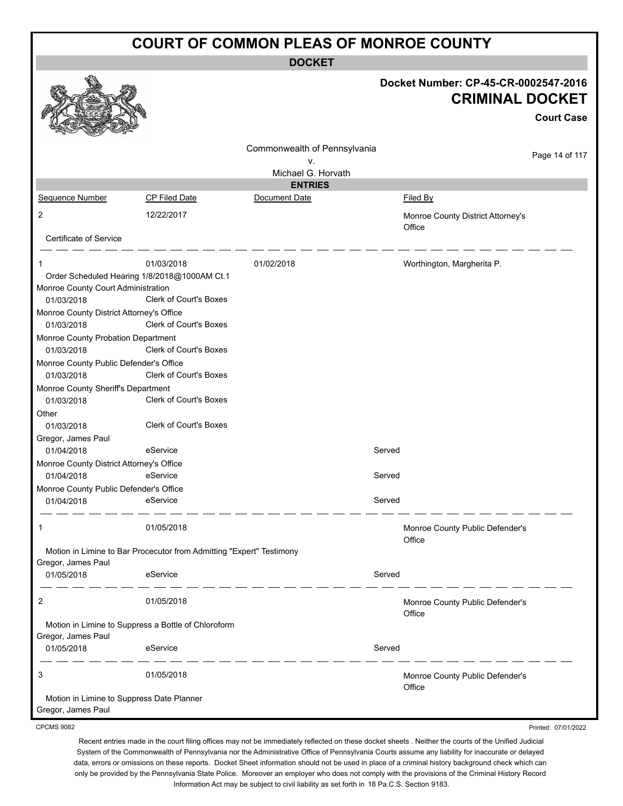**DOCKET**

|                                                                 |                                                                      |                                      |        | Docket Number: CP-45-CR-0002547-2016<br><b>CRIMINAL DOCKET</b><br><b>Court Case</b> |
|-----------------------------------------------------------------|----------------------------------------------------------------------|--------------------------------------|--------|-------------------------------------------------------------------------------------|
|                                                                 |                                                                      |                                      |        |                                                                                     |
|                                                                 |                                                                      | Commonwealth of Pennsylvania         |        | Page 14 of 117                                                                      |
|                                                                 |                                                                      | v.                                   |        |                                                                                     |
|                                                                 |                                                                      | Michael G. Horvath<br><b>ENTRIES</b> |        |                                                                                     |
| Sequence Number                                                 | <b>CP Filed Date</b>                                                 | Document Date                        |        | Filed By                                                                            |
| $\overline{c}$                                                  | 12/22/2017                                                           |                                      |        |                                                                                     |
|                                                                 |                                                                      |                                      |        | Monroe County District Attorney's<br>Office                                         |
| Certificate of Service                                          |                                                                      |                                      |        |                                                                                     |
| 1                                                               | 01/03/2018                                                           | 01/02/2018                           |        | Worthington, Margherita P.                                                          |
|                                                                 | Order Scheduled Hearing 1/8/2018@1000AM Ct.1                         |                                      |        |                                                                                     |
| Monroe County Court Administration                              |                                                                      |                                      |        |                                                                                     |
| 01/03/2018                                                      | Clerk of Court's Boxes                                               |                                      |        |                                                                                     |
| Monroe County District Attorney's Office<br>01/03/2018          | <b>Clerk of Court's Boxes</b>                                        |                                      |        |                                                                                     |
| Monroe County Probation Department                              |                                                                      |                                      |        |                                                                                     |
| 01/03/2018                                                      | Clerk of Court's Boxes                                               |                                      |        |                                                                                     |
| Monroe County Public Defender's Office                          |                                                                      |                                      |        |                                                                                     |
| 01/03/2018                                                      | Clerk of Court's Boxes                                               |                                      |        |                                                                                     |
| Monroe County Sheriff's Department                              |                                                                      |                                      |        |                                                                                     |
| 01/03/2018                                                      | Clerk of Court's Boxes                                               |                                      |        |                                                                                     |
| Other                                                           |                                                                      |                                      |        |                                                                                     |
| 01/03/2018                                                      | Clerk of Court's Boxes                                               |                                      |        |                                                                                     |
| Gregor, James Paul                                              |                                                                      |                                      |        |                                                                                     |
| 01/04/2018                                                      | eService                                                             |                                      | Served |                                                                                     |
| Monroe County District Attorney's Office                        |                                                                      |                                      |        |                                                                                     |
| 01/04/2018                                                      | eService                                                             |                                      | Served |                                                                                     |
| Monroe County Public Defender's Office<br>01/04/2018            | eService                                                             |                                      | Served |                                                                                     |
|                                                                 |                                                                      |                                      |        |                                                                                     |
| 1                                                               | 01/05/2018                                                           |                                      |        | Monroe County Public Defender's<br>Office                                           |
|                                                                 | Motion in Limine to Bar Procecutor from Admitting "Expert" Testimony |                                      |        |                                                                                     |
| Gregor, James Paul                                              |                                                                      |                                      |        |                                                                                     |
| 01/05/2018                                                      | eService                                                             |                                      | Served |                                                                                     |
| 2                                                               | 01/05/2018                                                           |                                      |        | Monroe County Public Defender's                                                     |
|                                                                 |                                                                      |                                      |        | Office                                                                              |
|                                                                 | Motion in Limine to Suppress a Bottle of Chloroform                  |                                      |        |                                                                                     |
| Gregor, James Paul<br>01/05/2018                                | eService                                                             |                                      | Served |                                                                                     |
|                                                                 |                                                                      |                                      |        |                                                                                     |
| 3                                                               | 01/05/2018                                                           |                                      |        | Monroe County Public Defender's                                                     |
| Motion in Limine to Suppress Date Planner<br>Gregor, James Paul |                                                                      |                                      |        | Office                                                                              |

CPCMS 9082

Recent entries made in the court filing offices may not be immediately reflected on these docket sheets . Neither the courts of the Unified Judicial System of the Commonwealth of Pennsylvania nor the Administrative Office of Pennsylvania Courts assume any liability for inaccurate or delayed data, errors or omissions on these reports. Docket Sheet information should not be used in place of a criminal history background check which can only be provided by the Pennsylvania State Police. Moreover an employer who does not comply with the provisions of the Criminal History Record Information Act may be subject to civil liability as set forth in 18 Pa.C.S. Section 9183.

Printed: 07/01/2022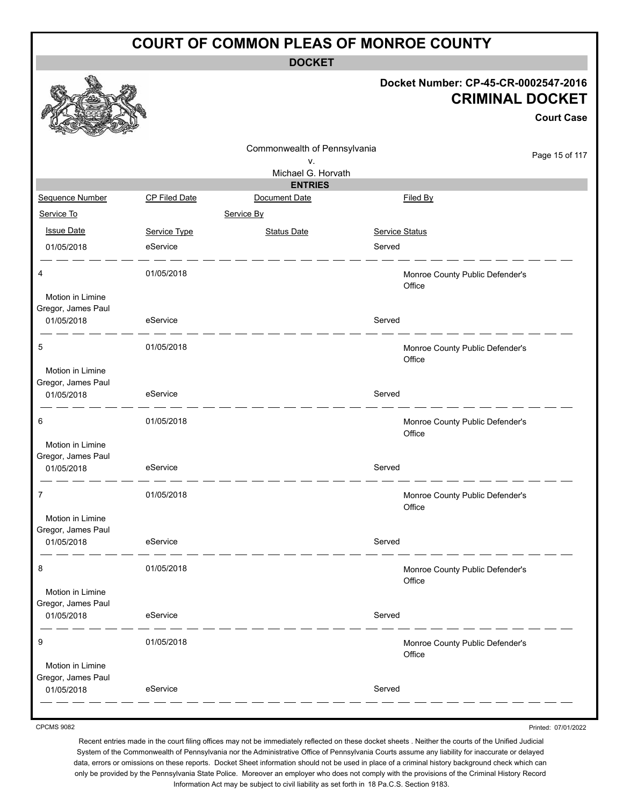**DOCKET**

#### **Docket Number: CP-45-CR-0002547-2016 CRIMINAL DOCKET**

**Court Case**

|               |                      |        |                                                                        | Court Case                                                                                                                                                                                                                                                                                               |
|---------------|----------------------|--------|------------------------------------------------------------------------|----------------------------------------------------------------------------------------------------------------------------------------------------------------------------------------------------------------------------------------------------------------------------------------------------------|
|               |                      |        |                                                                        | Page 15 of 117                                                                                                                                                                                                                                                                                           |
|               |                      |        |                                                                        |                                                                                                                                                                                                                                                                                                          |
|               | <b>ENTRIES</b>       |        |                                                                        |                                                                                                                                                                                                                                                                                                          |
| CP Filed Date | Document Date        |        |                                                                        |                                                                                                                                                                                                                                                                                                          |
|               | Service By           |        |                                                                        |                                                                                                                                                                                                                                                                                                          |
| Service Type  | <b>Status Date</b>   |        |                                                                        |                                                                                                                                                                                                                                                                                                          |
| eService      |                      | Served |                                                                        |                                                                                                                                                                                                                                                                                                          |
| 01/05/2018    |                      |        |                                                                        |                                                                                                                                                                                                                                                                                                          |
|               |                      |        |                                                                        |                                                                                                                                                                                                                                                                                                          |
| eService      |                      | Served |                                                                        |                                                                                                                                                                                                                                                                                                          |
| 01/05/2018    |                      |        |                                                                        |                                                                                                                                                                                                                                                                                                          |
| eService      |                      | Served |                                                                        |                                                                                                                                                                                                                                                                                                          |
| 01/05/2018    |                      |        |                                                                        |                                                                                                                                                                                                                                                                                                          |
|               |                      |        |                                                                        |                                                                                                                                                                                                                                                                                                          |
|               |                      |        |                                                                        |                                                                                                                                                                                                                                                                                                          |
| 01/05/2018    |                      |        |                                                                        |                                                                                                                                                                                                                                                                                                          |
|               |                      |        |                                                                        |                                                                                                                                                                                                                                                                                                          |
| eService      |                      | Served |                                                                        |                                                                                                                                                                                                                                                                                                          |
| 01/05/2018    |                      |        |                                                                        |                                                                                                                                                                                                                                                                                                          |
|               |                      |        |                                                                        |                                                                                                                                                                                                                                                                                                          |
|               |                      |        |                                                                        |                                                                                                                                                                                                                                                                                                          |
| 01/05/2018    |                      |        |                                                                        |                                                                                                                                                                                                                                                                                                          |
|               |                      |        |                                                                        |                                                                                                                                                                                                                                                                                                          |
| eService      |                      | Served |                                                                        |                                                                                                                                                                                                                                                                                                          |
|               | eService<br>eService | ۷.     | Commonwealth of Pennsylvania<br>Michael G. Horvath<br>Served<br>Served | Filed By<br>Service Status<br>Monroe County Public Defender's<br>Office<br>Monroe County Public Defender's<br>Office<br>Monroe County Public Defender's<br>Office<br>Monroe County Public Defender's<br>Office<br>Monroe County Public Defender's<br>Office<br>Monroe County Public Defender's<br>Office |

CPCMS 9082

Printed: 07/01/2022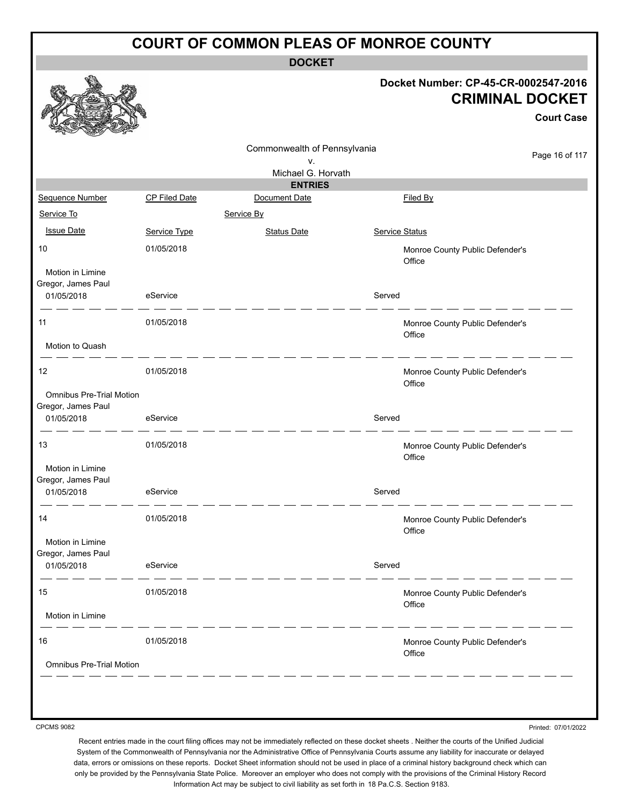**DOCKET**

#### **Docket Number: CP-45-CR-0002547-2016 CRIMINAL DOCKET**

|                                                       |               | Commonwealth of Pennsylvania |                       |                                           | Page 16 of 117 |
|-------------------------------------------------------|---------------|------------------------------|-----------------------|-------------------------------------------|----------------|
|                                                       |               | V.<br>Michael G. Horvath     |                       |                                           |                |
|                                                       |               | <b>ENTRIES</b>               |                       |                                           |                |
| Sequence Number                                       | CP Filed Date | Document Date                |                       | Filed By                                  |                |
| Service To                                            |               | Service By                   |                       |                                           |                |
| <b>Issue Date</b>                                     | Service Type  | <b>Status Date</b>           | <b>Service Status</b> |                                           |                |
| 10                                                    | 01/05/2018    |                              |                       | Monroe County Public Defender's<br>Office |                |
| Motion in Limine                                      |               |                              |                       |                                           |                |
| Gregor, James Paul<br>01/05/2018                      | eService      |                              | Served                |                                           |                |
| 11                                                    | 01/05/2018    |                              |                       | Monroe County Public Defender's<br>Office |                |
| Motion to Quash                                       |               |                              |                       |                                           |                |
| 12                                                    | 01/05/2018    |                              |                       | Monroe County Public Defender's<br>Office |                |
| <b>Omnibus Pre-Trial Motion</b><br>Gregor, James Paul |               |                              |                       |                                           |                |
| 01/05/2018                                            | eService      |                              | Served                |                                           |                |
| 13                                                    | 01/05/2018    |                              |                       | Monroe County Public Defender's<br>Office |                |
| Motion in Limine                                      |               |                              |                       |                                           |                |
| Gregor, James Paul<br>01/05/2018                      | eService      |                              | Served                |                                           |                |
| 14                                                    | 01/05/2018    |                              |                       | Monroe County Public Defender's<br>Office |                |
| Motion in Limine                                      |               |                              |                       |                                           |                |
| Gregor, James Paul                                    | eService      |                              | Served                |                                           |                |
| 01/05/2018                                            |               |                              |                       |                                           |                |
| 15                                                    | 01/05/2018    |                              |                       | Monroe County Public Defender's<br>Office |                |
| Motion in Limine                                      |               |                              |                       |                                           |                |
| 16                                                    | 01/05/2018    |                              |                       | Monroe County Public Defender's<br>Office |                |
| <b>Omnibus Pre-Trial Motion</b>                       |               |                              |                       |                                           |                |

CPCMS 9082

Printed: 07/01/2022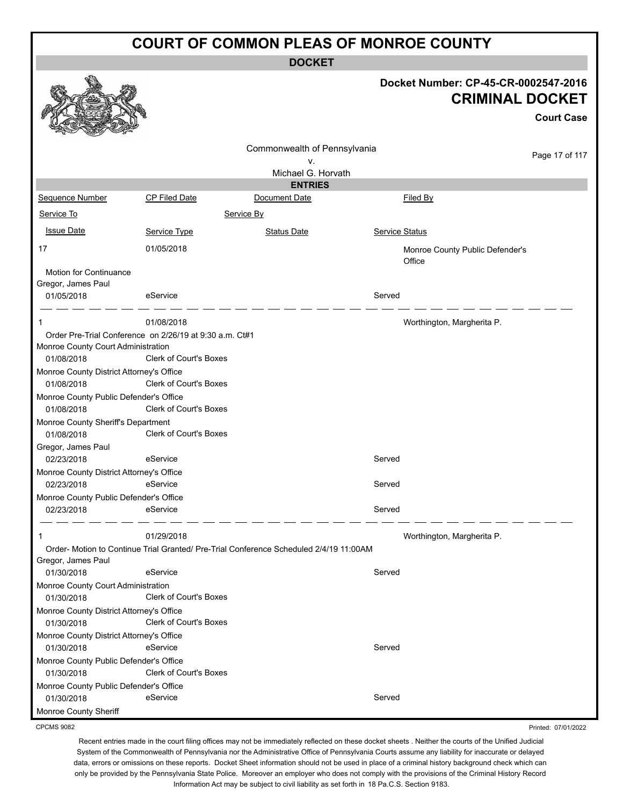**DOCKET**

| Docket Number: CP-45-CR-0002547-2016 |
|--------------------------------------|
| <b>CRIMINAL DOCKET</b>               |

|                                          |                                                                                        |                              |                       |                                           | <b>Court Case</b> |
|------------------------------------------|----------------------------------------------------------------------------------------|------------------------------|-----------------------|-------------------------------------------|-------------------|
|                                          |                                                                                        | Commonwealth of Pennsylvania |                       |                                           |                   |
|                                          |                                                                                        | ٧.                           |                       |                                           | Page 17 of 117    |
|                                          |                                                                                        | Michael G. Horvath           |                       |                                           |                   |
|                                          |                                                                                        | <b>ENTRIES</b>               |                       |                                           |                   |
| Sequence Number                          | CP Filed Date                                                                          | Document Date                |                       | <b>Filed By</b>                           |                   |
| Service To                               |                                                                                        | Service By                   |                       |                                           |                   |
| <b>Issue Date</b>                        | Service Type                                                                           | <b>Status Date</b>           | <b>Service Status</b> |                                           |                   |
| 17                                       | 01/05/2018                                                                             |                              |                       | Monroe County Public Defender's<br>Office |                   |
| <b>Motion for Continuance</b>            |                                                                                        |                              |                       |                                           |                   |
| Gregor, James Paul                       |                                                                                        |                              |                       |                                           |                   |
| 01/05/2018                               | eService                                                                               |                              | Served                |                                           |                   |
| 1                                        | 01/08/2018                                                                             |                              |                       | Worthington, Margherita P.                |                   |
|                                          | Order Pre-Trial Conference on 2/26/19 at 9:30 a.m. Ct#1                                |                              |                       |                                           |                   |
| Monroe County Court Administration       |                                                                                        |                              |                       |                                           |                   |
| 01/08/2018                               | <b>Clerk of Court's Boxes</b>                                                          |                              |                       |                                           |                   |
| Monroe County District Attorney's Office |                                                                                        |                              |                       |                                           |                   |
| 01/08/2018                               | <b>Clerk of Court's Boxes</b>                                                          |                              |                       |                                           |                   |
| Monroe County Public Defender's Office   |                                                                                        |                              |                       |                                           |                   |
| 01/08/2018                               | <b>Clerk of Court's Boxes</b>                                                          |                              |                       |                                           |                   |
| Monroe County Sheriff's Department       |                                                                                        |                              |                       |                                           |                   |
| 01/08/2018                               | Clerk of Court's Boxes                                                                 |                              |                       |                                           |                   |
| Gregor, James Paul                       |                                                                                        |                              |                       |                                           |                   |
| 02/23/2018                               | eService                                                                               |                              | Served                |                                           |                   |
| Monroe County District Attorney's Office |                                                                                        |                              |                       |                                           |                   |
| 02/23/2018                               | eService                                                                               |                              | Served                |                                           |                   |
| Monroe County Public Defender's Office   |                                                                                        |                              |                       |                                           |                   |
| 02/23/2018                               | eService                                                                               |                              | Served                |                                           |                   |
| 1                                        | 01/29/2018                                                                             |                              |                       | Worthington, Margherita P.                |                   |
|                                          | Order- Motion to Continue Trial Granted/ Pre-Trial Conference Scheduled 2/4/19 11:00AM |                              |                       |                                           |                   |
| Gregor, James Paul                       |                                                                                        |                              |                       |                                           |                   |
| 01/30/2018                               | eService                                                                               |                              | Served                |                                           |                   |
| Monroe County Court Administration       |                                                                                        |                              |                       |                                           |                   |
| 01/30/2018                               | <b>Clerk of Court's Boxes</b>                                                          |                              |                       |                                           |                   |
| Monroe County District Attorney's Office |                                                                                        |                              |                       |                                           |                   |
| 01/30/2018                               | <b>Clerk of Court's Boxes</b>                                                          |                              |                       |                                           |                   |
| Monroe County District Attorney's Office |                                                                                        |                              |                       |                                           |                   |
| 01/30/2018                               | eService                                                                               |                              | Served                |                                           |                   |
| Monroe County Public Defender's Office   |                                                                                        |                              |                       |                                           |                   |
| 01/30/2018                               | <b>Clerk of Court's Boxes</b>                                                          |                              |                       |                                           |                   |
| Monroe County Public Defender's Office   |                                                                                        |                              |                       |                                           |                   |
| 01/30/2018                               | eService                                                                               |                              | Served                |                                           |                   |
| Monroe County Sheriff                    |                                                                                        |                              |                       |                                           |                   |

CPCMS 9082

Printed: 07/01/2022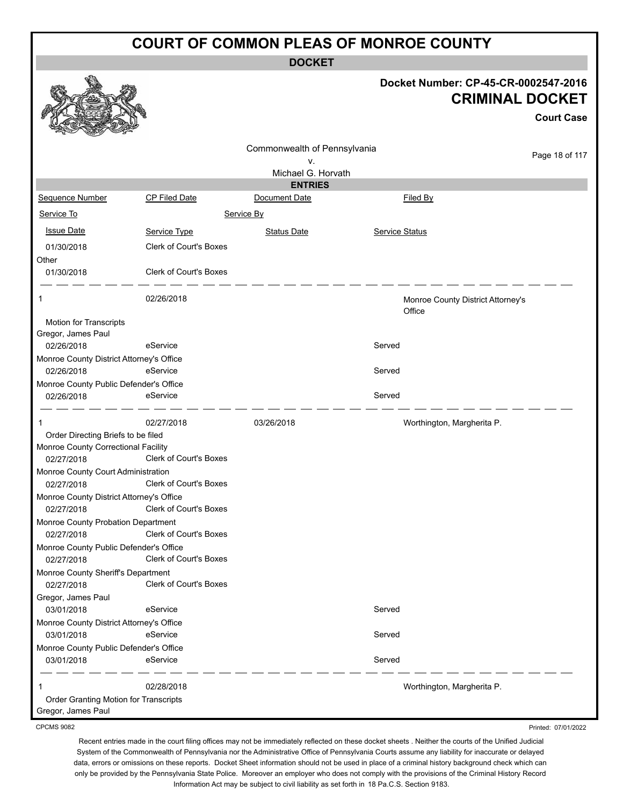**DOCKET**

#### **Docket Number: CP-45-CR-0002547-2016 CRIMINAL DOCKET**

**Court Case**

|                                                        |                               | Commonwealth of Pennsylvania |                                             |                |
|--------------------------------------------------------|-------------------------------|------------------------------|---------------------------------------------|----------------|
|                                                        |                               | ν.                           |                                             | Page 18 of 117 |
|                                                        |                               | Michael G. Horvath           |                                             |                |
|                                                        |                               | <b>ENTRIES</b>               |                                             |                |
| Sequence Number                                        | CP Filed Date                 | Document Date                | Filed By                                    |                |
| Service To                                             |                               | Service By                   |                                             |                |
| <b>Issue Date</b>                                      | Service Type                  | <b>Status Date</b>           | Service Status                              |                |
| 01/30/2018                                             | <b>Clerk of Court's Boxes</b> |                              |                                             |                |
| Other                                                  |                               |                              |                                             |                |
| 01/30/2018                                             | <b>Clerk of Court's Boxes</b> |                              |                                             |                |
| 1                                                      | 02/26/2018                    |                              | Monroe County District Attorney's<br>Office |                |
| <b>Motion for Transcripts</b>                          |                               |                              |                                             |                |
| Gregor, James Paul                                     |                               |                              |                                             |                |
| 02/26/2018                                             | eService                      |                              | Served                                      |                |
| Monroe County District Attorney's Office               |                               |                              |                                             |                |
| 02/26/2018                                             | eService                      |                              | Served                                      |                |
| Monroe County Public Defender's Office                 |                               |                              |                                             |                |
| 02/26/2018                                             | eService                      |                              | Served                                      |                |
| 1                                                      | 02/27/2018                    | 03/26/2018                   | Worthington, Margherita P.                  |                |
| Order Directing Briefs to be filed                     |                               |                              |                                             |                |
| Monroe County Correctional Facility                    |                               |                              |                                             |                |
| 02/27/2018                                             | Clerk of Court's Boxes        |                              |                                             |                |
| Monroe County Court Administration                     |                               |                              |                                             |                |
| 02/27/2018                                             | <b>Clerk of Court's Boxes</b> |                              |                                             |                |
| Monroe County District Attorney's Office<br>02/27/2018 | Clerk of Court's Boxes        |                              |                                             |                |
| Monroe County Probation Department                     |                               |                              |                                             |                |
| 02/27/2018                                             | <b>Clerk of Court's Boxes</b> |                              |                                             |                |
| Monroe County Public Defender's Office                 |                               |                              |                                             |                |
| 02/27/2018                                             | Clerk of Court's Boxes        |                              |                                             |                |
| Monroe County Sheriff's Department                     |                               |                              |                                             |                |
| 02/27/2018                                             | Clerk of Court's Boxes        |                              |                                             |                |
| Gregor, James Paul                                     |                               |                              |                                             |                |
| 03/01/2018                                             | eService                      |                              | Served                                      |                |
| Monroe County District Attorney's Office               |                               |                              |                                             |                |
| 03/01/2018                                             | eService                      |                              | Served                                      |                |
| Monroe County Public Defender's Office                 |                               |                              |                                             |                |
| 03/01/2018                                             | eService                      |                              | Served                                      |                |
|                                                        | 02/28/2018                    |                              | Worthington, Margherita P.                  |                |
| Order Granting Motion for Transcripts                  |                               |                              |                                             |                |
| Gregor, James Paul                                     |                               |                              |                                             |                |

CPCMS 9082

Recent entries made in the court filing offices may not be immediately reflected on these docket sheets . Neither the courts of the Unified Judicial System of the Commonwealth of Pennsylvania nor the Administrative Office of Pennsylvania Courts assume any liability for inaccurate or delayed data, errors or omissions on these reports. Docket Sheet information should not be used in place of a criminal history background check which can only be provided by the Pennsylvania State Police. Moreover an employer who does not comply with the provisions of the Criminal History Record Information Act may be subject to civil liability as set forth in 18 Pa.C.S. Section 9183.

Printed: 07/01/2022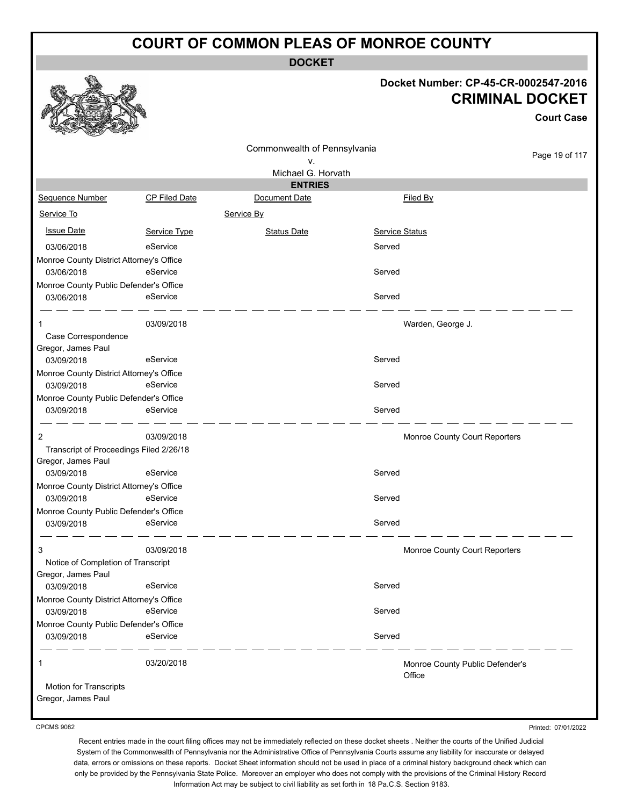**DOCKET**

#### **Docket Number: CP-45-CR-0002547-2016 CRIMINAL DOCKET**

**Court Case**

| Commonwealth of Pennsylvania                         |               |                                 |                | Page 19 of 117                  |  |
|------------------------------------------------------|---------------|---------------------------------|----------------|---------------------------------|--|
|                                                      |               | ۷.                              |                |                                 |  |
|                                                      |               | Michael G. Horvath              |                |                                 |  |
| Sequence Number                                      | CP Filed Date | <b>ENTRIES</b><br>Document Date |                | Filed By                        |  |
|                                                      |               |                                 |                |                                 |  |
| Service To                                           |               | Service By                      |                |                                 |  |
| <b>Issue Date</b>                                    | Service Type  | <b>Status Date</b>              | Service Status |                                 |  |
| 03/06/2018                                           | eService      |                                 | Served         |                                 |  |
| Monroe County District Attorney's Office             |               |                                 |                |                                 |  |
| 03/06/2018                                           | eService      |                                 | Served         |                                 |  |
| Monroe County Public Defender's Office               |               |                                 |                |                                 |  |
| 03/06/2018                                           | eService      |                                 | Served         |                                 |  |
| 1                                                    | 03/09/2018    |                                 |                | Warden, George J.               |  |
| Case Correspondence                                  |               |                                 |                |                                 |  |
| Gregor, James Paul                                   |               |                                 |                |                                 |  |
| 03/09/2018                                           | eService      |                                 | Served         |                                 |  |
| Monroe County District Attorney's Office             | eService      |                                 | Served         |                                 |  |
| 03/09/2018<br>Monroe County Public Defender's Office |               |                                 |                |                                 |  |
| 03/09/2018                                           | eService      |                                 | Served         |                                 |  |
|                                                      |               |                                 |                |                                 |  |
| 2                                                    | 03/09/2018    |                                 |                | Monroe County Court Reporters   |  |
| Transcript of Proceedings Filed 2/26/18              |               |                                 |                |                                 |  |
| Gregor, James Paul                                   |               |                                 |                |                                 |  |
| 03/09/2018                                           | eService      |                                 | Served         |                                 |  |
| Monroe County District Attorney's Office             |               |                                 |                |                                 |  |
| 03/09/2018                                           | eService      |                                 | Served         |                                 |  |
| Monroe County Public Defender's Office<br>03/09/2018 | eService      |                                 | Served         |                                 |  |
|                                                      |               |                                 |                |                                 |  |
| 3                                                    | 03/09/2018    |                                 |                | Monroe County Court Reporters   |  |
| Notice of Completion of Transcript                   |               |                                 |                |                                 |  |
| Gregor, James Paul                                   |               |                                 |                |                                 |  |
| 03/09/2018                                           | eService      |                                 | Served         |                                 |  |
| Monroe County District Attorney's Office             |               |                                 |                |                                 |  |
| 03/09/2018                                           | eService      |                                 | Served         |                                 |  |
| Monroe County Public Defender's Office               | eService      |                                 | Served         |                                 |  |
| 03/09/2018                                           |               |                                 |                |                                 |  |
| 1                                                    | 03/20/2018    |                                 |                | Monroe County Public Defender's |  |
|                                                      |               |                                 |                | Office                          |  |
| Motion for Transcripts                               |               |                                 |                |                                 |  |
| Gregor, James Paul                                   |               |                                 |                |                                 |  |

CPCMS 9082

Printed: 07/01/2022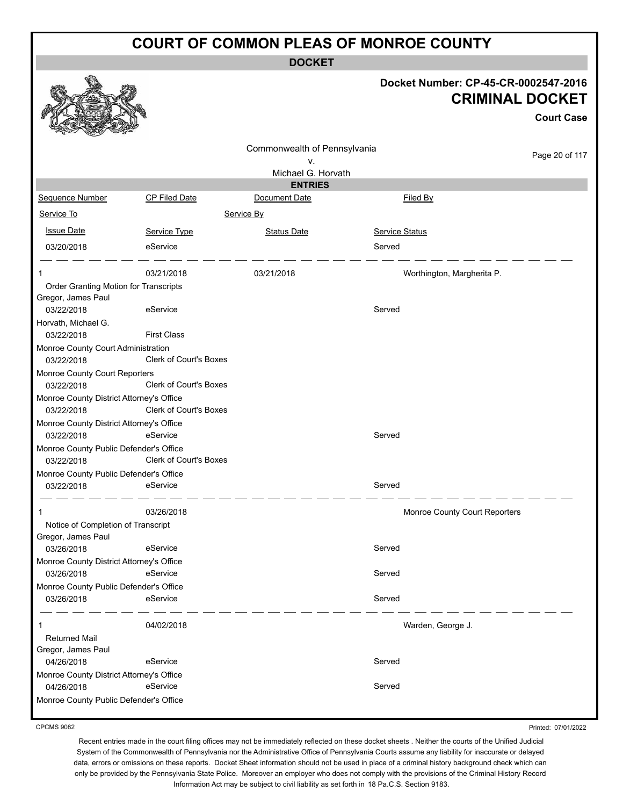**DOCKET**

|                                                  |                               |                              |                               | Docket Number: CP-45-CR-0002547-2016<br><b>CRIMINAL DOCKET</b><br><b>Court Case</b> |
|--------------------------------------------------|-------------------------------|------------------------------|-------------------------------|-------------------------------------------------------------------------------------|
|                                                  |                               | Commonwealth of Pennsylvania |                               |                                                                                     |
|                                                  |                               | ۷.                           |                               | Page 20 of 117                                                                      |
|                                                  |                               | Michael G. Horvath           |                               |                                                                                     |
|                                                  |                               | <b>ENTRIES</b>               |                               |                                                                                     |
| <b>Sequence Number</b>                           | <b>CP Filed Date</b>          | Document Date                | Filed By                      |                                                                                     |
| Service To                                       |                               | Service By                   |                               |                                                                                     |
| <b>Issue Date</b>                                | Service Type                  | <b>Status Date</b>           | Service Status                |                                                                                     |
| 03/20/2018                                       | eService                      |                              | Served                        |                                                                                     |
| 1                                                | 03/21/2018                    | 03/21/2018                   | Worthington, Margherita P.    |                                                                                     |
| Order Granting Motion for Transcripts            |                               |                              |                               |                                                                                     |
| Gregor, James Paul<br>03/22/2018                 | eService                      |                              | Served                        |                                                                                     |
| Horvath, Michael G.<br>03/22/2018                | <b>First Class</b>            |                              |                               |                                                                                     |
| Monroe County Court Administration<br>03/22/2018 | Clerk of Court's Boxes        |                              |                               |                                                                                     |
| Monroe County Court Reporters<br>03/22/2018      | Clerk of Court's Boxes        |                              |                               |                                                                                     |
| Monroe County District Attorney's Office         |                               |                              |                               |                                                                                     |
| 03/22/2018                                       | <b>Clerk of Court's Boxes</b> |                              |                               |                                                                                     |
| Monroe County District Attorney's Office         |                               |                              |                               |                                                                                     |
| 03/22/2018                                       | eService                      |                              | Served                        |                                                                                     |
| Monroe County Public Defender's Office           |                               |                              |                               |                                                                                     |
| 03/22/2018                                       | <b>Clerk of Court's Boxes</b> |                              |                               |                                                                                     |
| Monroe County Public Defender's Office           |                               |                              |                               |                                                                                     |
| 03/22/2018                                       | eService                      |                              | Served                        |                                                                                     |
| 1                                                | 03/26/2018                    |                              | Monroe County Court Reporters |                                                                                     |
| Notice of Completion of Transcript               |                               |                              |                               |                                                                                     |
| Gregor, James Paul<br>03/26/2018                 | eService                      |                              | Served                        |                                                                                     |
| Monroe County District Attorney's Office         |                               |                              |                               |                                                                                     |
| 03/26/2018                                       | eService                      |                              | Served                        |                                                                                     |
| Monroe County Public Defender's Office           |                               |                              |                               |                                                                                     |
| 03/26/2018                                       | eService                      |                              | Served                        |                                                                                     |
| 1                                                | 04/02/2018                    |                              | Warden, George J.             |                                                                                     |
| <b>Returned Mail</b>                             |                               |                              |                               |                                                                                     |
| Gregor, James Paul<br>04/26/2018                 | eService                      |                              | Served                        |                                                                                     |
| Monroe County District Attorney's Office         |                               |                              |                               |                                                                                     |
| 04/26/2018                                       | eService                      |                              | Served                        |                                                                                     |
| Monroe County Public Defender's Office           |                               |                              |                               |                                                                                     |

CPCMS 9082

**B** 

Printed: 07/01/2022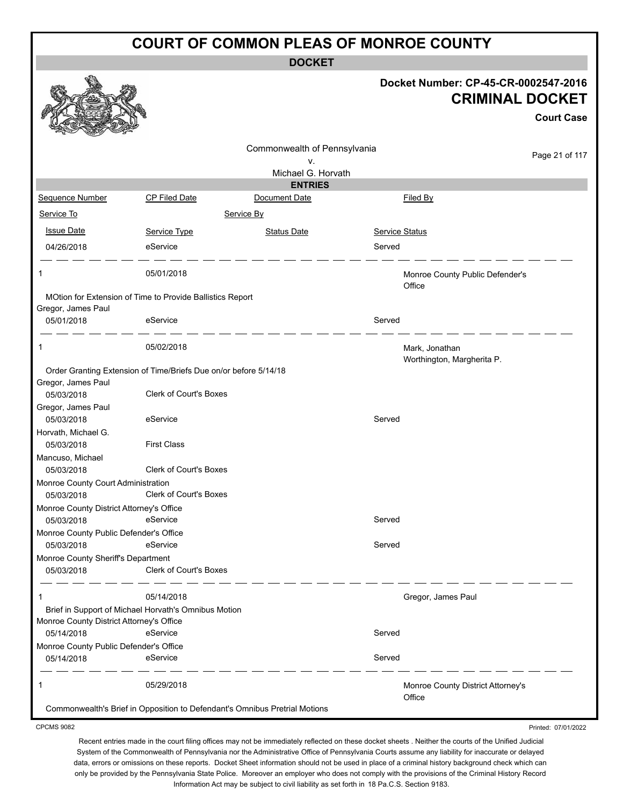**DOCKET**

|                                                                  |                               | <b>DOCKEI</b>                                                              |                |                                                                                     |
|------------------------------------------------------------------|-------------------------------|----------------------------------------------------------------------------|----------------|-------------------------------------------------------------------------------------|
|                                                                  |                               |                                                                            |                | Docket Number: CP-45-CR-0002547-2016<br><b>CRIMINAL DOCKET</b><br><b>Court Case</b> |
|                                                                  |                               |                                                                            |                |                                                                                     |
|                                                                  |                               | Commonwealth of Pennsylvania                                               |                |                                                                                     |
|                                                                  |                               | ۷.                                                                         |                | Page 21 of 117                                                                      |
|                                                                  |                               | Michael G. Horvath                                                         |                |                                                                                     |
|                                                                  |                               | <b>ENTRIES</b>                                                             |                |                                                                                     |
| <b>Sequence Number</b>                                           | CP Filed Date                 | Document Date                                                              |                | Filed By                                                                            |
| Service To                                                       |                               | Service By                                                                 |                |                                                                                     |
| <b>Issue Date</b>                                                | Service Type                  | <b>Status Date</b>                                                         | Service Status |                                                                                     |
| 04/26/2018                                                       | eService                      |                                                                            | Served         |                                                                                     |
|                                                                  |                               |                                                                            |                |                                                                                     |
| 1                                                                | 05/01/2018                    |                                                                            |                | Monroe County Public Defender's                                                     |
|                                                                  |                               |                                                                            |                | Office                                                                              |
| MOtion for Extension of Time to Provide Ballistics Report        |                               |                                                                            |                |                                                                                     |
| Gregor, James Paul                                               |                               |                                                                            |                |                                                                                     |
| 05/01/2018                                                       | eService                      |                                                                            | Served         |                                                                                     |
| 1                                                                | 05/02/2018                    |                                                                            |                | Mark, Jonathan                                                                      |
|                                                                  |                               |                                                                            |                | Worthington, Margherita P.                                                          |
| Order Granting Extension of Time/Briefs Due on/or before 5/14/18 |                               |                                                                            |                |                                                                                     |
| Gregor, James Paul                                               |                               |                                                                            |                |                                                                                     |
| 05/03/2018                                                       | <b>Clerk of Court's Boxes</b> |                                                                            |                |                                                                                     |
| Gregor, James Paul                                               |                               |                                                                            |                |                                                                                     |
| 05/03/2018                                                       | eService                      |                                                                            | Served         |                                                                                     |
| Horvath, Michael G.                                              |                               |                                                                            |                |                                                                                     |
| 05/03/2018                                                       | <b>First Class</b>            |                                                                            |                |                                                                                     |
| Mancuso, Michael                                                 |                               |                                                                            |                |                                                                                     |
| 05/03/2018                                                       | Clerk of Court's Boxes        |                                                                            |                |                                                                                     |
| Monroe County Court Administration                               |                               |                                                                            |                |                                                                                     |
| 05/03/2018                                                       | <b>Clerk of Court's Boxes</b> |                                                                            |                |                                                                                     |
| Monroe County District Attorney's Office                         |                               |                                                                            |                |                                                                                     |
| 05/03/2018 eService                                              |                               |                                                                            | Served         |                                                                                     |
| Monroe County Public Defender's Office                           |                               |                                                                            |                |                                                                                     |
| 05/03/2018                                                       | eService                      |                                                                            | Served         |                                                                                     |
| Monroe County Sheriff's Department<br>05/03/2018                 | Clerk of Court's Boxes        |                                                                            |                |                                                                                     |
|                                                                  |                               |                                                                            |                |                                                                                     |
| 1                                                                | 05/14/2018                    |                                                                            |                | Gregor, James Paul                                                                  |
| Brief in Support of Michael Horvath's Omnibus Motion             |                               |                                                                            |                |                                                                                     |
| Monroe County District Attorney's Office                         |                               |                                                                            |                |                                                                                     |
| 05/14/2018                                                       | eService                      |                                                                            | Served         |                                                                                     |
| Monroe County Public Defender's Office                           |                               |                                                                            |                |                                                                                     |
| 05/14/2018                                                       | eService                      |                                                                            | Served         |                                                                                     |
| 1                                                                | 05/29/2018                    |                                                                            |                | Monroe County District Attorney's                                                   |
|                                                                  |                               |                                                                            |                | Office                                                                              |
|                                                                  |                               | Commonwealth's Brief in Opposition to Defendant's Omnibus Pretrial Motions |                |                                                                                     |

CPCMS 9082

Printed: 07/01/2022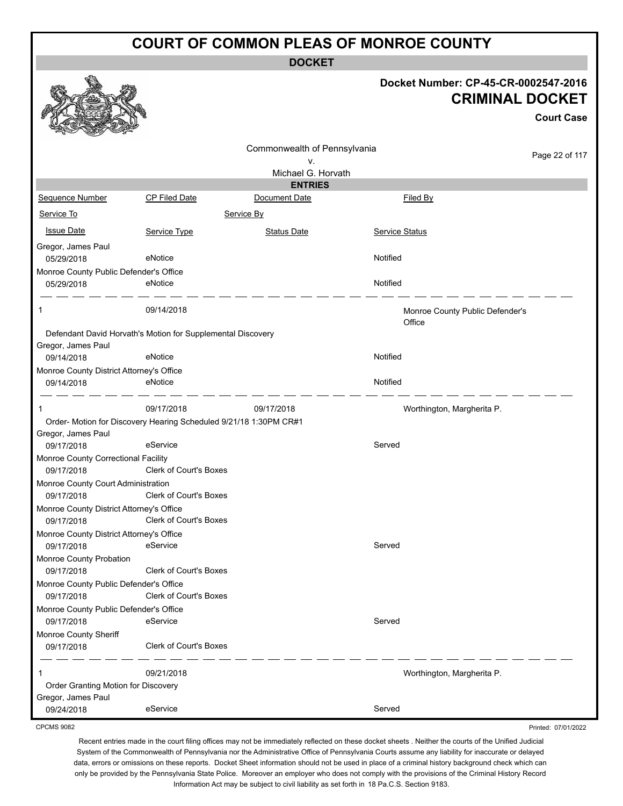**DOCKET**

#### **Docket Number: CP-45-CR-0002547-2016 CRIMINAL DOCKET**

Printed: 07/01/2022

|                                                           |                                                                   |                                    |                                           | <b>Court Case</b> |
|-----------------------------------------------------------|-------------------------------------------------------------------|------------------------------------|-------------------------------------------|-------------------|
|                                                           |                                                                   | Commonwealth of Pennsylvania<br>v. |                                           | Page 22 of 117    |
|                                                           |                                                                   | Michael G. Horvath                 |                                           |                   |
|                                                           |                                                                   | <b>ENTRIES</b>                     |                                           |                   |
| Sequence Number                                           | CP Filed Date                                                     | Document Date                      | Filed By                                  |                   |
| Service To                                                |                                                                   | Service By                         |                                           |                   |
| <b>Issue Date</b>                                         | Service Type                                                      | <b>Status Date</b>                 | <b>Service Status</b>                     |                   |
| Gregor, James Paul<br>05/29/2018                          | eNotice                                                           |                                    | Notified                                  |                   |
| Monroe County Public Defender's Office                    |                                                                   |                                    |                                           |                   |
| 05/29/2018                                                | eNotice                                                           |                                    | Notified                                  |                   |
| 1                                                         | 09/14/2018                                                        |                                    | Monroe County Public Defender's<br>Office |                   |
| Gregor, James Paul                                        | Defendant David Horvath's Motion for Supplemental Discovery       |                                    |                                           |                   |
| 09/14/2018                                                | eNotice                                                           |                                    | Notified                                  |                   |
| Monroe County District Attorney's Office                  |                                                                   |                                    |                                           |                   |
| 09/14/2018                                                | eNotice                                                           |                                    | Notified                                  |                   |
| 1                                                         | 09/17/2018                                                        | 09/17/2018                         | Worthington, Margherita P.                |                   |
|                                                           | Order- Motion for Discovery Hearing Scheduled 9/21/18 1:30PM CR#1 |                                    |                                           |                   |
| Gregor, James Paul                                        |                                                                   |                                    |                                           |                   |
| 09/17/2018                                                | eService                                                          |                                    | Served                                    |                   |
| Monroe County Correctional Facility                       |                                                                   |                                    |                                           |                   |
| 09/17/2018                                                | <b>Clerk of Court's Boxes</b>                                     |                                    |                                           |                   |
| Monroe County Court Administration                        |                                                                   |                                    |                                           |                   |
| 09/17/2018                                                | <b>Clerk of Court's Boxes</b>                                     |                                    |                                           |                   |
| Monroe County District Attorney's Office                  |                                                                   |                                    |                                           |                   |
| 09/17/2018                                                | <b>Clerk of Court's Boxes</b>                                     |                                    |                                           |                   |
| Monroe County District Attorney's Office                  |                                                                   |                                    |                                           |                   |
| 09/17/2018                                                | eService                                                          |                                    | Served                                    |                   |
| Monroe County Probation                                   |                                                                   |                                    |                                           |                   |
| 09/17/2018                                                | Clerk of Court's Boxes                                            |                                    |                                           |                   |
| Monroe County Public Defender's Office                    |                                                                   |                                    |                                           |                   |
| 09/17/2018                                                | <b>Clerk of Court's Boxes</b>                                     |                                    |                                           |                   |
| Monroe County Public Defender's Office                    |                                                                   |                                    |                                           |                   |
| 09/17/2018                                                | eService                                                          |                                    | Served                                    |                   |
| Monroe County Sheriff                                     |                                                                   |                                    |                                           |                   |
|                                                           |                                                                   |                                    |                                           |                   |
| 09/17/2018                                                | <b>Clerk of Court's Boxes</b>                                     |                                    |                                           |                   |
| 1                                                         | 09/21/2018                                                        |                                    | Worthington, Margherita P.                |                   |
| Order Granting Motion for Discovery<br>Gregor, James Paul |                                                                   |                                    |                                           |                   |
| 09/24/2018                                                | eService                                                          |                                    | Served                                    |                   |
|                                                           |                                                                   |                                    |                                           |                   |

CPCMS 9082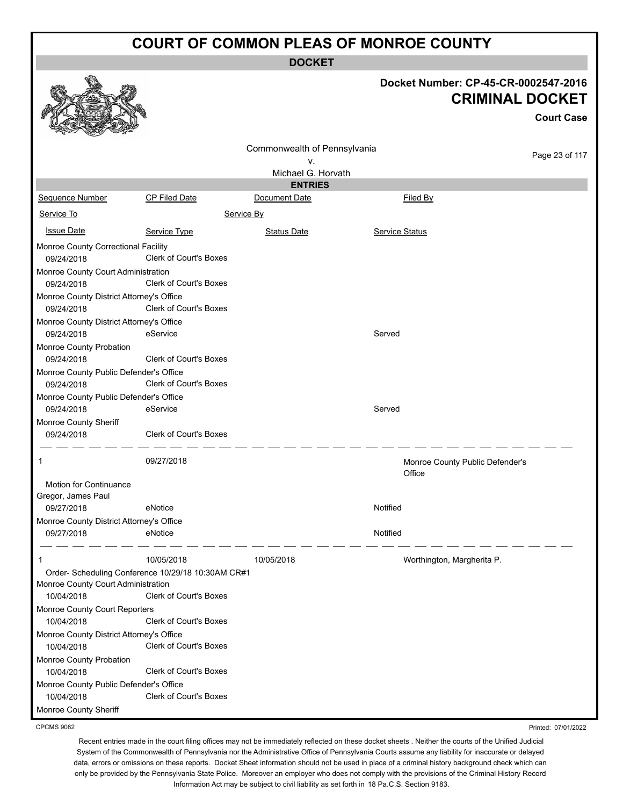**DOCKET**

|                                                        |                                                    | <b>DOCKET</b>                      |                                           |                                             |
|--------------------------------------------------------|----------------------------------------------------|------------------------------------|-------------------------------------------|---------------------------------------------|
|                                                        |                                                    |                                    | Docket Number: CP-45-CR-0002547-2016      | <b>CRIMINAL DOCKET</b><br><b>Court Case</b> |
|                                                        |                                                    | Commonwealth of Pennsylvania<br>۷. |                                           | Page 23 of 117                              |
|                                                        |                                                    | Michael G. Horvath                 |                                           |                                             |
|                                                        |                                                    | <b>ENTRIES</b>                     |                                           |                                             |
| Sequence Number                                        | <b>CP Filed Date</b>                               | Document Date                      | <b>Filed By</b>                           |                                             |
| Service To                                             |                                                    | Service By                         |                                           |                                             |
| <b>Issue Date</b>                                      | Service Type                                       | <b>Status Date</b>                 | Service Status                            |                                             |
| Monroe County Correctional Facility<br>09/24/2018      | Clerk of Court's Boxes                             |                                    |                                           |                                             |
| Monroe County Court Administration<br>09/24/2018       | <b>Clerk of Court's Boxes</b>                      |                                    |                                           |                                             |
| Monroe County District Attorney's Office<br>09/24/2018 | Clerk of Court's Boxes                             |                                    |                                           |                                             |
| Monroe County District Attorney's Office<br>09/24/2018 | eService                                           |                                    | Served                                    |                                             |
| Monroe County Probation<br>09/24/2018                  | Clerk of Court's Boxes                             |                                    |                                           |                                             |
| Monroe County Public Defender's Office<br>09/24/2018   | Clerk of Court's Boxes                             |                                    |                                           |                                             |
| Monroe County Public Defender's Office<br>09/24/2018   | eService                                           |                                    | Served                                    |                                             |
| Monroe County Sheriff<br>09/24/2018                    | <b>Clerk of Court's Boxes</b>                      |                                    |                                           |                                             |
| 1                                                      | 09/27/2018                                         |                                    | Monroe County Public Defender's<br>Office |                                             |
| <b>Motion for Continuance</b><br>Gregor, James Paul    |                                                    |                                    |                                           |                                             |
| 09/27/2018                                             | eNotice                                            |                                    | Notified                                  |                                             |
| Monroe County District Attorney's Office<br>09/27/2018 | eNotice                                            |                                    | Notified                                  |                                             |
| 1                                                      | 10/05/2018                                         | 10/05/2018                         | Worthington, Margherita P.                |                                             |
| Monroe County Court Administration                     | Order- Scheduling Conference 10/29/18 10:30AM CR#1 |                                    |                                           |                                             |
| 10/04/2018<br>Monroe County Court Reporters            | Clerk of Court's Boxes                             |                                    |                                           |                                             |
| 10/04/2018<br>Monroe County District Attorney's Office | <b>Clerk of Court's Boxes</b>                      |                                    |                                           |                                             |
| 10/04/2018<br>Monroe County Probation                  | Clerk of Court's Boxes                             |                                    |                                           |                                             |
| 10/04/2018<br>Monroe County Public Defender's Office   | Clerk of Court's Boxes<br>Clerk of Court's Boxes   |                                    |                                           |                                             |
| 10/04/2018<br>Monroe County Sheriff                    |                                                    |                                    |                                           |                                             |

CPCMS 9082

Printed: 07/01/2022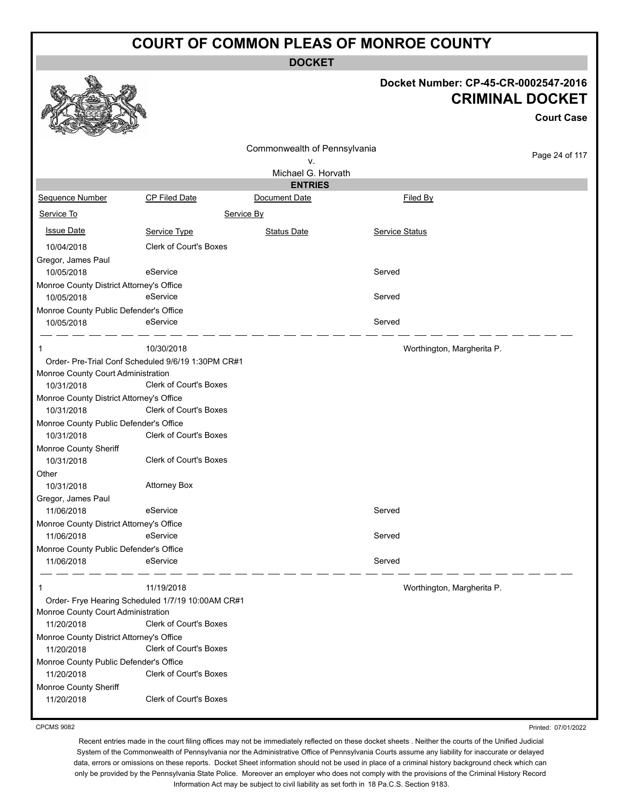**DOCKET**

#### **Docket Number: CP-45-CR-0002547-2016 CRIMINAL DOCKET**

|                                          |                                                    |                              |                            | <b>Court Case</b> |
|------------------------------------------|----------------------------------------------------|------------------------------|----------------------------|-------------------|
|                                          |                                                    | Commonwealth of Pennsylvania |                            |                   |
|                                          |                                                    | v.                           |                            | Page 24 of 117    |
|                                          |                                                    | Michael G. Horvath           |                            |                   |
|                                          |                                                    | <b>ENTRIES</b>               |                            |                   |
| Sequence Number                          | <b>CP Filed Date</b>                               | Document Date                | Filed By                   |                   |
| Service To                               | Service By                                         |                              |                            |                   |
| <b>Issue Date</b>                        | Service Type                                       | <b>Status Date</b>           | Service Status             |                   |
| 10/04/2018                               | <b>Clerk of Court's Boxes</b>                      |                              |                            |                   |
| Gregor, James Paul                       |                                                    |                              |                            |                   |
| 10/05/2018                               | eService                                           |                              | Served                     |                   |
| Monroe County District Attorney's Office |                                                    |                              |                            |                   |
| 10/05/2018                               | eService                                           |                              | Served                     |                   |
| Monroe County Public Defender's Office   |                                                    |                              |                            |                   |
| 10/05/2018                               | eService                                           |                              | Served                     |                   |
|                                          | 10/30/2018                                         |                              | Worthington, Margherita P. |                   |
|                                          | Order- Pre-Trial Conf Scheduled 9/6/19 1:30PM CR#1 |                              |                            |                   |
| Monroe County Court Administration       |                                                    |                              |                            |                   |
| 10/31/2018                               | <b>Clerk of Court's Boxes</b>                      |                              |                            |                   |
| Monroe County District Attorney's Office |                                                    |                              |                            |                   |
| 10/31/2018                               | <b>Clerk of Court's Boxes</b>                      |                              |                            |                   |
| Monroe County Public Defender's Office   |                                                    |                              |                            |                   |
| 10/31/2018                               | <b>Clerk of Court's Boxes</b>                      |                              |                            |                   |
| Monroe County Sheriff                    |                                                    |                              |                            |                   |
| 10/31/2018                               | <b>Clerk of Court's Boxes</b>                      |                              |                            |                   |
| Other                                    |                                                    |                              |                            |                   |
| 10/31/2018                               | <b>Attorney Box</b>                                |                              |                            |                   |
| Gregor, James Paul                       |                                                    |                              |                            |                   |
| 11/06/2018                               | eService                                           |                              | Served                     |                   |
| Monroe County District Attorney's Office |                                                    |                              |                            |                   |
| 11/06/2018                               | eService                                           |                              | Served                     |                   |
| Monroe County Public Defender's Office   |                                                    |                              |                            |                   |
| 11/06/2018                               | eService                                           |                              | Served                     |                   |
|                                          | 11/19/2018                                         |                              | Worthington, Margherita P. |                   |
|                                          | Order- Frye Hearing Scheduled 1/7/19 10:00AM CR#1  |                              |                            |                   |
| Monroe County Court Administration       |                                                    |                              |                            |                   |
| 11/20/2018                               | <b>Clerk of Court's Boxes</b>                      |                              |                            |                   |
| Monroe County District Attorney's Office |                                                    |                              |                            |                   |
| 11/20/2018                               | <b>Clerk of Court's Boxes</b>                      |                              |                            |                   |
| Monroe County Public Defender's Office   |                                                    |                              |                            |                   |
| 11/20/2018                               | <b>Clerk of Court's Boxes</b>                      |                              |                            |                   |
| Monroe County Sheriff                    |                                                    |                              |                            |                   |
| 11/20/2018                               | Clerk of Court's Boxes                             |                              |                            |                   |

CPCMS 9082

Printed: 07/01/2022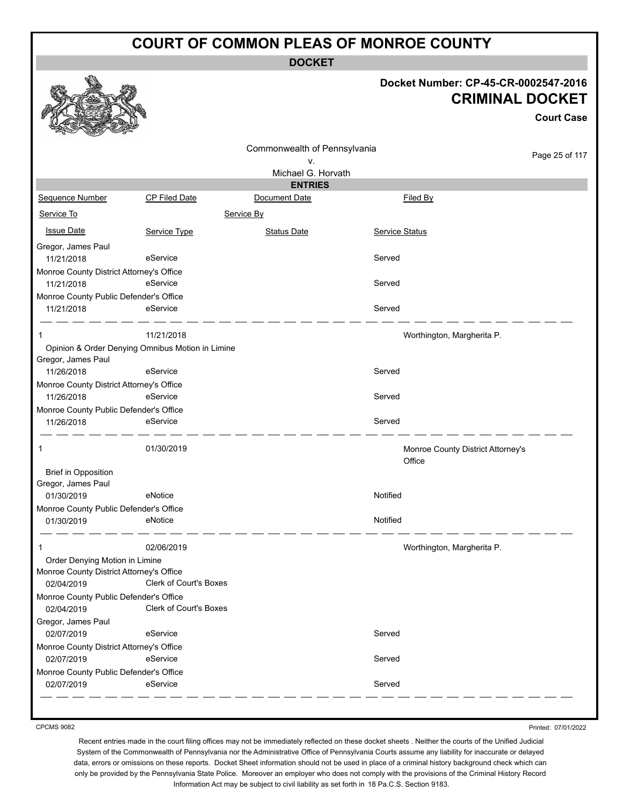**DOCKET**

#### **Docket Number: CP-45-CR-0002547-2016 CRIMINAL DOCKET**

|                                                        |                                                  |                                    |                                             | <b>Court Case</b> |
|--------------------------------------------------------|--------------------------------------------------|------------------------------------|---------------------------------------------|-------------------|
|                                                        |                                                  | Commonwealth of Pennsylvania<br>۷. |                                             | Page 25 of 117    |
|                                                        |                                                  | Michael G. Horvath                 |                                             |                   |
|                                                        |                                                  | <b>ENTRIES</b>                     |                                             |                   |
| Sequence Number                                        | CP Filed Date                                    | Document Date                      | Filed By                                    |                   |
| Service To                                             |                                                  | Service By                         |                                             |                   |
| <b>Issue Date</b>                                      | Service Type                                     | <b>Status Date</b>                 | Service Status                              |                   |
| Gregor, James Paul<br>11/21/2018                       | eService                                         |                                    | Served                                      |                   |
| Monroe County District Attorney's Office<br>11/21/2018 | eService                                         |                                    | Served                                      |                   |
| Monroe County Public Defender's Office                 |                                                  |                                    |                                             |                   |
| 11/21/2018                                             | eService                                         |                                    | Served                                      |                   |
| 1                                                      | 11/21/2018                                       |                                    | Worthington, Margherita P.                  |                   |
| Gregor, James Paul                                     | Opinion & Order Denying Omnibus Motion in Limine |                                    |                                             |                   |
| 11/26/2018                                             | eService                                         |                                    | Served                                      |                   |
| Monroe County District Attorney's Office               |                                                  |                                    |                                             |                   |
| 11/26/2018                                             | eService                                         |                                    | Served                                      |                   |
| Monroe County Public Defender's Office                 |                                                  |                                    |                                             |                   |
| 11/26/2018                                             | eService                                         |                                    | Served                                      |                   |
| 1                                                      | 01/30/2019                                       |                                    | Monroe County District Attorney's<br>Office |                   |
| <b>Brief in Opposition</b>                             |                                                  |                                    |                                             |                   |
| Gregor, James Paul                                     |                                                  |                                    |                                             |                   |
| 01/30/2019                                             | eNotice                                          |                                    | Notified                                    |                   |
| Monroe County Public Defender's Office                 |                                                  |                                    |                                             |                   |
| 01/30/2019                                             | eNotice                                          |                                    | Notified                                    |                   |
|                                                        | 02/06/2019                                       |                                    | Worthington, Margherita P.                  |                   |
| Order Denying Motion in Limine                         |                                                  |                                    |                                             |                   |
| Monroe County District Attorney's Office               |                                                  |                                    |                                             |                   |
| 02/04/2019                                             | <b>Clerk of Court's Boxes</b>                    |                                    |                                             |                   |
| Monroe County Public Defender's Office                 |                                                  |                                    |                                             |                   |
| 02/04/2019                                             | <b>Clerk of Court's Boxes</b>                    |                                    |                                             |                   |
| Gregor, James Paul                                     |                                                  |                                    |                                             |                   |
| 02/07/2019                                             | eService                                         |                                    | Served                                      |                   |
| Monroe County District Attorney's Office               |                                                  |                                    |                                             |                   |
| 02/07/2019                                             | eService                                         |                                    | Served                                      |                   |
| Monroe County Public Defender's Office                 |                                                  |                                    |                                             |                   |
| 02/07/2019                                             | eService                                         |                                    | Served                                      |                   |
|                                                        |                                                  |                                    |                                             |                   |

CPCMS 9082

Printed: 07/01/2022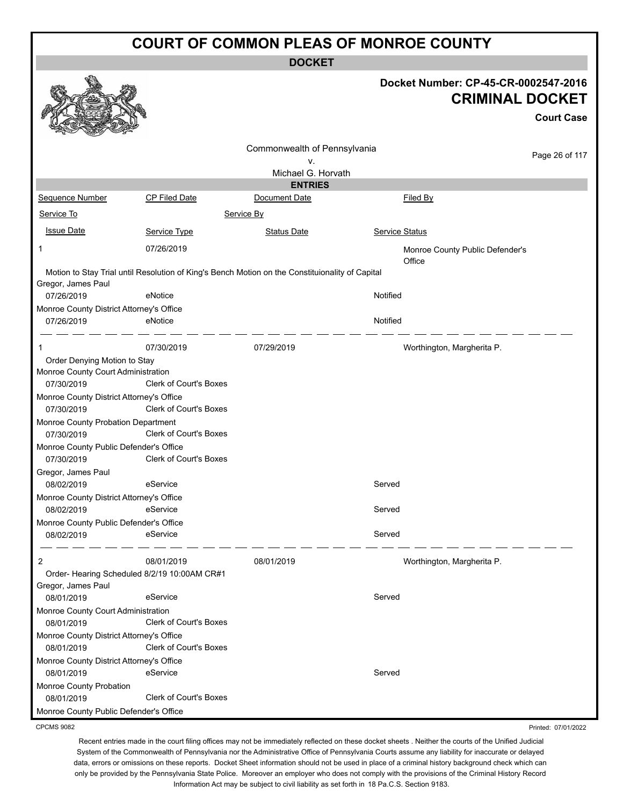**DOCKET**

|                                                      |                                              |                                                                                                 | Docket Number: CP-45-CR-0002547-2016<br><b>CRIMINAL DOCKET</b> | <b>Court Case</b>   |
|------------------------------------------------------|----------------------------------------------|-------------------------------------------------------------------------------------------------|----------------------------------------------------------------|---------------------|
|                                                      |                                              |                                                                                                 |                                                                |                     |
|                                                      |                                              | Commonwealth of Pennsylvania                                                                    |                                                                | Page 26 of 117      |
|                                                      |                                              | ٧.<br>Michael G. Horvath                                                                        |                                                                |                     |
|                                                      |                                              | <b>ENTRIES</b>                                                                                  |                                                                |                     |
| Sequence Number                                      | <b>CP Filed Date</b>                         | Document Date                                                                                   | Filed By                                                       |                     |
| Service To                                           |                                              | Service By                                                                                      |                                                                |                     |
| <b>Issue Date</b>                                    | Service Type                                 | <b>Status Date</b>                                                                              | <b>Service Status</b>                                          |                     |
| 1                                                    | 07/26/2019                                   |                                                                                                 | Monroe County Public Defender's                                |                     |
|                                                      |                                              | Motion to Stay Trial until Resolution of King's Bench Motion on the Constituionality of Capital | Office                                                         |                     |
| Gregor, James Paul                                   |                                              |                                                                                                 |                                                                |                     |
| 07/26/2019                                           | eNotice                                      |                                                                                                 | Notified                                                       |                     |
| Monroe County District Attorney's Office             |                                              |                                                                                                 |                                                                |                     |
| 07/26/2019                                           | eNotice                                      |                                                                                                 | Notified                                                       |                     |
| 1                                                    | 07/30/2019                                   | 07/29/2019                                                                                      | Worthington, Margherita P.                                     |                     |
| Order Denying Motion to Stay                         |                                              |                                                                                                 |                                                                |                     |
| Monroe County Court Administration                   |                                              |                                                                                                 |                                                                |                     |
| 07/30/2019                                           | Clerk of Court's Boxes                       |                                                                                                 |                                                                |                     |
| Monroe County District Attorney's Office             |                                              |                                                                                                 |                                                                |                     |
| 07/30/2019                                           | Clerk of Court's Boxes                       |                                                                                                 |                                                                |                     |
| Monroe County Probation Department                   | <b>Clerk of Court's Boxes</b>                |                                                                                                 |                                                                |                     |
| 07/30/2019<br>Monroe County Public Defender's Office |                                              |                                                                                                 |                                                                |                     |
| 07/30/2019                                           | Clerk of Court's Boxes                       |                                                                                                 |                                                                |                     |
| Gregor, James Paul                                   |                                              |                                                                                                 |                                                                |                     |
| 08/02/2019                                           | eService                                     |                                                                                                 | Served                                                         |                     |
| Monroe County District Attorney's Office             |                                              |                                                                                                 |                                                                |                     |
| 08/02/2019                                           | eService                                     |                                                                                                 | Served                                                         |                     |
| Monroe County Public Defender's Office               |                                              |                                                                                                 |                                                                |                     |
| 08/02/2019                                           | eService                                     |                                                                                                 | Served                                                         |                     |
| 2                                                    | 08/01/2019                                   | 08/01/2019                                                                                      | Worthington, Margherita P.                                     |                     |
|                                                      | Order- Hearing Scheduled 8/2/19 10:00AM CR#1 |                                                                                                 |                                                                |                     |
| Gregor, James Paul                                   |                                              |                                                                                                 |                                                                |                     |
| 08/01/2019                                           | eService                                     |                                                                                                 | Served                                                         |                     |
| Monroe County Court Administration<br>08/01/2019     | Clerk of Court's Boxes                       |                                                                                                 |                                                                |                     |
| Monroe County District Attorney's Office             |                                              |                                                                                                 |                                                                |                     |
| 08/01/2019                                           | Clerk of Court's Boxes                       |                                                                                                 |                                                                |                     |
| Monroe County District Attorney's Office             |                                              |                                                                                                 |                                                                |                     |
| 08/01/2019                                           | eService                                     |                                                                                                 | Served                                                         |                     |
| Monroe County Probation                              |                                              |                                                                                                 |                                                                |                     |
| 08/01/2019                                           | <b>Clerk of Court's Boxes</b>                |                                                                                                 |                                                                |                     |
| Monroe County Public Defender's Office               |                                              |                                                                                                 |                                                                |                     |
| <b>CPCMS 9082</b>                                    |                                              |                                                                                                 |                                                                | Printed: 07/01/2022 |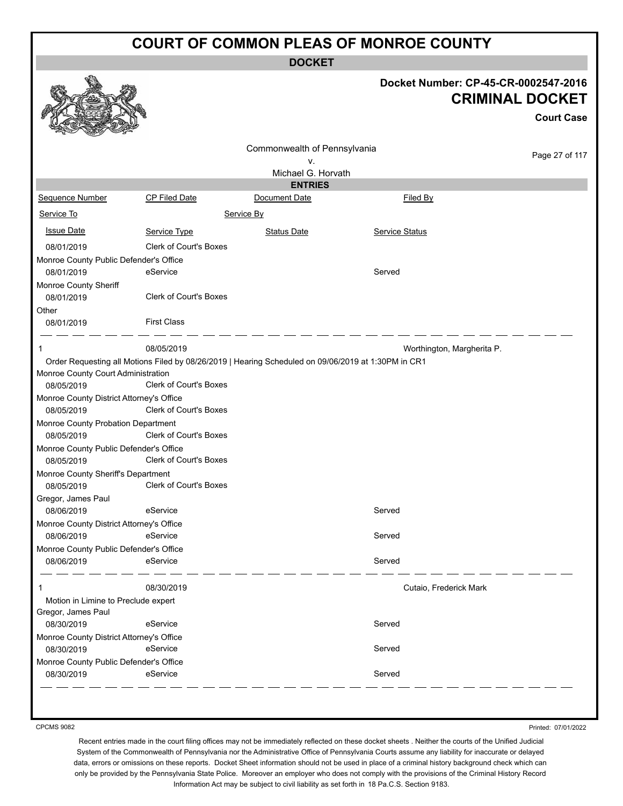**DOCKET**

|                                                        |                               | <b>DOCKEI</b>                                                                                       |                            |                                                                                     |
|--------------------------------------------------------|-------------------------------|-----------------------------------------------------------------------------------------------------|----------------------------|-------------------------------------------------------------------------------------|
|                                                        |                               |                                                                                                     |                            | Docket Number: CP-45-CR-0002547-2016<br><b>CRIMINAL DOCKET</b><br><b>Court Case</b> |
|                                                        |                               | Commonwealth of Pennsylvania                                                                        |                            |                                                                                     |
|                                                        |                               | v.                                                                                                  |                            | Page 27 of 117                                                                      |
|                                                        |                               | Michael G. Horvath                                                                                  |                            |                                                                                     |
|                                                        |                               | <b>ENTRIES</b>                                                                                      |                            |                                                                                     |
| Sequence Number                                        | <b>CP Filed Date</b>          | Document Date                                                                                       | Filed By                   |                                                                                     |
| Service To                                             |                               | Service By                                                                                          |                            |                                                                                     |
|                                                        |                               |                                                                                                     |                            |                                                                                     |
| <b>Issue Date</b>                                      | Service Type                  | <b>Status Date</b>                                                                                  | Service Status             |                                                                                     |
| 08/01/2019                                             | Clerk of Court's Boxes        |                                                                                                     |                            |                                                                                     |
| Monroe County Public Defender's Office                 |                               |                                                                                                     |                            |                                                                                     |
| 08/01/2019                                             | eService                      |                                                                                                     | Served                     |                                                                                     |
| Monroe County Sheriff<br>08/01/2019                    | <b>Clerk of Court's Boxes</b> |                                                                                                     |                            |                                                                                     |
| Other                                                  |                               |                                                                                                     |                            |                                                                                     |
| 08/01/2019                                             | <b>First Class</b>            |                                                                                                     |                            |                                                                                     |
|                                                        |                               |                                                                                                     |                            |                                                                                     |
| -1                                                     | 08/05/2019                    |                                                                                                     | Worthington, Margherita P. |                                                                                     |
| Monroe County Court Administration<br>08/05/2019       | <b>Clerk of Court's Boxes</b> | Order Requesting all Motions Filed by 08/26/2019   Hearing Scheduled on 09/06/2019 at 1:30PM in CR1 |                            |                                                                                     |
| Monroe County District Attorney's Office               |                               |                                                                                                     |                            |                                                                                     |
| 08/05/2019                                             | <b>Clerk of Court's Boxes</b> |                                                                                                     |                            |                                                                                     |
| Monroe County Probation Department                     |                               |                                                                                                     |                            |                                                                                     |
| 08/05/2019                                             | Clerk of Court's Boxes        |                                                                                                     |                            |                                                                                     |
| Monroe County Public Defender's Office                 |                               |                                                                                                     |                            |                                                                                     |
| 08/05/2019                                             | Clerk of Court's Boxes        |                                                                                                     |                            |                                                                                     |
| Monroe County Sheriff's Department                     | Clerk of Court's Boxes        |                                                                                                     |                            |                                                                                     |
| 08/05/2019                                             |                               |                                                                                                     |                            |                                                                                     |
| Gregor, James Paul<br>08/06/2019                       | eService                      |                                                                                                     | Served                     |                                                                                     |
|                                                        |                               |                                                                                                     |                            |                                                                                     |
| Monroe County District Attorney's Office<br>08/06/2019 | eService                      |                                                                                                     | Served                     |                                                                                     |
| Monroe County Public Defender's Office                 |                               |                                                                                                     |                            |                                                                                     |
| 08/06/2019                                             | eService                      |                                                                                                     | Served                     |                                                                                     |
| 1                                                      | 08/30/2019                    |                                                                                                     | Cutaio, Frederick Mark     |                                                                                     |
| Motion in Limine to Preclude expert                    |                               |                                                                                                     |                            |                                                                                     |
| Gregor, James Paul                                     |                               |                                                                                                     |                            |                                                                                     |
| 08/30/2019                                             | eService                      |                                                                                                     | Served                     |                                                                                     |
| Monroe County District Attorney's Office               |                               |                                                                                                     |                            |                                                                                     |
| 08/30/2019                                             | eService                      |                                                                                                     | Served                     |                                                                                     |
| Monroe County Public Defender's Office                 |                               |                                                                                                     |                            |                                                                                     |
| 08/30/2019                                             | eService                      |                                                                                                     | Served                     |                                                                                     |
|                                                        |                               |                                                                                                     |                            |                                                                                     |

CPCMS 9082

Printed: 07/01/2022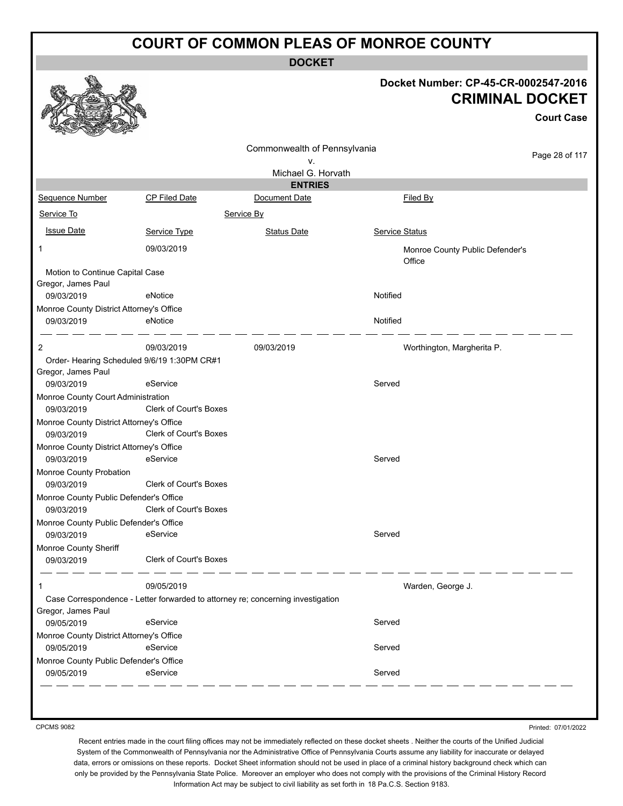**DOCKET**

#### **Docket Number: CP-45-CR-0002547-2016 CRIMINAL DOCKET**

**Court Case**

|                                                                   |                               |                                                                                 |                                           | UUUIL UASE     |
|-------------------------------------------------------------------|-------------------------------|---------------------------------------------------------------------------------|-------------------------------------------|----------------|
|                                                                   |                               | Commonwealth of Pennsylvania                                                    |                                           |                |
|                                                                   |                               | ۷.                                                                              |                                           | Page 28 of 117 |
|                                                                   |                               | Michael G. Horvath<br><b>ENTRIES</b>                                            |                                           |                |
| Sequence Number                                                   | <b>CP Filed Date</b>          | Document Date                                                                   | Filed By                                  |                |
| Service To                                                        |                               | Service By                                                                      |                                           |                |
| <b>Issue Date</b>                                                 | Service Type                  | <b>Status Date</b>                                                              | Service Status                            |                |
| 1                                                                 | 09/03/2019                    |                                                                                 | Monroe County Public Defender's<br>Office |                |
| Motion to Continue Capital Case<br>Gregor, James Paul             |                               |                                                                                 |                                           |                |
| 09/03/2019                                                        | eNotice                       |                                                                                 | Notified                                  |                |
| Monroe County District Attorney's Office                          |                               |                                                                                 |                                           |                |
| 09/03/2019                                                        | eNotice                       |                                                                                 | Notified                                  |                |
| 2                                                                 | 09/03/2019                    | 09/03/2019                                                                      | Worthington, Margherita P.                |                |
| Order- Hearing Scheduled 9/6/19 1:30PM CR#1<br>Gregor, James Paul |                               |                                                                                 |                                           |                |
| 09/03/2019                                                        | eService                      |                                                                                 | Served                                    |                |
| Monroe County Court Administration                                |                               |                                                                                 |                                           |                |
| 09/03/2019                                                        | Clerk of Court's Boxes        |                                                                                 |                                           |                |
| Monroe County District Attorney's Office<br>09/03/2019            | Clerk of Court's Boxes        |                                                                                 |                                           |                |
| Monroe County District Attorney's Office<br>09/03/2019            | eService                      |                                                                                 | Served                                    |                |
| Monroe County Probation<br>09/03/2019                             | Clerk of Court's Boxes        |                                                                                 |                                           |                |
| Monroe County Public Defender's Office<br>09/03/2019              | Clerk of Court's Boxes        |                                                                                 |                                           |                |
| Monroe County Public Defender's Office                            |                               |                                                                                 |                                           |                |
| 09/03/2019                                                        | eService                      |                                                                                 | Served                                    |                |
| Monroe County Sheriff                                             |                               |                                                                                 |                                           |                |
| 09/03/2019                                                        | <b>Clerk of Court's Boxes</b> |                                                                                 |                                           |                |
| $\mathbf 1$                                                       | 09/05/2019                    |                                                                                 | Warden, George J.                         |                |
|                                                                   |                               | Case Correspondence - Letter forwarded to attorney re; concerning investigation |                                           |                |
| Gregor, James Paul                                                |                               |                                                                                 |                                           |                |
| 09/05/2019                                                        | eService                      |                                                                                 | Served                                    |                |
| Monroe County District Attorney's Office                          |                               |                                                                                 |                                           |                |
| 09/05/2019                                                        | eService                      |                                                                                 | Served                                    |                |
| Monroe County Public Defender's Office                            |                               |                                                                                 |                                           |                |
| 09/05/2019                                                        | eService                      |                                                                                 | Served                                    |                |

CPCMS 9082

Printed: 07/01/2022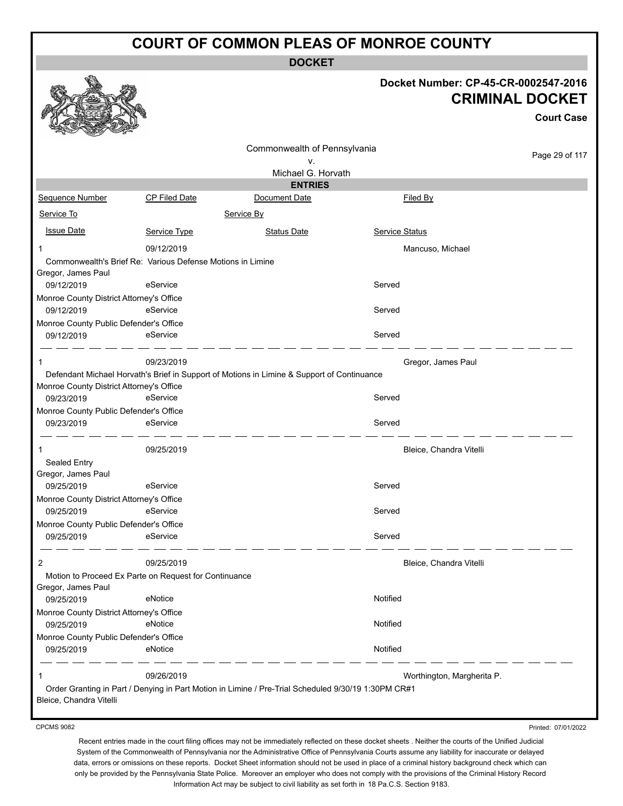**DOCKET**

#### **Docket Number: CP-45-CR-0002547-2016 CRIMINAL DOCKET**

**Court Case**

|                                                        |                                                            |                                                                                                     |                            | GUULL GASA          |
|--------------------------------------------------------|------------------------------------------------------------|-----------------------------------------------------------------------------------------------------|----------------------------|---------------------|
|                                                        |                                                            | Commonwealth of Pennsylvania                                                                        |                            |                     |
|                                                        |                                                            | v.                                                                                                  |                            | Page 29 of 117      |
|                                                        |                                                            | Michael G. Horvath                                                                                  |                            |                     |
|                                                        |                                                            | <b>ENTRIES</b>                                                                                      |                            |                     |
| Sequence Number                                        | <b>CP Filed Date</b>                                       | Document Date                                                                                       | Filed By                   |                     |
| Service To                                             |                                                            | Service By                                                                                          |                            |                     |
| <b>Issue Date</b>                                      | Service Type                                               | <b>Status Date</b>                                                                                  | Service Status             |                     |
|                                                        | 09/12/2019                                                 |                                                                                                     | Mancuso, Michael           |                     |
| Gregor, James Paul                                     | Commonwealth's Brief Re: Various Defense Motions in Limine |                                                                                                     |                            |                     |
| 09/12/2019                                             | eService                                                   |                                                                                                     | Served                     |                     |
| Monroe County District Attorney's Office               |                                                            |                                                                                                     |                            |                     |
| 09/12/2019                                             | eService                                                   |                                                                                                     | Served                     |                     |
| Monroe County Public Defender's Office<br>09/12/2019   | eService                                                   |                                                                                                     | Served                     |                     |
| 1                                                      | 09/23/2019                                                 |                                                                                                     | Gregor, James Paul         |                     |
| Monroe County District Attorney's Office<br>09/23/2019 | eService                                                   | Defendant Michael Horvath's Brief in Support of Motions in Limine & Support of Continuance          | Served                     |                     |
| Monroe County Public Defender's Office                 |                                                            |                                                                                                     |                            |                     |
| 09/23/2019                                             | eService                                                   |                                                                                                     | Served                     |                     |
| 1                                                      | 09/25/2019                                                 |                                                                                                     | Bleice, Chandra Vitelli    |                     |
| Sealed Entry                                           |                                                            |                                                                                                     |                            |                     |
| Gregor, James Paul<br>09/25/2019                       | eService                                                   |                                                                                                     | Served                     |                     |
| Monroe County District Attorney's Office               |                                                            |                                                                                                     |                            |                     |
| 09/25/2019                                             | eService                                                   |                                                                                                     | Served                     |                     |
| Monroe County Public Defender's Office                 |                                                            |                                                                                                     |                            |                     |
| 09/25/2019                                             | eService                                                   |                                                                                                     | Served                     |                     |
| 2                                                      | 09/25/2019                                                 |                                                                                                     | Bleice, Chandra Vitelli    |                     |
| Gregor, James Paul                                     | Motion to Proceed Ex Parte on Request for Continuance      |                                                                                                     |                            |                     |
| 09/25/2019                                             | eNotice                                                    |                                                                                                     | Notified                   |                     |
| Monroe County District Attorney's Office               |                                                            |                                                                                                     |                            |                     |
| 09/25/2019                                             | eNotice                                                    |                                                                                                     | Notified                   |                     |
| Monroe County Public Defender's Office<br>09/25/2019   | eNotice                                                    |                                                                                                     | Notified                   |                     |
| 1                                                      | 09/26/2019                                                 |                                                                                                     | Worthington, Margherita P. |                     |
| Bleice, Chandra Vitelli                                |                                                            | Order Granting in Part / Denying in Part Motion in Limine / Pre-Trial Scheduled 9/30/19 1:30PM CR#1 |                            |                     |
| CROMS 0082                                             |                                                            |                                                                                                     |                            | Drinted: 07/04/0000 |

CPCMS 9082

Printed: 07/01/2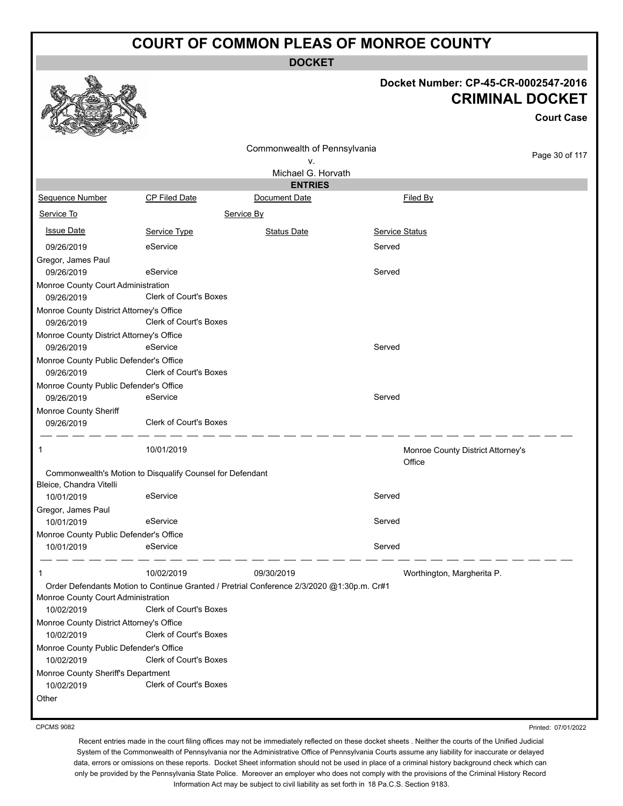**DOCKET**

#### **Docket Number: CP-45-CR-0002547-2016** ET<sup></sup>

|                                                        |                                                                                           |                              |                | <b>CRIMINAL DOCKET</b>            | <b>Court Case</b> |
|--------------------------------------------------------|-------------------------------------------------------------------------------------------|------------------------------|----------------|-----------------------------------|-------------------|
|                                                        |                                                                                           | Commonwealth of Pennsylvania |                |                                   |                   |
|                                                        |                                                                                           | ۷.                           |                |                                   | Page 30 of 117    |
|                                                        |                                                                                           | Michael G. Horvath           |                |                                   |                   |
|                                                        |                                                                                           | <b>ENTRIES</b>               |                |                                   |                   |
| Sequence Number                                        | CP Filed Date                                                                             | Document Date                | Filed By       |                                   |                   |
| Service To                                             |                                                                                           | Service By                   |                |                                   |                   |
| <b>Issue Date</b>                                      | Service Type                                                                              | <b>Status Date</b>           | Service Status |                                   |                   |
| 09/26/2019                                             | eService                                                                                  |                              | Served         |                                   |                   |
| Gregor, James Paul                                     |                                                                                           |                              |                |                                   |                   |
| 09/26/2019                                             | eService                                                                                  |                              | Served         |                                   |                   |
| Monroe County Court Administration<br>09/26/2019       | <b>Clerk of Court's Boxes</b>                                                             |                              |                |                                   |                   |
| Monroe County District Attorney's Office<br>09/26/2019 | <b>Clerk of Court's Boxes</b>                                                             |                              |                |                                   |                   |
| Monroe County District Attorney's Office<br>09/26/2019 | eService                                                                                  |                              | Served         |                                   |                   |
| Monroe County Public Defender's Office<br>09/26/2019   | <b>Clerk of Court's Boxes</b>                                                             |                              |                |                                   |                   |
| Monroe County Public Defender's Office<br>09/26/2019   | eService                                                                                  |                              | Served         |                                   |                   |
| Monroe County Sheriff<br>09/26/2019                    | Clerk of Court's Boxes                                                                    |                              |                |                                   |                   |
| 1                                                      | 10/01/2019                                                                                |                              | Office         | Monroe County District Attorney's |                   |
| Bleice, Chandra Vitelli                                | Commonwealth's Motion to Disqualify Counsel for Defendant                                 |                              |                |                                   |                   |
| 10/01/2019                                             | eService                                                                                  |                              | Served         |                                   |                   |
| Gregor, James Paul                                     |                                                                                           |                              |                |                                   |                   |
| 10/01/2019                                             | eService                                                                                  |                              | Served         |                                   |                   |
| Monroe County Public Defender's Office                 |                                                                                           |                              |                |                                   |                   |
| 10/01/2019                                             | eService                                                                                  |                              | Served         |                                   |                   |
| 1                                                      | 10/02/2019                                                                                | 09/30/2019                   |                | Worthington, Margherita P.        |                   |
| Monroe County Court Administration                     | Order Defendants Motion to Continue Granted / Pretrial Conference 2/3/2020 @1:30p.m. Cr#1 |                              |                |                                   |                   |
| 10/02/2019                                             | Clerk of Court's Boxes                                                                    |                              |                |                                   |                   |
| Monroe County District Attorney's Office               |                                                                                           |                              |                |                                   |                   |
| 10/02/2019                                             | Clerk of Court's Boxes                                                                    |                              |                |                                   |                   |
| Monroe County Public Defender's Office                 |                                                                                           |                              |                |                                   |                   |
| 10/02/2019                                             | <b>Clerk of Court's Boxes</b>                                                             |                              |                |                                   |                   |
| Monroe County Sheriff's Department<br>10/02/2019       | Clerk of Court's Boxes                                                                    |                              |                |                                   |                   |
| Other                                                  |                                                                                           |                              |                |                                   |                   |
|                                                        |                                                                                           |                              |                |                                   |                   |

CPCMS 9082

Printed: 07/01/2022

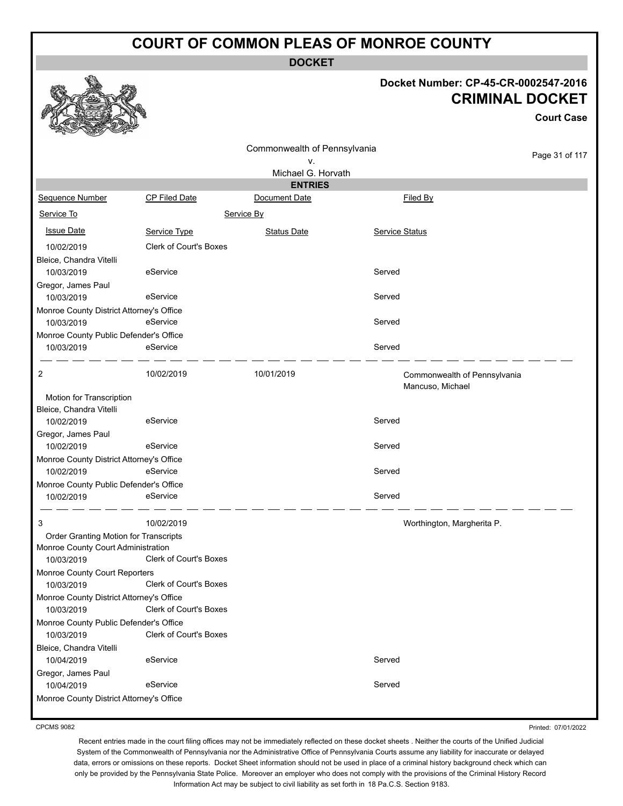**DOCKET**

#### **Docket Number: CP-45-CR-0002547-2016 CRIMINAL DOCKET**

|                                                        |                               |                                    |                |                                                  | <b>Court Case</b> |
|--------------------------------------------------------|-------------------------------|------------------------------------|----------------|--------------------------------------------------|-------------------|
|                                                        |                               | Commonwealth of Pennsylvania<br>۷. |                |                                                  | Page 31 of 117    |
|                                                        |                               | Michael G. Horvath                 |                |                                                  |                   |
|                                                        |                               | <b>ENTRIES</b>                     |                |                                                  |                   |
| Sequence Number                                        | <b>CP Filed Date</b>          | Document Date                      |                | Filed By                                         |                   |
| Service To                                             |                               | Service By                         |                |                                                  |                   |
| <b>Issue Date</b>                                      | Service Type                  | <b>Status Date</b>                 | Service Status |                                                  |                   |
| 10/02/2019                                             | <b>Clerk of Court's Boxes</b> |                                    |                |                                                  |                   |
| Bleice, Chandra Vitelli                                |                               |                                    |                |                                                  |                   |
| 10/03/2019                                             | eService                      |                                    | Served         |                                                  |                   |
| Gregor, James Paul                                     |                               |                                    |                |                                                  |                   |
| 10/03/2019                                             | eService                      |                                    | Served         |                                                  |                   |
| Monroe County District Attorney's Office               |                               |                                    |                |                                                  |                   |
| 10/03/2019                                             | eService                      |                                    | Served         |                                                  |                   |
| Monroe County Public Defender's Office<br>10/03/2019   | eService                      |                                    | Served         |                                                  |                   |
|                                                        |                               |                                    |                |                                                  |                   |
| 2                                                      | 10/02/2019                    | 10/01/2019                         |                | Commonwealth of Pennsylvania<br>Mancuso, Michael |                   |
| Motion for Transcription                               |                               |                                    |                |                                                  |                   |
| Bleice, Chandra Vitelli                                |                               |                                    |                |                                                  |                   |
| 10/02/2019                                             | eService                      |                                    | Served         |                                                  |                   |
| Gregor, James Paul                                     |                               |                                    |                |                                                  |                   |
| 10/02/2019                                             | eService                      |                                    | Served         |                                                  |                   |
| Monroe County District Attorney's Office<br>10/02/2019 | eService                      |                                    | Served         |                                                  |                   |
| Monroe County Public Defender's Office                 |                               |                                    |                |                                                  |                   |
| 10/02/2019                                             | eService                      |                                    | Served         |                                                  |                   |
|                                                        |                               |                                    |                |                                                  |                   |
| 3                                                      | 10/02/2019                    |                                    |                | Worthington, Margherita P.                       |                   |
| Order Granting Motion for Transcripts                  |                               |                                    |                |                                                  |                   |
| Monroe County Court Administration                     |                               |                                    |                |                                                  |                   |
| 10/03/2019                                             | <b>Clerk of Court's Boxes</b> |                                    |                |                                                  |                   |
| Monroe County Court Reporters                          |                               |                                    |                |                                                  |                   |
| 10/03/2019<br>Monroe County District Attorney's Office | <b>Clerk of Court's Boxes</b> |                                    |                |                                                  |                   |
| 10/03/2019                                             | <b>Clerk of Court's Boxes</b> |                                    |                |                                                  |                   |
| Monroe County Public Defender's Office                 |                               |                                    |                |                                                  |                   |
| 10/03/2019                                             | Clerk of Court's Boxes        |                                    |                |                                                  |                   |
| Bleice, Chandra Vitelli                                |                               |                                    |                |                                                  |                   |
| 10/04/2019                                             | eService                      |                                    | Served         |                                                  |                   |
| Gregor, James Paul                                     |                               |                                    |                |                                                  |                   |
| 10/04/2019                                             | eService                      |                                    | Served         |                                                  |                   |
| Monroe County District Attorney's Office               |                               |                                    |                |                                                  |                   |

CPCMS 9082

Printed: 07/01/2022

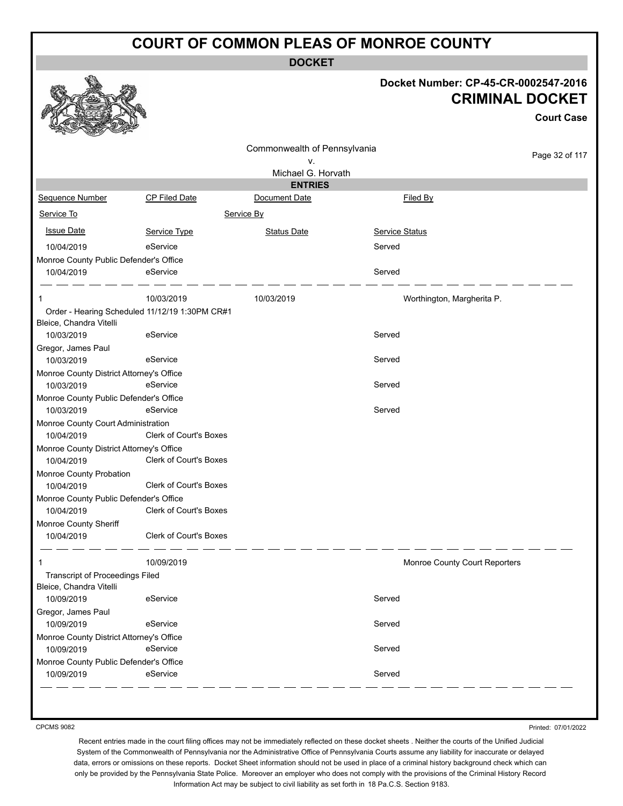**DOCKET**

#### **Docket Number: CP-45-CR-0002547-2016 CRIMINAL DOCKET**

**Court Case**

Page 32 of 117 Commonwealth of Pennsylvania v. Michael G. Horvath **ENTRIES** Sequence Number CP Filed Date Document Date **Document Date** Filed By Service To Service By **Issue Date Service Type** Service Type Status Date Service Status Date Service Status Service Status **Service Status** 10/04/2019 eService Served Monroe County Public Defender's Office 10/04/2019 eService entertainment of the Served 1 10/03/2019 10/03/2019 Worthington, Margherita P. Order - Hearing Scheduled 11/12/19 1:30PM CR#1 Bleice, Chandra Vitelli 10/03/2019 eService Served Gregor, James Paul 10/03/2019 eService Served Monroe County District Attorney's Office 10/03/2019 eService entertainment of the Served Monroe County Public Defender's Office 10/03/2019 eService Served Monroe County Court Administration 10/04/2019 Clerk of Court's Boxes Monroe County District Attorney's Office 10/04/2019 Clerk of Court's Boxes Monroe County Probation 10/04/2019 Clerk of Court's Boxes Monroe County Public Defender's Office 10/04/2019 Clerk of Court's Boxes Monroe County Sheriff 10/04/2019 Clerk of Court's Boxes 1 1 10/09/2019 10/09/2019 10:00 1:00 10:00 10:00 10:00 10:00 10:00 10:00 10:00 10:00 10:00 10:00 10:00 10:00 1 Transcript of Proceedings Filed Bleice, Chandra Vitelli 10/09/2019 eService Served Gregor, James Paul 10/09/2019 eService Served Monroe County District Attorney's Office 10/09/2019 eService entertainment of the Served Monroe County Public Defender's Office 10/09/2019 eService Served

CPCMS 9082

Printed: 07/01/2022

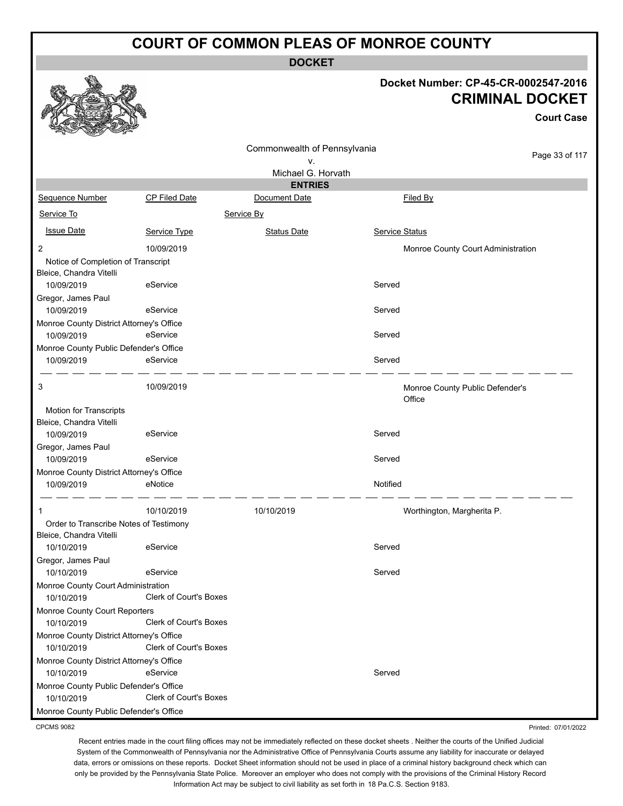**DOCKET**

#### **Docket Number: CP-45-CR-0002547-2016 CRIMINAL DOCKET**

**Court Case**

|                                                        |                        | Commonwealth of Pennsylvania |                |                                    |
|--------------------------------------------------------|------------------------|------------------------------|----------------|------------------------------------|
|                                                        |                        | ٧.                           |                | Page 33 of 117                     |
|                                                        |                        | Michael G. Horvath           |                |                                    |
|                                                        |                        | <b>ENTRIES</b>               |                |                                    |
| Sequence Number                                        | <b>CP Filed Date</b>   | Document Date                |                | Filed By                           |
| Service To                                             |                        | Service By                   |                |                                    |
| <b>Issue Date</b>                                      | Service Type           | <b>Status Date</b>           | Service Status |                                    |
| $\overline{2}$                                         | 10/09/2019             |                              |                | Monroe County Court Administration |
| Notice of Completion of Transcript                     |                        |                              |                |                                    |
| Bleice, Chandra Vitelli                                |                        |                              |                |                                    |
| 10/09/2019                                             | eService               |                              | Served         |                                    |
| Gregor, James Paul<br>10/09/2019                       | eService               |                              | Served         |                                    |
| Monroe County District Attorney's Office               |                        |                              |                |                                    |
| 10/09/2019                                             | eService               |                              | Served         |                                    |
| Monroe County Public Defender's Office                 |                        |                              |                |                                    |
| 10/09/2019                                             | eService               |                              | Served         |                                    |
|                                                        |                        |                              |                |                                    |
| 3                                                      | 10/09/2019             |                              |                | Monroe County Public Defender's    |
|                                                        |                        |                              |                | Office                             |
| Motion for Transcripts<br>Bleice, Chandra Vitelli      |                        |                              |                |                                    |
| 10/09/2019                                             | eService               |                              | Served         |                                    |
| Gregor, James Paul                                     |                        |                              |                |                                    |
| 10/09/2019                                             | eService               |                              | Served         |                                    |
| Monroe County District Attorney's Office               |                        |                              |                |                                    |
| 10/09/2019                                             | eNotice                |                              | Notified       |                                    |
|                                                        | 10/10/2019             | 10/10/2019                   |                |                                    |
| 1<br>Order to Transcribe Notes of Testimony            |                        |                              |                | Worthington, Margherita P.         |
| Bleice, Chandra Vitelli                                |                        |                              |                |                                    |
| 10/10/2019                                             | eService               |                              | Served         |                                    |
| Gregor, James Paul                                     |                        |                              |                |                                    |
| 10/10/2019                                             | eService               |                              | Served         |                                    |
| Monroe County Court Administration                     |                        |                              |                |                                    |
| 10/10/2019                                             | Clerk of Court's Boxes |                              |                |                                    |
| Monroe County Court Reporters                          |                        |                              |                |                                    |
| 10/10/2019                                             | Clerk of Court's Boxes |                              |                |                                    |
| Monroe County District Attorney's Office               |                        |                              |                |                                    |
| 10/10/2019                                             | Clerk of Court's Boxes |                              |                |                                    |
| Monroe County District Attorney's Office<br>10/10/2019 | eService               |                              | Served         |                                    |
| Monroe County Public Defender's Office                 |                        |                              |                |                                    |
| 10/10/2019                                             | Clerk of Court's Boxes |                              |                |                                    |
| Monroe County Public Defender's Office                 |                        |                              |                |                                    |

CPCMS 9082

Recent entries made in the court filing offices may not be immediately reflected on these docket sheets . Neither the courts of the Unified Judicial System of the Commonwealth of Pennsylvania nor the Administrative Office of Pennsylvania Courts assume any liability for inaccurate or delayed data, errors or omissions on these reports. Docket Sheet information should not be used in place of a criminal history background check which can only be provided by the Pennsylvania State Police. Moreover an employer who does not comply with the provisions of the Criminal History Record Information Act may be subject to civil liability as set forth in 18 Pa.C.S. Section 9183.

Printed: 07/01/2022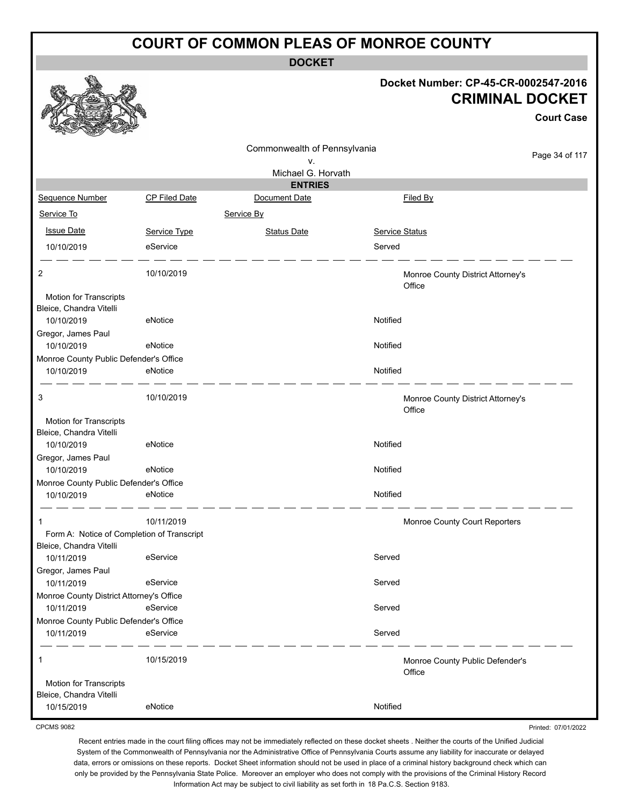**DOCKET**

### **Docket Number: CP-45-CR-0002547-2016 CRIMINAL DOCKET**

**Court Case**

| v-<br><b>Change of Congress</b><br>$-2$                               |               |                                      |                       |                                   |
|-----------------------------------------------------------------------|---------------|--------------------------------------|-----------------------|-----------------------------------|
|                                                                       |               | Commonwealth of Pennsylvania<br>٧.   |                       | Page 34 of 117                    |
|                                                                       |               |                                      |                       |                                   |
|                                                                       |               | Michael G. Horvath<br><b>ENTRIES</b> |                       |                                   |
| Sequence Number                                                       | CP Filed Date | Document Date                        | Filed By              |                                   |
| Service To                                                            |               | Service By                           |                       |                                   |
|                                                                       |               |                                      |                       |                                   |
| <b>Issue Date</b>                                                     | Service Type  | <b>Status Date</b>                   | <b>Service Status</b> |                                   |
| 10/10/2019                                                            | eService      |                                      | Served                |                                   |
| 2                                                                     | 10/10/2019    |                                      | Office                | Monroe County District Attorney's |
| Motion for Transcripts<br>Bleice, Chandra Vitelli                     |               |                                      |                       |                                   |
| 10/10/2019                                                            | eNotice       |                                      | Notified              |                                   |
| Gregor, James Paul                                                    |               |                                      |                       |                                   |
| 10/10/2019                                                            | eNotice       |                                      | Notified              |                                   |
| Monroe County Public Defender's Office                                |               |                                      |                       |                                   |
| 10/10/2019                                                            | eNotice       |                                      | Notified              |                                   |
| 3                                                                     | 10/10/2019    |                                      | Office                | Monroe County District Attorney's |
| <b>Motion for Transcripts</b><br>Bleice, Chandra Vitelli              |               |                                      |                       |                                   |
| 10/10/2019                                                            | eNotice       |                                      | Notified              |                                   |
| Gregor, James Paul                                                    |               |                                      |                       |                                   |
| 10/10/2019                                                            | eNotice       |                                      | Notified              |                                   |
| Monroe County Public Defender's Office                                |               |                                      |                       |                                   |
| 10/10/2019                                                            | eNotice       |                                      | Notified              |                                   |
| 1                                                                     | 10/11/2019    |                                      |                       | Monroe County Court Reporters     |
| Form A: Notice of Completion of Transcript<br>Bleice, Chandra Vitelli |               |                                      |                       |                                   |
| 10/11/2019                                                            | eService      |                                      | Served                |                                   |
| Gregor, James Paul<br>10/11/2019                                      | eService      |                                      | Served                |                                   |
| Monroe County District Attorney's Office                              |               |                                      |                       |                                   |
| 10/11/2019                                                            | eService      |                                      | Served                |                                   |
| Monroe County Public Defender's Office                                |               |                                      |                       |                                   |
| 10/11/2019                                                            | eService      |                                      | Served                |                                   |
| 1                                                                     | 10/15/2019    |                                      | Office                | Monroe County Public Defender's   |
| Motion for Transcripts                                                |               |                                      |                       |                                   |
| Bleice, Chandra Vitelli                                               |               |                                      |                       |                                   |
| 10/15/2019                                                            | eNotice       |                                      | Notified              |                                   |

CPCMS 9082

Printed: 07/01/2022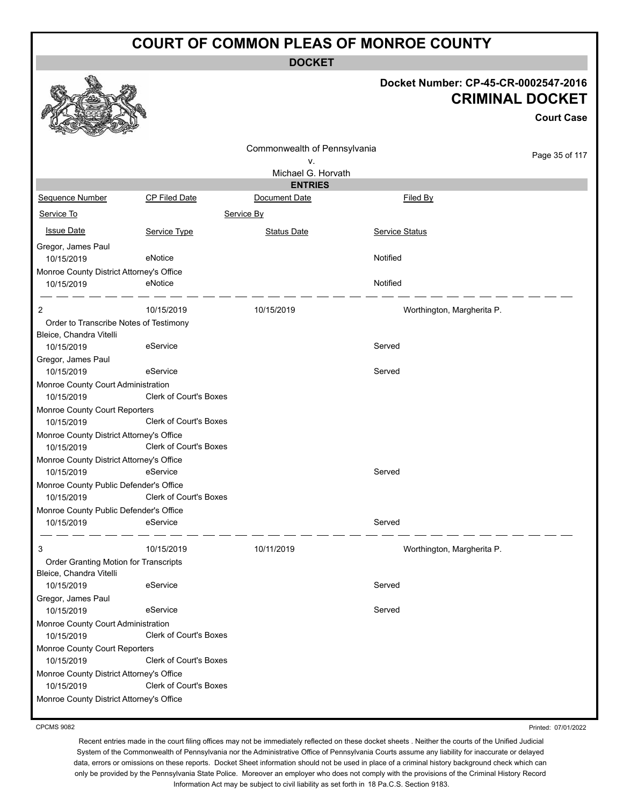**DOCKET**

#### **Docket Number: CP-45-CR-0002547-2016 CRIMINAL DOCKET**

**Court Case**

|                                                                   |                               |                              |                            | <b>Court Case</b> |
|-------------------------------------------------------------------|-------------------------------|------------------------------|----------------------------|-------------------|
|                                                                   |                               | Commonwealth of Pennsylvania |                            |                   |
|                                                                   |                               | ν.                           |                            | Page 35 of 117    |
|                                                                   |                               | Michael G. Horvath           |                            |                   |
|                                                                   |                               | <b>ENTRIES</b>               |                            |                   |
| Sequence Number                                                   | <b>CP Filed Date</b>          | Document Date                | Filed By                   |                   |
| Service To                                                        |                               | Service By                   |                            |                   |
| <b>Issue Date</b>                                                 | Service Type                  | <b>Status Date</b>           | Service Status             |                   |
| Gregor, James Paul<br>10/15/2019                                  | eNotice                       |                              | Notified                   |                   |
| Monroe County District Attorney's Office                          |                               |                              |                            |                   |
| 10/15/2019                                                        | eNotice                       |                              | Notified                   |                   |
| 2                                                                 | 10/15/2019                    | 10/15/2019                   | Worthington, Margherita P. |                   |
| Order to Transcribe Notes of Testimony<br>Bleice, Chandra Vitelli |                               |                              |                            |                   |
| 10/15/2019                                                        | eService                      |                              | Served                     |                   |
| Gregor, James Paul                                                |                               |                              |                            |                   |
| 10/15/2019                                                        | eService                      |                              | Served                     |                   |
| Monroe County Court Administration<br>10/15/2019                  | <b>Clerk of Court's Boxes</b> |                              |                            |                   |
| Monroe County Court Reporters                                     |                               |                              |                            |                   |
| 10/15/2019                                                        | <b>Clerk of Court's Boxes</b> |                              |                            |                   |
| Monroe County District Attorney's Office<br>10/15/2019            | Clerk of Court's Boxes        |                              |                            |                   |
| Monroe County District Attorney's Office<br>10/15/2019            | eService                      |                              | Served                     |                   |
| Monroe County Public Defender's Office                            |                               |                              |                            |                   |
| 10/15/2019                                                        | Clerk of Court's Boxes        |                              |                            |                   |
| Monroe County Public Defender's Office                            |                               |                              |                            |                   |
| 10/15/2019                                                        | eService                      |                              | Served                     |                   |
| 3                                                                 | 10/15/2019                    | 10/11/2019                   | Worthington, Margherita P. |                   |
| Order Granting Motion for Transcripts                             |                               |                              |                            |                   |
| Bleice, Chandra Vitelli                                           |                               |                              |                            |                   |
| 10/15/2019                                                        | eService                      |                              | Served                     |                   |
| Gregor, James Paul                                                | eService                      |                              | Served                     |                   |
| 10/15/2019<br>Monroe County Court Administration                  |                               |                              |                            |                   |
| 10/15/2019                                                        | <b>Clerk of Court's Boxes</b> |                              |                            |                   |
| Monroe County Court Reporters                                     |                               |                              |                            |                   |
| 10/15/2019                                                        | <b>Clerk of Court's Boxes</b> |                              |                            |                   |
| Monroe County District Attorney's Office                          |                               |                              |                            |                   |
| 10/15/2019                                                        | <b>Clerk of Court's Boxes</b> |                              |                            |                   |
| Monroe County District Attorney's Office                          |                               |                              |                            |                   |

CPCMS 9082

Printed: 07/01/2022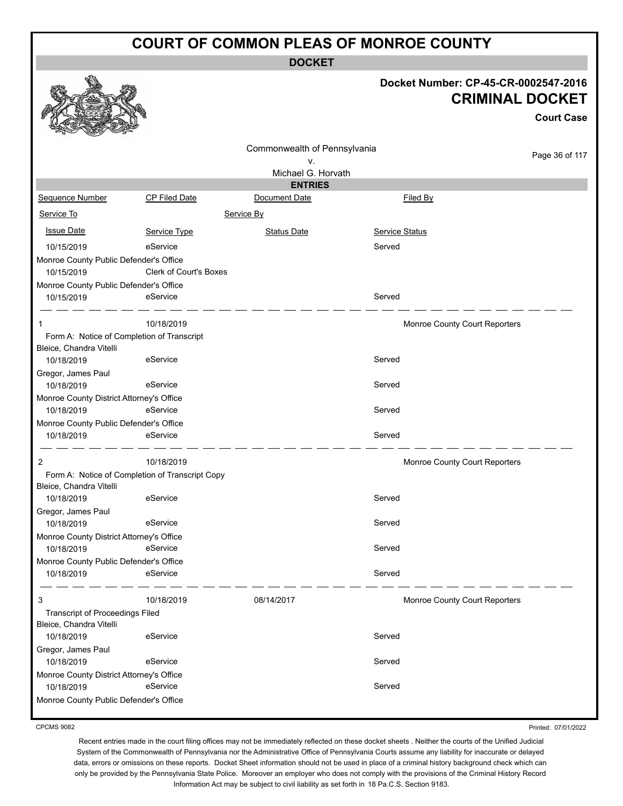**DOCKET**

#### **Docket Number: CP-45-CR-0002547-2016 CRIMINAL DOCKET**

**Court Case**

|                                            |                                                 |                              |                       |                               | <b>Court Case</b> |
|--------------------------------------------|-------------------------------------------------|------------------------------|-----------------------|-------------------------------|-------------------|
|                                            |                                                 | Commonwealth of Pennsylvania |                       |                               |                   |
|                                            |                                                 | Page 36 of 117               |                       |                               |                   |
|                                            |                                                 | Michael G. Horvath           |                       |                               |                   |
|                                            |                                                 | <b>ENTRIES</b>               |                       |                               |                   |
| Sequence Number                            | CP Filed Date                                   | Document Date                |                       | Filed By                      |                   |
| Service To                                 |                                                 | Service By                   |                       |                               |                   |
| <b>Issue Date</b>                          | Service Type                                    | <b>Status Date</b>           | <b>Service Status</b> |                               |                   |
| 10/15/2019                                 | eService                                        |                              | Served                |                               |                   |
| Monroe County Public Defender's Office     |                                                 |                              |                       |                               |                   |
| 10/15/2019                                 | <b>Clerk of Court's Boxes</b>                   |                              |                       |                               |                   |
| Monroe County Public Defender's Office     |                                                 |                              |                       |                               |                   |
| 10/15/2019                                 | eService                                        |                              | Served                |                               |                   |
| 1                                          | 10/18/2019                                      |                              |                       | Monroe County Court Reporters |                   |
| Form A: Notice of Completion of Transcript |                                                 |                              |                       |                               |                   |
| Bleice, Chandra Vitelli                    |                                                 |                              |                       |                               |                   |
| 10/18/2019                                 | eService                                        |                              | Served                |                               |                   |
| Gregor, James Paul                         |                                                 |                              |                       |                               |                   |
| 10/18/2019                                 | eService                                        |                              | Served                |                               |                   |
| Monroe County District Attorney's Office   |                                                 |                              |                       |                               |                   |
| 10/18/2019                                 | eService                                        |                              | Served                |                               |                   |
| Monroe County Public Defender's Office     |                                                 |                              |                       |                               |                   |
| 10/18/2019                                 | eService                                        |                              | Served                |                               |                   |
| $\overline{2}$                             | 10/18/2019                                      |                              |                       | Monroe County Court Reporters |                   |
|                                            | Form A: Notice of Completion of Transcript Copy |                              |                       |                               |                   |
| Bleice, Chandra Vitelli                    |                                                 |                              |                       |                               |                   |
| 10/18/2019                                 | eService                                        |                              | Served                |                               |                   |
| Gregor, James Paul                         |                                                 |                              |                       |                               |                   |
| 10/18/2019                                 | eService                                        |                              | Served                |                               |                   |
| Monroe County District Attorney's Office   |                                                 |                              |                       |                               |                   |
| 10/18/2019                                 | eService                                        |                              | Served                |                               |                   |
| Monroe County Public Defender's Office     |                                                 |                              |                       |                               |                   |
| 10/18/2019                                 | eService                                        |                              | Served                |                               |                   |
| 3                                          | 10/18/2019                                      | 08/14/2017                   |                       | Monroe County Court Reporters |                   |
| <b>Transcript of Proceedings Filed</b>     |                                                 |                              |                       |                               |                   |
| Bleice, Chandra Vitelli                    |                                                 |                              |                       |                               |                   |
| 10/18/2019                                 | eService                                        |                              | Served                |                               |                   |
| Gregor, James Paul                         |                                                 |                              |                       |                               |                   |
| 10/18/2019                                 | eService                                        |                              | Served                |                               |                   |
| Monroe County District Attorney's Office   |                                                 |                              |                       |                               |                   |
| 10/18/2019                                 | eService                                        |                              | Served                |                               |                   |
| Monroe County Public Defender's Office     |                                                 |                              |                       |                               |                   |
|                                            |                                                 |                              |                       |                               |                   |

CPCMS 9082

Printed: 07/01/2022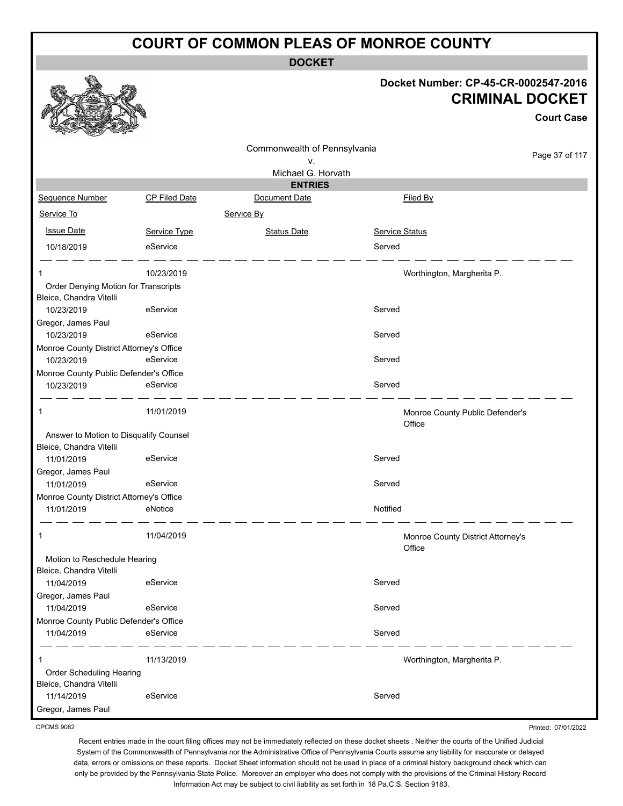**DOCKET**

#### **Docket Number: CP-45-CR-0002547-2016 CRIMINAL DOCKET**

**Court Case**

|                                                                   |                      |                              |                | <b>Court Case</b>                 |
|-------------------------------------------------------------------|----------------------|------------------------------|----------------|-----------------------------------|
|                                                                   |                      | Commonwealth of Pennsylvania |                | Page 37 of 117                    |
|                                                                   |                      | ۷.<br>Michael G. Horvath     |                |                                   |
|                                                                   |                      | <b>ENTRIES</b>               |                |                                   |
| Sequence Number                                                   | <b>CP Filed Date</b> | Document Date                | Filed By       |                                   |
| Service To                                                        |                      | Service By                   |                |                                   |
| <b>Issue Date</b>                                                 | Service Type         | <b>Status Date</b>           | Service Status |                                   |
| 10/18/2019                                                        | eService             |                              | Served         |                                   |
|                                                                   | 10/23/2019           |                              |                | Worthington, Margherita P.        |
| Order Denying Motion for Transcripts<br>Bleice, Chandra Vitelli   |                      |                              |                |                                   |
| 10/23/2019                                                        | eService             |                              | Served         |                                   |
| Gregor, James Paul                                                |                      |                              |                |                                   |
| 10/23/2019                                                        | eService             |                              | Served         |                                   |
| Monroe County District Attorney's Office<br>10/23/2019            | eService             |                              | Served         |                                   |
| Monroe County Public Defender's Office                            |                      |                              |                |                                   |
| 10/23/2019                                                        | eService             |                              | Served         |                                   |
| 1                                                                 | 11/01/2019           |                              | Office         | Monroe County Public Defender's   |
| Answer to Motion to Disqualify Counsel<br>Bleice, Chandra Vitelli |                      |                              |                |                                   |
| 11/01/2019                                                        | eService             |                              | Served         |                                   |
| Gregor, James Paul                                                |                      |                              |                |                                   |
| 11/01/2019                                                        | eService             |                              | Served         |                                   |
| Monroe County District Attorney's Office<br>11/01/2019            | eNotice              |                              | Notified       |                                   |
|                                                                   |                      |                              |                |                                   |
| 1                                                                 | 11/04/2019           |                              | Office         | Monroe County District Attorney's |
| Motion to Reschedule Hearing                                      |                      |                              |                |                                   |
| Bleice, Chandra Vitelli                                           |                      |                              |                |                                   |
| 11/04/2019<br>Gregor, James Paul                                  | eService             |                              | Served         |                                   |
| 11/04/2019                                                        | eService             |                              | Served         |                                   |
| Monroe County Public Defender's Office                            |                      |                              |                |                                   |
| 11/04/2019                                                        | eService             |                              | Served         |                                   |
| 1                                                                 | 11/13/2019           |                              |                | Worthington, Margherita P.        |
| Order Scheduling Hearing                                          |                      |                              |                |                                   |
| Bleice, Chandra Vitelli<br>11/14/2019                             | eService             |                              | Served         |                                   |
| Gregor, James Paul                                                |                      |                              |                |                                   |

CPCMS 9082

Recent entries made in the court filing offices may not be immediately reflected on these docket sheets . Neither the courts of the Unified Judicial System of the Commonwealth of Pennsylvania nor the Administrative Office of Pennsylvania Courts assume any liability for inaccurate or delayed data, errors or omissions on these reports. Docket Sheet information should not be used in place of a criminal history background check which can only be provided by the Pennsylvania State Police. Moreover an employer who does not comply with the provisions of the Criminal History Record Information Act may be subject to civil liability as set forth in 18 Pa.C.S. Section 9183.

Printed: 07/01/2022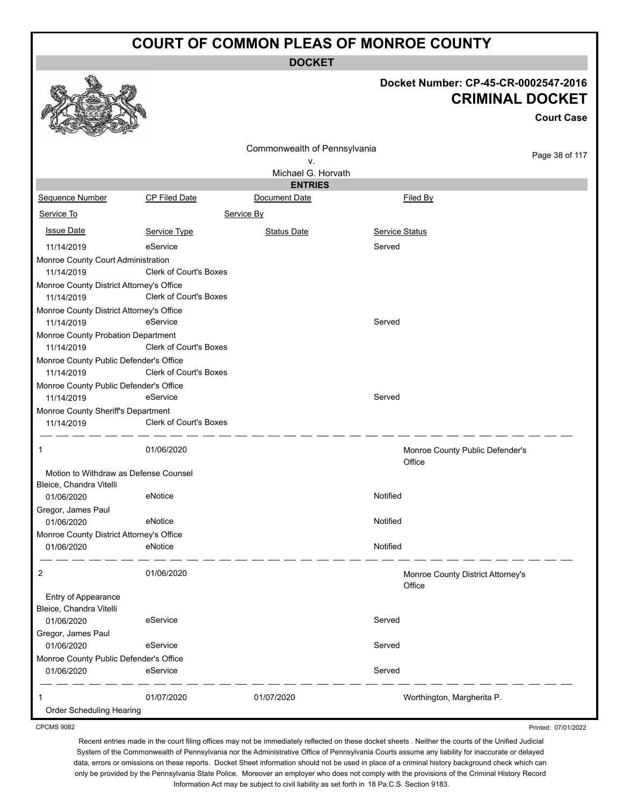**DOCKET**

# **Docket Number: CP-45-CR-0002547-2016**

|                                                                  |                               |                              |                       | Docket Number: CP-45-CR-0002547-2016<br><b>CRIMINAL DOCKET</b><br><b>Court Case</b> |
|------------------------------------------------------------------|-------------------------------|------------------------------|-----------------------|-------------------------------------------------------------------------------------|
|                                                                  |                               | Commonwealth of Pennsylvania |                       |                                                                                     |
|                                                                  |                               | ٧.                           |                       | Page 38 of 117                                                                      |
|                                                                  |                               | Michael G. Horvath           |                       |                                                                                     |
|                                                                  |                               | <b>ENTRIES</b>               |                       |                                                                                     |
| Sequence Number                                                  | <b>CP Filed Date</b>          | Document Date                | Filed By              |                                                                                     |
| Service To                                                       |                               | Service By                   |                       |                                                                                     |
| <b>Issue Date</b>                                                | Service Type                  | <b>Status Date</b>           | <b>Service Status</b> |                                                                                     |
| 11/14/2019                                                       | eService                      |                              | Served                |                                                                                     |
| Monroe County Court Administration                               |                               |                              |                       |                                                                                     |
| 11/14/2019                                                       | <b>Clerk of Court's Boxes</b> |                              |                       |                                                                                     |
| Monroe County District Attorney's Office                         |                               |                              |                       |                                                                                     |
| 11/14/2019                                                       | <b>Clerk of Court's Boxes</b> |                              |                       |                                                                                     |
| Monroe County District Attorney's Office                         |                               |                              |                       |                                                                                     |
| 11/14/2019                                                       | eService                      |                              | Served                |                                                                                     |
| Monroe County Probation Department                               |                               |                              |                       |                                                                                     |
| 11/14/2019                                                       | Clerk of Court's Boxes        |                              |                       |                                                                                     |
| Monroe County Public Defender's Office<br>11/14/2019             | Clerk of Court's Boxes        |                              |                       |                                                                                     |
| Monroe County Public Defender's Office                           |                               |                              |                       |                                                                                     |
| 11/14/2019                                                       | eService                      |                              | Served                |                                                                                     |
| Monroe County Sheriff's Department                               |                               |                              |                       |                                                                                     |
| 11/14/2019                                                       | <b>Clerk of Court's Boxes</b> |                              |                       |                                                                                     |
| 1                                                                | 01/06/2020                    |                              | Office                | Monroe County Public Defender's                                                     |
| Motion to Withdraw as Defense Counsel<br>Bleice, Chandra Vitelli |                               |                              |                       |                                                                                     |
| 01/06/2020                                                       | eNotice                       |                              | Notified              |                                                                                     |
| Gregor, James Paul                                               |                               |                              |                       |                                                                                     |
| 01/06/2020                                                       | eNotice                       |                              | Notified              |                                                                                     |
| Monroe County District Attorney's Office                         |                               |                              |                       |                                                                                     |
| 01/06/2020                                                       | eNotice                       |                              | Notified              |                                                                                     |
| 2                                                                | 01/06/2020                    |                              | Office                | Monroe County District Attorney's                                                   |
| Entry of Appearance<br>Bleice, Chandra Vitelli                   |                               |                              |                       |                                                                                     |
| 01/06/2020                                                       | eService                      |                              | Served                |                                                                                     |
| Gregor, James Paul                                               |                               |                              |                       |                                                                                     |
| 01/06/2020                                                       | eService                      |                              | Served                |                                                                                     |
| Monroe County Public Defender's Office                           |                               |                              |                       |                                                                                     |
| 01/06/2020                                                       | eService                      |                              | Served                |                                                                                     |
|                                                                  | 01/07/2020                    | 01/07/2020                   |                       | Worthington, Margherita P.                                                          |
| Order Scheduling Hearing                                         |                               |                              |                       |                                                                                     |

CPCMS 9082

Recent entries made in the court filing offices may not be immediately reflected on these docket sheets . Neither the courts of the Unified Judicial System of the Commonwealth of Pennsylvania nor the Administrative Office of Pennsylvania Courts assume any liability for inaccurate or delayed data, errors or omissions on these reports. Docket Sheet information should not be used in place of a criminal history background check which can only be provided by the Pennsylvania State Police. Moreover an employer who does not comply with the provisions of the Criminal History Record Information Act may be subject to civil liability as set forth in 18 Pa.C.S. Section 9183.

Printed: 07/01/2022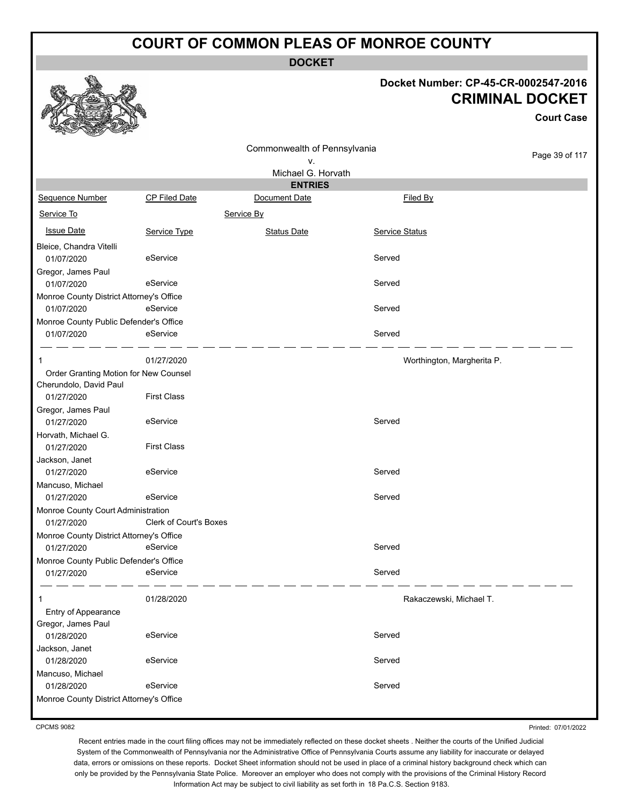**DOCKET**

#### **Docket Number: CP-45-CR-0002547-2016 CRIMINAL DOCKET**

**Court Case**

|                                          |                        |                              |                            | <b>Court Case</b> |
|------------------------------------------|------------------------|------------------------------|----------------------------|-------------------|
|                                          |                        | Commonwealth of Pennsylvania |                            |                   |
|                                          |                        | ۷.                           |                            | Page 39 of 117    |
|                                          |                        | Michael G. Horvath           |                            |                   |
|                                          |                        | <b>ENTRIES</b>               |                            |                   |
| Sequence Number                          | <b>CP Filed Date</b>   | Document Date                | Filed By                   |                   |
| Service To                               |                        | Service By                   |                            |                   |
| <b>Issue Date</b>                        | Service Type           | <b>Status Date</b>           | <b>Service Status</b>      |                   |
| Bleice, Chandra Vitelli                  |                        |                              |                            |                   |
| 01/07/2020                               | eService               |                              | Served                     |                   |
| Gregor, James Paul                       |                        |                              |                            |                   |
| 01/07/2020                               | eService               |                              | Served                     |                   |
| Monroe County District Attorney's Office |                        |                              |                            |                   |
| 01/07/2020                               | eService               |                              | Served                     |                   |
| Monroe County Public Defender's Office   |                        |                              |                            |                   |
| 01/07/2020                               | eService               |                              | Served                     |                   |
| 1                                        | 01/27/2020             |                              | Worthington, Margherita P. |                   |
| Order Granting Motion for New Counsel    |                        |                              |                            |                   |
| Cherundolo, David Paul                   |                        |                              |                            |                   |
| 01/27/2020                               | <b>First Class</b>     |                              |                            |                   |
| Gregor, James Paul                       |                        |                              |                            |                   |
| 01/27/2020                               | eService               |                              | Served                     |                   |
| Horvath, Michael G.                      |                        |                              |                            |                   |
| 01/27/2020                               | <b>First Class</b>     |                              |                            |                   |
| Jackson, Janet                           |                        |                              |                            |                   |
| 01/27/2020                               | eService               |                              | Served                     |                   |
| Mancuso, Michael                         |                        |                              |                            |                   |
| 01/27/2020                               | eService               |                              | Served                     |                   |
| Monroe County Court Administration       |                        |                              |                            |                   |
| 01/27/2020                               | Clerk of Court's Boxes |                              |                            |                   |
| Monroe County District Attorney's Office |                        |                              |                            |                   |
| 01/27/2020                               | eService               |                              | Served                     |                   |
| Monroe County Public Defender's Office   |                        |                              |                            |                   |
| 01/27/2020                               | eService               |                              | Served                     |                   |
| 1                                        | 01/28/2020             |                              | Rakaczewski, Michael T.    |                   |
| Entry of Appearance                      |                        |                              |                            |                   |
| Gregor, James Paul                       |                        |                              |                            |                   |
| 01/28/2020                               | eService               |                              | Served                     |                   |
| Jackson, Janet                           |                        |                              |                            |                   |
| 01/28/2020                               | eService               |                              | Served                     |                   |
| Mancuso, Michael                         |                        |                              |                            |                   |
| 01/28/2020                               | eService               |                              | Served                     |                   |
| Monroe County District Attorney's Office |                        |                              |                            |                   |
|                                          |                        |                              |                            |                   |

CPCMS 9082

Printed: 07/01/2022

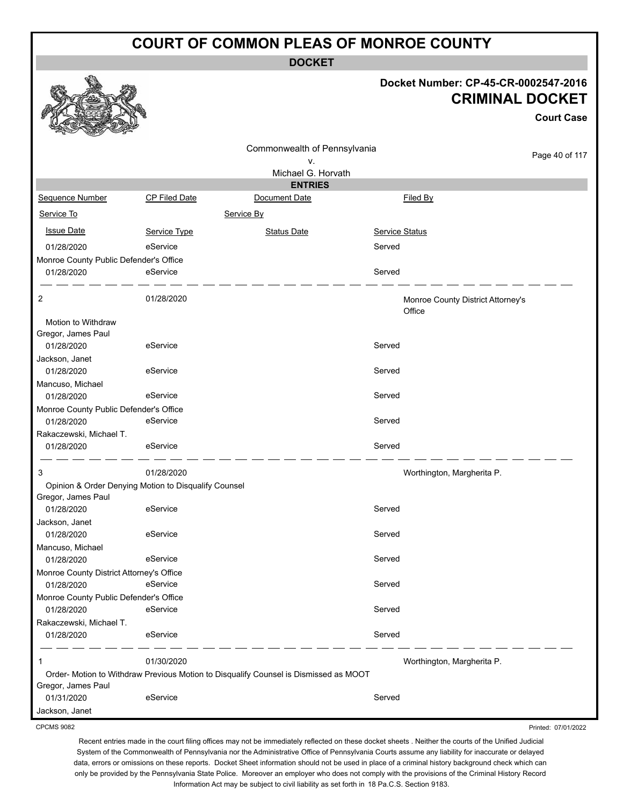**DOCKET**

#### **Docket Number: CP-45-CR-0002547-2016 CRIMINAL DOCKET**

**Court Case**

Printed: 07/01/2022

|                                                      |                      |                                                                                      |                       |                                             | <b>Court Case</b> |
|------------------------------------------------------|----------------------|--------------------------------------------------------------------------------------|-----------------------|---------------------------------------------|-------------------|
|                                                      |                      | Commonwealth of Pennsylvania                                                         |                       |                                             |                   |
|                                                      |                      | ۷.                                                                                   |                       |                                             | Page 40 of 117    |
|                                                      |                      | Michael G. Horvath                                                                   |                       |                                             |                   |
|                                                      |                      | <b>ENTRIES</b>                                                                       |                       |                                             |                   |
| Sequence Number                                      | <b>CP Filed Date</b> | Document Date                                                                        |                       | Filed By                                    |                   |
| Service To                                           |                      | Service By                                                                           |                       |                                             |                   |
| <b>Issue Date</b>                                    | Service Type         | <b>Status Date</b>                                                                   | <b>Service Status</b> |                                             |                   |
| 01/28/2020                                           | eService             |                                                                                      | Served                |                                             |                   |
| Monroe County Public Defender's Office               |                      |                                                                                      |                       |                                             |                   |
| 01/28/2020                                           | eService             |                                                                                      | Served                |                                             |                   |
| 2                                                    | 01/28/2020           |                                                                                      |                       | Monroe County District Attorney's<br>Office |                   |
| Motion to Withdraw                                   |                      |                                                                                      |                       |                                             |                   |
| Gregor, James Paul                                   | eService             |                                                                                      | Served                |                                             |                   |
| 01/28/2020                                           |                      |                                                                                      |                       |                                             |                   |
| Jackson, Janet<br>01/28/2020                         | eService             |                                                                                      | Served                |                                             |                   |
| Mancuso, Michael                                     |                      |                                                                                      |                       |                                             |                   |
| 01/28/2020                                           | eService             |                                                                                      | Served                |                                             |                   |
| Monroe County Public Defender's Office               |                      |                                                                                      |                       |                                             |                   |
| 01/28/2020                                           | eService             |                                                                                      | Served                |                                             |                   |
| Rakaczewski, Michael T.                              |                      |                                                                                      |                       |                                             |                   |
| 01/28/2020                                           | eService             |                                                                                      | Served                |                                             |                   |
| 3                                                    | 01/28/2020           |                                                                                      |                       | Worthington, Margherita P.                  |                   |
| Opinion & Order Denying Motion to Disqualify Counsel |                      |                                                                                      |                       |                                             |                   |
| Gregor, James Paul                                   |                      |                                                                                      |                       |                                             |                   |
| 01/28/2020                                           | eService             |                                                                                      | Served                |                                             |                   |
| Jackson, Janet                                       |                      |                                                                                      |                       |                                             |                   |
| 01/28/2020                                           | eService             |                                                                                      | Served                |                                             |                   |
| Mancuso, Michael<br>01/28/2020                       | eService             |                                                                                      | Served                |                                             |                   |
| Monroe County District Attorney's Office             |                      |                                                                                      |                       |                                             |                   |
| 01/28/2020                                           | eService             |                                                                                      | Served                |                                             |                   |
| Monroe County Public Defender's Office               |                      |                                                                                      |                       |                                             |                   |
| 01/28/2020                                           | eService             |                                                                                      | Served                |                                             |                   |
| Rakaczewski, Michael T.                              |                      |                                                                                      |                       |                                             |                   |
| 01/28/2020                                           | eService             |                                                                                      | Served                |                                             |                   |
| $\mathbf{1}$                                         | 01/30/2020           |                                                                                      |                       | Worthington, Margherita P.                  |                   |
|                                                      |                      | Order- Motion to Withdraw Previous Motion to Disqualify Counsel is Dismissed as MOOT |                       |                                             |                   |
| Gregor, James Paul                                   |                      |                                                                                      |                       |                                             |                   |
| 01/31/2020                                           | eService             |                                                                                      | Served                |                                             |                   |
| Jackson, Janet                                       |                      |                                                                                      |                       |                                             |                   |

CPCMS 9082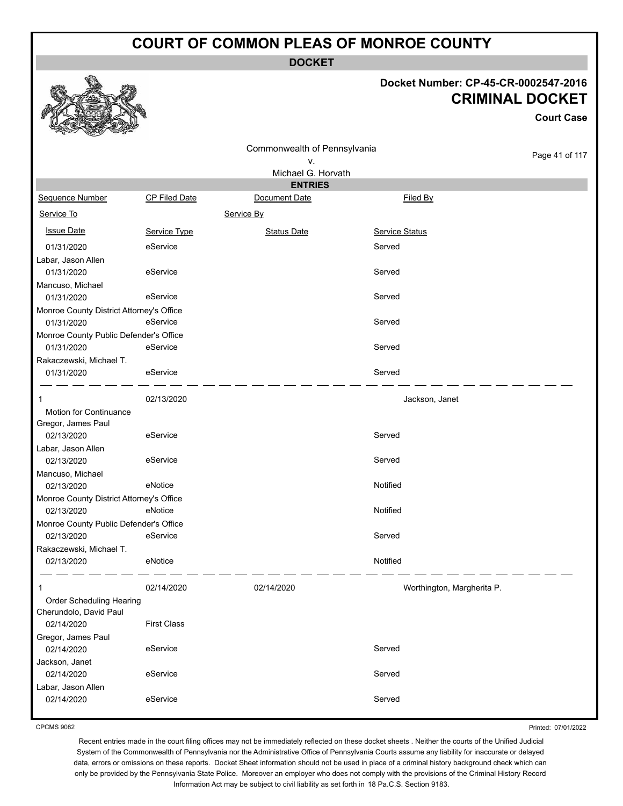**DOCKET**

#### **Docket Number: CP-45-CR-0002547-2016 CRIMINAL DOCKET**

**Court Case**

|                                          |                      | Commonwealth of Pennsylvania |                            |                |
|------------------------------------------|----------------------|------------------------------|----------------------------|----------------|
|                                          |                      | ۷.                           |                            | Page 41 of 117 |
|                                          |                      | Michael G. Horvath           |                            |                |
|                                          |                      | <b>ENTRIES</b>               |                            |                |
| Sequence Number                          | <b>CP Filed Date</b> | Document Date                | Filed By                   |                |
| Service To                               |                      | Service By                   |                            |                |
| <b>Issue Date</b>                        | Service Type         | <b>Status Date</b>           | <b>Service Status</b>      |                |
| 01/31/2020                               | eService             |                              | Served                     |                |
| Labar, Jason Allen                       |                      |                              |                            |                |
| 01/31/2020                               | eService             |                              | Served                     |                |
| Mancuso, Michael                         |                      |                              |                            |                |
| 01/31/2020                               | eService             |                              | Served                     |                |
| Monroe County District Attorney's Office |                      |                              |                            |                |
| 01/31/2020                               | eService             |                              | Served                     |                |
| Monroe County Public Defender's Office   |                      |                              |                            |                |
| 01/31/2020                               | eService             |                              | Served                     |                |
| Rakaczewski, Michael T.                  |                      |                              |                            |                |
| 01/31/2020                               | eService             |                              | Served                     |                |
| 1                                        | 02/13/2020           |                              | Jackson, Janet             |                |
| <b>Motion for Continuance</b>            |                      |                              |                            |                |
| Gregor, James Paul                       |                      |                              |                            |                |
| 02/13/2020                               | eService             |                              | Served                     |                |
| Labar, Jason Allen                       |                      |                              |                            |                |
| 02/13/2020                               | eService             |                              | Served                     |                |
| Mancuso, Michael                         |                      |                              |                            |                |
| 02/13/2020                               | eNotice              |                              | Notified                   |                |
| Monroe County District Attorney's Office |                      |                              |                            |                |
| 02/13/2020                               | eNotice              |                              | Notified                   |                |
| Monroe County Public Defender's Office   |                      |                              |                            |                |
| 02/13/2020                               | eService             |                              | Served                     |                |
| Rakaczewski, Michael T.                  | eNotice              |                              | Notified                   |                |
| 02/13/2020                               |                      |                              |                            |                |
| 1                                        | 02/14/2020           | 02/14/2020                   | Worthington, Margherita P. |                |
| Order Scheduling Hearing                 |                      |                              |                            |                |
| Cherundolo, David Paul                   |                      |                              |                            |                |
| 02/14/2020                               | <b>First Class</b>   |                              |                            |                |
| Gregor, James Paul                       |                      |                              |                            |                |
| 02/14/2020                               | eService             |                              | Served                     |                |
| Jackson, Janet                           |                      |                              |                            |                |
| 02/14/2020                               | eService             |                              | Served                     |                |
| Labar, Jason Allen                       |                      |                              |                            |                |
| 02/14/2020                               | eService             |                              | Served                     |                |

CPCMS 9082

Printed: 07/01/2022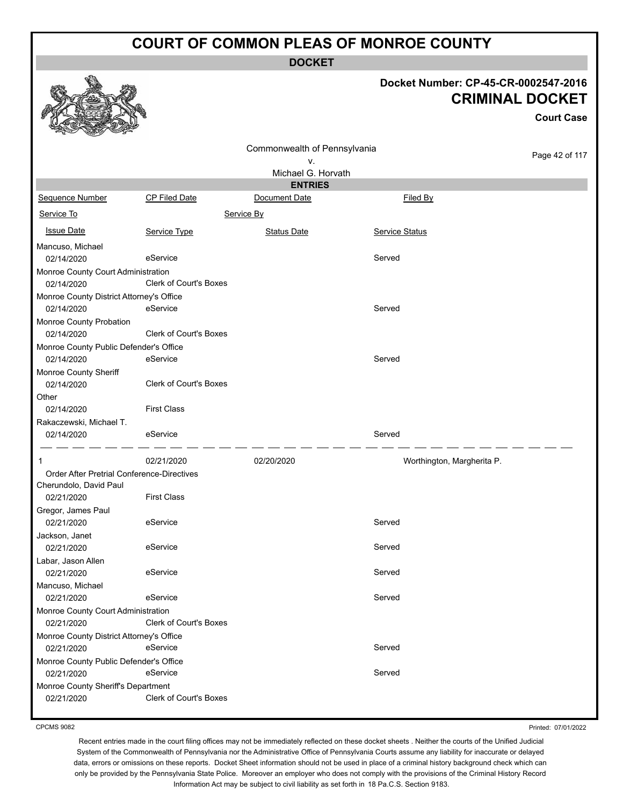**DOCKET**

#### **Docket Number: CP-45-CR-0002547-2016 CRIMINAL DOCKET**

**Court Case**

|                                                   |                               | Commonwealth of Pennsylvania |                            | Page 42 of 117 |
|---------------------------------------------------|-------------------------------|------------------------------|----------------------------|----------------|
|                                                   |                               | ν.                           |                            |                |
|                                                   |                               | Michael G. Horvath           |                            |                |
|                                                   |                               | <b>ENTRIES</b>               |                            |                |
| Sequence Number                                   | <b>CP Filed Date</b>          | Document Date                | Filed By                   |                |
| Service To                                        |                               | Service By                   |                            |                |
| <b>Issue Date</b>                                 | Service Type                  | <b>Status Date</b>           | Service Status             |                |
| Mancuso, Michael                                  |                               |                              |                            |                |
| 02/14/2020                                        | eService                      |                              | Served                     |                |
| Monroe County Court Administration                |                               |                              |                            |                |
| 02/14/2020                                        | Clerk of Court's Boxes        |                              |                            |                |
| Monroe County District Attorney's Office          |                               |                              |                            |                |
| 02/14/2020                                        | eService                      |                              | Served                     |                |
| Monroe County Probation                           |                               |                              |                            |                |
| 02/14/2020                                        | Clerk of Court's Boxes        |                              |                            |                |
| Monroe County Public Defender's Office            |                               |                              |                            |                |
| 02/14/2020                                        | eService                      |                              | Served                     |                |
| Monroe County Sheriff                             |                               |                              |                            |                |
| 02/14/2020                                        | <b>Clerk of Court's Boxes</b> |                              |                            |                |
| Other                                             |                               |                              |                            |                |
| 02/14/2020                                        | <b>First Class</b>            |                              |                            |                |
| Rakaczewski, Michael T.                           |                               |                              |                            |                |
| 02/14/2020                                        | eService                      |                              | Served                     |                |
| -1                                                | 02/21/2020                    | 02/20/2020                   | Worthington, Margherita P. |                |
| <b>Order After Pretrial Conference-Directives</b> |                               |                              |                            |                |
| Cherundolo, David Paul                            |                               |                              |                            |                |
| 02/21/2020                                        | <b>First Class</b>            |                              |                            |                |
| Gregor, James Paul                                |                               |                              |                            |                |
| 02/21/2020                                        | eService                      |                              | Served                     |                |
| Jackson, Janet                                    |                               |                              |                            |                |
| 02/21/2020                                        | eService                      |                              | Served                     |                |
| Labar, Jason Allen                                |                               |                              |                            |                |
| 02/21/2020                                        | eService                      |                              | Served                     |                |
| Mancuso, Michael                                  |                               |                              |                            |                |
| 02/21/2020                                        | eService                      |                              | Served                     |                |
| Monroe County Court Administration                |                               |                              |                            |                |
| 02/21/2020                                        | Clerk of Court's Boxes        |                              |                            |                |
| Monroe County District Attorney's Office          |                               |                              |                            |                |
| 02/21/2020                                        | eService                      |                              | Served                     |                |
| Monroe County Public Defender's Office            |                               |                              |                            |                |
| 02/21/2020                                        | eService                      |                              | Served                     |                |
| Monroe County Sheriff's Department                |                               |                              |                            |                |
| 02/21/2020                                        | Clerk of Court's Boxes        |                              |                            |                |

CPCMS 9082

Printed: 07/01/2022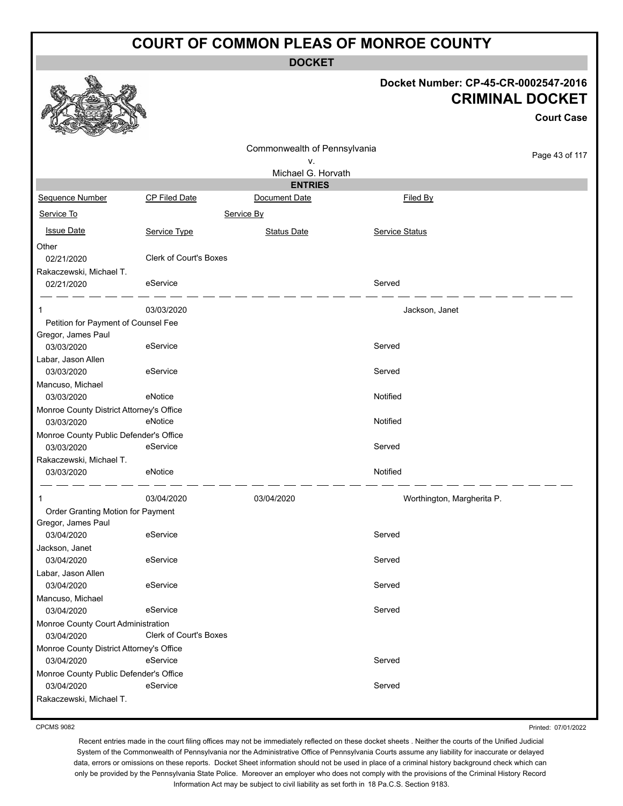**DOCKET**

#### **Docket Number: CP-45-CR-0002547-2016 CRIMINAL DOCKET**

**Court Case**

|                                          |                               | Commonwealth of Pennsylvania |                            |                |
|------------------------------------------|-------------------------------|------------------------------|----------------------------|----------------|
|                                          |                               | ٧.                           |                            | Page 43 of 117 |
|                                          |                               | Michael G. Horvath           |                            |                |
|                                          |                               | <b>ENTRIES</b>               |                            |                |
| Sequence Number                          | <b>CP Filed Date</b>          | Document Date                | Filed By                   |                |
| Service To                               |                               | Service By                   |                            |                |
| <b>Issue Date</b>                        | Service Type                  | <b>Status Date</b>           | Service Status             |                |
| Other                                    |                               |                              |                            |                |
| 02/21/2020                               | <b>Clerk of Court's Boxes</b> |                              |                            |                |
| Rakaczewski, Michael T.                  |                               |                              |                            |                |
| 02/21/2020                               | eService                      |                              | Served                     |                |
| 1                                        | 03/03/2020                    |                              | Jackson, Janet             |                |
| Petition for Payment of Counsel Fee      |                               |                              |                            |                |
| Gregor, James Paul                       |                               |                              |                            |                |
| 03/03/2020                               | eService                      |                              | Served                     |                |
| Labar, Jason Allen                       |                               |                              |                            |                |
| 03/03/2020                               | eService                      |                              | Served                     |                |
| Mancuso, Michael                         |                               |                              |                            |                |
| 03/03/2020                               | eNotice                       |                              | Notified                   |                |
| Monroe County District Attorney's Office |                               |                              |                            |                |
| 03/03/2020                               | eNotice                       |                              | Notified                   |                |
| Monroe County Public Defender's Office   |                               |                              |                            |                |
| 03/03/2020                               | eService                      |                              | Served                     |                |
| Rakaczewski, Michael T.                  |                               |                              |                            |                |
| 03/03/2020                               | eNotice                       |                              | Notified                   |                |
|                                          |                               |                              |                            |                |
| 1                                        | 03/04/2020                    | 03/04/2020                   | Worthington, Margherita P. |                |
| Order Granting Motion for Payment        |                               |                              |                            |                |
| Gregor, James Paul                       |                               |                              |                            |                |
| 03/04/2020                               | eService                      |                              | Served                     |                |
| Jackson, Janet                           |                               |                              |                            |                |
| 03/04/2020                               | eService                      |                              | Served                     |                |
| Labar, Jason Allen                       |                               |                              |                            |                |
| 03/04/2020                               | eService                      |                              | Served                     |                |
| Mancuso, Michael<br>03/04/2020           | eService                      |                              | Served                     |                |
| Monroe County Court Administration       |                               |                              |                            |                |
| 03/04/2020                               | Clerk of Court's Boxes        |                              |                            |                |
| Monroe County District Attorney's Office |                               |                              |                            |                |
| 03/04/2020                               | eService                      |                              | Served                     |                |
| Monroe County Public Defender's Office   |                               |                              |                            |                |
| 03/04/2020                               | eService                      |                              | Served                     |                |
| Rakaczewski, Michael T.                  |                               |                              |                            |                |
|                                          |                               |                              |                            |                |

CPCMS 9082

Printed: 07/01/2022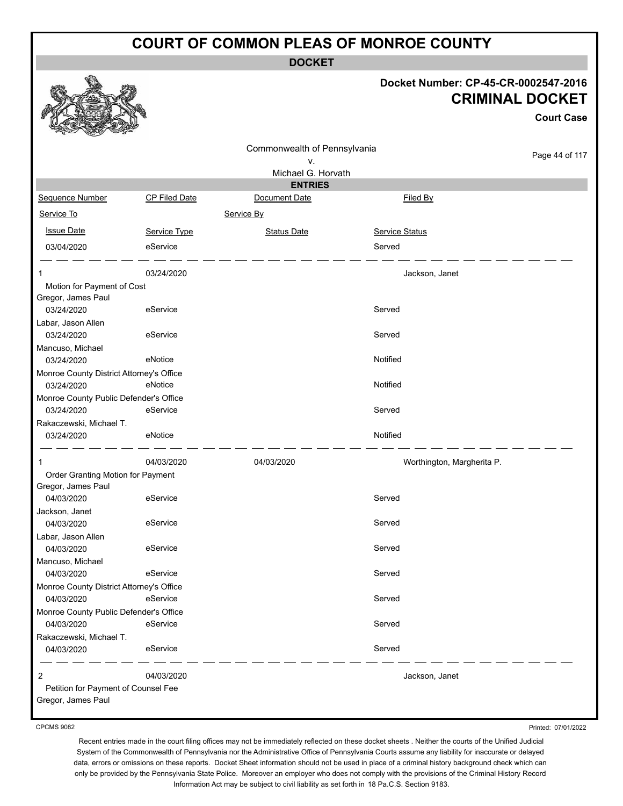**DOCKET**

#### **Docket Number: CP-45-CR-0002547-2016 CRIMINAL DOCKET**

**Court Case**

|                                          |               | Commonwealth of Pennsylvania |                            |                |
|------------------------------------------|---------------|------------------------------|----------------------------|----------------|
|                                          |               | ν.                           |                            | Page 44 of 117 |
|                                          |               | Michael G. Horvath           |                            |                |
|                                          |               | <b>ENTRIES</b>               |                            |                |
| Sequence Number                          | CP Filed Date | Document Date                | Filed By                   |                |
| Service To                               |               | Service By                   |                            |                |
| <b>Issue Date</b>                        | Service Type  | <b>Status Date</b>           | Service Status             |                |
| 03/04/2020                               | eService      |                              | Served                     |                |
| 1                                        | 03/24/2020    |                              | Jackson, Janet             |                |
| Motion for Payment of Cost               |               |                              |                            |                |
| Gregor, James Paul                       |               |                              |                            |                |
| 03/24/2020                               | eService      |                              | Served                     |                |
| Labar, Jason Allen<br>03/24/2020         | eService      |                              | Served                     |                |
| Mancuso, Michael                         |               |                              |                            |                |
| 03/24/2020                               | eNotice       |                              | Notified                   |                |
| Monroe County District Attorney's Office |               |                              |                            |                |
| 03/24/2020                               | eNotice       |                              | Notified                   |                |
| Monroe County Public Defender's Office   |               |                              |                            |                |
| 03/24/2020                               | eService      |                              | Served                     |                |
| Rakaczewski, Michael T.                  |               |                              |                            |                |
| 03/24/2020                               | eNotice       |                              | Notified                   |                |
|                                          | 04/03/2020    | 04/03/2020                   | Worthington, Margherita P. |                |
| Order Granting Motion for Payment        |               |                              |                            |                |
| Gregor, James Paul                       |               |                              |                            |                |
| 04/03/2020                               | eService      |                              | Served                     |                |
| Jackson, Janet<br>04/03/2020             | eService      |                              | Served                     |                |
| Labar, Jason Allen                       |               |                              |                            |                |
| 04/03/2020                               | eService      |                              | Served                     |                |
| Mancuso, Michael                         |               |                              |                            |                |
| 04/03/2020                               | eService      |                              | Served                     |                |
| Monroe County District Attorney's Office |               |                              |                            |                |
| 04/03/2020                               | eService      |                              | Served                     |                |
| Monroe County Public Defender's Office   |               |                              |                            |                |
| 04/03/2020                               | eService      |                              | Served                     |                |
| Rakaczewski, Michael T.                  |               |                              |                            |                |
| 04/03/2020                               | eService      |                              | Served                     |                |
| 2                                        | 04/03/2020    |                              | Jackson, Janet             |                |
| Petition for Payment of Counsel Fee      |               |                              |                            |                |
| Gregor, James Paul                       |               |                              |                            |                |

CPCMS 9082

Printed: 07/01/2022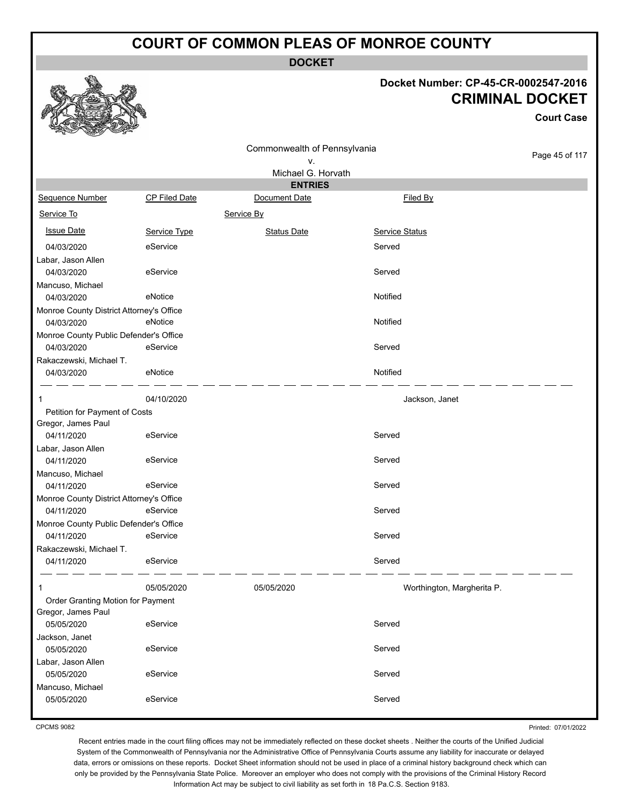**DOCKET**

#### **Docket Number: CP-45-CR-0002547-2016 CRIMINAL DOCKET**

**Court Case**

|                                          |               | Commonwealth of Pennsylvania |                            |                |
|------------------------------------------|---------------|------------------------------|----------------------------|----------------|
|                                          |               | ۷.                           |                            | Page 45 of 117 |
|                                          |               | Michael G. Horvath           |                            |                |
|                                          |               | <b>ENTRIES</b>               |                            |                |
| Sequence Number                          | CP Filed Date | Document Date                | Filed By                   |                |
| Service To                               |               | Service By                   |                            |                |
| <b>Issue Date</b>                        | Service Type  | <b>Status Date</b>           | <b>Service Status</b>      |                |
| 04/03/2020                               | eService      |                              | Served                     |                |
| Labar, Jason Allen                       |               |                              |                            |                |
| 04/03/2020                               | eService      |                              | Served                     |                |
| Mancuso, Michael                         |               |                              |                            |                |
| 04/03/2020                               | eNotice       |                              | Notified                   |                |
| Monroe County District Attorney's Office |               |                              |                            |                |
| 04/03/2020                               | eNotice       |                              | Notified                   |                |
| Monroe County Public Defender's Office   |               |                              |                            |                |
| 04/03/2020                               | eService      |                              | Served                     |                |
| Rakaczewski, Michael T.                  |               |                              |                            |                |
| 04/03/2020                               | eNotice       |                              | Notified                   |                |
| 1                                        | 04/10/2020    |                              | Jackson, Janet             |                |
| Petition for Payment of Costs            |               |                              |                            |                |
| Gregor, James Paul                       |               |                              |                            |                |
| 04/11/2020                               | eService      |                              | Served                     |                |
| Labar, Jason Allen                       |               |                              |                            |                |
| 04/11/2020                               | eService      |                              | Served                     |                |
| Mancuso, Michael                         |               |                              |                            |                |
| 04/11/2020                               | eService      |                              | Served                     |                |
| Monroe County District Attorney's Office |               |                              |                            |                |
| 04/11/2020                               | eService      |                              | Served                     |                |
| Monroe County Public Defender's Office   |               |                              |                            |                |
| 04/11/2020                               | eService      |                              | Served                     |                |
| Rakaczewski, Michael T.                  |               |                              |                            |                |
| 04/11/2020                               | eService      |                              | Served                     |                |
| 1                                        | 05/05/2020    | 05/05/2020                   | Worthington, Margherita P. |                |
| Order Granting Motion for Payment        |               |                              |                            |                |
| Gregor, James Paul                       |               |                              |                            |                |
| 05/05/2020                               | eService      |                              | Served                     |                |
| Jackson, Janet                           |               |                              |                            |                |
| 05/05/2020                               | eService      |                              | Served                     |                |
| Labar, Jason Allen                       |               |                              |                            |                |
| 05/05/2020                               | eService      |                              | Served                     |                |
| Mancuso, Michael                         |               |                              |                            |                |
| 05/05/2020                               | eService      |                              | Served                     |                |

CPCMS 9082

Printed: 07/01/2022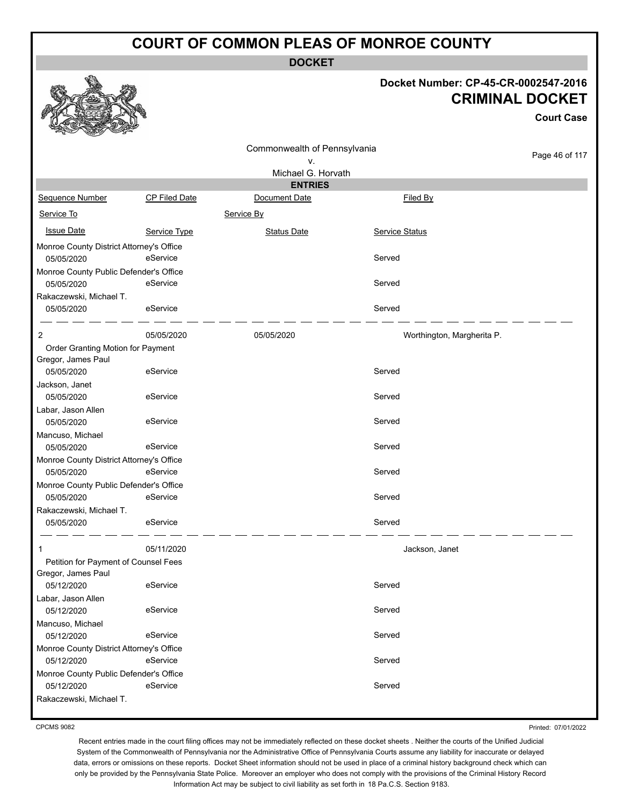**DOCKET**

#### **Docket Number: CP-45-CR-0002547-2016 CRIMINAL DOCKET**

|                                          |               |                              |                            | <b>Court Case</b> |
|------------------------------------------|---------------|------------------------------|----------------------------|-------------------|
|                                          |               | Commonwealth of Pennsylvania |                            |                   |
|                                          |               | ٧.                           |                            | Page 46 of 117    |
|                                          |               | Michael G. Horvath           |                            |                   |
|                                          |               | <b>ENTRIES</b>               |                            |                   |
| Sequence Number                          | CP Filed Date | Document Date                | Filed By                   |                   |
| Service To                               |               | Service By                   |                            |                   |
| <b>Issue Date</b>                        | Service Type  | <b>Status Date</b>           | Service Status             |                   |
| Monroe County District Attorney's Office |               |                              |                            |                   |
| 05/05/2020                               | eService      |                              | Served                     |                   |
| Monroe County Public Defender's Office   |               |                              |                            |                   |
| 05/05/2020                               | eService      |                              | Served                     |                   |
| Rakaczewski, Michael T.                  |               |                              |                            |                   |
| 05/05/2020                               | eService      |                              | Served                     |                   |
| 2                                        | 05/05/2020    | 05/05/2020                   | Worthington, Margherita P. |                   |
| Order Granting Motion for Payment        |               |                              |                            |                   |
| Gregor, James Paul                       |               |                              |                            |                   |
| 05/05/2020                               | eService      |                              | Served                     |                   |
| Jackson, Janet                           |               |                              |                            |                   |
| 05/05/2020                               | eService      |                              | Served                     |                   |
| Labar, Jason Allen                       |               |                              |                            |                   |
| 05/05/2020                               | eService      |                              | Served                     |                   |
| Mancuso, Michael                         |               |                              |                            |                   |
| 05/05/2020                               | eService      |                              | Served                     |                   |
| Monroe County District Attorney's Office |               |                              |                            |                   |
| 05/05/2020                               | eService      |                              | Served                     |                   |
| Monroe County Public Defender's Office   |               |                              |                            |                   |
| 05/05/2020                               | eService      |                              | Served                     |                   |
| Rakaczewski, Michael T.<br>05/05/2020    | eService      |                              | Served                     |                   |
|                                          |               |                              |                            |                   |
|                                          | 05/11/2020    |                              | Jackson, Janet             |                   |
| Petition for Payment of Counsel Fees     |               |                              |                            |                   |
| Gregor, James Paul                       | eService      |                              | Served                     |                   |
| 05/12/2020                               |               |                              |                            |                   |
| Labar, Jason Allen<br>05/12/2020         | eService      |                              | Served                     |                   |
|                                          |               |                              |                            |                   |
| Mancuso, Michael<br>05/12/2020           | eService      |                              | Served                     |                   |
| Monroe County District Attorney's Office |               |                              |                            |                   |
| 05/12/2020                               | eService      |                              | Served                     |                   |
| Monroe County Public Defender's Office   |               |                              |                            |                   |
| 05/12/2020                               | eService      |                              | Served                     |                   |
| Rakaczewski, Michael T.                  |               |                              |                            |                   |
|                                          |               |                              |                            |                   |

CPCMS 9082

**Barrio** 

Printed: 07/01/2022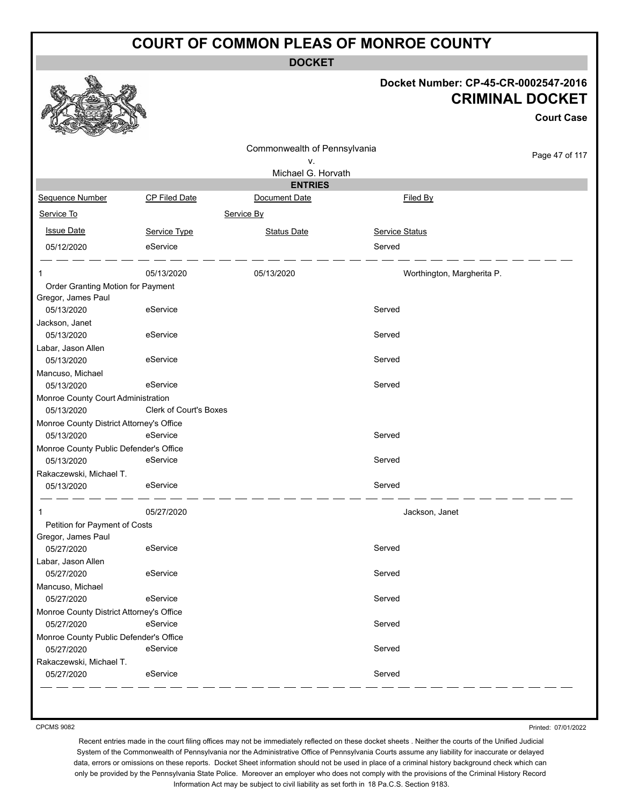**DOCKET**

#### **Docket Number: CP-45-CR-0002547-2016 CRIMINAL DOCKET**

**Court Case**

|                                          |                               | Commonwealth of Pennsylvania |                            |                |
|------------------------------------------|-------------------------------|------------------------------|----------------------------|----------------|
|                                          |                               | ν.                           |                            | Page 47 of 117 |
|                                          |                               | Michael G. Horvath           |                            |                |
|                                          |                               | <b>ENTRIES</b>               |                            |                |
| Sequence Number                          | <b>CP Filed Date</b>          | Document Date                | Filed By                   |                |
| Service To                               |                               | Service By                   |                            |                |
| <b>Issue Date</b>                        | Service Type                  | <b>Status Date</b>           | <b>Service Status</b>      |                |
| 05/12/2020                               | eService                      |                              | Served                     |                |
|                                          | 05/13/2020                    | 05/13/2020                   | Worthington, Margherita P. |                |
| Order Granting Motion for Payment        |                               |                              |                            |                |
| Gregor, James Paul                       |                               |                              |                            |                |
| 05/13/2020                               | eService                      |                              | Served                     |                |
| Jackson, Janet<br>05/13/2020             | eService                      |                              | Served                     |                |
| Labar, Jason Allen<br>05/13/2020         | eService                      |                              | Served                     |                |
| Mancuso, Michael                         |                               |                              |                            |                |
| 05/13/2020                               | eService                      |                              | Served                     |                |
| Monroe County Court Administration       |                               |                              |                            |                |
| 05/13/2020                               | <b>Clerk of Court's Boxes</b> |                              |                            |                |
| Monroe County District Attorney's Office |                               |                              |                            |                |
| 05/13/2020                               | eService                      |                              | Served                     |                |
| Monroe County Public Defender's Office   |                               |                              |                            |                |
| 05/13/2020                               | eService                      |                              | Served                     |                |
| Rakaczewski, Michael T.                  |                               |                              |                            |                |
| 05/13/2020                               | eService                      |                              | Served                     |                |
| 1                                        | 05/27/2020                    |                              | Jackson, Janet             |                |
| Petition for Payment of Costs            |                               |                              |                            |                |
| Gregor, James Paul                       |                               |                              |                            |                |
| 05/27/2020                               | eService                      |                              | Served                     |                |
| Labar, Jason Allen                       |                               |                              |                            |                |
| 05/27/2020                               | eService                      |                              | Served                     |                |
| Mancuso, Michael                         |                               |                              |                            |                |
| 05/27/2020                               | eService                      |                              | Served                     |                |
| Monroe County District Attorney's Office |                               |                              |                            |                |
| 05/27/2020                               | eService                      |                              | Served                     |                |
| Monroe County Public Defender's Office   |                               |                              |                            |                |
| 05/27/2020                               | eService                      |                              | Served                     |                |
| Rakaczewski, Michael T.                  |                               |                              |                            |                |
| 05/27/2020                               | eService                      |                              | Served                     |                |

CPCMS 9082

Printed: 07/01/2022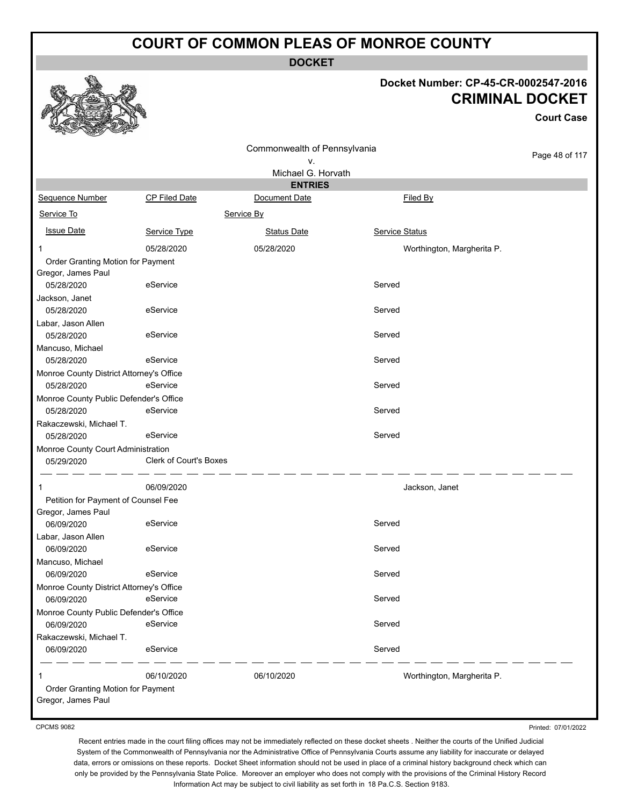**DOCKET**

#### **Docket Number: CP-45-CR-0002547-2016 CRIMINAL DOCKET**

**Court Case**

|                                                           |                        |                              |                            | Gourt Gase     |
|-----------------------------------------------------------|------------------------|------------------------------|----------------------------|----------------|
|                                                           |                        | Commonwealth of Pennsylvania |                            |                |
|                                                           |                        | ۷.                           |                            | Page 48 of 117 |
|                                                           |                        | Michael G. Horvath           |                            |                |
|                                                           |                        | <b>ENTRIES</b>               |                            |                |
| Sequence Number                                           | <b>CP Filed Date</b>   | Document Date                | Filed By                   |                |
| Service To                                                |                        | Service By                   |                            |                |
| <b>Issue Date</b>                                         | Service Type           | <b>Status Date</b>           | Service Status             |                |
| 1                                                         | 05/28/2020             | 05/28/2020                   | Worthington, Margherita P. |                |
| Order Granting Motion for Payment<br>Gregor, James Paul   |                        |                              |                            |                |
| 05/28/2020                                                | eService               |                              | Served                     |                |
| Jackson, Janet<br>05/28/2020                              | eService               |                              | Served                     |                |
| Labar, Jason Allen<br>05/28/2020                          | eService               |                              | Served                     |                |
| Mancuso, Michael<br>05/28/2020                            | eService               |                              | Served                     |                |
| Monroe County District Attorney's Office<br>05/28/2020    | eService               |                              | Served                     |                |
| Monroe County Public Defender's Office                    | eService               |                              | Served                     |                |
| 05/28/2020<br>Rakaczewski, Michael T.                     |                        |                              |                            |                |
| 05/28/2020                                                | eService               |                              | Served                     |                |
| Monroe County Court Administration                        |                        |                              |                            |                |
| 05/29/2020                                                | Clerk of Court's Boxes |                              |                            |                |
| 1                                                         | 06/09/2020             |                              | Jackson, Janet             |                |
| Petition for Payment of Counsel Fee<br>Gregor, James Paul |                        |                              |                            |                |
| 06/09/2020                                                | eService               |                              | Served                     |                |
| Labar, Jason Allen<br>06/09/2020                          | eService               |                              | Served                     |                |
| Mancuso, Michael<br>06/09/2020                            | eService               |                              | Served                     |                |
| Monroe County District Attorney's Office                  |                        |                              |                            |                |
| 06/09/2020                                                | eService               |                              | Served                     |                |
| Monroe County Public Defender's Office                    |                        |                              |                            |                |
| 06/09/2020                                                | eService               |                              | Served                     |                |
| Rakaczewski, Michael T.<br>06/09/2020                     | eService               |                              | Served                     |                |
| 1                                                         | 06/10/2020             | 06/10/2020                   | Worthington, Margherita P. |                |
| Order Granting Motion for Payment<br>Gregor, James Paul   |                        |                              |                            |                |

CPCMS 9082

Printed: 07/01/2022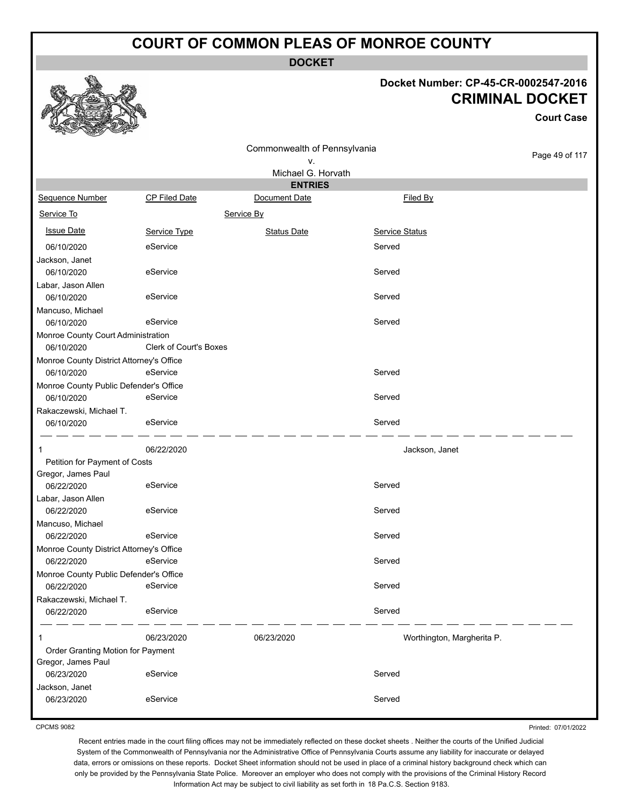**DOCKET**

#### **Docket Number: CP-45-CR-0002547-2016 CRIMINAL DOCKET**

**Court Case**

|                                          |                        | Commonwealth of Pennsylvania |                            |                |
|------------------------------------------|------------------------|------------------------------|----------------------------|----------------|
|                                          |                        | ٧.                           |                            | Page 49 of 117 |
|                                          |                        | Michael G. Horvath           |                            |                |
|                                          |                        | <b>ENTRIES</b>               |                            |                |
| Sequence Number                          | CP Filed Date          | Document Date                | Filed By                   |                |
| Service To                               |                        | Service By                   |                            |                |
| <b>Issue Date</b>                        | Service Type           | <b>Status Date</b>           | Service Status             |                |
| 06/10/2020                               | eService               |                              | Served                     |                |
| Jackson, Janet                           |                        |                              |                            |                |
| 06/10/2020                               | eService               |                              | Served                     |                |
| Labar, Jason Allen                       |                        |                              |                            |                |
| 06/10/2020                               | eService               |                              | Served                     |                |
| Mancuso, Michael                         |                        |                              |                            |                |
| 06/10/2020                               | eService               |                              | Served                     |                |
| Monroe County Court Administration       |                        |                              |                            |                |
| 06/10/2020                               | Clerk of Court's Boxes |                              |                            |                |
| Monroe County District Attorney's Office |                        |                              |                            |                |
| 06/10/2020                               | eService               |                              | Served                     |                |
| Monroe County Public Defender's Office   |                        |                              |                            |                |
| 06/10/2020                               | eService               |                              | Served                     |                |
| Rakaczewski, Michael T.                  |                        |                              |                            |                |
| 06/10/2020                               | eService               |                              | Served                     |                |
| 1                                        | 06/22/2020             |                              | Jackson, Janet             |                |
| Petition for Payment of Costs            |                        |                              |                            |                |
| Gregor, James Paul                       |                        |                              |                            |                |
| 06/22/2020                               | eService               |                              | Served                     |                |
| Labar, Jason Allen                       |                        |                              |                            |                |
| 06/22/2020                               | eService               |                              | Served                     |                |
| Mancuso, Michael                         |                        |                              |                            |                |
| 06/22/2020                               | eService               |                              | Served                     |                |
| Monroe County District Attorney's Office |                        |                              |                            |                |
| 06/22/2020                               | eService               |                              | Served                     |                |
| Monroe County Public Defender's Office   |                        |                              |                            |                |
| 06/22/2020 eService                      |                        |                              | Served                     |                |
| Rakaczewski, Michael T.                  |                        |                              |                            |                |
| 06/22/2020                               | eService               |                              | Served                     |                |
| 1                                        | 06/23/2020             | 06/23/2020                   | Worthington, Margherita P. |                |
| Order Granting Motion for Payment        |                        |                              |                            |                |
| Gregor, James Paul                       |                        |                              |                            |                |
| 06/23/2020                               | eService               |                              | Served                     |                |
| Jackson, Janet                           |                        |                              |                            |                |
| 06/23/2020                               | eService               |                              | Served                     |                |
|                                          |                        |                              |                            |                |

CPCMS 9082

Printed: 07/01/2022

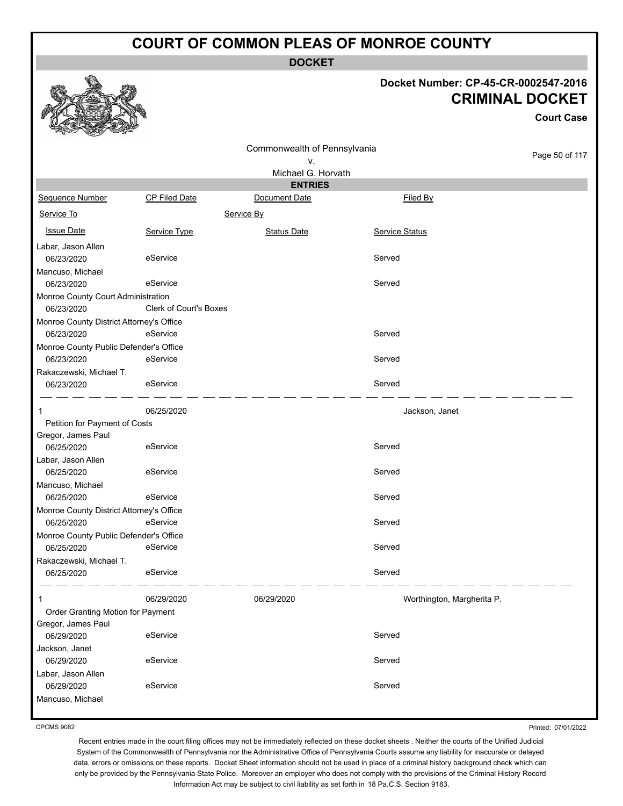**DOCKET**

#### **Docket Number: CP-45-CR-0002547-2016 CRIMINAL DOCKET**

**Court Case**

|                                          |                        | Commonwealth of Pennsylvania |                            |                |  |  |
|------------------------------------------|------------------------|------------------------------|----------------------------|----------------|--|--|
|                                          |                        | ٧.                           |                            | Page 50 of 117 |  |  |
|                                          |                        | Michael G. Horvath           |                            |                |  |  |
|                                          |                        | <b>ENTRIES</b>               |                            |                |  |  |
| Sequence Number                          | <b>CP Filed Date</b>   | Document Date                | Filed By                   |                |  |  |
| Service To                               |                        | Service By                   |                            |                |  |  |
| <b>Issue Date</b>                        | Service Type           | <b>Status Date</b>           | Service Status             |                |  |  |
| Labar, Jason Allen                       |                        |                              |                            |                |  |  |
| 06/23/2020                               | eService               |                              | Served                     |                |  |  |
| Mancuso, Michael                         |                        |                              |                            |                |  |  |
| 06/23/2020                               | eService               |                              | Served                     |                |  |  |
| Monroe County Court Administration       |                        |                              |                            |                |  |  |
| 06/23/2020                               | Clerk of Court's Boxes |                              |                            |                |  |  |
| Monroe County District Attorney's Office |                        |                              |                            |                |  |  |
| 06/23/2020                               | eService               |                              | Served                     |                |  |  |
| Monroe County Public Defender's Office   |                        |                              |                            |                |  |  |
| 06/23/2020                               | eService               |                              | Served                     |                |  |  |
| Rakaczewski, Michael T.                  |                        |                              |                            |                |  |  |
| 06/23/2020                               | eService               |                              | Served                     |                |  |  |
| 1                                        | 06/25/2020             |                              | Jackson, Janet             |                |  |  |
| Petition for Payment of Costs            |                        |                              |                            |                |  |  |
| Gregor, James Paul                       |                        |                              |                            |                |  |  |
| 06/25/2020                               | eService               |                              | Served                     |                |  |  |
| Labar, Jason Allen                       |                        |                              |                            |                |  |  |
| 06/25/2020                               | eService               |                              | Served                     |                |  |  |
| Mancuso, Michael                         |                        |                              |                            |                |  |  |
| 06/25/2020                               | eService               |                              | Served                     |                |  |  |
| Monroe County District Attorney's Office |                        |                              |                            |                |  |  |
| 06/25/2020                               | eService               |                              | Served                     |                |  |  |
| Monroe County Public Defender's Office   |                        |                              |                            |                |  |  |
| 06/25/2020                               | eService               |                              | Served                     |                |  |  |
| Rakaczewski, Michael T.                  |                        |                              | Served                     |                |  |  |
| 06/25/2020                               | eService               |                              |                            |                |  |  |
|                                          | 06/29/2020             | 06/29/2020                   | Worthington, Margherita P. |                |  |  |
| Order Granting Motion for Payment        |                        |                              |                            |                |  |  |
| Gregor, James Paul                       |                        |                              |                            |                |  |  |
| 06/29/2020                               | eService               |                              | Served                     |                |  |  |
| Jackson, Janet                           |                        |                              |                            |                |  |  |
| 06/29/2020                               | eService               |                              | Served                     |                |  |  |
| Labar, Jason Allen                       |                        |                              |                            |                |  |  |
| 06/29/2020                               | eService               |                              | Served                     |                |  |  |
| Mancuso, Michael                         |                        |                              |                            |                |  |  |

CPCMS 9082

Recent entries made in the court filing offices may not be immediately reflected on these docket sheets . Neither the courts of the Unified Judicial System of the Commonwealth of Pennsylvania nor the Administrative Office of Pennsylvania Courts assume any liability for inaccurate or delayed data, errors or omissions on these reports. Docket Sheet information should not be used in place of a criminal history background check which can only be provided by the Pennsylvania State Police. Moreover an employer who does not comply with the provisions of the Criminal History Record Information Act may be subject to civil liability as set forth in 18 Pa.C.S. Section 9183.

Printed: 07/01/2022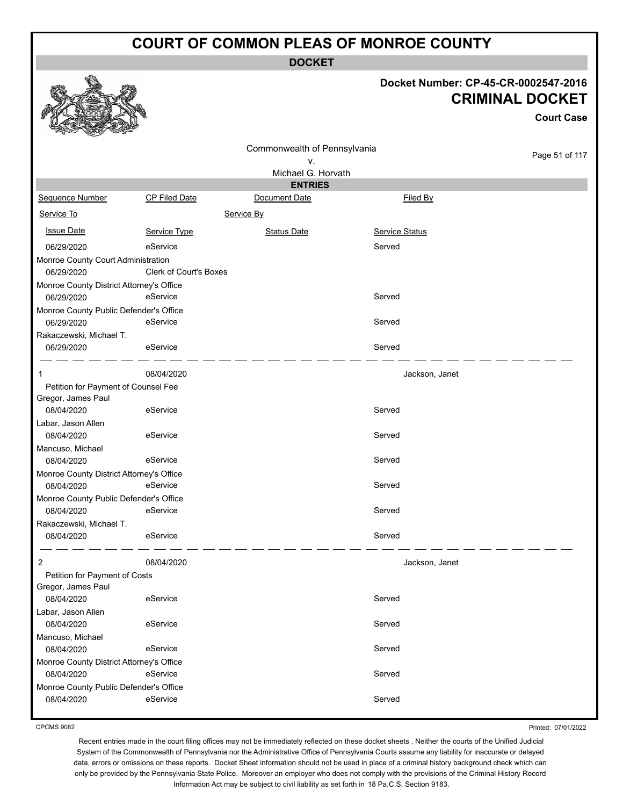**DOCKET**

#### **Docket Number: CP-45-CR-0002547-2016 CRIMINAL DOCKET**

**Court Case**

|                                                        |                               | Commonwealth of Pennsylvania |                       | Page 51 of 117 |
|--------------------------------------------------------|-------------------------------|------------------------------|-----------------------|----------------|
|                                                        |                               | ν.                           |                       |                |
|                                                        |                               | Michael G. Horvath           |                       |                |
|                                                        |                               | <b>ENTRIES</b>               |                       |                |
| Sequence Number                                        | <b>CP Filed Date</b>          | Document Date                | Filed By              |                |
| Service To                                             |                               | Service By                   |                       |                |
| <b>Issue Date</b>                                      | Service Type                  | <b>Status Date</b>           | <b>Service Status</b> |                |
| 06/29/2020                                             | eService                      |                              | Served                |                |
| Monroe County Court Administration                     |                               |                              |                       |                |
| 06/29/2020                                             | <b>Clerk of Court's Boxes</b> |                              |                       |                |
| Monroe County District Attorney's Office<br>06/29/2020 | eService                      |                              | Served                |                |
| Monroe County Public Defender's Office                 |                               |                              |                       |                |
| 06/29/2020                                             | eService                      |                              | Served                |                |
| Rakaczewski, Michael T.                                |                               |                              |                       |                |
| 06/29/2020                                             | eService                      |                              | Served                |                |
| 1                                                      | 08/04/2020                    |                              | Jackson, Janet        |                |
| Petition for Payment of Counsel Fee                    |                               |                              |                       |                |
| Gregor, James Paul<br>08/04/2020                       | eService                      |                              | Served                |                |
| Labar, Jason Allen                                     |                               |                              |                       |                |
| 08/04/2020                                             | eService                      |                              | Served                |                |
| Mancuso, Michael                                       |                               |                              |                       |                |
| 08/04/2020                                             | eService                      |                              | Served                |                |
| Monroe County District Attorney's Office               |                               |                              |                       |                |
| 08/04/2020                                             | eService                      |                              | Served                |                |
| Monroe County Public Defender's Office                 |                               |                              |                       |                |
| 08/04/2020                                             | eService                      |                              | Served                |                |
| Rakaczewski, Michael T.                                |                               |                              |                       |                |
| 08/04/2020                                             | eService                      |                              | Served                |                |
| 2                                                      | 08/04/2020                    |                              | Jackson, Janet        |                |
| Petition for Payment of Costs                          |                               |                              |                       |                |
| Gregor, James Paul                                     |                               |                              |                       |                |
| 08/04/2020                                             | eService                      |                              | Served                |                |
| Labar, Jason Allen                                     |                               |                              |                       |                |
| 08/04/2020                                             | eService                      |                              | Served                |                |
| Mancuso, Michael                                       |                               |                              | Served                |                |
| 08/04/2020<br>Monroe County District Attorney's Office | eService                      |                              |                       |                |
| 08/04/2020                                             | eService                      |                              | Served                |                |
| Monroe County Public Defender's Office                 |                               |                              |                       |                |
| 08/04/2020                                             | eService                      |                              | Served                |                |

CPCMS 9082

Printed: 07/01/2022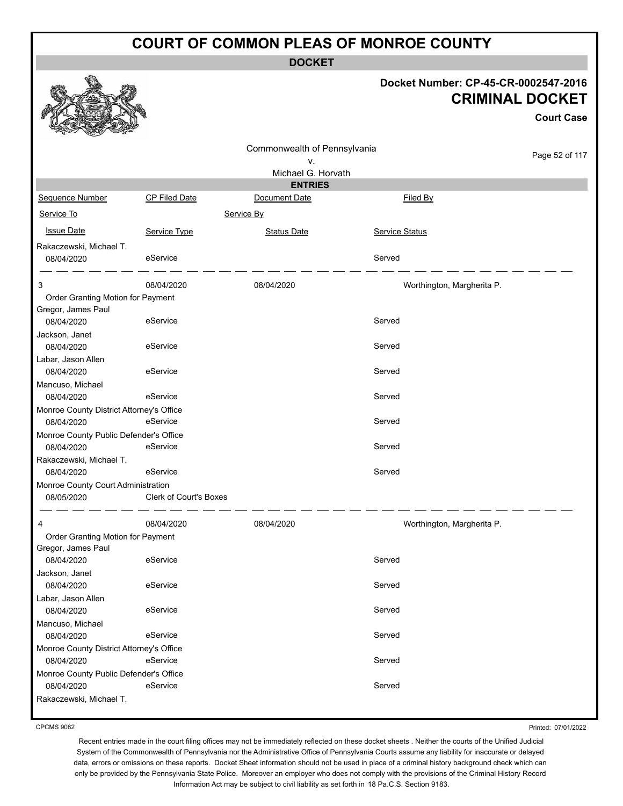**DOCKET**

#### **Docket Number: CP-45-CR-0002547-2016 CRIMINAL DOCKET**

**Court Case**

|                                          |                               |                              |                            | <b>Court Case</b> |
|------------------------------------------|-------------------------------|------------------------------|----------------------------|-------------------|
|                                          |                               | Commonwealth of Pennsylvania |                            |                   |
|                                          |                               | ٧.                           |                            | Page 52 of 117    |
|                                          |                               | Michael G. Horvath           |                            |                   |
|                                          |                               | <b>ENTRIES</b>               |                            |                   |
| Sequence Number                          | <b>CP Filed Date</b>          | Document Date                | Filed By                   |                   |
| Service To                               |                               | Service By                   |                            |                   |
| <b>Issue Date</b>                        | Service Type                  | <b>Status Date</b>           | Service Status             |                   |
| Rakaczewski, Michael T.                  |                               |                              |                            |                   |
| 08/04/2020                               | eService                      |                              | Served                     |                   |
| 3                                        | 08/04/2020                    | 08/04/2020                   | Worthington, Margherita P. |                   |
| Order Granting Motion for Payment        |                               |                              |                            |                   |
| Gregor, James Paul                       |                               |                              |                            |                   |
| 08/04/2020                               | eService                      |                              | Served                     |                   |
| Jackson, Janet                           |                               |                              |                            |                   |
| 08/04/2020                               | eService                      |                              | Served                     |                   |
| Labar, Jason Allen                       |                               |                              |                            |                   |
| 08/04/2020                               | eService                      |                              | Served                     |                   |
| Mancuso, Michael                         |                               |                              |                            |                   |
| 08/04/2020                               | eService                      |                              | Served                     |                   |
| Monroe County District Attorney's Office |                               |                              |                            |                   |
| 08/04/2020                               | eService                      |                              | Served                     |                   |
| Monroe County Public Defender's Office   |                               |                              |                            |                   |
| 08/04/2020                               | eService                      |                              | Served                     |                   |
| Rakaczewski, Michael T.                  |                               |                              |                            |                   |
| 08/04/2020                               | eService                      |                              | Served                     |                   |
| Monroe County Court Administration       |                               |                              |                            |                   |
| 08/05/2020                               | <b>Clerk of Court's Boxes</b> |                              |                            |                   |
|                                          |                               |                              |                            |                   |
| 4                                        | 08/04/2020                    | 08/04/2020                   | Worthington, Margherita P. |                   |
| Order Granting Motion for Payment        |                               |                              |                            |                   |
| Gregor, James Paul                       |                               |                              |                            |                   |
| 08/04/2020                               | eService                      |                              | Served                     |                   |
| Jackson, Janet                           |                               |                              |                            |                   |
| 08/04/2020                               | eService                      |                              | Served                     |                   |
| Labar, Jason Allen                       |                               |                              |                            |                   |
| 08/04/2020                               | eService                      |                              | Served                     |                   |
| Mancuso, Michael                         |                               |                              |                            |                   |
| 08/04/2020                               | eService                      |                              | Served                     |                   |
| Monroe County District Attorney's Office |                               |                              |                            |                   |
| 08/04/2020                               | eService                      |                              | Served                     |                   |
| Monroe County Public Defender's Office   |                               |                              |                            |                   |
| 08/04/2020                               | eService                      |                              | Served                     |                   |
| Rakaczewski, Michael T.                  |                               |                              |                            |                   |
|                                          |                               |                              |                            |                   |

CPCMS 9082

Printed: 07/01/2022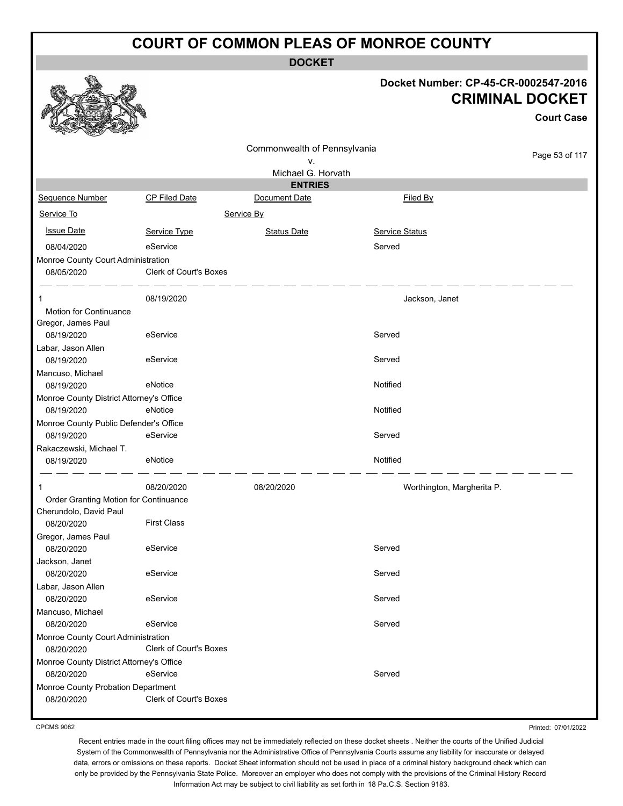**DOCKET**

#### **Docket Number: CP-45-CR-0002547-2016 CRIMINAL DOCKET**

**Court Case**

|                                                        |                               |                              |                            | <b>Court Case</b> |
|--------------------------------------------------------|-------------------------------|------------------------------|----------------------------|-------------------|
|                                                        |                               | Commonwealth of Pennsylvania |                            |                   |
|                                                        |                               | ۷.                           |                            | Page 53 of 117    |
|                                                        |                               | Michael G. Horvath           |                            |                   |
|                                                        |                               | <b>ENTRIES</b>               |                            |                   |
| Sequence Number                                        | <b>CP Filed Date</b>          | Document Date                | Filed By                   |                   |
| Service To                                             |                               | Service By                   |                            |                   |
| <b>Issue Date</b>                                      | Service Type                  | <b>Status Date</b>           | Service Status             |                   |
| 08/04/2020                                             | eService                      |                              | Served                     |                   |
| Monroe County Court Administration                     |                               |                              |                            |                   |
| 08/05/2020                                             | <b>Clerk of Court's Boxes</b> |                              |                            |                   |
| 1                                                      | 08/19/2020                    |                              | Jackson, Janet             |                   |
| <b>Motion for Continuance</b>                          |                               |                              |                            |                   |
| Gregor, James Paul                                     |                               |                              |                            |                   |
| 08/19/2020                                             | eService                      |                              | Served                     |                   |
| Labar, Jason Allen                                     |                               |                              |                            |                   |
| 08/19/2020                                             | eService                      |                              | Served                     |                   |
| Mancuso, Michael                                       |                               |                              |                            |                   |
| 08/19/2020                                             | eNotice                       |                              | Notified                   |                   |
| Monroe County District Attorney's Office               |                               |                              |                            |                   |
| 08/19/2020                                             | eNotice                       |                              | Notified                   |                   |
| Monroe County Public Defender's Office                 |                               |                              |                            |                   |
| 08/19/2020                                             | eService                      |                              | Served                     |                   |
| Rakaczewski, Michael T.                                |                               |                              |                            |                   |
| 08/19/2020                                             | eNotice                       |                              | Notified                   |                   |
| 1                                                      | 08/20/2020                    | 08/20/2020                   | Worthington, Margherita P. |                   |
| Order Granting Motion for Continuance                  |                               |                              |                            |                   |
| Cherundolo, David Paul                                 |                               |                              |                            |                   |
| 08/20/2020                                             | <b>First Class</b>            |                              |                            |                   |
| Gregor, James Paul                                     |                               |                              |                            |                   |
| 08/20/2020                                             | eService                      |                              | Served                     |                   |
| Jackson, Janet                                         |                               |                              |                            |                   |
| 08/20/2020                                             | eService                      |                              | Served                     |                   |
| Labar, Jason Allen                                     |                               |                              |                            |                   |
| 08/20/2020                                             | eService                      |                              | Served                     |                   |
| Mancuso, Michael                                       | eService                      |                              | Served                     |                   |
| 08/20/2020<br>Monroe County Court Administration       |                               |                              |                            |                   |
|                                                        | <b>Clerk of Court's Boxes</b> |                              |                            |                   |
| 08/20/2020<br>Monroe County District Attorney's Office |                               |                              |                            |                   |
| 08/20/2020                                             | eService                      |                              | Served                     |                   |
| Monroe County Probation Department                     |                               |                              |                            |                   |
| 08/20/2020                                             | Clerk of Court's Boxes        |                              |                            |                   |
|                                                        |                               |                              |                            |                   |

CPCMS 9082

Printed: 07/01/2022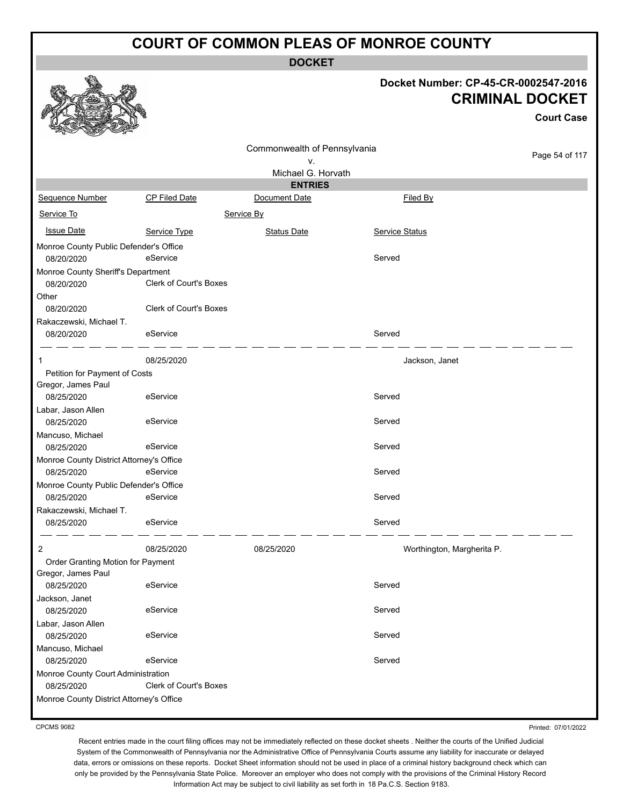**DOCKET**

#### **Docket Number: CP-45-CR-0002547-2016 CRIMINAL DOCKET**

|                                                  |                               |                                      |                            | URIIVIIIVAL DUUNE I |
|--------------------------------------------------|-------------------------------|--------------------------------------|----------------------------|---------------------|
|                                                  |                               |                                      |                            | <b>Court Case</b>   |
|                                                  |                               | Commonwealth of Pennsylvania         |                            | Page 54 of 117      |
|                                                  |                               | ۷.                                   |                            |                     |
|                                                  |                               | Michael G. Horvath<br><b>ENTRIES</b> |                            |                     |
| Sequence Number                                  | <b>CP Filed Date</b>          | Document Date                        | Filed By                   |                     |
| Service To                                       |                               | Service By                           |                            |                     |
| <b>Issue Date</b>                                | Service Type                  | <b>Status Date</b>                   | <b>Service Status</b>      |                     |
| Monroe County Public Defender's Office           |                               |                                      |                            |                     |
| 08/20/2020                                       | eService                      |                                      | Served                     |                     |
| Monroe County Sheriff's Department<br>08/20/2020 | <b>Clerk of Court's Boxes</b> |                                      |                            |                     |
| Other                                            |                               |                                      |                            |                     |
| 08/20/2020                                       | <b>Clerk of Court's Boxes</b> |                                      |                            |                     |
| Rakaczewski, Michael T.                          |                               |                                      |                            |                     |
| 08/20/2020                                       | eService                      |                                      | Served                     |                     |
| 1                                                | 08/25/2020                    |                                      | Jackson, Janet             |                     |
| Petition for Payment of Costs                    |                               |                                      |                            |                     |
| Gregor, James Paul                               |                               |                                      |                            |                     |
| 08/25/2020                                       | eService                      |                                      | Served                     |                     |
| Labar, Jason Allen                               |                               |                                      |                            |                     |
| 08/25/2020                                       | eService                      |                                      | Served                     |                     |
| Mancuso, Michael<br>08/25/2020                   | eService                      |                                      | Served                     |                     |
| Monroe County District Attorney's Office         |                               |                                      |                            |                     |
| 08/25/2020                                       | eService                      |                                      | Served                     |                     |
| Monroe County Public Defender's Office           |                               |                                      |                            |                     |
| 08/25/2020                                       | eService                      |                                      | Served                     |                     |
| Rakaczewski, Michael T.                          |                               |                                      |                            |                     |
| 08/25/2020                                       | eService                      |                                      | Served                     |                     |
| 2                                                | 08/25/2020                    | 08/25/2020                           | Worthington, Margherita P. |                     |
| Order Granting Motion for Payment                |                               |                                      |                            |                     |
| Gregor, James Paul                               |                               |                                      |                            |                     |
| 08/25/2020                                       | eService                      |                                      | Served                     |                     |
| Jackson, Janet                                   |                               |                                      |                            |                     |
| 08/25/2020                                       | eService                      |                                      | Served                     |                     |
| Labar, Jason Allen                               |                               |                                      |                            |                     |
| 08/25/2020                                       | eService                      |                                      | Served                     |                     |
| Mancuso, Michael<br>08/25/2020                   | eService                      |                                      | Served                     |                     |
| Monroe County Court Administration               |                               |                                      |                            |                     |
| 08/25/2020                                       | <b>Clerk of Court's Boxes</b> |                                      |                            |                     |
| Monroe County District Attorney's Office         |                               |                                      |                            |                     |
|                                                  |                               |                                      |                            |                     |

CPCMS 9082

**RAA** 

Printed: 07/01/2022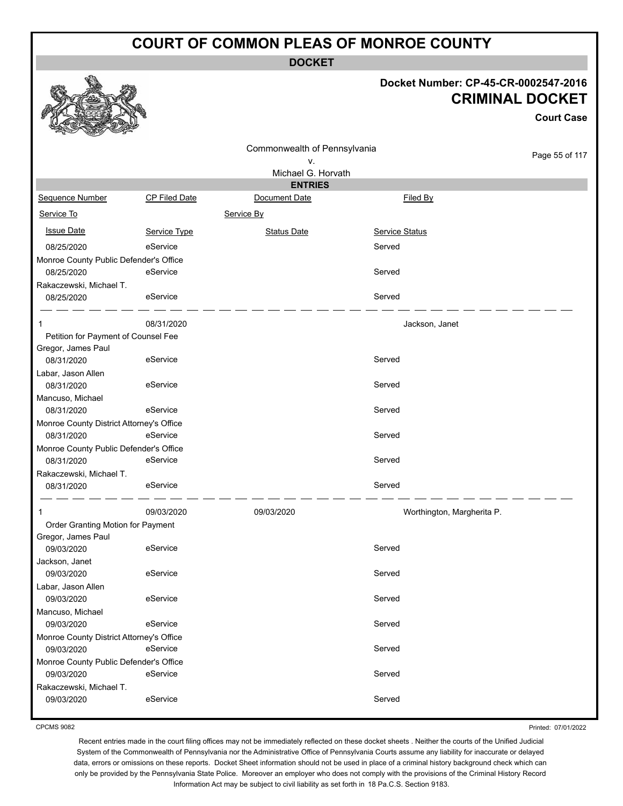**DOCKET**

#### **Docket Number: CP-45-CR-0002547-2016 CRIMINAL DOCKET**

**Court Case**

|                                          |               | Commonwealth of Pennsylvania |                            |                |
|------------------------------------------|---------------|------------------------------|----------------------------|----------------|
|                                          |               | ν.                           |                            | Page 55 of 117 |
|                                          |               | Michael G. Horvath           |                            |                |
|                                          |               | <b>ENTRIES</b>               |                            |                |
| Sequence Number                          | CP Filed Date | Document Date                | Filed By                   |                |
| Service To                               |               | Service By                   |                            |                |
| <b>Issue Date</b>                        | Service Type  | <b>Status Date</b>           | Service Status             |                |
| 08/25/2020                               | eService      |                              | Served                     |                |
| Monroe County Public Defender's Office   |               |                              |                            |                |
| 08/25/2020                               | eService      |                              | Served                     |                |
| Rakaczewski, Michael T.                  |               |                              |                            |                |
| 08/25/2020                               | eService      |                              | Served                     |                |
|                                          | 08/31/2020    |                              | Jackson, Janet             |                |
| Petition for Payment of Counsel Fee      |               |                              |                            |                |
| Gregor, James Paul                       |               |                              |                            |                |
| 08/31/2020                               | eService      |                              | Served                     |                |
| Labar, Jason Allen                       |               |                              |                            |                |
| 08/31/2020                               | eService      |                              | Served                     |                |
| Mancuso, Michael                         |               |                              |                            |                |
| 08/31/2020                               | eService      |                              | Served                     |                |
| Monroe County District Attorney's Office |               |                              |                            |                |
| 08/31/2020                               | eService      |                              | Served                     |                |
| Monroe County Public Defender's Office   |               |                              |                            |                |
| 08/31/2020                               | eService      |                              | Served                     |                |
| Rakaczewski, Michael T.                  |               |                              |                            |                |
| 08/31/2020                               | eService      |                              | Served                     |                |
| 1                                        | 09/03/2020    | 09/03/2020                   | Worthington, Margherita P. |                |
| Order Granting Motion for Payment        |               |                              |                            |                |
| Gregor, James Paul                       |               |                              |                            |                |
| 09/03/2020                               | eService      |                              | Served                     |                |
| Jackson, Janet                           |               |                              |                            |                |
| 09/03/2020                               | eService      |                              | Served                     |                |
| Labar, Jason Allen                       |               |                              |                            |                |
| 09/03/2020                               | eService      |                              | Served                     |                |
| Mancuso, Michael                         |               |                              |                            |                |
| 09/03/2020                               | eService      |                              | Served                     |                |
| Monroe County District Attorney's Office |               |                              |                            |                |
| 09/03/2020                               | eService      |                              | Served                     |                |
| Monroe County Public Defender's Office   |               |                              |                            |                |
| 09/03/2020                               | eService      |                              | Served                     |                |
| Rakaczewski, Michael T.                  |               |                              |                            |                |
| 09/03/2020                               | eService      |                              | Served                     |                |
|                                          |               |                              |                            |                |

CPCMS 9082

Printed: 07/01/2022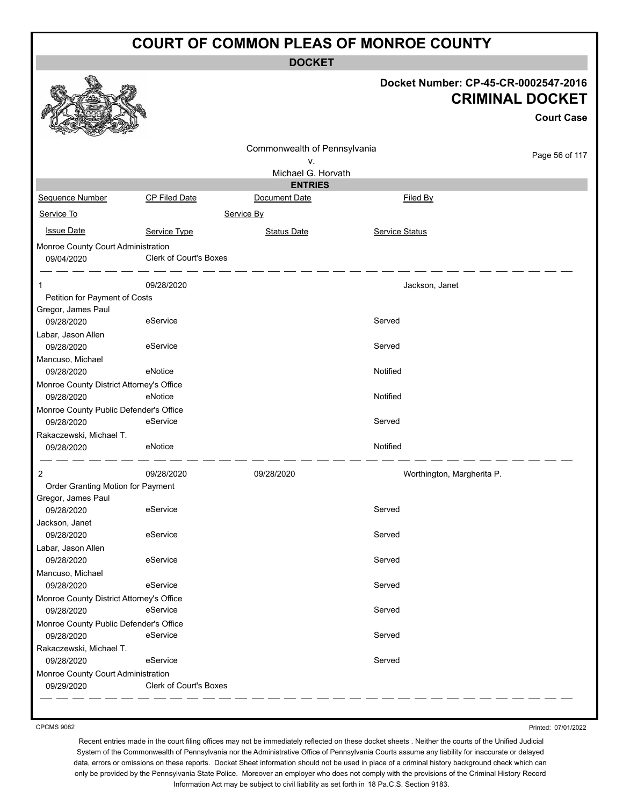**DOCKET**

| Docket Number: CP-45-CR-0002547-2016<br><b>CRIMINAL DOCKET</b><br>Commonwealth of Pennsylvania<br>v.<br>Michael G. Horvath<br><b>ENTRIES</b><br>Sequence Number<br><b>CP Filed Date</b><br>Document Date<br>Filed By<br>Service To<br>Service By<br><b>Issue Date</b><br><b>Service Status</b><br>Service Type<br><b>Status Date</b><br>Monroe County Court Administration<br>Clerk of Court's Boxes<br>09/04/2020<br>09/28/2020<br>Jackson, Janet<br>1<br>Petition for Payment of Costs<br>Gregor, James Paul<br>eService<br>Served<br>09/28/2020<br>Labar, Jason Allen<br>eService<br>Served<br>09/28/2020<br>Mancuso, Michael<br>eNotice<br>Notified<br>09/28/2020<br>Monroe County District Attorney's Office<br>Notified<br>eNotice<br>09/28/2020<br>Monroe County Public Defender's Office<br>eService<br>Served<br>09/28/2020<br>Rakaczewski, Michael T.<br>Notified<br>eNotice<br>09/28/2020<br>2<br>09/28/2020<br>09/28/2020<br>Worthington, Margherita P.<br>Order Granting Motion for Payment<br>Gregor, James Paul<br>eService<br>09/28/2020<br>Served<br>Jackson, Janet<br>eService<br>Served<br>09/28/2020<br>Labar, Jason Allen<br>eService<br>Served<br>09/28/2020<br>Mancuso, Michael<br>Served<br>09/28/2020<br>eService<br>Monroe County District Attorney's Office<br>Served<br>09/28/2020<br>eService<br>Monroe County Public Defender's Office<br>eService<br>Served<br>09/28/2020<br>Rakaczewski, Michael T.<br>eService<br>Served<br>09/28/2020<br>Monroe County Court Administration |            |                        |  |                   |
|---------------------------------------------------------------------------------------------------------------------------------------------------------------------------------------------------------------------------------------------------------------------------------------------------------------------------------------------------------------------------------------------------------------------------------------------------------------------------------------------------------------------------------------------------------------------------------------------------------------------------------------------------------------------------------------------------------------------------------------------------------------------------------------------------------------------------------------------------------------------------------------------------------------------------------------------------------------------------------------------------------------------------------------------------------------------------------------------------------------------------------------------------------------------------------------------------------------------------------------------------------------------------------------------------------------------------------------------------------------------------------------------------------------------------------------------------------------------------------------------------------------|------------|------------------------|--|-------------------|
|                                                                                                                                                                                                                                                                                                                                                                                                                                                                                                                                                                                                                                                                                                                                                                                                                                                                                                                                                                                                                                                                                                                                                                                                                                                                                                                                                                                                                                                                                                               |            |                        |  | <b>Court Case</b> |
|                                                                                                                                                                                                                                                                                                                                                                                                                                                                                                                                                                                                                                                                                                                                                                                                                                                                                                                                                                                                                                                                                                                                                                                                                                                                                                                                                                                                                                                                                                               |            |                        |  | Page 56 of 117    |
|                                                                                                                                                                                                                                                                                                                                                                                                                                                                                                                                                                                                                                                                                                                                                                                                                                                                                                                                                                                                                                                                                                                                                                                                                                                                                                                                                                                                                                                                                                               |            |                        |  |                   |
|                                                                                                                                                                                                                                                                                                                                                                                                                                                                                                                                                                                                                                                                                                                                                                                                                                                                                                                                                                                                                                                                                                                                                                                                                                                                                                                                                                                                                                                                                                               |            |                        |  |                   |
|                                                                                                                                                                                                                                                                                                                                                                                                                                                                                                                                                                                                                                                                                                                                                                                                                                                                                                                                                                                                                                                                                                                                                                                                                                                                                                                                                                                                                                                                                                               |            |                        |  |                   |
|                                                                                                                                                                                                                                                                                                                                                                                                                                                                                                                                                                                                                                                                                                                                                                                                                                                                                                                                                                                                                                                                                                                                                                                                                                                                                                                                                                                                                                                                                                               |            |                        |  |                   |
|                                                                                                                                                                                                                                                                                                                                                                                                                                                                                                                                                                                                                                                                                                                                                                                                                                                                                                                                                                                                                                                                                                                                                                                                                                                                                                                                                                                                                                                                                                               |            |                        |  |                   |
|                                                                                                                                                                                                                                                                                                                                                                                                                                                                                                                                                                                                                                                                                                                                                                                                                                                                                                                                                                                                                                                                                                                                                                                                                                                                                                                                                                                                                                                                                                               |            |                        |  |                   |
|                                                                                                                                                                                                                                                                                                                                                                                                                                                                                                                                                                                                                                                                                                                                                                                                                                                                                                                                                                                                                                                                                                                                                                                                                                                                                                                                                                                                                                                                                                               |            |                        |  |                   |
|                                                                                                                                                                                                                                                                                                                                                                                                                                                                                                                                                                                                                                                                                                                                                                                                                                                                                                                                                                                                                                                                                                                                                                                                                                                                                                                                                                                                                                                                                                               |            |                        |  |                   |
|                                                                                                                                                                                                                                                                                                                                                                                                                                                                                                                                                                                                                                                                                                                                                                                                                                                                                                                                                                                                                                                                                                                                                                                                                                                                                                                                                                                                                                                                                                               |            |                        |  |                   |
|                                                                                                                                                                                                                                                                                                                                                                                                                                                                                                                                                                                                                                                                                                                                                                                                                                                                                                                                                                                                                                                                                                                                                                                                                                                                                                                                                                                                                                                                                                               |            |                        |  |                   |
|                                                                                                                                                                                                                                                                                                                                                                                                                                                                                                                                                                                                                                                                                                                                                                                                                                                                                                                                                                                                                                                                                                                                                                                                                                                                                                                                                                                                                                                                                                               |            |                        |  |                   |
|                                                                                                                                                                                                                                                                                                                                                                                                                                                                                                                                                                                                                                                                                                                                                                                                                                                                                                                                                                                                                                                                                                                                                                                                                                                                                                                                                                                                                                                                                                               |            |                        |  |                   |
|                                                                                                                                                                                                                                                                                                                                                                                                                                                                                                                                                                                                                                                                                                                                                                                                                                                                                                                                                                                                                                                                                                                                                                                                                                                                                                                                                                                                                                                                                                               |            |                        |  |                   |
|                                                                                                                                                                                                                                                                                                                                                                                                                                                                                                                                                                                                                                                                                                                                                                                                                                                                                                                                                                                                                                                                                                                                                                                                                                                                                                                                                                                                                                                                                                               |            |                        |  |                   |
|                                                                                                                                                                                                                                                                                                                                                                                                                                                                                                                                                                                                                                                                                                                                                                                                                                                                                                                                                                                                                                                                                                                                                                                                                                                                                                                                                                                                                                                                                                               |            |                        |  |                   |
|                                                                                                                                                                                                                                                                                                                                                                                                                                                                                                                                                                                                                                                                                                                                                                                                                                                                                                                                                                                                                                                                                                                                                                                                                                                                                                                                                                                                                                                                                                               |            |                        |  |                   |
|                                                                                                                                                                                                                                                                                                                                                                                                                                                                                                                                                                                                                                                                                                                                                                                                                                                                                                                                                                                                                                                                                                                                                                                                                                                                                                                                                                                                                                                                                                               |            |                        |  |                   |
|                                                                                                                                                                                                                                                                                                                                                                                                                                                                                                                                                                                                                                                                                                                                                                                                                                                                                                                                                                                                                                                                                                                                                                                                                                                                                                                                                                                                                                                                                                               |            |                        |  |                   |
|                                                                                                                                                                                                                                                                                                                                                                                                                                                                                                                                                                                                                                                                                                                                                                                                                                                                                                                                                                                                                                                                                                                                                                                                                                                                                                                                                                                                                                                                                                               |            |                        |  |                   |
|                                                                                                                                                                                                                                                                                                                                                                                                                                                                                                                                                                                                                                                                                                                                                                                                                                                                                                                                                                                                                                                                                                                                                                                                                                                                                                                                                                                                                                                                                                               |            |                        |  |                   |
|                                                                                                                                                                                                                                                                                                                                                                                                                                                                                                                                                                                                                                                                                                                                                                                                                                                                                                                                                                                                                                                                                                                                                                                                                                                                                                                                                                                                                                                                                                               |            |                        |  |                   |
|                                                                                                                                                                                                                                                                                                                                                                                                                                                                                                                                                                                                                                                                                                                                                                                                                                                                                                                                                                                                                                                                                                                                                                                                                                                                                                                                                                                                                                                                                                               |            |                        |  |                   |
|                                                                                                                                                                                                                                                                                                                                                                                                                                                                                                                                                                                                                                                                                                                                                                                                                                                                                                                                                                                                                                                                                                                                                                                                                                                                                                                                                                                                                                                                                                               |            |                        |  |                   |
|                                                                                                                                                                                                                                                                                                                                                                                                                                                                                                                                                                                                                                                                                                                                                                                                                                                                                                                                                                                                                                                                                                                                                                                                                                                                                                                                                                                                                                                                                                               |            |                        |  |                   |
|                                                                                                                                                                                                                                                                                                                                                                                                                                                                                                                                                                                                                                                                                                                                                                                                                                                                                                                                                                                                                                                                                                                                                                                                                                                                                                                                                                                                                                                                                                               |            |                        |  |                   |
|                                                                                                                                                                                                                                                                                                                                                                                                                                                                                                                                                                                                                                                                                                                                                                                                                                                                                                                                                                                                                                                                                                                                                                                                                                                                                                                                                                                                                                                                                                               |            |                        |  |                   |
|                                                                                                                                                                                                                                                                                                                                                                                                                                                                                                                                                                                                                                                                                                                                                                                                                                                                                                                                                                                                                                                                                                                                                                                                                                                                                                                                                                                                                                                                                                               |            |                        |  |                   |
|                                                                                                                                                                                                                                                                                                                                                                                                                                                                                                                                                                                                                                                                                                                                                                                                                                                                                                                                                                                                                                                                                                                                                                                                                                                                                                                                                                                                                                                                                                               |            |                        |  |                   |
|                                                                                                                                                                                                                                                                                                                                                                                                                                                                                                                                                                                                                                                                                                                                                                                                                                                                                                                                                                                                                                                                                                                                                                                                                                                                                                                                                                                                                                                                                                               |            |                        |  |                   |
|                                                                                                                                                                                                                                                                                                                                                                                                                                                                                                                                                                                                                                                                                                                                                                                                                                                                                                                                                                                                                                                                                                                                                                                                                                                                                                                                                                                                                                                                                                               |            |                        |  |                   |
|                                                                                                                                                                                                                                                                                                                                                                                                                                                                                                                                                                                                                                                                                                                                                                                                                                                                                                                                                                                                                                                                                                                                                                                                                                                                                                                                                                                                                                                                                                               | 09/29/2020 | Clerk of Court's Boxes |  |                   |

CPCMS 9082

Printed: 07/01/2022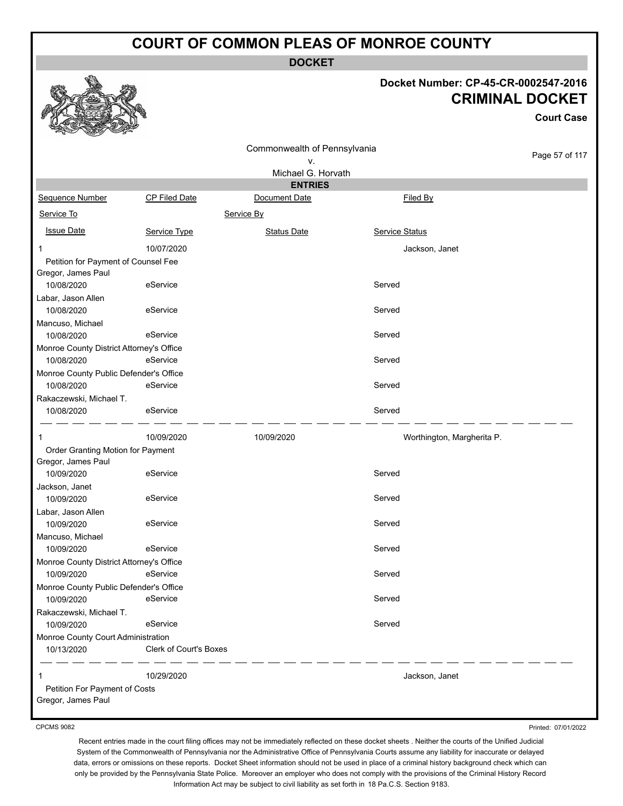**DOCKET**

#### **Docket Number: CP-45-CR-0002547-2016 CRIMINAL DOCKET**

**Court Case**

Printed: 07/01/2022

|                                                      |                        | Commonwealth of Pennsylvania    |                            |                |
|------------------------------------------------------|------------------------|---------------------------------|----------------------------|----------------|
|                                                      |                        | ۷.                              |                            | Page 57 of 117 |
|                                                      |                        | Michael G. Horvath              |                            |                |
| Sequence Number                                      | <b>CP Filed Date</b>   | <b>ENTRIES</b><br>Document Date | Filed By                   |                |
|                                                      |                        |                                 |                            |                |
| Service To                                           |                        | Service By                      |                            |                |
| <b>Issue Date</b>                                    | Service Type           | <b>Status Date</b>              | <b>Service Status</b>      |                |
| 1                                                    | 10/07/2020             |                                 | Jackson, Janet             |                |
| Petition for Payment of Counsel Fee                  |                        |                                 |                            |                |
| Gregor, James Paul                                   |                        |                                 |                            |                |
| 10/08/2020                                           | eService               |                                 | Served                     |                |
| Labar, Jason Allen<br>10/08/2020                     | eService               |                                 | Served                     |                |
| Mancuso, Michael                                     |                        |                                 |                            |                |
| 10/08/2020                                           | eService               |                                 | Served                     |                |
| Monroe County District Attorney's Office             |                        |                                 |                            |                |
| 10/08/2020                                           | eService               |                                 | Served                     |                |
| Monroe County Public Defender's Office               |                        |                                 |                            |                |
| 10/08/2020                                           | eService               |                                 | Served                     |                |
| Rakaczewski, Michael T.                              | eService               |                                 | Served                     |                |
| 10/08/2020                                           |                        |                                 |                            |                |
| 1                                                    | 10/09/2020             | 10/09/2020                      | Worthington, Margherita P. |                |
| Order Granting Motion for Payment                    |                        |                                 |                            |                |
| Gregor, James Paul                                   |                        |                                 |                            |                |
| 10/09/2020<br>Jackson, Janet                         | eService               |                                 | Served                     |                |
| 10/09/2020                                           | eService               |                                 | Served                     |                |
| Labar, Jason Allen                                   |                        |                                 |                            |                |
| 10/09/2020                                           | eService               |                                 | Served                     |                |
| Mancuso, Michael                                     |                        |                                 |                            |                |
| 10/09/2020                                           | eService               |                                 | Served                     |                |
| Monroe County District Attorney's Office             |                        |                                 |                            |                |
| 10/09/2020                                           | eService               |                                 | Served                     |                |
| Monroe County Public Defender's Office<br>10/09/2020 | eService               |                                 | Served                     |                |
| Rakaczewski, Michael T.                              |                        |                                 |                            |                |
| 10/09/2020                                           | eService               |                                 | Served                     |                |
| Monroe County Court Administration                   |                        |                                 |                            |                |
| 10/13/2020                                           | Clerk of Court's Boxes |                                 |                            |                |
| 1                                                    | 10/29/2020             |                                 | Jackson, Janet             |                |
| Petition For Payment of Costs                        |                        |                                 |                            |                |
| Gregor, James Paul                                   |                        |                                 |                            |                |

CPCMS 9082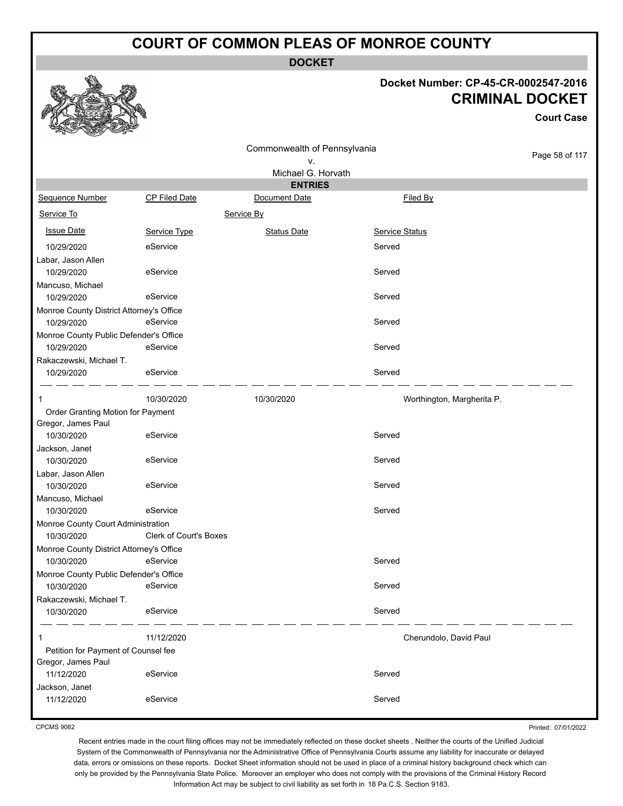**DOCKET**

#### **Docket Number: CP-45-CR-0002547-2016 CRIMINAL DOCKET**

**Court Case**

| SERI                                             |                        |                              |                            |                |
|--------------------------------------------------|------------------------|------------------------------|----------------------------|----------------|
|                                                  |                        | Commonwealth of Pennsylvania |                            |                |
|                                                  |                        | ۷.                           |                            | Page 58 of 117 |
|                                                  |                        | Michael G. Horvath           |                            |                |
|                                                  |                        | <b>ENTRIES</b>               |                            |                |
| Sequence Number                                  | <b>CP Filed Date</b>   | Document Date                | Filed By                   |                |
| Service To                                       |                        | Service By                   |                            |                |
| <b>Issue Date</b>                                | Service Type           | <b>Status Date</b>           | <b>Service Status</b>      |                |
| 10/29/2020                                       | eService               |                              | Served                     |                |
| Labar, Jason Allen                               |                        |                              |                            |                |
| 10/29/2020                                       | eService               |                              | Served                     |                |
| Mancuso, Michael                                 |                        |                              |                            |                |
| 10/29/2020                                       | eService               |                              | Served                     |                |
| Monroe County District Attorney's Office         |                        |                              |                            |                |
| 10/29/2020                                       | eService               |                              | Served                     |                |
| Monroe County Public Defender's Office           |                        |                              |                            |                |
| 10/29/2020                                       | eService               |                              | Served                     |                |
| Rakaczewski, Michael T.                          | eService               |                              | Served                     |                |
| 10/29/2020                                       |                        |                              |                            |                |
| 1                                                | 10/30/2020             | 10/30/2020                   | Worthington, Margherita P. |                |
| Order Granting Motion for Payment                |                        |                              |                            |                |
| Gregor, James Paul                               |                        |                              |                            |                |
| 10/30/2020                                       | eService               |                              | Served                     |                |
| Jackson, Janet                                   |                        |                              |                            |                |
| 10/30/2020                                       | eService               |                              | Served                     |                |
| Labar, Jason Allen                               |                        |                              |                            |                |
| 10/30/2020                                       | eService               |                              | Served                     |                |
| Mancuso, Michael<br>10/30/2020                   | eService               |                              | Served                     |                |
|                                                  |                        |                              |                            |                |
| Monroe County Court Administration<br>10/30/2020 | Clerk of Court's Boxes |                              |                            |                |
| Monroe County District Attorney's Office         |                        |                              |                            |                |
| 10/30/2020                                       | eService               |                              | Served                     |                |
| Monroe County Public Defender's Office           |                        |                              |                            |                |
| 10/30/2020                                       | eService               |                              | Served                     |                |
| Rakaczewski, Michael T.                          |                        |                              |                            |                |
| 10/30/2020                                       | eService               |                              | Served                     |                |
| 1                                                | 11/12/2020             |                              | Cherundolo, David Paul     |                |
| Petition for Payment of Counsel fee              |                        |                              |                            |                |
| Gregor, James Paul                               |                        |                              |                            |                |
| 11/12/2020                                       | eService               |                              | Served                     |                |
| Jackson, Janet                                   |                        |                              |                            |                |
| 11/12/2020                                       | eService               |                              | Served                     |                |
|                                                  |                        |                              |                            |                |

CPCMS 9082

Printed: 07/01/2022

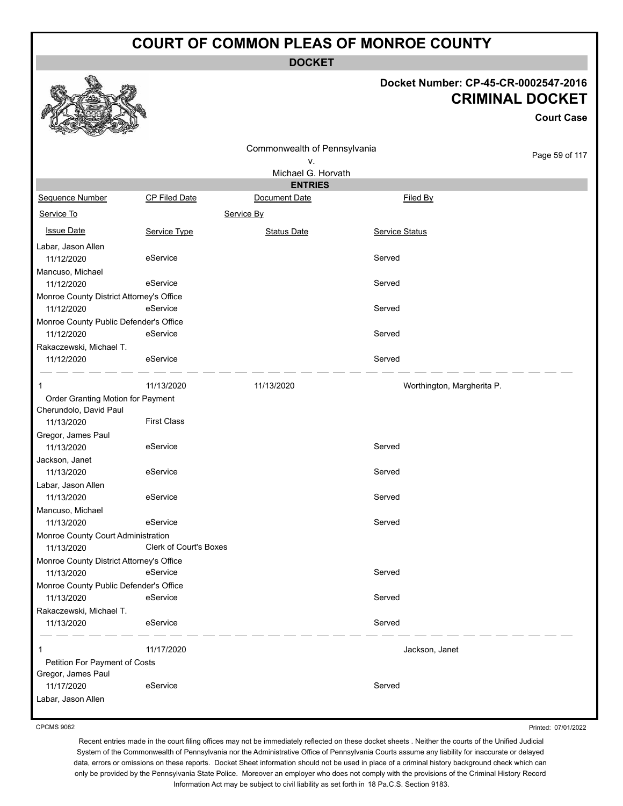**DOCKET**

#### **Docket Number: CP-45-CR-0002547-2016 CRIMINAL DOCKET**

**Court Case**

| ఞల                                       |                        |                              |                            |                |
|------------------------------------------|------------------------|------------------------------|----------------------------|----------------|
|                                          |                        | Commonwealth of Pennsylvania |                            |                |
|                                          |                        | ۷.                           |                            | Page 59 of 117 |
|                                          |                        | Michael G. Horvath           |                            |                |
|                                          |                        | <b>ENTRIES</b>               |                            |                |
| Sequence Number                          | CP Filed Date          | Document Date                | Filed By                   |                |
| Service To                               |                        | Service By                   |                            |                |
| <b>Issue Date</b>                        | Service Type           | <b>Status Date</b>           | Service Status             |                |
| Labar, Jason Allen<br>11/12/2020         | eService               |                              | Served                     |                |
| Mancuso, Michael                         |                        |                              |                            |                |
| 11/12/2020                               | eService               |                              | Served                     |                |
| Monroe County District Attorney's Office |                        |                              |                            |                |
| 11/12/2020                               | eService               |                              | Served                     |                |
| Monroe County Public Defender's Office   |                        |                              |                            |                |
| 11/12/2020                               | eService               |                              | Served                     |                |
| Rakaczewski, Michael T.                  |                        |                              |                            |                |
| 11/12/2020                               | eService               |                              | Served                     |                |
| 1                                        | 11/13/2020             | 11/13/2020                   | Worthington, Margherita P. |                |
| Order Granting Motion for Payment        |                        |                              |                            |                |
| Cherundolo, David Paul<br>11/13/2020     | <b>First Class</b>     |                              |                            |                |
| Gregor, James Paul                       |                        |                              |                            |                |
| 11/13/2020                               | eService               |                              | Served                     |                |
| Jackson, Janet                           |                        |                              |                            |                |
| 11/13/2020                               | eService               |                              | Served                     |                |
| Labar, Jason Allen                       |                        |                              |                            |                |
| 11/13/2020                               | eService               |                              | Served                     |                |
| Mancuso, Michael                         |                        |                              |                            |                |
| 11/13/2020                               | eService               |                              | Served                     |                |
| Monroe County Court Administration       |                        |                              |                            |                |
| 11/13/2020                               | Clerk of Court's Boxes |                              |                            |                |
| Monroe County District Attorney's Office |                        |                              |                            |                |
| 11/13/2020                               | eService               |                              | Served                     |                |
| Monroe County Public Defender's Office   |                        |                              |                            |                |
| 11/13/2020                               | eService               |                              | Served                     |                |
| Rakaczewski, Michael T.                  |                        |                              |                            |                |
| 11/13/2020                               | eService               |                              | Served                     |                |
| 1                                        | 11/17/2020             |                              | Jackson, Janet             |                |
| Petition For Payment of Costs            |                        |                              |                            |                |
| Gregor, James Paul                       |                        |                              |                            |                |
| 11/17/2020                               | eService               |                              | Served                     |                |
| Labar, Jason Allen                       |                        |                              |                            |                |

CPCMS 9082

Printed: 07/01/2022

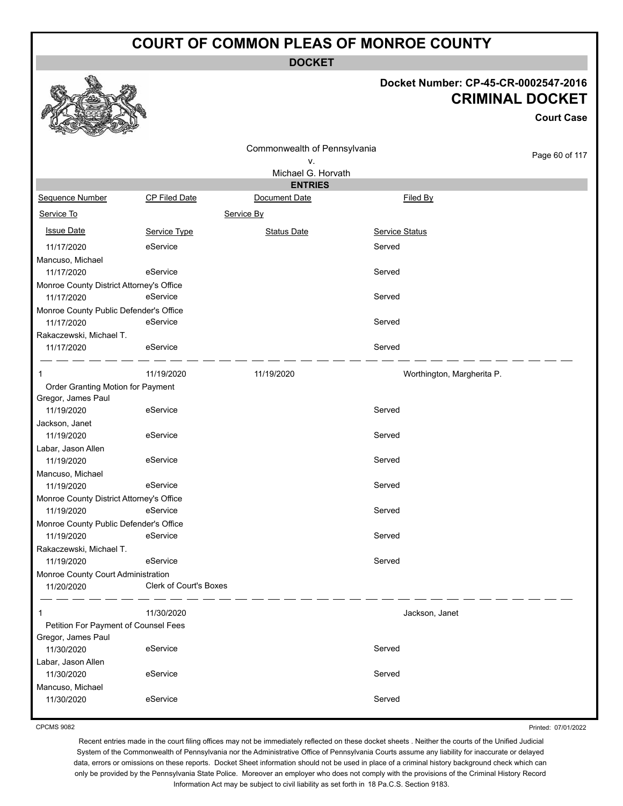**DOCKET**

#### **Docket Number: CP-45-CR-0002547-2016 CRIMINAL DOCKET**

**Court Case**

|                                                  |                        | Commonwealth of Pennsylvania |                            |                |
|--------------------------------------------------|------------------------|------------------------------|----------------------------|----------------|
|                                                  |                        | ۷.                           |                            | Page 60 of 117 |
|                                                  |                        | Michael G. Horvath           |                            |                |
|                                                  |                        | <b>ENTRIES</b>               |                            |                |
| <b>Sequence Number</b>                           | CP Filed Date          | Document Date                | Filed By                   |                |
| Service To                                       |                        | Service By                   |                            |                |
| <b>Issue Date</b>                                | Service Type           | <b>Status Date</b>           | Service Status             |                |
| 11/17/2020                                       | eService               |                              | Served                     |                |
| Mancuso, Michael                                 |                        |                              |                            |                |
| 11/17/2020                                       | eService               |                              | Served                     |                |
| Monroe County District Attorney's Office         |                        |                              |                            |                |
| 11/17/2020                                       | eService               |                              | Served                     |                |
| Monroe County Public Defender's Office           |                        |                              |                            |                |
| 11/17/2020                                       | eService               |                              | Served                     |                |
| Rakaczewski, Michael T.                          |                        |                              |                            |                |
| 11/17/2020                                       | eService               |                              | Served                     |                |
| 1                                                | 11/19/2020             | 11/19/2020                   | Worthington, Margherita P. |                |
| Order Granting Motion for Payment                |                        |                              |                            |                |
| Gregor, James Paul                               |                        |                              |                            |                |
| 11/19/2020                                       | eService               |                              | Served                     |                |
| Jackson, Janet                                   |                        |                              |                            |                |
| 11/19/2020                                       | eService               |                              | Served                     |                |
| Labar, Jason Allen                               |                        |                              |                            |                |
| 11/19/2020                                       | eService               |                              | Served                     |                |
| Mancuso, Michael                                 |                        |                              |                            |                |
| 11/19/2020                                       | eService               |                              | Served                     |                |
| Monroe County District Attorney's Office         |                        |                              |                            |                |
| 11/19/2020                                       | eService               |                              | Served                     |                |
| Monroe County Public Defender's Office           | eService               |                              | Served                     |                |
| 11/19/2020                                       |                        |                              |                            |                |
| Rakaczewski, Michael T.<br>11/19/2020            | eService               |                              | Served                     |                |
|                                                  |                        |                              |                            |                |
| Monroe County Court Administration<br>11/20/2020 | Clerk of Court's Boxes |                              |                            |                |
|                                                  |                        |                              |                            |                |
| 1                                                | 11/30/2020             |                              | Jackson, Janet             |                |
| Petition For Payment of Counsel Fees             |                        |                              |                            |                |
| Gregor, James Paul                               |                        |                              |                            |                |
| 11/30/2020                                       | eService               |                              | Served                     |                |
| Labar, Jason Allen                               |                        |                              |                            |                |
| 11/30/2020                                       | eService               |                              | Served                     |                |
| Mancuso, Michael                                 |                        |                              |                            |                |
| 11/30/2020                                       | eService               |                              | Served                     |                |
|                                                  |                        |                              |                            |                |

CPCMS 9082

Printed: 07/01/2022

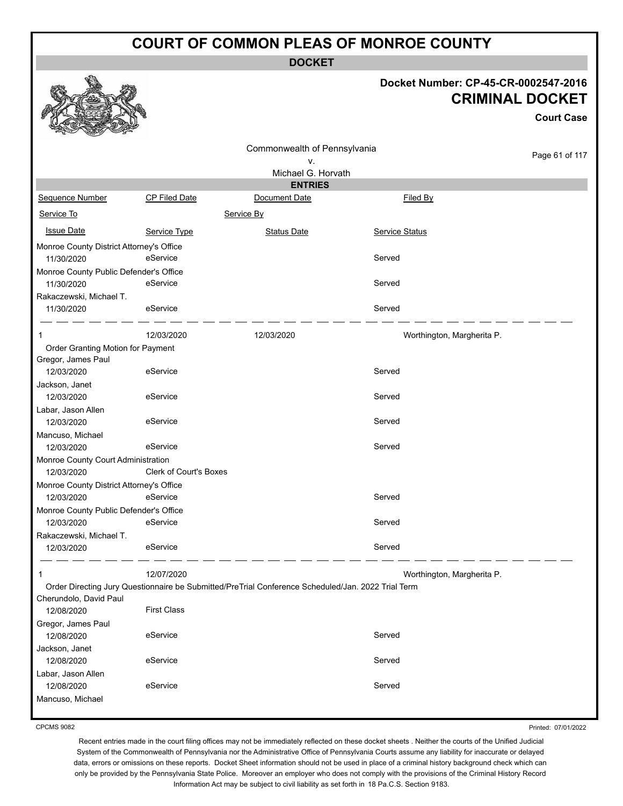**DOCKET**

#### **Docket Number: CP-45-CR-0002547-2016 CRIMINAL DOCKET**

**Court Case**

|                                          |                               | Commonwealth of Pennsylvania                                                                       |                            |                |
|------------------------------------------|-------------------------------|----------------------------------------------------------------------------------------------------|----------------------------|----------------|
|                                          |                               | ٧.                                                                                                 |                            | Page 61 of 117 |
|                                          |                               | Michael G. Horvath                                                                                 |                            |                |
|                                          |                               | <b>ENTRIES</b>                                                                                     |                            |                |
| Sequence Number                          | CP Filed Date                 | Document Date                                                                                      | Filed By                   |                |
| Service To                               |                               | Service By                                                                                         |                            |                |
| <b>Issue Date</b>                        | Service Type                  | <b>Status Date</b>                                                                                 | <b>Service Status</b>      |                |
| Monroe County District Attorney's Office |                               |                                                                                                    |                            |                |
| 11/30/2020                               | eService                      |                                                                                                    | Served                     |                |
| Monroe County Public Defender's Office   |                               |                                                                                                    |                            |                |
| 11/30/2020                               | eService                      |                                                                                                    | Served                     |                |
| Rakaczewski, Michael T.                  |                               |                                                                                                    |                            |                |
| 11/30/2020                               | eService                      |                                                                                                    | Served                     |                |
|                                          | 12/03/2020                    | 12/03/2020                                                                                         | Worthington, Margherita P. |                |
| Order Granting Motion for Payment        |                               |                                                                                                    |                            |                |
| Gregor, James Paul                       |                               |                                                                                                    |                            |                |
| 12/03/2020                               | eService                      |                                                                                                    | Served                     |                |
| Jackson, Janet                           |                               |                                                                                                    |                            |                |
| 12/03/2020                               | eService                      |                                                                                                    | Served                     |                |
| Labar, Jason Allen                       |                               |                                                                                                    |                            |                |
| 12/03/2020                               | eService                      |                                                                                                    | Served                     |                |
| Mancuso, Michael                         |                               |                                                                                                    |                            |                |
| 12/03/2020                               | eService                      |                                                                                                    | Served                     |                |
| Monroe County Court Administration       |                               |                                                                                                    |                            |                |
| 12/03/2020                               | <b>Clerk of Court's Boxes</b> |                                                                                                    |                            |                |
|                                          |                               |                                                                                                    |                            |                |
| Monroe County District Attorney's Office | eService                      |                                                                                                    | Served                     |                |
| 12/03/2020                               |                               |                                                                                                    |                            |                |
| Monroe County Public Defender's Office   |                               |                                                                                                    | Served                     |                |
| 12/03/2020                               | eService                      |                                                                                                    |                            |                |
| Rakaczewski, Michael T.                  |                               |                                                                                                    |                            |                |
| 12/03/2020                               | eService                      |                                                                                                    | Served                     |                |
|                                          | 12/07/2020                    |                                                                                                    | Worthington, Margherita P. |                |
|                                          |                               | Order Directing Jury Questionnaire be Submitted/PreTrial Conference Scheduled/Jan. 2022 Trial Term |                            |                |
| Cherundolo, David Paul                   |                               |                                                                                                    |                            |                |
| 12/08/2020                               | <b>First Class</b>            |                                                                                                    |                            |                |
| Gregor, James Paul                       |                               |                                                                                                    |                            |                |
| 12/08/2020                               | eService                      |                                                                                                    | Served                     |                |
| Jackson, Janet                           |                               |                                                                                                    |                            |                |
| 12/08/2020                               | eService                      |                                                                                                    | Served                     |                |
| Labar, Jason Allen                       |                               |                                                                                                    |                            |                |
| 12/08/2020                               | eService                      |                                                                                                    | Served                     |                |
| Mancuso, Michael                         |                               |                                                                                                    |                            |                |
|                                          |                               |                                                                                                    |                            |                |

CPCMS 9082

Printed: 07/01/2022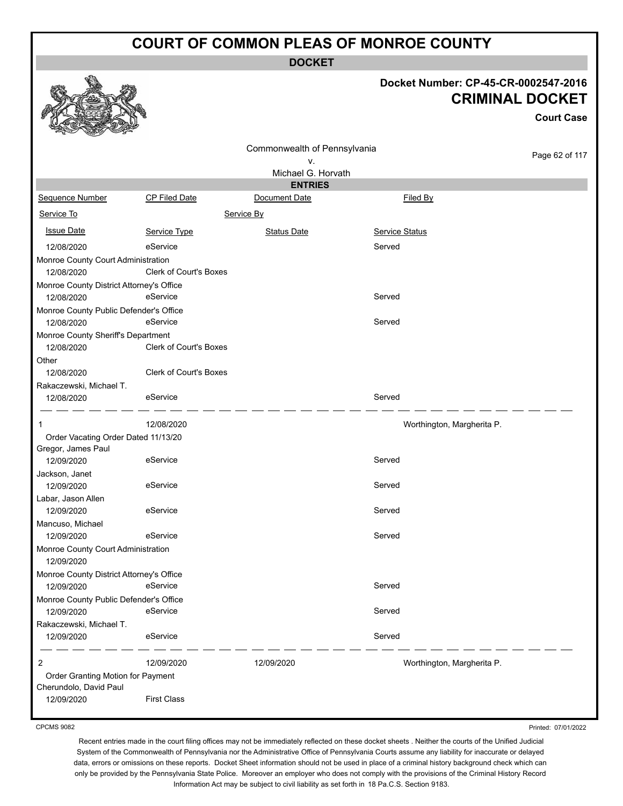**DOCKET**

#### **Docket Number: CP-45-CR-0002547-2016 CRIMINAL DOCKET**

**Court Case**

Printed: 07/01/2022

|                                                  |                               | Commonwealth of Pennsylvania |                            |                |
|--------------------------------------------------|-------------------------------|------------------------------|----------------------------|----------------|
|                                                  |                               | ν.                           |                            | Page 62 of 117 |
|                                                  |                               | Michael G. Horvath           |                            |                |
|                                                  |                               | <b>ENTRIES</b>               |                            |                |
| Sequence Number                                  | CP Filed Date                 | Document Date                | Filed By                   |                |
| Service To                                       |                               | Service By                   |                            |                |
| <b>Issue Date</b>                                | Service Type                  | <b>Status Date</b>           | <b>Service Status</b>      |                |
| 12/08/2020                                       | eService                      |                              | Served                     |                |
| Monroe County Court Administration               |                               |                              |                            |                |
| 12/08/2020                                       | <b>Clerk of Court's Boxes</b> |                              |                            |                |
| Monroe County District Attorney's Office         |                               |                              |                            |                |
| 12/08/2020                                       | eService                      |                              | Served                     |                |
| Monroe County Public Defender's Office           |                               |                              |                            |                |
| 12/08/2020                                       | eService                      |                              | Served                     |                |
| Monroe County Sheriff's Department               |                               |                              |                            |                |
| 12/08/2020                                       | Clerk of Court's Boxes        |                              |                            |                |
| Other                                            |                               |                              |                            |                |
| 12/08/2020                                       | Clerk of Court's Boxes        |                              |                            |                |
| Rakaczewski, Michael T.                          |                               |                              |                            |                |
| 12/08/2020                                       | eService                      |                              | Served                     |                |
| 1                                                | 12/08/2020                    |                              | Worthington, Margherita P. |                |
| Order Vacating Order Dated 11/13/20              |                               |                              |                            |                |
| Gregor, James Paul                               |                               |                              |                            |                |
| 12/09/2020                                       | eService                      |                              | Served                     |                |
| Jackson, Janet                                   |                               |                              |                            |                |
| 12/09/2020                                       | eService                      |                              | Served                     |                |
| Labar, Jason Allen                               |                               |                              |                            |                |
| 12/09/2020                                       | eService                      |                              | Served                     |                |
| Mancuso, Michael                                 |                               |                              |                            |                |
| 12/09/2020                                       | eService                      |                              | Served                     |                |
| Monroe County Court Administration<br>12/09/2020 |                               |                              |                            |                |
| Monroe County District Attorney's Office         |                               |                              |                            |                |
| 12/09/2020                                       | eService                      |                              | Served                     |                |
| Monroe County Public Defender's Office           |                               |                              |                            |                |
| 12/09/2020                                       | eService                      |                              | Served                     |                |
| Rakaczewski, Michael T.                          |                               |                              |                            |                |
| 12/09/2020                                       | eService                      |                              | Served                     |                |
| 2                                                | 12/09/2020                    | 12/09/2020                   | Worthington, Margherita P. |                |
| Order Granting Motion for Payment                |                               |                              |                            |                |
| Cherundolo, David Paul                           |                               |                              |                            |                |
| 12/09/2020                                       | <b>First Class</b>            |                              |                            |                |

CPCMS 9082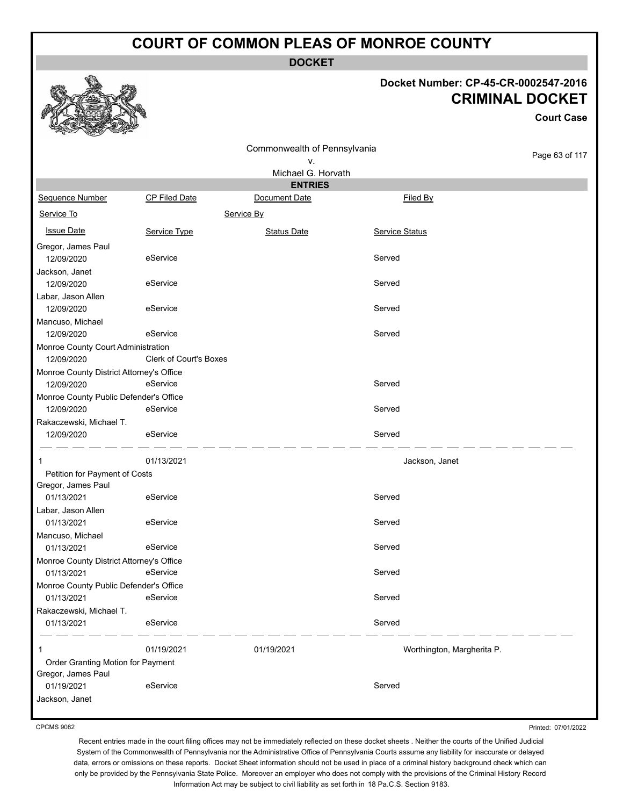**DOCKET**

#### **Docket Number: CP-45-CR-0002547-2016 CRIMINAL DOCKET**

**Court Case**

|                                                        |                               | Commonwealth of Pennsylvania    |                            |                |
|--------------------------------------------------------|-------------------------------|---------------------------------|----------------------------|----------------|
|                                                        |                               | ٧.                              |                            | Page 63 of 117 |
|                                                        |                               | Michael G. Horvath              |                            |                |
| Sequence Number                                        | <b>CP Filed Date</b>          | <b>ENTRIES</b><br>Document Date | Filed By                   |                |
|                                                        |                               |                                 |                            |                |
| Service To                                             |                               | Service By                      |                            |                |
| <b>Issue Date</b>                                      | Service Type                  | <b>Status Date</b>              | <b>Service Status</b>      |                |
| Gregor, James Paul<br>12/09/2020                       | eService                      |                                 | Served                     |                |
| Jackson, Janet<br>12/09/2020                           | eService                      |                                 | Served                     |                |
| Labar, Jason Allen                                     |                               |                                 |                            |                |
| 12/09/2020                                             | eService                      |                                 | Served                     |                |
| Mancuso, Michael<br>12/09/2020                         | eService                      |                                 | Served                     |                |
| Monroe County Court Administration                     |                               |                                 |                            |                |
| 12/09/2020                                             | <b>Clerk of Court's Boxes</b> |                                 |                            |                |
| Monroe County District Attorney's Office<br>12/09/2020 | eService                      |                                 | Served                     |                |
| Monroe County Public Defender's Office                 |                               |                                 |                            |                |
| 12/09/2020                                             | eService                      |                                 | Served                     |                |
| Rakaczewski, Michael T.                                |                               |                                 |                            |                |
| 12/09/2020                                             | eService                      |                                 | Served                     |                |
| 1                                                      | 01/13/2021                    |                                 | Jackson, Janet             |                |
| Petition for Payment of Costs                          |                               |                                 |                            |                |
| Gregor, James Paul                                     |                               |                                 |                            |                |
| 01/13/2021                                             | eService                      |                                 | Served                     |                |
| Labar, Jason Allen<br>01/13/2021                       | eService                      |                                 | Served                     |                |
|                                                        |                               |                                 |                            |                |
| Mancuso, Michael<br>01/13/2021                         | eService                      |                                 | Served                     |                |
| Monroe County District Attorney's Office               |                               |                                 |                            |                |
| 01/13/2021                                             | eService                      |                                 | Served                     |                |
| Monroe County Public Defender's Office                 |                               |                                 |                            |                |
| 01/13/2021                                             | eService                      |                                 | Served                     |                |
| Rakaczewski, Michael T.                                |                               |                                 |                            |                |
| 01/13/2021                                             | eService                      |                                 | Served                     |                |
| 1                                                      | 01/19/2021                    | 01/19/2021                      | Worthington, Margherita P. |                |
| Order Granting Motion for Payment                      |                               |                                 |                            |                |
| Gregor, James Paul                                     |                               |                                 |                            |                |
| 01/19/2021                                             | eService                      |                                 | Served                     |                |
| Jackson, Janet                                         |                               |                                 |                            |                |

CPCMS 9082

Printed: 07/01/2022

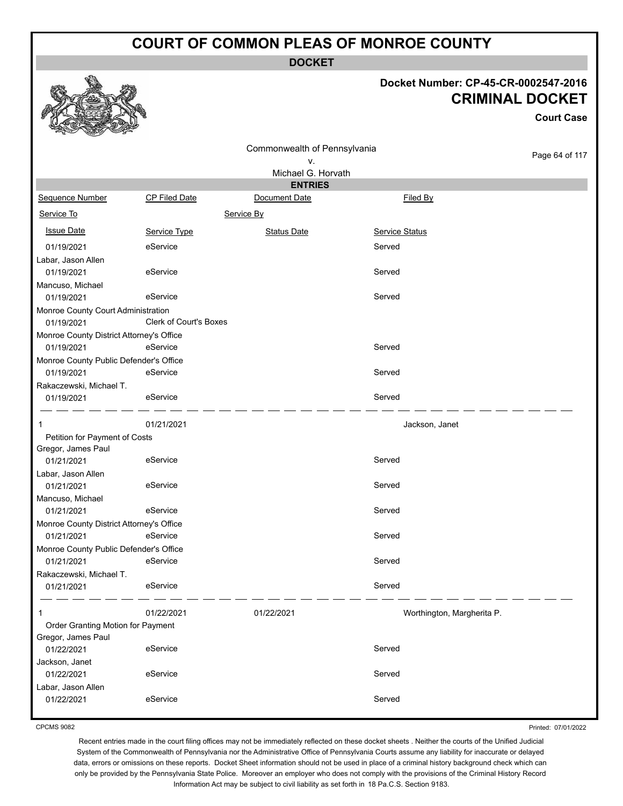**DOCKET**

#### **Docket Number: CP-45-CR-0002547-2016 CRIMINAL DOCKET**

**Court Case**

|                                          |                        | Commonwealth of Pennsylvania |                            |                |
|------------------------------------------|------------------------|------------------------------|----------------------------|----------------|
|                                          |                        | ۷.                           |                            | Page 64 of 117 |
|                                          |                        | Michael G. Horvath           |                            |                |
|                                          |                        | <b>ENTRIES</b>               |                            |                |
| Sequence Number                          | <b>CP Filed Date</b>   | Document Date                | Filed By                   |                |
| Service To                               |                        | Service By                   |                            |                |
| <b>Issue Date</b>                        | Service Type           | <b>Status Date</b>           | <b>Service Status</b>      |                |
| 01/19/2021                               | eService               |                              | Served                     |                |
| Labar, Jason Allen                       |                        |                              |                            |                |
| 01/19/2021                               | eService               |                              | Served                     |                |
| Mancuso, Michael                         |                        |                              |                            |                |
| 01/19/2021                               | eService               |                              | Served                     |                |
| Monroe County Court Administration       |                        |                              |                            |                |
| 01/19/2021                               | Clerk of Court's Boxes |                              |                            |                |
| Monroe County District Attorney's Office |                        |                              |                            |                |
| 01/19/2021                               | eService               |                              | Served                     |                |
| Monroe County Public Defender's Office   |                        |                              |                            |                |
| 01/19/2021                               | eService               |                              | Served                     |                |
| Rakaczewski, Michael T.                  |                        |                              |                            |                |
| 01/19/2021                               | eService               |                              | Served                     |                |
| 1                                        | 01/21/2021             |                              | Jackson, Janet             |                |
| Petition for Payment of Costs            |                        |                              |                            |                |
| Gregor, James Paul                       |                        |                              |                            |                |
| 01/21/2021                               | eService               |                              | Served                     |                |
| Labar, Jason Allen                       |                        |                              |                            |                |
| 01/21/2021                               | eService               |                              | Served                     |                |
| Mancuso, Michael                         |                        |                              |                            |                |
| 01/21/2021                               | eService               |                              | Served                     |                |
| Monroe County District Attorney's Office |                        |                              |                            |                |
| 01/21/2021                               | eService               |                              | Served                     |                |
| Monroe County Public Defender's Office   |                        |                              |                            |                |
| 01/21/2021                               | eService               |                              | Served                     |                |
| Rakaczewski, Michael T.                  |                        |                              |                            |                |
| 01/21/2021                               | eService               |                              | Served                     |                |
| $\mathbf{1}$                             | 01/22/2021             | 01/22/2021                   | Worthington, Margherita P. |                |
| Order Granting Motion for Payment        |                        |                              |                            |                |
| Gregor, James Paul                       |                        |                              |                            |                |
| 01/22/2021                               | eService               |                              | Served                     |                |
| Jackson, Janet                           |                        |                              |                            |                |
| 01/22/2021                               | eService               |                              | Served                     |                |
| Labar, Jason Allen                       |                        |                              |                            |                |
| 01/22/2021                               | eService               |                              | Served                     |                |
|                                          |                        |                              |                            |                |

CPCMS 9082

Printed: 07/01/2022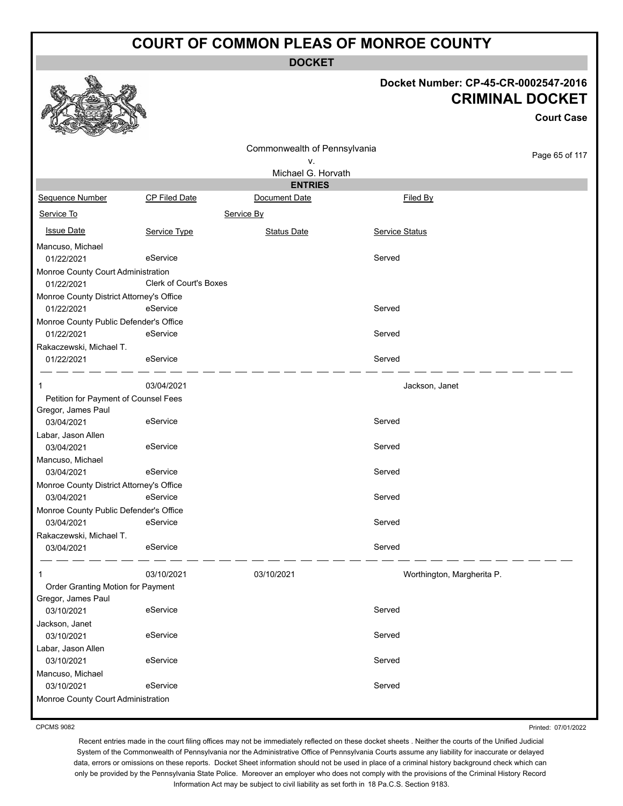**DOCKET**

#### **Docket Number: CP-45-CR-0002547-2016 CRIMINAL DOCKET**

|                                                            |                        |                              |                            | <b>Court Case</b> |
|------------------------------------------------------------|------------------------|------------------------------|----------------------------|-------------------|
|                                                            |                        | Commonwealth of Pennsylvania |                            | Page 65 of 117    |
|                                                            |                        | ٧.                           |                            |                   |
|                                                            |                        | Michael G. Horvath           |                            |                   |
|                                                            |                        | <b>ENTRIES</b>               |                            |                   |
| Sequence Number                                            | <b>CP Filed Date</b>   | Document Date                | Filed By                   |                   |
| Service To                                                 |                        | Service By                   |                            |                   |
| <b>Issue Date</b>                                          | Service Type           | <b>Status Date</b>           | <b>Service Status</b>      |                   |
| Mancuso, Michael<br>01/22/2021                             | eService               |                              | Served                     |                   |
| Monroe County Court Administration<br>01/22/2021           | Clerk of Court's Boxes |                              |                            |                   |
| Monroe County District Attorney's Office<br>01/22/2021     | eService               |                              | Served                     |                   |
| Monroe County Public Defender's Office<br>01/22/2021       | eService               |                              | Served                     |                   |
| Rakaczewski, Michael T.<br>01/22/2021                      | eService               |                              | Served                     |                   |
| 1                                                          | 03/04/2021             |                              | Jackson, Janet             |                   |
| Petition for Payment of Counsel Fees<br>Gregor, James Paul |                        |                              |                            |                   |
| 03/04/2021<br>Labar, Jason Allen                           | eService               |                              | Served                     |                   |
| 03/04/2021                                                 | eService               |                              | Served                     |                   |
| Mancuso, Michael<br>03/04/2021                             | eService               |                              | Served                     |                   |
| Monroe County District Attorney's Office                   |                        |                              |                            |                   |
| 03/04/2021                                                 | eService               |                              | Served                     |                   |
| Monroe County Public Defender's Office                     |                        |                              |                            |                   |
| 03/04/2021                                                 | eService               |                              | Served                     |                   |
| Rakaczewski, Michael T.                                    |                        |                              |                            |                   |
| 03/04/2021                                                 | eService               |                              | Served                     |                   |
| 1                                                          | 03/10/2021             | 03/10/2021                   | Worthington, Margherita P. |                   |
| Order Granting Motion for Payment<br>Gregor, James Paul    |                        |                              |                            |                   |
| 03/10/2021                                                 | eService               |                              | Served                     |                   |
| Jackson, Janet<br>03/10/2021                               | eService               |                              | Served                     |                   |
| Labar, Jason Allen                                         |                        |                              |                            |                   |
| 03/10/2021                                                 | eService               |                              | Served                     |                   |
| Mancuso, Michael                                           |                        |                              |                            |                   |
| 03/10/2021                                                 | eService               |                              | Served                     |                   |
| Monroe County Court Administration                         |                        |                              |                            |                   |

CPCMS 9082

Printed: 07/01/2022

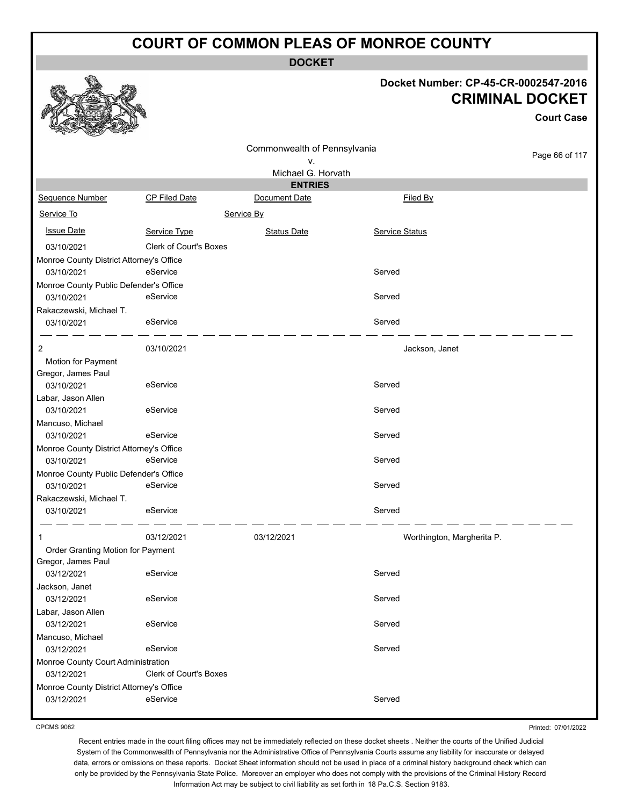**DOCKET**

#### **Docket Number: CP-45-CR-0002547-2016 CRIMINAL DOCKET**

**Court Case**

|                                          |                               |                              |                            | υυμιι υασσ     |
|------------------------------------------|-------------------------------|------------------------------|----------------------------|----------------|
|                                          |                               | Commonwealth of Pennsylvania |                            |                |
|                                          |                               | ٧.                           |                            | Page 66 of 117 |
|                                          |                               | Michael G. Horvath           |                            |                |
|                                          |                               | <b>ENTRIES</b>               |                            |                |
| Sequence Number                          | CP Filed Date                 | Document Date                | Filed By                   |                |
| Service To                               |                               | Service By                   |                            |                |
| <b>Issue Date</b>                        | Service Type                  | <b>Status Date</b>           | Service Status             |                |
| 03/10/2021                               | <b>Clerk of Court's Boxes</b> |                              |                            |                |
| Monroe County District Attorney's Office |                               |                              |                            |                |
| 03/10/2021                               | eService                      |                              | Served                     |                |
| Monroe County Public Defender's Office   |                               |                              |                            |                |
| 03/10/2021                               | eService                      |                              | Served                     |                |
| Rakaczewski, Michael T.                  |                               |                              |                            |                |
| 03/10/2021                               | eService                      |                              | Served                     |                |
| 2                                        | 03/10/2021                    |                              | Jackson, Janet             |                |
| Motion for Payment                       |                               |                              |                            |                |
| Gregor, James Paul                       |                               |                              |                            |                |
| 03/10/2021                               | eService                      |                              | Served                     |                |
| Labar, Jason Allen                       |                               |                              |                            |                |
| 03/10/2021                               | eService                      |                              | Served                     |                |
| Mancuso, Michael                         |                               |                              |                            |                |
| 03/10/2021                               | eService                      |                              | Served                     |                |
| Monroe County District Attorney's Office |                               |                              |                            |                |
| 03/10/2021                               | eService                      |                              | Served                     |                |
| Monroe County Public Defender's Office   |                               |                              |                            |                |
| 03/10/2021                               | eService                      |                              | Served                     |                |
| Rakaczewski, Michael T.                  |                               |                              |                            |                |
| 03/10/2021                               | eService                      |                              | Served                     |                |
|                                          |                               |                              |                            |                |
| 1                                        | 03/12/2021                    | 03/12/2021                   | Worthington, Margherita P. |                |
| Order Granting Motion for Payment        |                               |                              |                            |                |
| Gregor, James Paul                       |                               |                              |                            |                |
| 03/12/2021                               | eService                      |                              | Served                     |                |
| Jackson, Janet                           |                               |                              |                            |                |
| 03/12/2021                               | eService                      |                              | Served                     |                |
| Labar, Jason Allen                       |                               |                              |                            |                |
| 03/12/2021                               | eService                      |                              | Served                     |                |
| Mancuso, Michael                         |                               |                              |                            |                |
| 03/12/2021                               | eService                      |                              | Served                     |                |
| Monroe County Court Administration       |                               |                              |                            |                |
| 03/12/2021                               | Clerk of Court's Boxes        |                              |                            |                |
| Monroe County District Attorney's Office |                               |                              |                            |                |
| 03/12/2021                               | eService                      |                              | Served                     |                |

CPCMS 9082

Printed: 07/01/2022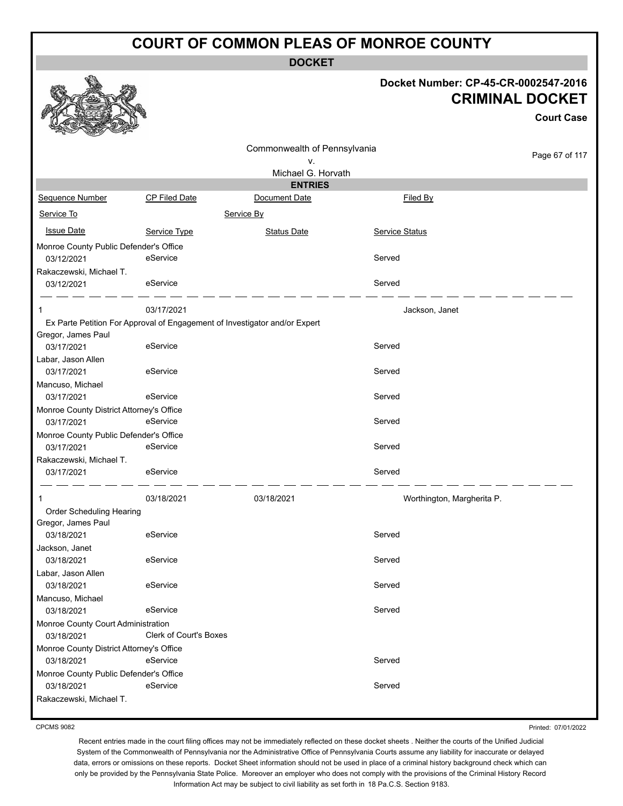**DOCKET**

#### **Docket Number: CP-45-CR-0002547-2016 CRIMINAL DOCKET**

|                                                  |                        |                                                                            |                            | <b>Court Case</b> |
|--------------------------------------------------|------------------------|----------------------------------------------------------------------------|----------------------------|-------------------|
|                                                  |                        | Commonwealth of Pennsylvania                                               |                            | Page 67 of 117    |
|                                                  |                        | v.                                                                         |                            |                   |
|                                                  |                        | Michael G. Horvath<br><b>ENTRIES</b>                                       |                            |                   |
| Sequence Number                                  | CP Filed Date          | Document Date                                                              | Filed By                   |                   |
|                                                  |                        |                                                                            |                            |                   |
| Service To                                       |                        | Service By                                                                 |                            |                   |
| <b>Issue Date</b>                                | Service Type           | <b>Status Date</b>                                                         | <b>Service Status</b>      |                   |
| Monroe County Public Defender's Office           |                        |                                                                            |                            |                   |
| 03/12/2021                                       | eService               |                                                                            | Served                     |                   |
| Rakaczewski, Michael T.<br>03/12/2021            | eService               |                                                                            | Served                     |                   |
| 1                                                | 03/17/2021             |                                                                            | Jackson, Janet             |                   |
|                                                  |                        | Ex Parte Petition For Approval of Engagement of Investigator and/or Expert |                            |                   |
| Gregor, James Paul                               |                        |                                                                            |                            |                   |
| 03/17/2021                                       | eService               |                                                                            | Served                     |                   |
| Labar, Jason Allen<br>03/17/2021                 | eService               |                                                                            | Served                     |                   |
| Mancuso, Michael                                 |                        |                                                                            |                            |                   |
| 03/17/2021                                       | eService               |                                                                            | Served                     |                   |
| Monroe County District Attorney's Office         |                        |                                                                            |                            |                   |
| 03/17/2021                                       | eService               |                                                                            | Served                     |                   |
| Monroe County Public Defender's Office           |                        |                                                                            |                            |                   |
| 03/17/2021                                       | eService               |                                                                            | Served                     |                   |
| Rakaczewski, Michael T.                          |                        |                                                                            |                            |                   |
| 03/17/2021                                       | eService               |                                                                            | Served                     |                   |
|                                                  | 03/18/2021             | 03/18/2021                                                                 | Worthington, Margherita P. |                   |
| Order Scheduling Hearing                         |                        |                                                                            |                            |                   |
| Gregor, James Paul<br>03/18/2021                 | eService               |                                                                            | Served                     |                   |
| Jackson, Janet                                   |                        |                                                                            |                            |                   |
| 03/18/2021                                       | eService               |                                                                            | Served                     |                   |
| Labar, Jason Allen                               |                        |                                                                            |                            |                   |
| 03/18/2021                                       | eService               |                                                                            | Served                     |                   |
| Mancuso, Michael                                 |                        |                                                                            |                            |                   |
| 03/18/2021                                       | eService               |                                                                            | Served                     |                   |
| Monroe County Court Administration<br>03/18/2021 | Clerk of Court's Boxes |                                                                            |                            |                   |
| Monroe County District Attorney's Office         |                        |                                                                            |                            |                   |
| 03/18/2021                                       | eService               |                                                                            | Served                     |                   |
| Monroe County Public Defender's Office           |                        |                                                                            |                            |                   |
| 03/18/2021                                       | eService               |                                                                            | Served                     |                   |
| Rakaczewski, Michael T.                          |                        |                                                                            |                            |                   |

CPCMS 9082

Printed: 07/01/2022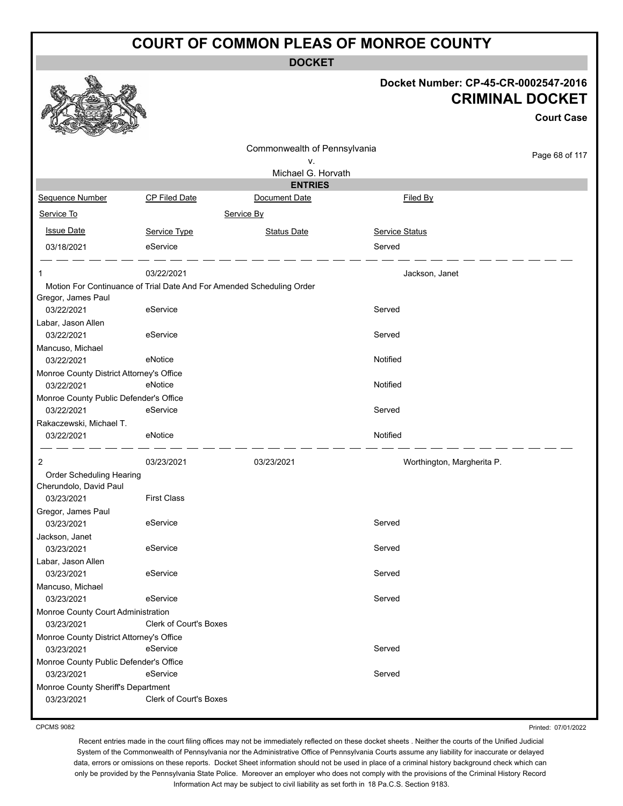**DOCKET**

#### **Docket Number: CP-45-CR-0002547-2016 CRIMINAL DOCKET**

**Court Case**

|                                          |                                                                       | Commonwealth of Pennsylvania |                            |                |
|------------------------------------------|-----------------------------------------------------------------------|------------------------------|----------------------------|----------------|
|                                          |                                                                       | ۷.                           |                            | Page 68 of 117 |
|                                          |                                                                       | Michael G. Horvath           |                            |                |
|                                          |                                                                       | <b>ENTRIES</b>               |                            |                |
| Sequence Number                          | <b>CP Filed Date</b>                                                  | Document Date                | <b>Filed By</b>            |                |
| Service To                               |                                                                       | Service By                   |                            |                |
| <b>Issue Date</b>                        | Service Type                                                          | <b>Status Date</b>           | <b>Service Status</b>      |                |
| 03/18/2021                               | eService                                                              |                              | Served                     |                |
| 1                                        | 03/22/2021                                                            |                              | Jackson, Janet             |                |
|                                          | Motion For Continuance of Trial Date And For Amended Scheduling Order |                              |                            |                |
| Gregor, James Paul                       |                                                                       |                              |                            |                |
| 03/22/2021                               | eService                                                              |                              | Served                     |                |
| Labar, Jason Allen                       |                                                                       |                              |                            |                |
| 03/22/2021                               | eService                                                              |                              | Served                     |                |
| Mancuso, Michael                         |                                                                       |                              |                            |                |
| 03/22/2021                               | eNotice                                                               |                              | Notified                   |                |
| Monroe County District Attorney's Office |                                                                       |                              |                            |                |
| 03/22/2021                               | eNotice                                                               |                              | Notified                   |                |
| Monroe County Public Defender's Office   |                                                                       |                              |                            |                |
| 03/22/2021                               | eService                                                              |                              | Served                     |                |
| Rakaczewski, Michael T.                  |                                                                       |                              |                            |                |
| 03/22/2021                               | eNotice                                                               |                              | Notified                   |                |
| 2                                        | 03/23/2021                                                            | 03/23/2021                   | Worthington, Margherita P. |                |
| Order Scheduling Hearing                 |                                                                       |                              |                            |                |
| Cherundolo, David Paul                   |                                                                       |                              |                            |                |
| 03/23/2021                               | <b>First Class</b>                                                    |                              |                            |                |
| Gregor, James Paul                       |                                                                       |                              |                            |                |
| 03/23/2021                               | eService                                                              |                              | Served                     |                |
| Jackson, Janet                           |                                                                       |                              |                            |                |
| 03/23/2021                               | eService                                                              |                              | Served                     |                |
| Labar, Jason Allen                       |                                                                       |                              |                            |                |
| 03/23/2021                               | eService                                                              |                              | Served                     |                |
| Mancuso, Michael                         |                                                                       |                              |                            |                |
| 03/23/2021                               | eService                                                              |                              | Served                     |                |
| Monroe County Court Administration       |                                                                       |                              |                            |                |
| 03/23/2021                               | Clerk of Court's Boxes                                                |                              |                            |                |
| Monroe County District Attorney's Office |                                                                       |                              |                            |                |
| 03/23/2021                               | eService                                                              |                              | Served                     |                |
| Monroe County Public Defender's Office   |                                                                       |                              |                            |                |
| 03/23/2021                               | eService                                                              |                              | Served                     |                |
| Monroe County Sheriff's Department       |                                                                       |                              |                            |                |
| 03/23/2021                               | <b>Clerk of Court's Boxes</b>                                         |                              |                            |                |
|                                          |                                                                       |                              |                            |                |

CPCMS 9082

Printed: 07/01/2022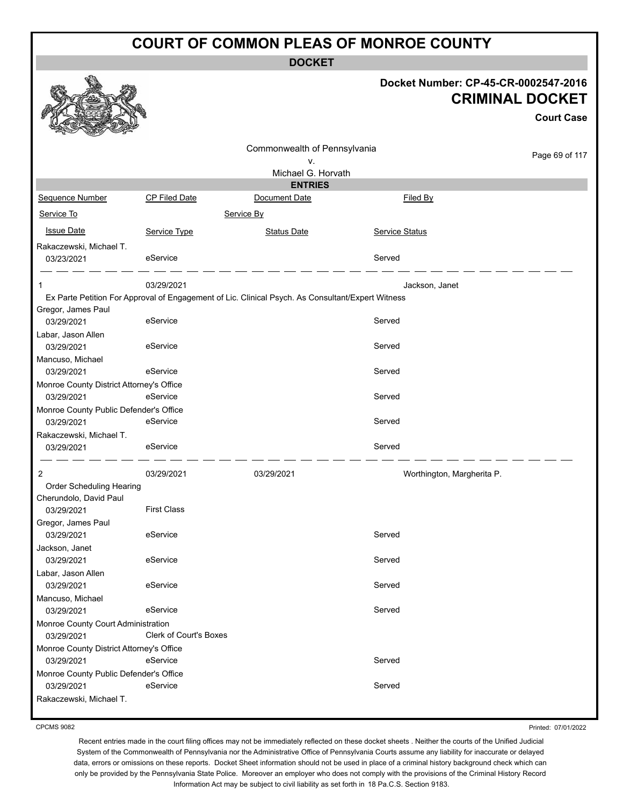**DOCKET**

| Docket Number: CP-45-CR-0002547-2016 |  |
|--------------------------------------|--|
| <b>CRIMINAL DOCKET</b>               |  |

**Court Case**

|                                                        |                        |                                                                                                   |                            | <b>Court Case</b> |
|--------------------------------------------------------|------------------------|---------------------------------------------------------------------------------------------------|----------------------------|-------------------|
|                                                        |                        | Commonwealth of Pennsylvania<br>۷.                                                                |                            | Page 69 of 117    |
|                                                        |                        | Michael G. Horvath                                                                                |                            |                   |
|                                                        |                        | <b>ENTRIES</b>                                                                                    |                            |                   |
| Sequence Number                                        | <b>CP Filed Date</b>   | Document Date                                                                                     | Filed By                   |                   |
| Service To                                             |                        | Service By                                                                                        |                            |                   |
| <b>Issue Date</b>                                      | Service Type           | <b>Status Date</b>                                                                                | <b>Service Status</b>      |                   |
| Rakaczewski, Michael T.<br>03/23/2021                  | eService               |                                                                                                   | Served                     |                   |
| -1                                                     | 03/29/2021             |                                                                                                   | Jackson, Janet             |                   |
| Gregor, James Paul                                     |                        | Ex Parte Petition For Approval of Engagement of Lic. Clinical Psych. As Consultant/Expert Witness |                            |                   |
| 03/29/2021                                             | eService               |                                                                                                   | Served                     |                   |
| Labar, Jason Allen                                     |                        |                                                                                                   |                            |                   |
| 03/29/2021<br>Mancuso, Michael                         | eService               |                                                                                                   | Served                     |                   |
| 03/29/2021                                             | eService               |                                                                                                   | Served                     |                   |
| Monroe County District Attorney's Office<br>03/29/2021 | eService               |                                                                                                   | Served                     |                   |
| Monroe County Public Defender's Office                 |                        |                                                                                                   |                            |                   |
| 03/29/2021                                             | eService               |                                                                                                   | Served                     |                   |
| Rakaczewski, Michael T.                                |                        |                                                                                                   |                            |                   |
| 03/29/2021                                             | eService               |                                                                                                   | Served                     |                   |
| 2                                                      | 03/29/2021             | 03/29/2021                                                                                        | Worthington, Margherita P. |                   |
| Order Scheduling Hearing<br>Cherundolo, David Paul     |                        |                                                                                                   |                            |                   |
| 03/29/2021                                             | <b>First Class</b>     |                                                                                                   |                            |                   |
| Gregor, James Paul                                     |                        |                                                                                                   |                            |                   |
| 03/29/2021                                             | eService               |                                                                                                   | Served                     |                   |
| Jackson, Janet<br>03/29/2021                           | eService               |                                                                                                   | Served                     |                   |
| Labar, Jason Allen                                     |                        |                                                                                                   |                            |                   |
| 03/29/2021                                             | eService               |                                                                                                   | Served                     |                   |
| Mancuso, Michael<br>03/29/2021                         | eService               |                                                                                                   | Served                     |                   |
| Monroe County Court Administration<br>03/29/2021       | Clerk of Court's Boxes |                                                                                                   |                            |                   |
| Monroe County District Attorney's Office               |                        |                                                                                                   |                            |                   |
| 03/29/2021                                             | eService               |                                                                                                   | Served                     |                   |
| Monroe County Public Defender's Office                 | eService               |                                                                                                   | Served                     |                   |
| 03/29/2021<br>Rakaczewski, Michael T.                  |                        |                                                                                                   |                            |                   |
|                                                        |                        |                                                                                                   |                            |                   |

CPCMS 9082

Printed: 07/01/2022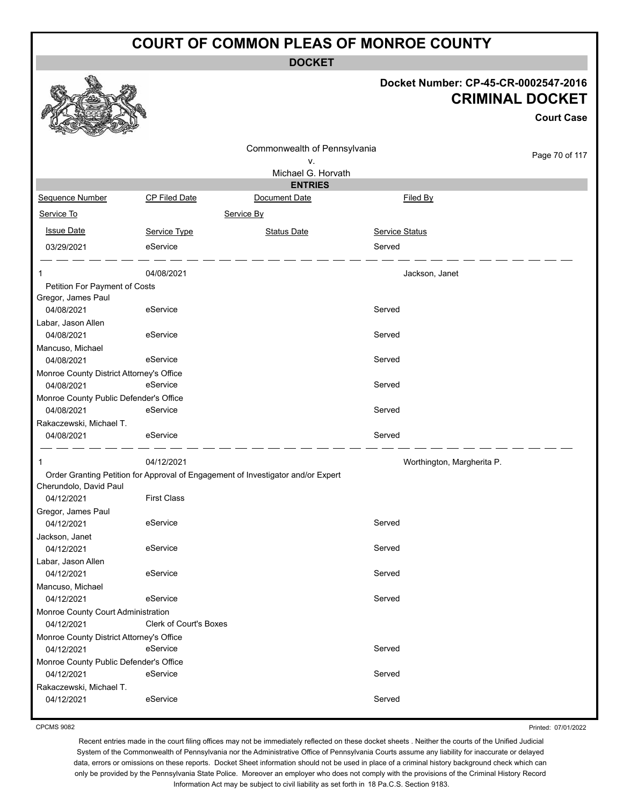**DOCKET**

#### **Docket Number: CP-45-CR-0002547-2016 CRIMINAL DOCKET**

**Court Case**

|                                          |                        | Commonwealth of Pennsylvania                                                     |                |                            |
|------------------------------------------|------------------------|----------------------------------------------------------------------------------|----------------|----------------------------|
|                                          |                        | ۷.                                                                               |                | Page 70 of 117             |
|                                          |                        | Michael G. Horvath                                                               |                |                            |
|                                          |                        | <b>ENTRIES</b>                                                                   |                |                            |
| Sequence Number                          | <b>CP Filed Date</b>   | Document Date                                                                    | Filed By       |                            |
| Service To                               |                        | Service By                                                                       |                |                            |
| <b>Issue Date</b>                        | Service Type           | <b>Status Date</b>                                                               | Service Status |                            |
| 03/29/2021                               | eService               |                                                                                  | Served         |                            |
| 1                                        | 04/08/2021             |                                                                                  | Jackson, Janet |                            |
| Petition For Payment of Costs            |                        |                                                                                  |                |                            |
| Gregor, James Paul                       |                        |                                                                                  |                |                            |
| 04/08/2021                               | eService               |                                                                                  | Served         |                            |
| Labar, Jason Allen                       |                        |                                                                                  |                |                            |
| 04/08/2021                               | eService               |                                                                                  | Served         |                            |
| Mancuso, Michael                         |                        |                                                                                  |                |                            |
| 04/08/2021                               | eService               |                                                                                  | Served         |                            |
| Monroe County District Attorney's Office |                        |                                                                                  |                |                            |
| 04/08/2021                               | eService               |                                                                                  | Served         |                            |
| Monroe County Public Defender's Office   |                        |                                                                                  |                |                            |
| 04/08/2021                               | eService               |                                                                                  | Served         |                            |
| Rakaczewski, Michael T.<br>04/08/2021    | eService               |                                                                                  | Served         |                            |
| 1                                        | 04/12/2021             |                                                                                  |                | Worthington, Margherita P. |
|                                          |                        | Order Granting Petition for Approval of Engagement of Investigator and/or Expert |                |                            |
| Cherundolo, David Paul                   |                        |                                                                                  |                |                            |
| 04/12/2021                               | <b>First Class</b>     |                                                                                  |                |                            |
| Gregor, James Paul                       |                        |                                                                                  |                |                            |
| 04/12/2021                               | eService               |                                                                                  | Served         |                            |
| Jackson, Janet                           |                        |                                                                                  |                |                            |
| 04/12/2021                               | eService               |                                                                                  | Served         |                            |
| Labar, Jason Allen                       |                        |                                                                                  |                |                            |
| 04/12/2021                               | eService               |                                                                                  | Served         |                            |
| Mancuso, Michael                         |                        |                                                                                  |                |                            |
| 04/12/2021                               | eService               |                                                                                  | Served         |                            |
| Monroe County Court Administration       |                        |                                                                                  |                |                            |
| 04/12/2021                               | Clerk of Court's Boxes |                                                                                  |                |                            |
| Monroe County District Attorney's Office |                        |                                                                                  |                |                            |
| 04/12/2021                               | eService               |                                                                                  | Served         |                            |
| Monroe County Public Defender's Office   |                        |                                                                                  |                |                            |
| 04/12/2021                               | eService               |                                                                                  | Served         |                            |
| Rakaczewski, Michael T.                  |                        |                                                                                  |                |                            |
| 04/12/2021                               | eService               |                                                                                  | Served         |                            |

CPCMS 9082

Printed: 07/01/2022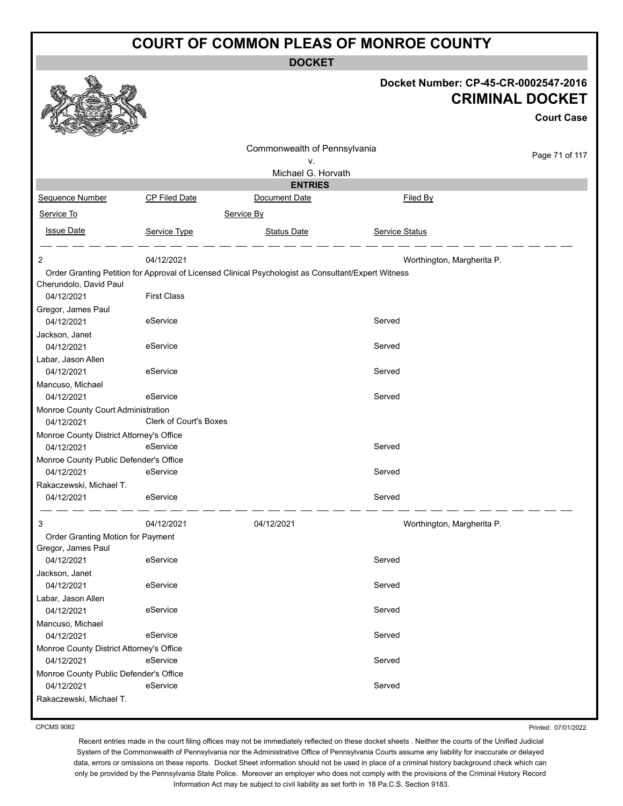**DOCKET**

|                                                        |                        |                                                                                                     |                            | Docket Number: CP-45-CR-0002547-2016<br><b>CRIMINAL DOCKET</b><br><b>Court Case</b> |
|--------------------------------------------------------|------------------------|-----------------------------------------------------------------------------------------------------|----------------------------|-------------------------------------------------------------------------------------|
|                                                        |                        | Commonwealth of Pennsylvania                                                                        |                            | Page 71 of 117                                                                      |
|                                                        |                        | ν.                                                                                                  |                            |                                                                                     |
|                                                        |                        | Michael G. Horvath                                                                                  |                            |                                                                                     |
| Sequence Number                                        | <b>CP Filed Date</b>   | <b>ENTRIES</b><br>Document Date                                                                     |                            |                                                                                     |
|                                                        |                        |                                                                                                     | Filed By                   |                                                                                     |
| Service To                                             |                        | Service By                                                                                          |                            |                                                                                     |
| <b>Issue Date</b>                                      | Service Type           | <b>Status Date</b>                                                                                  | <b>Service Status</b>      |                                                                                     |
| 2                                                      | 04/12/2021             |                                                                                                     | Worthington, Margherita P. |                                                                                     |
|                                                        |                        | Order Granting Petition for Approval of Licensed Clinical Psychologist as Consultant/Expert Witness |                            |                                                                                     |
| Cherundolo, David Paul                                 |                        |                                                                                                     |                            |                                                                                     |
| 04/12/2021                                             | <b>First Class</b>     |                                                                                                     |                            |                                                                                     |
| Gregor, James Paul                                     |                        |                                                                                                     |                            |                                                                                     |
| 04/12/2021                                             | eService               |                                                                                                     | Served                     |                                                                                     |
| Jackson, Janet                                         |                        |                                                                                                     |                            |                                                                                     |
| 04/12/2021                                             | eService               |                                                                                                     | Served                     |                                                                                     |
| Labar, Jason Allen                                     |                        |                                                                                                     |                            |                                                                                     |
| 04/12/2021                                             | eService               |                                                                                                     | Served                     |                                                                                     |
| Mancuso, Michael                                       |                        |                                                                                                     |                            |                                                                                     |
| 04/12/2021                                             | eService               |                                                                                                     | Served                     |                                                                                     |
| Monroe County Court Administration                     | Clerk of Court's Boxes |                                                                                                     |                            |                                                                                     |
| 04/12/2021                                             |                        |                                                                                                     |                            |                                                                                     |
| Monroe County District Attorney's Office<br>04/12/2021 | eService               |                                                                                                     | Served                     |                                                                                     |
|                                                        |                        |                                                                                                     |                            |                                                                                     |
| Monroe County Public Defender's Office<br>04/12/2021   | eService               |                                                                                                     | Served                     |                                                                                     |
| Rakaczewski, Michael T.                                |                        |                                                                                                     |                            |                                                                                     |
| 04/12/2021                                             | eService               |                                                                                                     | Served                     |                                                                                     |
|                                                        |                        |                                                                                                     |                            |                                                                                     |
|                                                        | 04/12/2021             | 04/12/2021                                                                                          | Worthington, Margherita P. |                                                                                     |
| Order Granting Motion for Payment                      |                        |                                                                                                     |                            |                                                                                     |
| Gregor, James Paul                                     |                        |                                                                                                     |                            |                                                                                     |
| 04/12/2021                                             | eService               |                                                                                                     | Served                     |                                                                                     |
| Jackson, Janet                                         |                        |                                                                                                     |                            |                                                                                     |
| 04/12/2021                                             | eService               |                                                                                                     | Served                     |                                                                                     |
| Labar, Jason Allen                                     |                        |                                                                                                     |                            |                                                                                     |
| 04/12/2021                                             | eService               |                                                                                                     | Served                     |                                                                                     |
| Mancuso, Michael                                       |                        |                                                                                                     |                            |                                                                                     |
| 04/12/2021                                             | eService               |                                                                                                     | Served                     |                                                                                     |
| Monroe County District Attorney's Office               |                        |                                                                                                     |                            |                                                                                     |
| 04/12/2021                                             | eService               |                                                                                                     | Served                     |                                                                                     |
| Monroe County Public Defender's Office                 |                        |                                                                                                     |                            |                                                                                     |
| 04/12/2021                                             | eService               |                                                                                                     | Served                     |                                                                                     |
| Rakaczewski, Michael T.                                |                        |                                                                                                     |                            |                                                                                     |

CPCMS 9082

Printed: 07/01/2022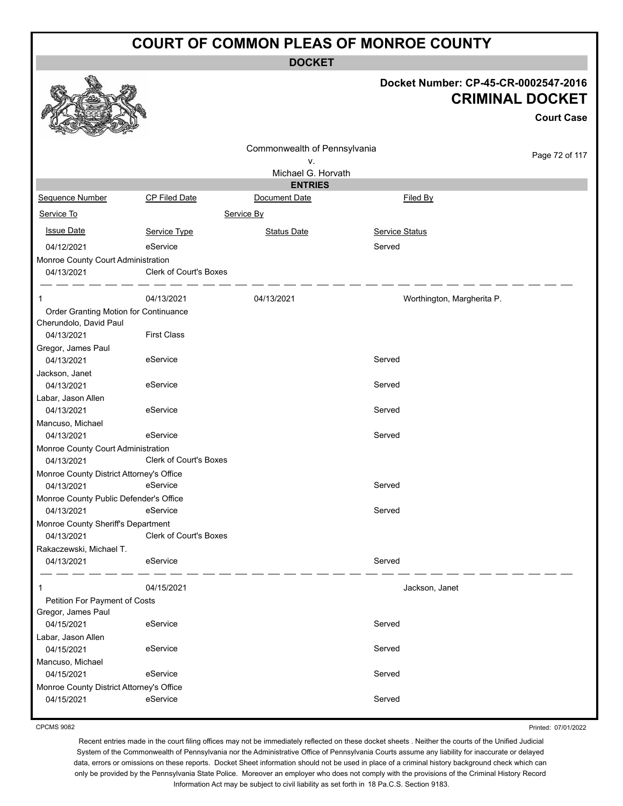|                                                                 |                        | <b>DOCKET</b>                        |                                      |                                             |
|-----------------------------------------------------------------|------------------------|--------------------------------------|--------------------------------------|---------------------------------------------|
|                                                                 |                        |                                      | Docket Number: CP-45-CR-0002547-2016 | <b>CRIMINAL DOCKET</b><br><b>Court Case</b> |
|                                                                 |                        | Commonwealth of Pennsylvania<br>ν.   |                                      | Page 72 of 117                              |
|                                                                 |                        | Michael G. Horvath<br><b>ENTRIES</b> |                                      |                                             |
| Sequence Number                                                 | CP Filed Date          | Document Date                        | Filed By                             |                                             |
| Service To                                                      |                        | Service By                           |                                      |                                             |
| <b>Issue Date</b>                                               | Service Type           | <b>Status Date</b>                   | Service Status                       |                                             |
| 04/12/2021                                                      | eService               |                                      | Served                               |                                             |
| Monroe County Court Administration                              |                        |                                      |                                      |                                             |
| 04/13/2021                                                      | Clerk of Court's Boxes |                                      |                                      |                                             |
| 1                                                               | 04/13/2021             | 04/13/2021                           | Worthington, Margherita P.           |                                             |
| Order Granting Motion for Continuance<br>Cherundolo, David Paul |                        |                                      |                                      |                                             |
| 04/13/2021                                                      | <b>First Class</b>     |                                      |                                      |                                             |
| Gregor, James Paul<br>04/13/2021                                | eService               |                                      | Served                               |                                             |
| Jackson, Janet                                                  |                        |                                      |                                      |                                             |
| 04/13/2021                                                      | eService               |                                      | Served                               |                                             |
| Labar, Jason Allen                                              |                        |                                      |                                      |                                             |
| 04/13/2021                                                      | eService               |                                      | Served                               |                                             |
| Mancuso, Michael                                                |                        |                                      |                                      |                                             |
| 04/13/2021                                                      | eService               |                                      | Served                               |                                             |
| Monroe County Court Administration                              |                        |                                      |                                      |                                             |
| 04/13/2021                                                      | Clerk of Court's Boxes |                                      |                                      |                                             |
| Monroe County District Attorney's Office                        |                        |                                      |                                      |                                             |
| 04/13/2021<br>Monroe County Public Defender's Office            | eService               |                                      | Served                               |                                             |
|                                                                 |                        |                                      |                                      |                                             |

Monroe County District 04/13/2021 Monroe County Public Defender's Office 04/13/2021 eService Served Monroe County Sheriff's Department 04/13/2021 Clerk of Court's Boxes Rakaczewski, Michael T. 04/13/2021 eService Served - - -1 04/15/2021 Jackson, Janet Petition For Payment of Costs Gregor, James Paul 04/15/2021 eService Served Labar, Jason Allen 04/15/2021 eService eService Served Mancuso, Michael 04/15/2021 eService Served Monroe County District Attorney's Office 04/15/2021 eService entertainment of the Served

CPCMS 9082

Printed: 07/01/2022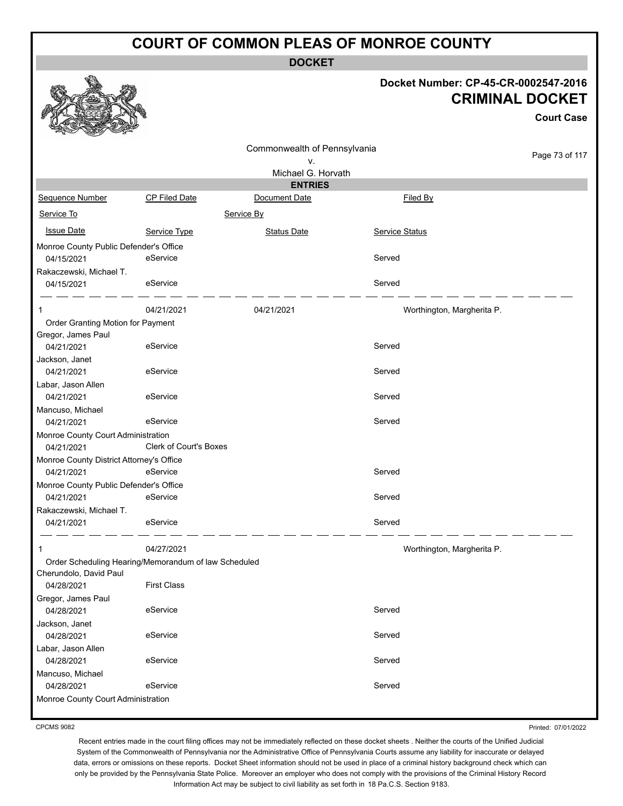**DOCKET**

### **Docket Number: CP-45-CR-0002547-2016 CRIMINAL DOCKET**

|                                                         |                               |                                 |                            | <b>Court Case</b> |
|---------------------------------------------------------|-------------------------------|---------------------------------|----------------------------|-------------------|
|                                                         |                               | Commonwealth of Pennsylvania    |                            |                   |
|                                                         |                               | ٧.                              |                            | Page 73 of 117    |
|                                                         |                               | Michael G. Horvath              |                            |                   |
| Sequence Number                                         | <b>CP Filed Date</b>          | <b>ENTRIES</b><br>Document Date | Filed By                   |                   |
|                                                         |                               |                                 |                            |                   |
| Service To                                              |                               | Service By                      |                            |                   |
| <b>Issue Date</b>                                       | Service Type                  | <b>Status Date</b>              | Service Status             |                   |
| Monroe County Public Defender's Office<br>04/15/2021    | eService                      |                                 | Served                     |                   |
| Rakaczewski, Michael T.<br>04/15/2021                   | eService                      |                                 | Served                     |                   |
| 1                                                       | 04/21/2021                    | 04/21/2021                      | Worthington, Margherita P. |                   |
| Order Granting Motion for Payment<br>Gregor, James Paul |                               |                                 |                            |                   |
| 04/21/2021                                              | eService                      |                                 | Served                     |                   |
| Jackson, Janet                                          |                               |                                 |                            |                   |
| 04/21/2021                                              | eService                      |                                 | Served                     |                   |
| Labar, Jason Allen                                      |                               |                                 | Served                     |                   |
| 04/21/2021<br>Mancuso, Michael                          | eService                      |                                 |                            |                   |
| 04/21/2021                                              | eService                      |                                 | Served                     |                   |
| Monroe County Court Administration                      |                               |                                 |                            |                   |
| 04/21/2021                                              | <b>Clerk of Court's Boxes</b> |                                 |                            |                   |
| Monroe County District Attorney's Office<br>04/21/2021  | eService                      |                                 | Served                     |                   |
| Monroe County Public Defender's Office                  |                               |                                 |                            |                   |
| 04/21/2021                                              | eService                      |                                 | Served                     |                   |
| Rakaczewski, Michael T.                                 |                               |                                 |                            |                   |
| 04/21/2021                                              | eService                      |                                 | Served                     |                   |
| 1                                                       | 04/27/2021                    |                                 | Worthington, Margherita P. |                   |
| Order Scheduling Hearing/Memorandum of law Scheduled    |                               |                                 |                            |                   |
| Cherundolo, David Paul<br>04/28/2021                    | <b>First Class</b>            |                                 |                            |                   |
| Gregor, James Paul                                      |                               |                                 |                            |                   |
| 04/28/2021                                              | eService                      |                                 | Served                     |                   |
| Jackson, Janet                                          |                               |                                 |                            |                   |
| 04/28/2021                                              | eService                      |                                 | Served                     |                   |
| Labar, Jason Allen                                      |                               |                                 |                            |                   |
| 04/28/2021<br>Mancuso, Michael                          | eService                      |                                 | Served                     |                   |
| 04/28/2021                                              | eService                      |                                 | Served                     |                   |
| Monroe County Court Administration                      |                               |                                 |                            |                   |
|                                                         |                               |                                 |                            |                   |

CPCMS 9082

Printed: 07/01/2022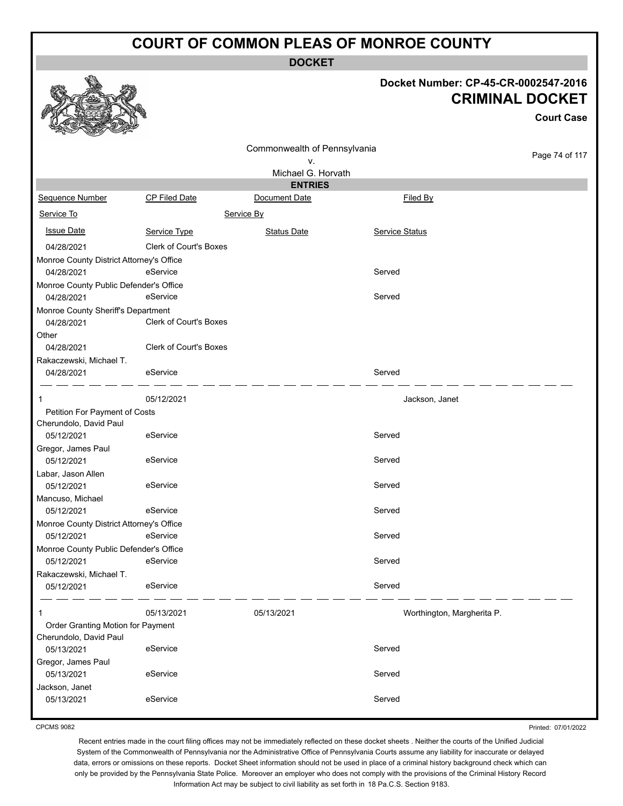**DOCKET**

### **Docket Number: CP-45-CR-0002547-2016 CRIMINAL DOCKET**

|                                          |                        |                              |                            | ШШТАР Р<br>ັ<br>vı |
|------------------------------------------|------------------------|------------------------------|----------------------------|--------------------|
|                                          |                        |                              |                            | <b>Court Case</b>  |
|                                          |                        | Commonwealth of Pennsylvania |                            |                    |
|                                          |                        | ν.                           |                            | Page 74 of 117     |
|                                          |                        | Michael G. Horvath           |                            |                    |
|                                          |                        | <b>ENTRIES</b>               |                            |                    |
| Sequence Number                          | CP Filed Date          | Document Date                | Filed By                   |                    |
| Service To                               |                        | Service By                   |                            |                    |
| <b>Issue Date</b>                        | Service Type           | <b>Status Date</b>           | Service Status             |                    |
| 04/28/2021                               | Clerk of Court's Boxes |                              |                            |                    |
| Monroe County District Attorney's Office |                        |                              |                            |                    |
| 04/28/2021                               | eService               |                              | Served                     |                    |
| Monroe County Public Defender's Office   |                        |                              |                            |                    |
| 04/28/2021                               | eService               |                              | Served                     |                    |
| Monroe County Sheriff's Department       |                        |                              |                            |                    |
| 04/28/2021                               | Clerk of Court's Boxes |                              |                            |                    |
| Other                                    |                        |                              |                            |                    |
| 04/28/2021                               | Clerk of Court's Boxes |                              |                            |                    |
| Rakaczewski, Michael T.                  |                        |                              |                            |                    |
| 04/28/2021                               | eService               |                              | Served                     |                    |
| $\mathbf 1$                              | 05/12/2021             |                              | Jackson, Janet             |                    |
| Petition For Payment of Costs            |                        |                              |                            |                    |
| Cherundolo, David Paul                   |                        |                              |                            |                    |
| 05/12/2021                               | eService               |                              | Served                     |                    |
| Gregor, James Paul                       |                        |                              |                            |                    |
| 05/12/2021                               | eService               |                              | Served                     |                    |
| Labar, Jason Allen                       |                        |                              |                            |                    |
| 05/12/2021                               | eService               |                              | Served                     |                    |
| Mancuso, Michael                         |                        |                              |                            |                    |
| 05/12/2021                               | eService               |                              | Served                     |                    |
| Monroe County District Attorney's Office |                        |                              |                            |                    |
| 05/12/2021                               | eService               |                              | Served                     |                    |
| Monroe County Public Defender's Office   |                        |                              |                            |                    |
| 05/12/2021                               | eService               |                              | Served                     |                    |
| Rakaczewski, Michael T.                  |                        |                              |                            |                    |
| 05/12/2021                               | eService               |                              | Served                     |                    |
| 1                                        | 05/13/2021             | 05/13/2021                   | Worthington, Margherita P. |                    |
| Order Granting Motion for Payment        |                        |                              |                            |                    |
| Cherundolo, David Paul                   |                        |                              |                            |                    |
| 05/13/2021                               | eService               |                              | Served                     |                    |
| Gregor, James Paul                       |                        |                              |                            |                    |
| 05/13/2021                               | eService               |                              | Served                     |                    |
| Jackson, Janet                           |                        |                              |                            |                    |
| 05/13/2021                               | eService               |                              | Served                     |                    |
|                                          |                        |                              |                            |                    |

CPCMS 9082

Printed: 07/01/2022

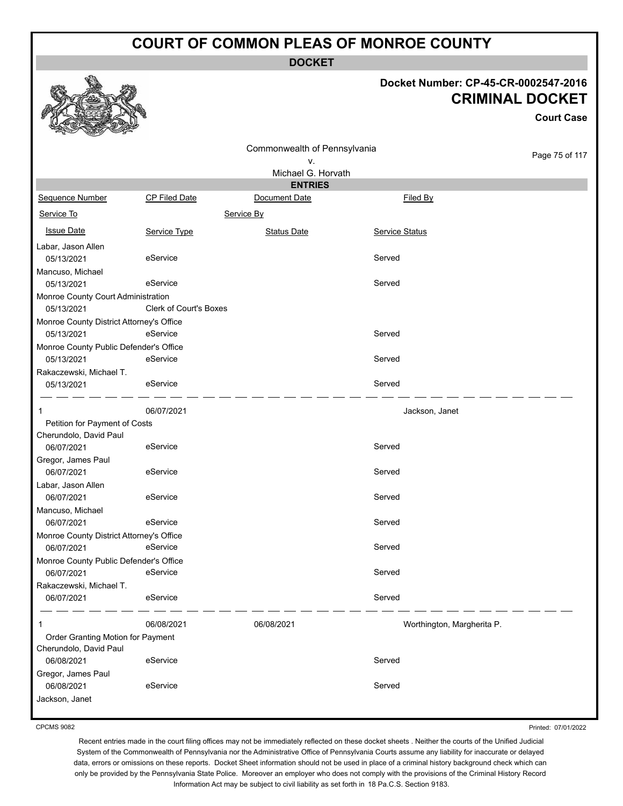**DOCKET**

### **Docket Number: CP-45-CR-0002547-2016 CRIMINAL DOCKET**

**Court Case**

|                                          |                        | Commonwealth of Pennsylvania |                            |                |
|------------------------------------------|------------------------|------------------------------|----------------------------|----------------|
|                                          |                        | ۷.                           |                            | Page 75 of 117 |
|                                          |                        | Michael G. Horvath           |                            |                |
|                                          |                        | <b>ENTRIES</b>               |                            |                |
| Sequence Number                          | <b>CP Filed Date</b>   | Document Date                | Filed By                   |                |
| Service To                               |                        | Service By                   |                            |                |
| <b>Issue Date</b>                        | Service Type           | <b>Status Date</b>           | Service Status             |                |
| Labar, Jason Allen                       |                        |                              |                            |                |
| 05/13/2021                               | eService               |                              | Served                     |                |
| Mancuso, Michael                         |                        |                              |                            |                |
| 05/13/2021                               | eService               |                              | Served                     |                |
| Monroe County Court Administration       |                        |                              |                            |                |
| 05/13/2021                               | Clerk of Court's Boxes |                              |                            |                |
| Monroe County District Attorney's Office |                        |                              |                            |                |
| 05/13/2021                               | eService               |                              | Served                     |                |
| Monroe County Public Defender's Office   |                        |                              |                            |                |
| 05/13/2021                               | eService               |                              | Served                     |                |
| Rakaczewski, Michael T.                  |                        |                              |                            |                |
| 05/13/2021                               | eService               |                              | Served                     |                |
| 1                                        | 06/07/2021             |                              | Jackson, Janet             |                |
| Petition for Payment of Costs            |                        |                              |                            |                |
| Cherundolo, David Paul                   |                        |                              |                            |                |
| 06/07/2021                               | eService               |                              | Served                     |                |
| Gregor, James Paul                       |                        |                              |                            |                |
| 06/07/2021                               | eService               |                              | Served                     |                |
| Labar, Jason Allen<br>06/07/2021         | eService               |                              | Served                     |                |
|                                          |                        |                              |                            |                |
| Mancuso, Michael<br>06/07/2021           | eService               |                              | Served                     |                |
| Monroe County District Attorney's Office |                        |                              |                            |                |
| 06/07/2021                               | eService               |                              | Served                     |                |
| Monroe County Public Defender's Office   |                        |                              |                            |                |
| 06/07/2021                               | eService               |                              | Served                     |                |
| Rakaczewski, Michael T.                  |                        |                              |                            |                |
| 06/07/2021                               | eService               |                              | Served                     |                |
| 1                                        | 06/08/2021             | 06/08/2021                   | Worthington, Margherita P. |                |
| Order Granting Motion for Payment        |                        |                              |                            |                |
| Cherundolo, David Paul                   |                        |                              |                            |                |
| 06/08/2021                               | eService               |                              | Served                     |                |
| Gregor, James Paul                       |                        |                              |                            |                |
| 06/08/2021                               | eService               |                              | Served                     |                |
| Jackson, Janet                           |                        |                              |                            |                |
|                                          |                        |                              |                            |                |

CPCMS 9082

Printed: 07/01/2022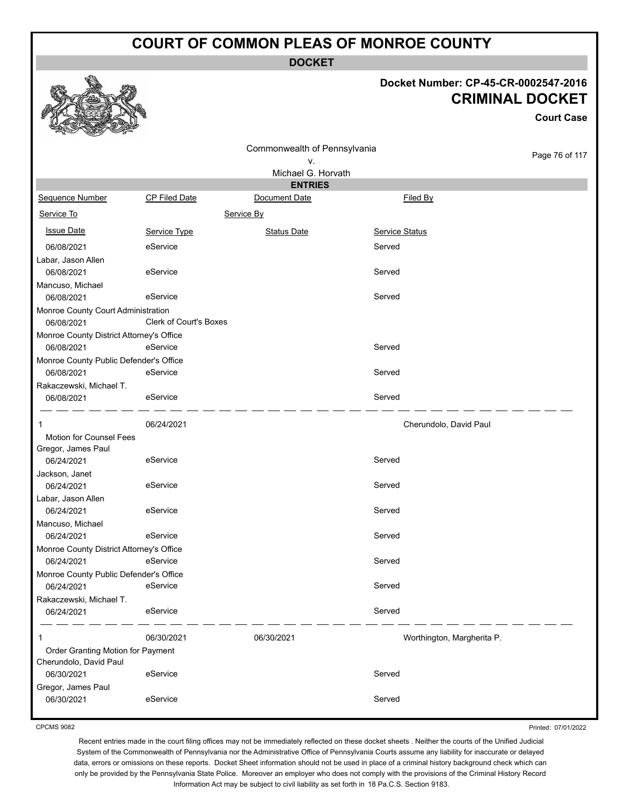**DOCKET**

### **Docket Number: CP-45-CR-0002547-2016 CRIMINAL DOCKET**

**Court Case**

#### Page 76 of 117 Commonwealth of Pennsylvania v. Michael G. Horvath **ENTRIES** Sequence Number CP Filed Date Document Date **Document Date** Filed By Service To Service By **Issue Date Service Type** Service Type Status Date Service Status Date Service Status Service Status Date Service Status 06/08/2021 eService Served Labar, Jason Allen 06/08/2021 eService Served Mancuso, Michael 06/08/2021 eService eService Served Monroe County Court Administration 06/08/2021 Clerk of Court's Boxes Monroe County District Attorney's Office 06/08/2021 eService Served Monroe County Public Defender's Office 06/08/2021 eService Served Rakaczewski, Michael T. 06/08/2021 eService Served 1 06/24/2021 Cherundolo, David Paul Motion for Counsel Fees Gregor, James Paul 06/24/2021 eService Served Jackson, Janet 06/24/2021 eService Served Labar, Jason Allen 06/24/2021 eService Served Mancuso, Michael 06/24/2021 eService entertainment of the Served Monroe County District Attorney's Office 06/24/2021 eService Served Monroe County Public Defender's Office 06/24/2021 eService Served Rakaczewski, Michael T. 06/24/2021 eService Served 1 06/30/2021 06/30/2021 Worthington, Margherita P. Order Granting Motion for Payment Cherundolo, David Paul 06/30/2021 eService Served Gregor, James Paul 06/30/2021 eService Served

CPCMS 9082

Printed: 07/01/2022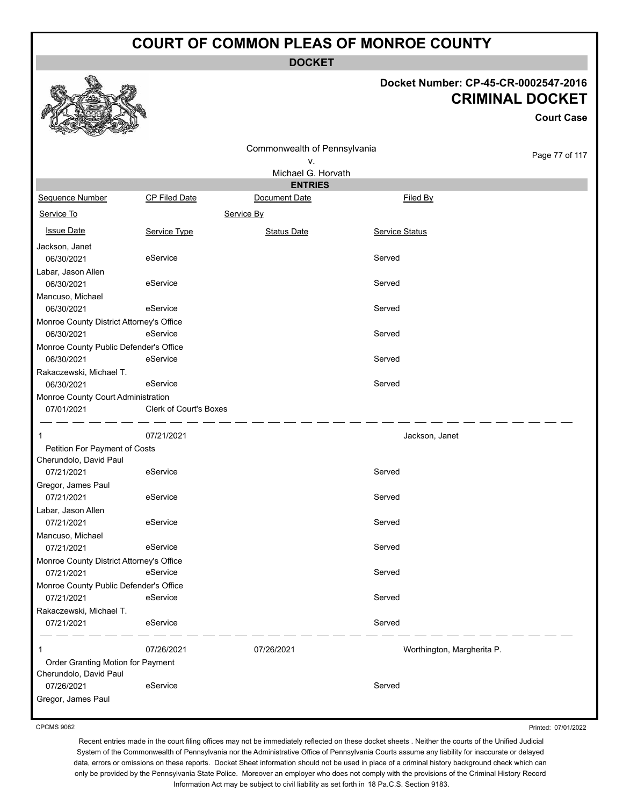**DOCKET**

### **Docket Number: CP-45-CR-0002547-2016 CRIMINAL DOCKET**

**Court Case**

|                                          |                               | Commonwealth of Pennsylvania |                            |                |
|------------------------------------------|-------------------------------|------------------------------|----------------------------|----------------|
|                                          |                               | ۷.                           |                            | Page 77 of 117 |
|                                          |                               | Michael G. Horvath           |                            |                |
|                                          |                               | <b>ENTRIES</b>               |                            |                |
| <b>Sequence Number</b>                   | <b>CP Filed Date</b>          | Document Date                | Filed By                   |                |
| Service To                               |                               | Service By                   |                            |                |
| <b>Issue Date</b>                        | Service Type                  | <b>Status Date</b>           | Service Status             |                |
| Jackson, Janet                           |                               |                              |                            |                |
| 06/30/2021                               | eService                      |                              | Served                     |                |
| Labar, Jason Allen                       |                               |                              |                            |                |
| 06/30/2021                               | eService                      |                              | Served                     |                |
| Mancuso, Michael                         |                               |                              |                            |                |
| 06/30/2021                               | eService                      |                              | Served                     |                |
| Monroe County District Attorney's Office |                               |                              |                            |                |
| 06/30/2021                               | eService                      |                              | Served                     |                |
| Monroe County Public Defender's Office   |                               |                              |                            |                |
| 06/30/2021                               | eService                      |                              | Served                     |                |
| Rakaczewski, Michael T.                  |                               |                              |                            |                |
| 06/30/2021                               | eService                      |                              | Served                     |                |
| Monroe County Court Administration       |                               |                              |                            |                |
| 07/01/2021                               | <b>Clerk of Court's Boxes</b> |                              |                            |                |
| -1                                       | 07/21/2021                    |                              | Jackson, Janet             |                |
| Petition For Payment of Costs            |                               |                              |                            |                |
| Cherundolo, David Paul                   |                               |                              |                            |                |
| 07/21/2021                               | eService                      |                              | Served                     |                |
| Gregor, James Paul                       |                               |                              |                            |                |
| 07/21/2021                               | eService                      |                              | Served                     |                |
| Labar, Jason Allen                       |                               |                              |                            |                |
| 07/21/2021                               | eService                      |                              | Served                     |                |
| Mancuso, Michael                         |                               |                              |                            |                |
| 07/21/2021                               | eService                      |                              | Served                     |                |
| Monroe County District Attorney's Office |                               |                              |                            |                |
| 07/21/2021                               | eService                      |                              | Served                     |                |
| Monroe County Public Defender's Office   |                               |                              |                            |                |
| 07/21/2021                               | eService                      |                              | Served                     |                |
| Rakaczewski, Michael T.                  |                               |                              |                            |                |
| 07/21/2021                               | eService                      |                              | Served                     |                |
| 1                                        | 07/26/2021                    | 07/26/2021                   | Worthington, Margherita P. |                |
| Order Granting Motion for Payment        |                               |                              |                            |                |
| Cherundolo, David Paul                   |                               |                              |                            |                |
| 07/26/2021                               | eService                      |                              | Served                     |                |
| Gregor, James Paul                       |                               |                              |                            |                |

CPCMS 9082

Printed: 07/01/2022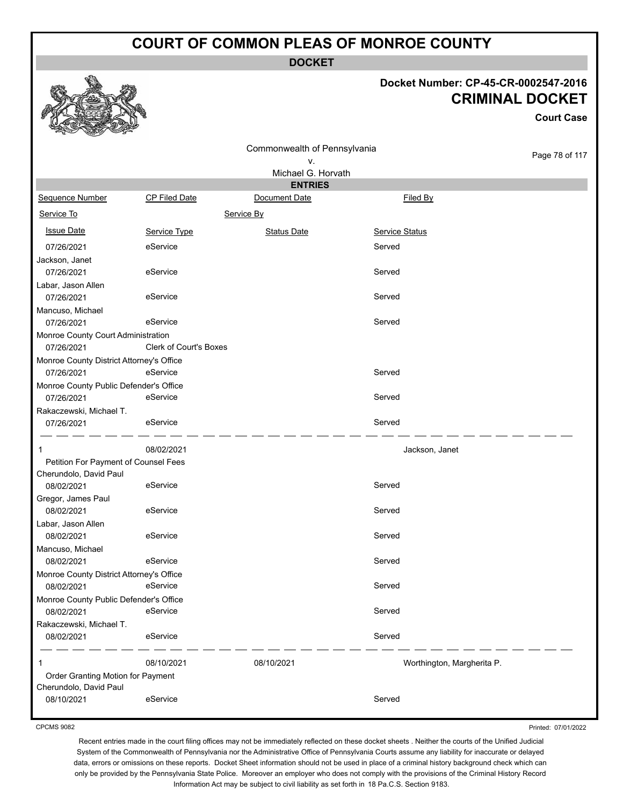**DOCKET**

### **Docket Number: CP-45-CR-0002547-2016 CRIMINAL DOCKET**

**Court Case**

| Commonwealth of Pennsylvania                                |                        |                    |                            |                |  |  |  |
|-------------------------------------------------------------|------------------------|--------------------|----------------------------|----------------|--|--|--|
|                                                             |                        | ۷.                 |                            | Page 78 of 117 |  |  |  |
|                                                             |                        | Michael G. Horvath |                            |                |  |  |  |
|                                                             |                        | <b>ENTRIES</b>     |                            |                |  |  |  |
| Sequence Number                                             | CP Filed Date          | Document Date      | Filed By                   |                |  |  |  |
| Service To                                                  | Service By             |                    |                            |                |  |  |  |
| <b>Issue Date</b>                                           | Service Type           | <b>Status Date</b> | Service Status             |                |  |  |  |
| 07/26/2021                                                  | eService               |                    | Served                     |                |  |  |  |
| Jackson, Janet                                              |                        |                    |                            |                |  |  |  |
| 07/26/2021                                                  | eService               |                    | Served                     |                |  |  |  |
| Labar, Jason Allen                                          |                        |                    |                            |                |  |  |  |
| 07/26/2021                                                  | eService               |                    | Served                     |                |  |  |  |
| Mancuso, Michael                                            |                        |                    |                            |                |  |  |  |
| 07/26/2021                                                  | eService               |                    | Served                     |                |  |  |  |
| Monroe County Court Administration                          |                        |                    |                            |                |  |  |  |
| 07/26/2021                                                  | Clerk of Court's Boxes |                    |                            |                |  |  |  |
| Monroe County District Attorney's Office                    |                        |                    |                            |                |  |  |  |
| 07/26/2021                                                  | eService               |                    | Served                     |                |  |  |  |
| Monroe County Public Defender's Office                      |                        |                    |                            |                |  |  |  |
| 07/26/2021                                                  | eService               |                    | Served                     |                |  |  |  |
| Rakaczewski, Michael T.                                     |                        |                    |                            |                |  |  |  |
| 07/26/2021                                                  | eService               |                    | Served                     |                |  |  |  |
| 1                                                           | 08/02/2021             |                    | Jackson, Janet             |                |  |  |  |
| Petition For Payment of Counsel Fees                        |                        |                    |                            |                |  |  |  |
| Cherundolo, David Paul                                      |                        |                    |                            |                |  |  |  |
| 08/02/2021                                                  | eService               |                    | Served                     |                |  |  |  |
| Gregor, James Paul                                          |                        |                    |                            |                |  |  |  |
| 08/02/2021                                                  | eService               |                    | Served                     |                |  |  |  |
| Labar, Jason Allen                                          |                        |                    |                            |                |  |  |  |
| 08/02/2021                                                  | eService               |                    | Served                     |                |  |  |  |
| Mancuso, Michael                                            |                        |                    |                            |                |  |  |  |
| 08/02/2021                                                  | eService               |                    | Served                     |                |  |  |  |
| Monroe County District Attorney's Office                    |                        |                    |                            |                |  |  |  |
| 08/02/2021                                                  | eService               |                    | Served                     |                |  |  |  |
| Monroe County Public Defender's Office                      |                        |                    |                            |                |  |  |  |
| 08/02/2021                                                  | eService               |                    | Served                     |                |  |  |  |
| Rakaczewski, Michael T.                                     |                        |                    |                            |                |  |  |  |
| 08/02/2021                                                  | eService               |                    | Served                     |                |  |  |  |
|                                                             | 08/10/2021             | 08/10/2021         | Worthington, Margherita P. |                |  |  |  |
| Order Granting Motion for Payment<br>Cherundolo, David Paul |                        |                    |                            |                |  |  |  |
| 08/10/2021                                                  | eService               |                    | Served                     |                |  |  |  |

CPCMS 9082

Printed: 07/01/2022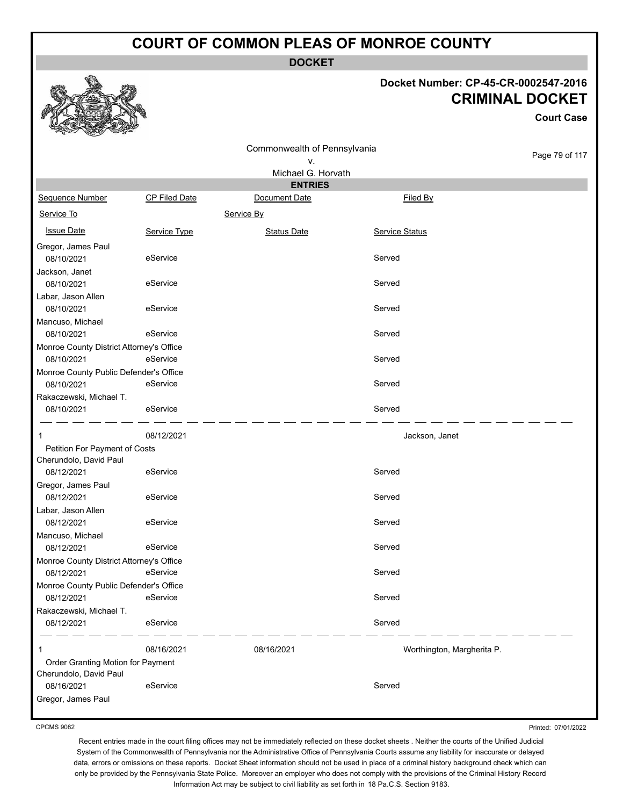**DOCKET**

### **Docket Number: CP-45-CR-0002547-2016 CRIMINAL DOCKET**

**Court Case**

|                                                             |               | Commonwealth of Pennsylvania |                            |                |
|-------------------------------------------------------------|---------------|------------------------------|----------------------------|----------------|
|                                                             |               | ٧.                           |                            | Page 79 of 117 |
|                                                             |               | Michael G. Horvath           |                            |                |
|                                                             |               | <b>ENTRIES</b>               |                            |                |
| Sequence Number                                             | CP Filed Date | Document Date                | Filed By                   |                |
| Service To                                                  |               | Service By                   |                            |                |
| <b>Issue Date</b>                                           | Service Type  | <b>Status Date</b>           | <b>Service Status</b>      |                |
| Gregor, James Paul<br>08/10/2021                            | eService      |                              | Served                     |                |
| Jackson, Janet<br>08/10/2021                                | eService      |                              | Served                     |                |
| Labar, Jason Allen<br>08/10/2021                            | eService      |                              | Served                     |                |
| Mancuso, Michael<br>08/10/2021                              | eService      |                              | Served                     |                |
| Monroe County District Attorney's Office<br>08/10/2021      | eService      |                              | Served                     |                |
| Monroe County Public Defender's Office<br>08/10/2021        | eService      |                              | Served                     |                |
| Rakaczewski, Michael T.<br>08/10/2021                       | eService      |                              | Served                     |                |
| 1                                                           | 08/12/2021    |                              | Jackson, Janet             |                |
| Petition For Payment of Costs                               |               |                              |                            |                |
| Cherundolo, David Paul<br>08/12/2021                        | eService      |                              | Served                     |                |
| Gregor, James Paul                                          |               |                              |                            |                |
| 08/12/2021                                                  | eService      |                              | Served                     |                |
| Labar, Jason Allen                                          |               |                              |                            |                |
| 08/12/2021                                                  | eService      |                              | Served                     |                |
| Mancuso, Michael                                            |               |                              |                            |                |
| 08/12/2021                                                  | eService      |                              | Served                     |                |
| Monroe County District Attorney's Office                    |               |                              |                            |                |
| 08/12/2021                                                  | eService      |                              | Served                     |                |
| Monroe County Public Defender's Office                      |               |                              |                            |                |
| 08/12/2021                                                  | eService      |                              | Served                     |                |
| Rakaczewski, Michael T.<br>08/12/2021                       | eService      |                              | Served                     |                |
| 1                                                           | 08/16/2021    | 08/16/2021                   | Worthington, Margherita P. |                |
| Order Granting Motion for Payment<br>Cherundolo, David Paul |               |                              |                            |                |
| 08/16/2021<br>Gregor, James Paul                            | eService      |                              | Served                     |                |
|                                                             |               |                              |                            |                |

CPCMS 9082

Printed: 07/01/2022

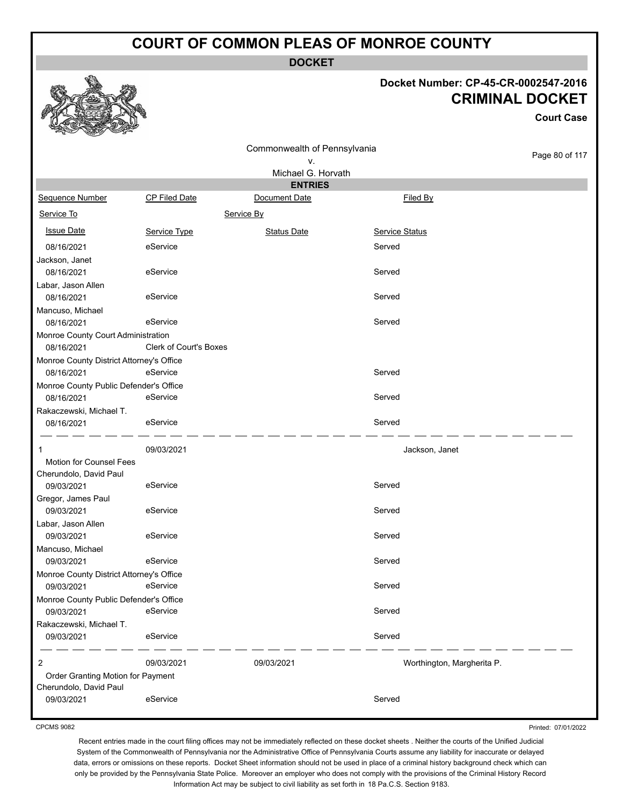**DOCKET**

### **Docket Number: CP-45-CR-0002547-2016 CRIMINAL DOCKET**

**Court Case**

| 20<br><b>READY</b><br><b>REAL PROPERTY</b>       |                               |                              |                            |                |
|--------------------------------------------------|-------------------------------|------------------------------|----------------------------|----------------|
|                                                  |                               | Commonwealth of Pennsylvania |                            |                |
|                                                  |                               | ۷.                           |                            | Page 80 of 117 |
|                                                  |                               | Michael G. Horvath           |                            |                |
|                                                  |                               | <b>ENTRIES</b>               |                            |                |
| Sequence Number                                  | <b>CP Filed Date</b>          | Document Date                | Filed By                   |                |
| Service To                                       |                               | Service By                   |                            |                |
| <b>Issue Date</b>                                | Service Type                  | <b>Status Date</b>           | Service Status             |                |
| 08/16/2021                                       | eService                      |                              | Served                     |                |
| Jackson, Janet                                   |                               |                              |                            |                |
| 08/16/2021                                       | eService                      |                              | Served                     |                |
| Labar, Jason Allen                               |                               |                              |                            |                |
| 08/16/2021                                       | eService                      |                              | Served                     |                |
| Mancuso, Michael                                 |                               |                              |                            |                |
| 08/16/2021                                       | eService                      |                              | Served                     |                |
| Monroe County Court Administration<br>08/16/2021 | <b>Clerk of Court's Boxes</b> |                              |                            |                |
| Monroe County District Attorney's Office         |                               |                              |                            |                |
| 08/16/2021                                       | eService                      |                              | Served                     |                |
| Monroe County Public Defender's Office           | eService                      |                              | Served                     |                |
| 08/16/2021<br>Rakaczewski, Michael T.            |                               |                              |                            |                |
| 08/16/2021                                       | eService                      |                              | Served                     |                |
| 1                                                | 09/03/2021                    |                              | Jackson, Janet             |                |
| Motion for Counsel Fees                          |                               |                              |                            |                |
| Cherundolo, David Paul                           |                               |                              |                            |                |
| 09/03/2021                                       | eService                      |                              | Served                     |                |
| Gregor, James Paul                               |                               |                              |                            |                |
| 09/03/2021                                       | eService                      |                              | Served                     |                |
| Labar, Jason Allen                               |                               |                              |                            |                |
| 09/03/2021                                       | eService                      |                              | Served                     |                |
| Mancuso, Michael                                 |                               |                              |                            |                |
| 09/03/2021                                       | eService                      |                              | Served                     |                |
| Monroe County District Attorney's Office         |                               |                              |                            |                |
| 09/03/2021 eService                              |                               |                              | Served                     |                |
| Monroe County Public Defender's Office           |                               |                              |                            |                |
| 09/03/2021                                       | eService                      |                              | Served                     |                |
| Rakaczewski, Michael T.                          |                               |                              |                            |                |
| 09/03/2021                                       | eService                      |                              | Served                     |                |
| 2                                                | 09/03/2021                    | 09/03/2021                   | Worthington, Margherita P. |                |
| Order Granting Motion for Payment                |                               |                              |                            |                |
| Cherundolo, David Paul                           |                               |                              |                            |                |
| 09/03/2021                                       | eService                      |                              | Served                     |                |
|                                                  |                               |                              |                            |                |

CPCMS 9082

Printed: 07/01/2022

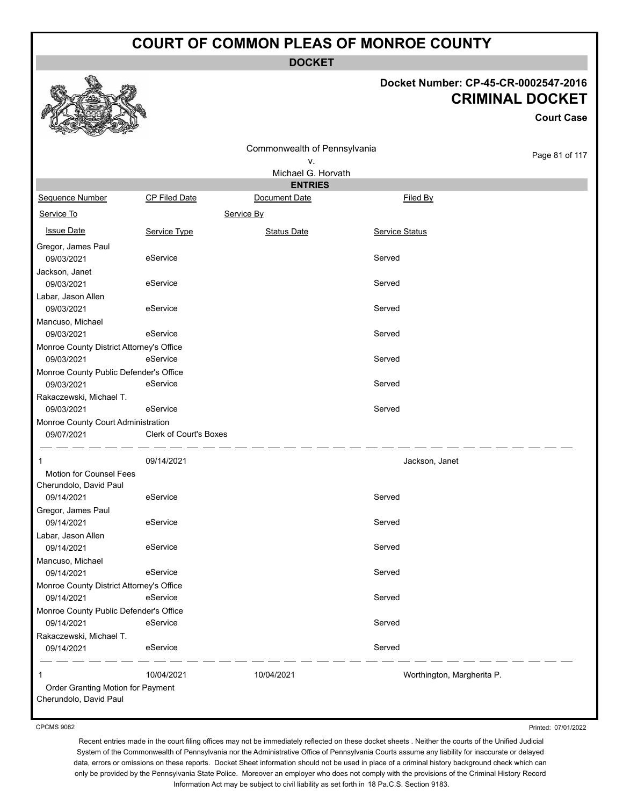**DOCKET**

### **Docket Number: CP-45-CR-0002547-2016 CRIMINAL DOCKET**

**Court Case**

|                                                   |                               | 10/04/2021                           | Worthington, Margherita P. |                |
|---------------------------------------------------|-------------------------------|--------------------------------------|----------------------------|----------------|
| 09/14/2021                                        | eService                      |                                      | Served                     |                |
| Rakaczewski, Michael T.                           |                               |                                      |                            |                |
| 09/14/2021                                        | eService                      |                                      | Served                     |                |
| Monroe County Public Defender's Office            |                               |                                      |                            |                |
| 09/14/2021                                        | eService                      |                                      | Served                     |                |
| Monroe County District Attorney's Office          |                               |                                      |                            |                |
| Mancuso, Michael<br>09/14/2021                    | eService                      |                                      | Served                     |                |
| 09/14/2021                                        | eService                      |                                      | Served                     |                |
| Labar, Jason Allen                                |                               |                                      |                            |                |
| 09/14/2021                                        | eService                      |                                      | Served                     |                |
| Gregor, James Paul                                |                               |                                      |                            |                |
| 09/14/2021                                        | eService                      |                                      | Served                     |                |
| Motion for Counsel Fees<br>Cherundolo, David Paul |                               |                                      |                            |                |
| 1                                                 | 09/14/2021                    |                                      | Jackson, Janet             |                |
|                                                   |                               |                                      |                            |                |
| Monroe County Court Administration<br>09/07/2021  | <b>Clerk of Court's Boxes</b> |                                      |                            |                |
| 09/03/2021                                        | eService                      |                                      |                            |                |
| Rakaczewski, Michael T.                           |                               |                                      | Served                     |                |
| 09/03/2021                                        | eService                      |                                      | Served                     |                |
| Monroe County Public Defender's Office            |                               |                                      |                            |                |
| 09/03/2021                                        | eService                      |                                      | Served                     |                |
| Monroe County District Attorney's Office          |                               |                                      |                            |                |
| 09/03/2021                                        | eService                      |                                      | Served                     |                |
| Mancuso, Michael                                  |                               |                                      |                            |                |
| 09/03/2021                                        | eService                      |                                      | Served                     |                |
| Labar, Jason Allen                                |                               |                                      |                            |                |
| 09/03/2021                                        | eService                      |                                      | Served                     |                |
| Jackson, Janet                                    |                               |                                      |                            |                |
| Gregor, James Paul<br>09/03/2021                  | eService                      |                                      | Served                     |                |
|                                                   |                               |                                      |                            |                |
| <b>Issue Date</b>                                 | Service Type                  | Service By<br><b>Status Date</b>     | Service Status             |                |
| Service To                                        |                               |                                      |                            |                |
| Sequence Number                                   | CP Filed Date                 | Document Date                        | Filed By                   |                |
|                                                   |                               | Michael G. Horvath<br><b>ENTRIES</b> |                            |                |
|                                                   |                               | ٧.                                   |                            | Page 81 of 117 |
|                                                   |                               |                                      |                            |                |

CPCMS 9082

Printed: 07/01/2022

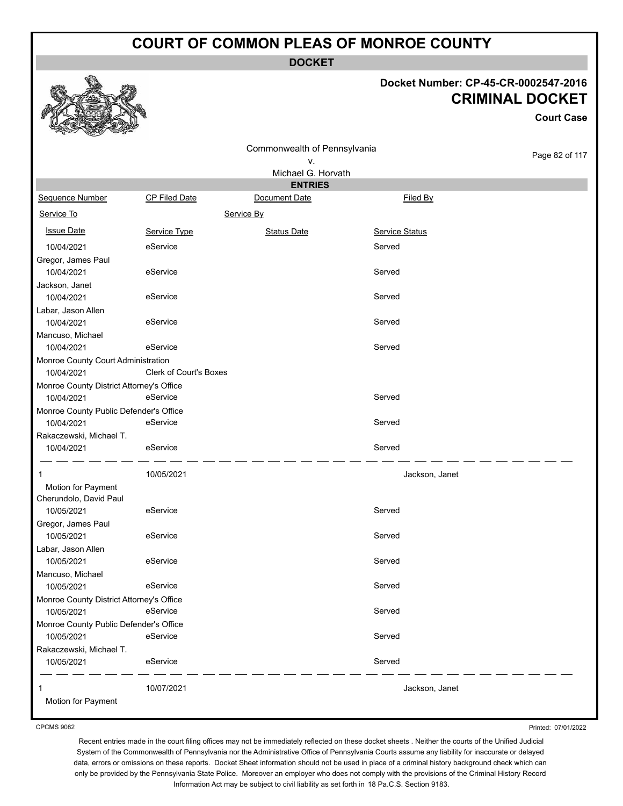**DOCKET**

### **Docket Number: CP-45-CR-0002547-2016 CRIMINAL DOCKET**

**Court Case**

|                                          |                        | Commonwealth of Pennsylvania |                       |                |
|------------------------------------------|------------------------|------------------------------|-----------------------|----------------|
|                                          |                        | ٧.                           |                       | Page 82 of 117 |
|                                          |                        | Michael G. Horvath           |                       |                |
|                                          |                        | <b>ENTRIES</b>               |                       |                |
| Sequence Number                          | CP Filed Date          | Document Date                | Filed By              |                |
| Service To                               |                        | Service By                   |                       |                |
| <b>Issue Date</b>                        | Service Type           | <b>Status Date</b>           | <b>Service Status</b> |                |
| 10/04/2021                               | eService               |                              | Served                |                |
| Gregor, James Paul                       |                        |                              |                       |                |
| 10/04/2021                               | eService               |                              | Served                |                |
| Jackson, Janet                           |                        |                              |                       |                |
| 10/04/2021                               | eService               |                              | Served                |                |
| Labar, Jason Allen                       |                        |                              |                       |                |
| 10/04/2021                               | eService               |                              | Served                |                |
| Mancuso, Michael                         |                        |                              |                       |                |
| 10/04/2021                               | eService               |                              | Served                |                |
| Monroe County Court Administration       |                        |                              |                       |                |
| 10/04/2021                               | Clerk of Court's Boxes |                              |                       |                |
| Monroe County District Attorney's Office |                        |                              |                       |                |
| 10/04/2021                               | eService               |                              | Served                |                |
| Monroe County Public Defender's Office   |                        |                              |                       |                |
| 10/04/2021                               | eService               |                              | Served                |                |
| Rakaczewski, Michael T.                  |                        |                              |                       |                |
| 10/04/2021                               | eService               |                              | Served                |                |
| -1                                       | 10/05/2021             |                              | Jackson, Janet        |                |
| Motion for Payment                       |                        |                              |                       |                |
| Cherundolo, David Paul                   |                        |                              |                       |                |
| 10/05/2021                               | eService               |                              | Served                |                |
| Gregor, James Paul                       |                        |                              |                       |                |
| 10/05/2021                               | eService               |                              | Served                |                |
| Labar, Jason Allen                       |                        |                              |                       |                |
| 10/05/2021                               | eService               |                              | Served                |                |
| Mancuso, Michael                         |                        |                              |                       |                |
| 10/05/2021                               | eService               |                              | Served                |                |
| Monroe County District Attorney's Office |                        |                              |                       |                |
| 10/05/2021                               | eService               |                              | Served                |                |
| Monroe County Public Defender's Office   |                        |                              |                       |                |
| 10/05/2021                               | eService               |                              | Served                |                |
| Rakaczewski, Michael T.                  |                        |                              |                       |                |
| 10/05/2021                               | eService               |                              | Served                |                |
| 1                                        | 10/07/2021             |                              | Jackson, Janet        |                |
| Motion for Payment                       |                        |                              |                       |                |
|                                          |                        |                              |                       |                |

#### CPCMS 9082

Printed: 07/01/2022

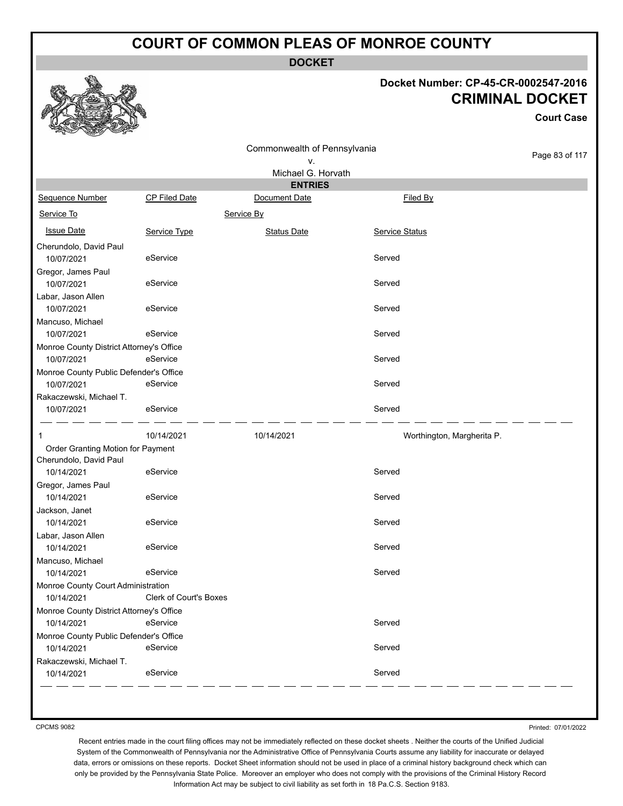**DOCKET**

### **Docket Number: CP-45-CR-0002547-2016 CRIMINAL DOCKET**

**Court Case**

|                                          |                        | Commonwealth of Pennsylvania |                            |                |
|------------------------------------------|------------------------|------------------------------|----------------------------|----------------|
|                                          |                        | ٧.                           |                            | Page 83 of 117 |
|                                          |                        | Michael G. Horvath           |                            |                |
|                                          |                        | <b>ENTRIES</b>               |                            |                |
| Sequence Number                          | CP Filed Date          | Document Date                | Filed By                   |                |
| Service To                               |                        | Service By                   |                            |                |
| <b>Issue Date</b>                        | Service Type           | <b>Status Date</b>           | Service Status             |                |
| Cherundolo, David Paul                   |                        |                              |                            |                |
| 10/07/2021                               | eService               |                              | Served                     |                |
| Gregor, James Paul                       |                        |                              |                            |                |
| 10/07/2021                               | eService               |                              | Served                     |                |
| Labar, Jason Allen                       |                        |                              |                            |                |
| 10/07/2021                               | eService               |                              | Served                     |                |
| Mancuso, Michael                         |                        |                              |                            |                |
| 10/07/2021                               | eService               |                              | Served                     |                |
| Monroe County District Attorney's Office |                        |                              |                            |                |
| 10/07/2021                               | eService               |                              | Served                     |                |
| Monroe County Public Defender's Office   |                        |                              |                            |                |
| 10/07/2021                               | eService               |                              | Served                     |                |
| Rakaczewski, Michael T.                  |                        |                              |                            |                |
| 10/07/2021                               | eService               |                              | Served                     |                |
| -1                                       | 10/14/2021             | 10/14/2021                   | Worthington, Margherita P. |                |
| Order Granting Motion for Payment        |                        |                              |                            |                |
| Cherundolo, David Paul                   |                        |                              |                            |                |
| 10/14/2021                               | eService               |                              | Served                     |                |
| Gregor, James Paul                       |                        |                              |                            |                |
| 10/14/2021                               | eService               |                              | Served                     |                |
| Jackson, Janet                           |                        |                              |                            |                |
| 10/14/2021                               | eService               |                              | Served                     |                |
| Labar, Jason Allen                       |                        |                              |                            |                |
| 10/14/2021                               | eService               |                              | Served                     |                |
| Mancuso, Michael                         |                        |                              |                            |                |
| 10/14/2021                               | eService               |                              | Served                     |                |
| Monroe County Court Administration       |                        |                              |                            |                |
| 10/14/2021                               | Clerk of Court's Boxes |                              |                            |                |
| Monroe County District Attorney's Office |                        |                              |                            |                |
| 10/14/2021                               | eService               |                              | Served                     |                |
| Monroe County Public Defender's Office   |                        |                              |                            |                |
| 10/14/2021                               | eService               |                              | Served                     |                |
| Rakaczewski, Michael T.                  |                        |                              |                            |                |
| 10/14/2021                               | eService               |                              | Served                     |                |

CPCMS 9082

Printed: 07/01/2022

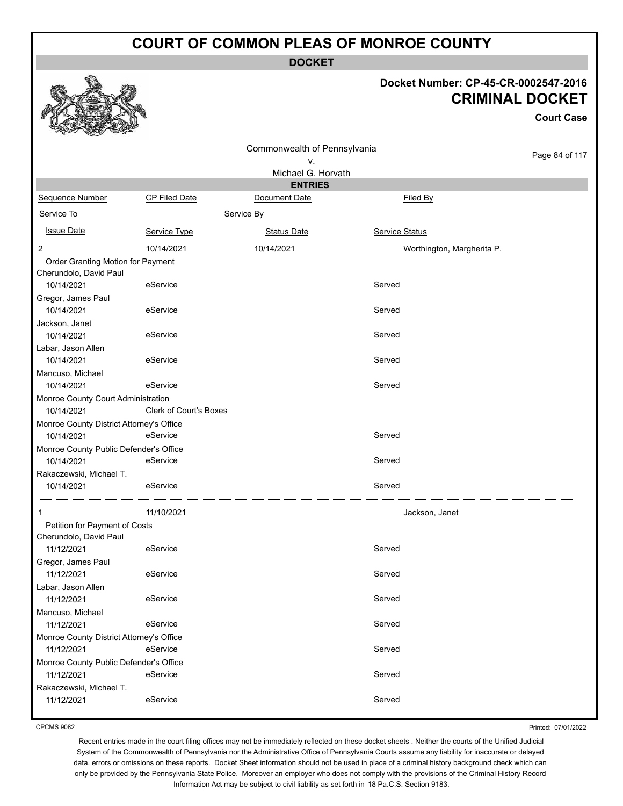**DOCKET**

### **Docket Number: CP-45-CR-0002547-2016 CRIMINAL DOCKET**

**Court Case**

|                                          |                        | Commonwealth of Pennsylvania |                |                            |
|------------------------------------------|------------------------|------------------------------|----------------|----------------------------|
|                                          |                        | ٧.                           |                | Page 84 of 117             |
|                                          |                        | Michael G. Horvath           |                |                            |
|                                          |                        | <b>ENTRIES</b>               |                |                            |
| Sequence Number                          | <b>CP Filed Date</b>   | Document Date                | Filed By       |                            |
| Service To                               |                        | Service By                   |                |                            |
| <b>Issue Date</b>                        | Service Type           | <b>Status Date</b>           | Service Status |                            |
| $\overline{2}$                           | 10/14/2021             | 10/14/2021                   |                | Worthington, Margherita P. |
| Order Granting Motion for Payment        |                        |                              |                |                            |
| Cherundolo, David Paul                   |                        |                              |                |                            |
| 10/14/2021                               | eService               |                              | Served         |                            |
| Gregor, James Paul                       |                        |                              |                |                            |
| 10/14/2021                               | eService               |                              | Served         |                            |
| Jackson, Janet                           |                        |                              |                |                            |
| 10/14/2021                               | eService               |                              | Served         |                            |
| Labar, Jason Allen                       |                        |                              |                |                            |
| 10/14/2021                               | eService               |                              | Served         |                            |
| Mancuso, Michael                         |                        |                              |                |                            |
| 10/14/2021                               | eService               |                              | Served         |                            |
| Monroe County Court Administration       |                        |                              |                |                            |
| 10/14/2021                               | Clerk of Court's Boxes |                              |                |                            |
| Monroe County District Attorney's Office |                        |                              |                |                            |
| 10/14/2021                               | eService               |                              | Served         |                            |
| Monroe County Public Defender's Office   |                        |                              |                |                            |
| 10/14/2021                               | eService               |                              | Served         |                            |
| Rakaczewski, Michael T.                  |                        |                              |                |                            |
| 10/14/2021                               | eService               |                              | Served         |                            |
| -1                                       | 11/10/2021             |                              |                | Jackson, Janet             |
| Petition for Payment of Costs            |                        |                              |                |                            |
| Cherundolo, David Paul                   |                        |                              |                |                            |
| 11/12/2021                               | eService               |                              | Served         |                            |
| Gregor, James Paul                       |                        |                              |                |                            |
| 11/12/2021                               | eService               |                              | Served         |                            |
| Labar, Jason Allen                       |                        |                              |                |                            |
| 11/12/2021                               | eService               |                              | Served         |                            |
| Mancuso, Michael                         |                        |                              |                |                            |
| 11/12/2021                               | eService               |                              | Served         |                            |
| Monroe County District Attorney's Office |                        |                              |                |                            |
| 11/12/2021                               | eService               |                              | Served         |                            |
| Monroe County Public Defender's Office   |                        |                              |                |                            |
| 11/12/2021                               | eService               |                              | Served         |                            |
| Rakaczewski, Michael T.                  |                        |                              |                |                            |
| 11/12/2021                               | eService               |                              | Served         |                            |

CPCMS 9082

Printed: 07/01/2022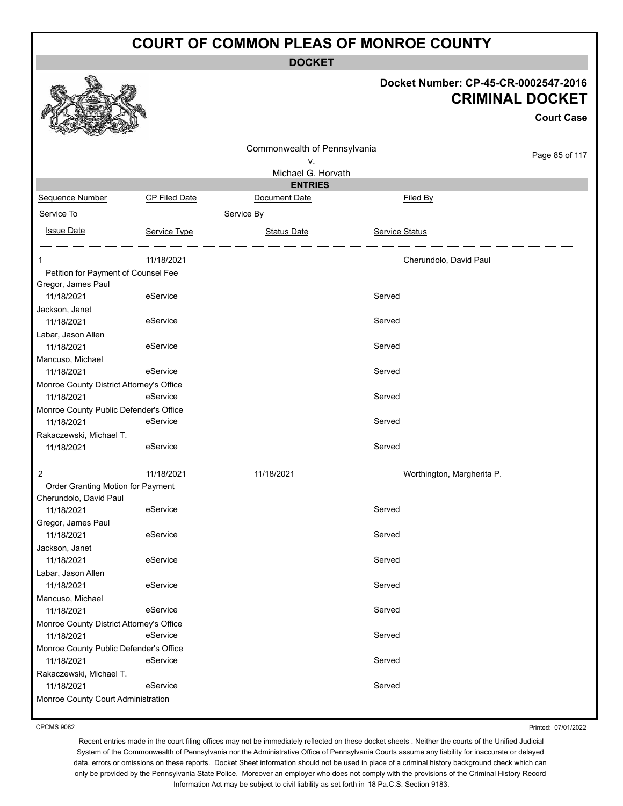**DOCKET**

#### **Docket Number: CP-45-CR-0002547-2016 CRIMINAL DOCKET**

|                                                      |                      |                              |                            | <b>Court Case</b> |
|------------------------------------------------------|----------------------|------------------------------|----------------------------|-------------------|
|                                                      |                      | Commonwealth of Pennsylvania |                            |                   |
|                                                      |                      | v.                           |                            | Page 85 of 117    |
|                                                      |                      | Michael G. Horvath           |                            |                   |
|                                                      |                      | <b>ENTRIES</b>               |                            |                   |
| Sequence Number                                      | <b>CP Filed Date</b> | Document Date                | Filed By                   |                   |
| Service To                                           |                      | Service By                   |                            |                   |
| <b>Issue Date</b>                                    | Service Type         | <b>Status Date</b>           | Service Status             |                   |
| 1                                                    | 11/18/2021           |                              | Cherundolo, David Paul     |                   |
| Petition for Payment of Counsel Fee                  |                      |                              |                            |                   |
| Gregor, James Paul                                   |                      |                              |                            |                   |
| 11/18/2021<br>Jackson, Janet                         | eService             |                              | Served                     |                   |
| 11/18/2021                                           | eService             |                              | Served                     |                   |
| Labar, Jason Allen                                   |                      |                              |                            |                   |
| 11/18/2021                                           | eService             |                              | Served                     |                   |
| Mancuso, Michael                                     |                      |                              |                            |                   |
| 11/18/2021                                           | eService             |                              | Served                     |                   |
| Monroe County District Attorney's Office             |                      |                              |                            |                   |
| 11/18/2021                                           | eService             |                              | Served                     |                   |
| Monroe County Public Defender's Office               |                      |                              |                            |                   |
| 11/18/2021                                           | eService             |                              | Served                     |                   |
| Rakaczewski, Michael T.                              |                      |                              |                            |                   |
| 11/18/2021                                           | eService             |                              | Served                     |                   |
| $\overline{2}$                                       | 11/18/2021           | 11/18/2021                   | Worthington, Margherita P. |                   |
| Order Granting Motion for Payment                    |                      |                              |                            |                   |
| Cherundolo, David Paul<br>11/18/2021                 | eService             |                              | Served                     |                   |
| Gregor, James Paul                                   |                      |                              |                            |                   |
| 11/18/2021                                           | eService             |                              | Served                     |                   |
| Jackson, Janet                                       |                      |                              |                            |                   |
| 11/18/2021                                           | eService             |                              | Served                     |                   |
| Labar, Jason Allen                                   |                      |                              |                            |                   |
| 11/18/2021                                           | eService             |                              | Served                     |                   |
| Mancuso, Michael                                     |                      |                              |                            |                   |
| 11/18/2021                                           | eService             |                              | Served                     |                   |
| Monroe County District Attorney's Office             |                      |                              |                            |                   |
| 11/18/2021                                           | eService             |                              | Served                     |                   |
| Monroe County Public Defender's Office<br>11/18/2021 | eService             |                              | Served                     |                   |
| Rakaczewski, Michael T.                              |                      |                              |                            |                   |
| 11/18/2021                                           | eService             |                              | Served                     |                   |
| Monroe County Court Administration                   |                      |                              |                            |                   |
|                                                      |                      |                              |                            |                   |

CPCMS 9082

Printed: 07/01/2022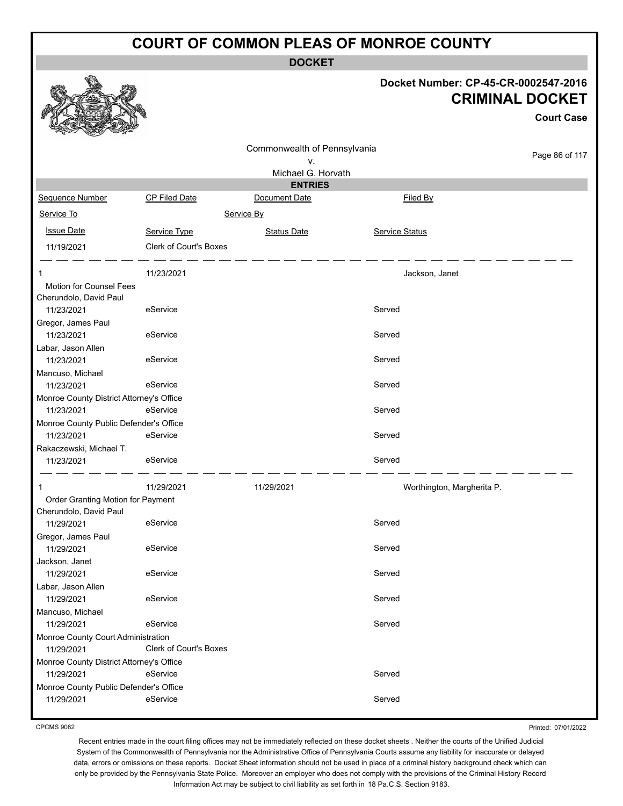**DOCKET**

### **Docket Number: CP-45-CR-0002547-2016 CRIMINAL DOCKET**

**Court Case**

|                                                   |                        |                                      |                            | <b>Court Case</b> |
|---------------------------------------------------|------------------------|--------------------------------------|----------------------------|-------------------|
|                                                   |                        | Commonwealth of Pennsylvania<br>٧.   |                            | Page 86 of 117    |
|                                                   |                        | Michael G. Horvath<br><b>ENTRIES</b> |                            |                   |
| Sequence Number                                   | CP Filed Date          | Document Date                        | Filed By                   |                   |
| Service To                                        |                        | Service By                           |                            |                   |
| <b>Issue Date</b>                                 | Service Type           | <b>Status Date</b>                   | Service Status             |                   |
| 11/19/2021                                        | Clerk of Court's Boxes |                                      |                            |                   |
|                                                   |                        |                                      |                            |                   |
| -1                                                | 11/23/2021             |                                      | Jackson, Janet             |                   |
| Motion for Counsel Fees<br>Cherundolo, David Paul |                        |                                      |                            |                   |
| 11/23/2021                                        | eService               |                                      | Served                     |                   |
| Gregor, James Paul                                |                        |                                      |                            |                   |
| 11/23/2021                                        | eService               |                                      | Served                     |                   |
| Labar, Jason Allen                                |                        |                                      |                            |                   |
| 11/23/2021                                        | eService               |                                      | Served                     |                   |
| Mancuso, Michael                                  |                        |                                      |                            |                   |
| 11/23/2021                                        | eService               |                                      | Served                     |                   |
| Monroe County District Attorney's Office          |                        |                                      |                            |                   |
| 11/23/2021                                        | eService               |                                      | Served                     |                   |
| Monroe County Public Defender's Office            |                        |                                      |                            |                   |
| 11/23/2021                                        | eService               |                                      | Served                     |                   |
| Rakaczewski, Michael T.                           |                        |                                      |                            |                   |
| 11/23/2021                                        | eService               |                                      | Served                     |                   |
| 1                                                 | 11/29/2021             | 11/29/2021                           | Worthington, Margherita P. |                   |
| Order Granting Motion for Payment                 |                        |                                      |                            |                   |
| Cherundolo, David Paul                            |                        |                                      |                            |                   |
| 11/29/2021                                        | eService               |                                      | Served                     |                   |
| Gregor, James Paul                                |                        |                                      |                            |                   |
| 11/29/2021                                        | eService               |                                      | Served                     |                   |
| Jackson, Janet                                    |                        |                                      |                            |                   |
| 11/29/2021                                        | eService               |                                      | Served                     |                   |
| Labar, Jason Allen<br>11/29/2021                  | eService               |                                      | Served                     |                   |
| Mancuso, Michael                                  |                        |                                      |                            |                   |
| 11/29/2021                                        | eService               |                                      | Served                     |                   |
| Monroe County Court Administration                |                        |                                      |                            |                   |
| 11/29/2021                                        | Clerk of Court's Boxes |                                      |                            |                   |
| Monroe County District Attorney's Office          |                        |                                      |                            |                   |
| 11/29/2021                                        | eService               |                                      | Served                     |                   |
| Monroe County Public Defender's Office            |                        |                                      |                            |                   |
| 11/29/2021                                        | eService               |                                      | Served                     |                   |
|                                                   |                        |                                      |                            |                   |

CPCMS 9082

Printed: 07/01/2022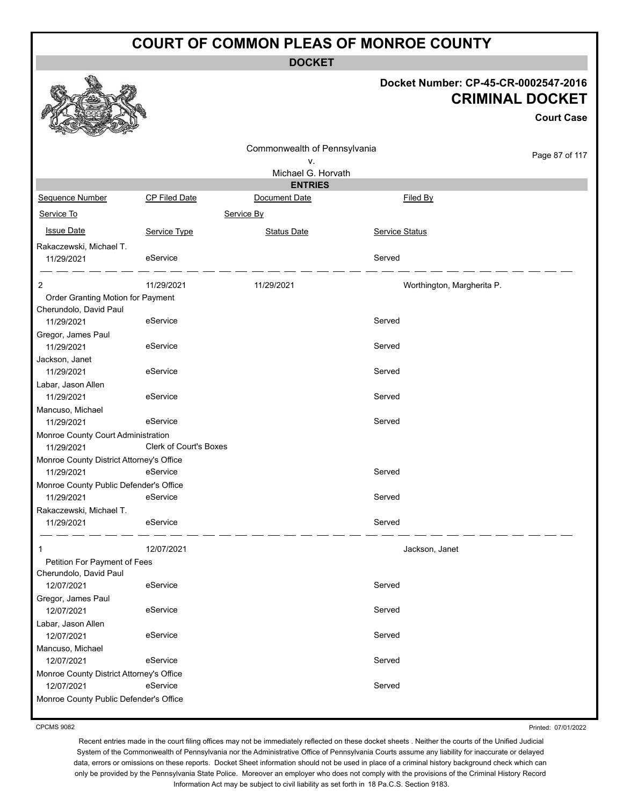**DOCKET**

### **Docket Number: CP-45-CR-0002547-2016 CRIMINAL DOCKET**

**Court Case**

|                                                        |                               |                              |                            | GUULL GASA     |
|--------------------------------------------------------|-------------------------------|------------------------------|----------------------------|----------------|
|                                                        |                               | Commonwealth of Pennsylvania |                            |                |
|                                                        |                               | ٧.                           |                            | Page 87 of 117 |
|                                                        |                               | Michael G. Horvath           |                            |                |
|                                                        |                               | <b>ENTRIES</b>               |                            |                |
| Sequence Number                                        | CP Filed Date                 | Document Date                | Filed By                   |                |
| Service To                                             |                               | Service By                   |                            |                |
| <b>Issue Date</b>                                      | Service Type                  | <b>Status Date</b>           | <b>Service Status</b>      |                |
| Rakaczewski, Michael T.                                |                               |                              |                            |                |
| 11/29/2021                                             | eService                      |                              | Served                     |                |
| $\overline{2}$                                         | 11/29/2021                    | 11/29/2021                   | Worthington, Margherita P. |                |
| Order Granting Motion for Payment                      |                               |                              |                            |                |
| Cherundolo, David Paul                                 |                               |                              |                            |                |
| 11/29/2021                                             | eService                      |                              | Served                     |                |
| Gregor, James Paul                                     |                               |                              |                            |                |
| 11/29/2021                                             | eService                      |                              | Served                     |                |
| Jackson, Janet                                         |                               |                              |                            |                |
| 11/29/2021                                             | eService                      |                              | Served                     |                |
| Labar, Jason Allen                                     |                               |                              |                            |                |
| 11/29/2021                                             | eService                      |                              | Served                     |                |
| Mancuso, Michael                                       |                               |                              |                            |                |
| 11/29/2021                                             | eService                      |                              | Served                     |                |
| Monroe County Court Administration                     |                               |                              |                            |                |
| 11/29/2021                                             | <b>Clerk of Court's Boxes</b> |                              |                            |                |
|                                                        |                               |                              |                            |                |
| Monroe County District Attorney's Office<br>11/29/2021 | eService                      |                              | Served                     |                |
|                                                        |                               |                              |                            |                |
| Monroe County Public Defender's Office                 |                               |                              |                            |                |
| 11/29/2021                                             | eService                      |                              | Served                     |                |
| Rakaczewski, Michael T.                                |                               |                              |                            |                |
| 11/29/2021                                             | eService                      |                              | Served                     |                |
| -1                                                     | 12/07/2021                    |                              | Jackson, Janet             |                |
| Petition For Payment of Fees<br>Cherundolo, David Paul |                               |                              |                            |                |
| 12/07/2021                                             | eService                      |                              | Served                     |                |
| Gregor, James Paul                                     |                               |                              |                            |                |
| 12/07/2021                                             | eService                      |                              | Served                     |                |
| Labar, Jason Allen                                     |                               |                              |                            |                |
| 12/07/2021                                             | eService                      |                              | Served                     |                |
| Mancuso, Michael                                       |                               |                              |                            |                |
| 12/07/2021                                             | eService                      |                              | Served                     |                |
| Monroe County District Attorney's Office               |                               |                              |                            |                |
| 12/07/2021                                             | eService                      |                              | Served                     |                |
| Monroe County Public Defender's Office                 |                               |                              |                            |                |
|                                                        |                               |                              |                            |                |

CPCMS 9082

Printed: 07/01/2022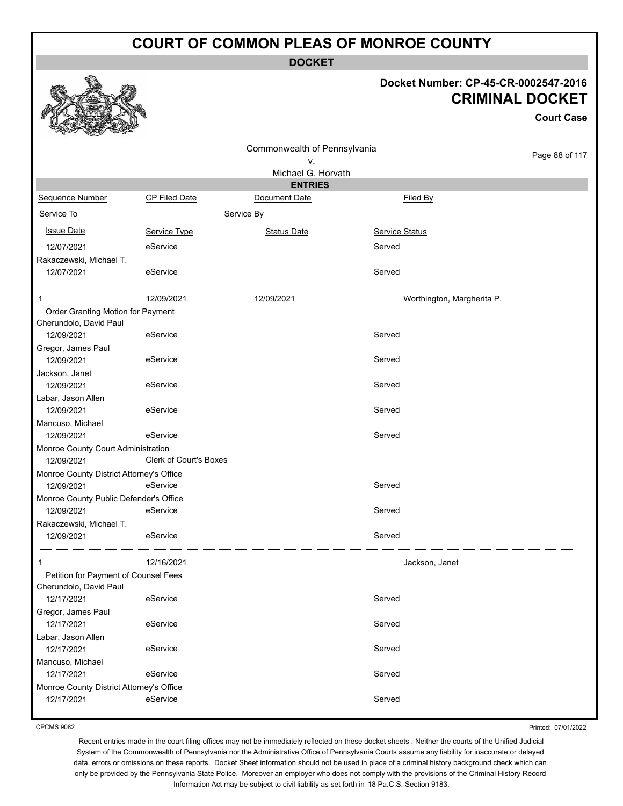**DOCKET**

### **Docket Number: CP-45-CR-0002547-2016 CRIMINAL DOCKET**

**Court Case**

|                                          |                        |                              |                            | <b>Court Case</b> |
|------------------------------------------|------------------------|------------------------------|----------------------------|-------------------|
|                                          |                        | Commonwealth of Pennsylvania |                            |                   |
|                                          |                        | ν.                           |                            | Page 88 of 117    |
|                                          |                        | Michael G. Horvath           |                            |                   |
|                                          |                        | <b>ENTRIES</b>               |                            |                   |
| Sequence Number                          | <b>CP Filed Date</b>   | Document Date                | Filed By                   |                   |
| Service To                               |                        | Service By                   |                            |                   |
| <b>Issue Date</b>                        | Service Type           | <b>Status Date</b>           | <b>Service Status</b>      |                   |
| 12/07/2021                               | eService               |                              | Served                     |                   |
| Rakaczewski, Michael T.                  |                        |                              |                            |                   |
| 12/07/2021                               | eService               |                              | Served                     |                   |
| 1                                        | 12/09/2021             | 12/09/2021                   | Worthington, Margherita P. |                   |
| Order Granting Motion for Payment        |                        |                              |                            |                   |
| Cherundolo, David Paul                   |                        |                              |                            |                   |
| 12/09/2021                               | eService               |                              | Served                     |                   |
| Gregor, James Paul                       |                        |                              |                            |                   |
| 12/09/2021                               | eService               |                              | Served                     |                   |
| Jackson, Janet                           |                        |                              |                            |                   |
| 12/09/2021                               | eService               |                              | Served                     |                   |
| Labar, Jason Allen                       |                        |                              |                            |                   |
| 12/09/2021                               | eService               |                              | Served                     |                   |
| Mancuso, Michael                         |                        |                              |                            |                   |
| 12/09/2021                               | eService               |                              | Served                     |                   |
| Monroe County Court Administration       |                        |                              |                            |                   |
| 12/09/2021                               | Clerk of Court's Boxes |                              |                            |                   |
| Monroe County District Attorney's Office |                        |                              |                            |                   |
| 12/09/2021                               | eService               |                              | Served                     |                   |
| Monroe County Public Defender's Office   |                        |                              |                            |                   |
| 12/09/2021                               | eService               |                              | Served                     |                   |
| Rakaczewski, Michael T.                  |                        |                              |                            |                   |
| 12/09/2021                               | eService               |                              | Served                     |                   |
| 1                                        | 12/16/2021             |                              | Jackson, Janet             |                   |
| Petition for Payment of Counsel Fees     |                        |                              |                            |                   |
| Cherundolo, David Paul                   |                        |                              |                            |                   |
| 12/17/2021                               | eService               |                              | Served                     |                   |
| Gregor, James Paul                       |                        |                              |                            |                   |
| 12/17/2021                               | eService               |                              | Served                     |                   |
| Labar, Jason Allen                       |                        |                              |                            |                   |
| 12/17/2021                               | eService               |                              | Served                     |                   |
| Mancuso, Michael                         |                        |                              |                            |                   |
| 12/17/2021                               | eService               |                              | Served                     |                   |
| Monroe County District Attorney's Office |                        |                              |                            |                   |
| 12/17/2021                               | eService               |                              | Served                     |                   |

CPCMS 9082

Printed: 07/01/2022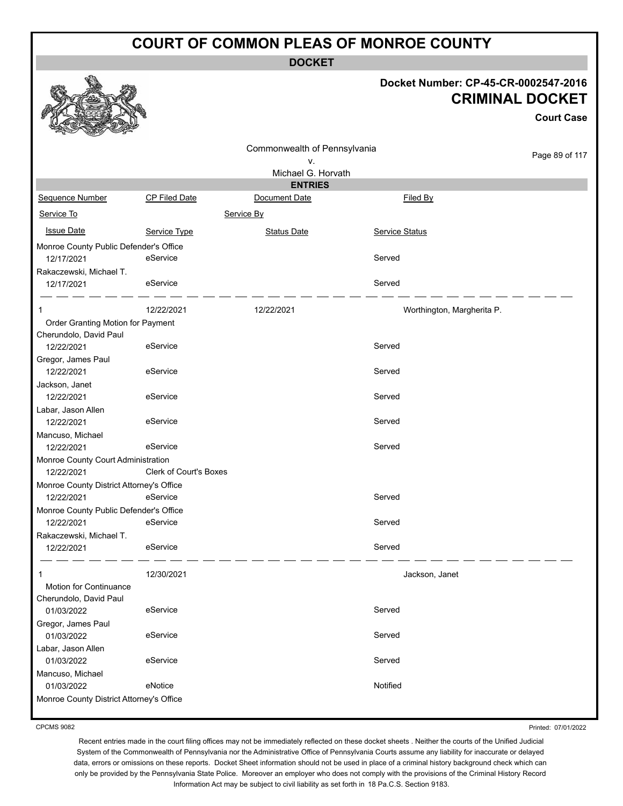**DOCKET**

### **Docket Number: CP-45-CR-0002547-2016 CRIMINAL DOCKET**

|                                                             |                        |                                    |                            | <b>Court Case</b> |
|-------------------------------------------------------------|------------------------|------------------------------------|----------------------------|-------------------|
|                                                             |                        | Commonwealth of Pennsylvania<br>۷. |                            | Page 89 of 117    |
|                                                             |                        | Michael G. Horvath                 |                            |                   |
|                                                             |                        | <b>ENTRIES</b>                     |                            |                   |
| Sequence Number                                             | CP Filed Date          | Document Date                      | Filed By                   |                   |
| Service To                                                  |                        | Service By                         |                            |                   |
| <b>Issue Date</b>                                           | Service Type           | <b>Status Date</b>                 | Service Status             |                   |
| Monroe County Public Defender's Office                      |                        |                                    |                            |                   |
| 12/17/2021                                                  | eService               |                                    | Served                     |                   |
| Rakaczewski, Michael T.<br>12/17/2021                       | eService               |                                    | Served                     |                   |
| 1                                                           | 12/22/2021             | 12/22/2021                         | Worthington, Margherita P. |                   |
| Order Granting Motion for Payment<br>Cherundolo, David Paul |                        |                                    |                            |                   |
| 12/22/2021                                                  | eService               |                                    | Served                     |                   |
| Gregor, James Paul<br>12/22/2021                            | eService               |                                    | Served                     |                   |
| Jackson, Janet                                              |                        |                                    |                            |                   |
| 12/22/2021                                                  | eService               |                                    | Served                     |                   |
| Labar, Jason Allen                                          |                        |                                    |                            |                   |
| 12/22/2021                                                  | eService               |                                    | Served                     |                   |
| Mancuso, Michael                                            | eService               |                                    | Served                     |                   |
| 12/22/2021<br>Monroe County Court Administration            |                        |                                    |                            |                   |
| 12/22/2021                                                  | Clerk of Court's Boxes |                                    |                            |                   |
| Monroe County District Attorney's Office                    |                        |                                    |                            |                   |
| 12/22/2021                                                  | eService               |                                    | Served                     |                   |
| Monroe County Public Defender's Office                      |                        |                                    |                            |                   |
| 12/22/2021                                                  | eService               |                                    | Served                     |                   |
| Rakaczewski, Michael T.                                     |                        |                                    |                            |                   |
| 12/22/2021                                                  | eService               |                                    | Served                     |                   |
| $\mathbf{1}$                                                | 12/30/2021             |                                    | Jackson, Janet             |                   |
| Motion for Continuance                                      |                        |                                    |                            |                   |
| Cherundolo, David Paul<br>01/03/2022                        | eService               |                                    | Served                     |                   |
| Gregor, James Paul                                          |                        |                                    |                            |                   |
| 01/03/2022                                                  | eService               |                                    | Served                     |                   |
| Labar, Jason Allen                                          |                        |                                    |                            |                   |
| 01/03/2022                                                  | eService               |                                    | Served                     |                   |
| Mancuso, Michael                                            |                        |                                    |                            |                   |
| 01/03/2022                                                  | eNotice                |                                    | Notified                   |                   |
| Monroe County District Attorney's Office                    |                        |                                    |                            |                   |

CPCMS 9082

Printed: 07/01/2022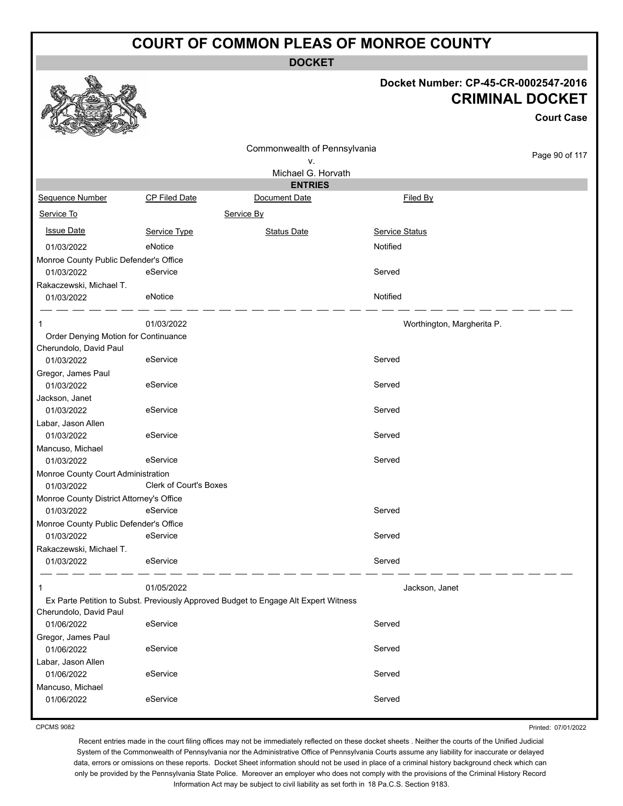**DOCKET**

### **Docket Number: CP-45-CR-0002547-2016 CRIMINAL DOCKET**

**Court Case**

|                                                        |                               | Commonwealth of Pennsylvania                                                        |                | Page 90 of 117             |
|--------------------------------------------------------|-------------------------------|-------------------------------------------------------------------------------------|----------------|----------------------------|
|                                                        |                               | ٧.                                                                                  |                |                            |
|                                                        |                               | Michael G. Horvath                                                                  |                |                            |
|                                                        |                               | <b>ENTRIES</b>                                                                      |                |                            |
| Sequence Number                                        | <b>CP Filed Date</b>          | Document Date                                                                       | Filed By       |                            |
| Service To                                             |                               | Service By                                                                          |                |                            |
| <b>Issue Date</b>                                      | Service Type                  | <b>Status Date</b>                                                                  | Service Status |                            |
| 01/03/2022                                             | eNotice                       |                                                                                     | Notified       |                            |
| Monroe County Public Defender's Office                 |                               |                                                                                     |                |                            |
| 01/03/2022                                             | eService                      |                                                                                     | Served         |                            |
| Rakaczewski, Michael T.                                |                               |                                                                                     |                |                            |
| 01/03/2022                                             | eNotice                       |                                                                                     | Notified       |                            |
| 1                                                      | 01/03/2022                    |                                                                                     |                | Worthington, Margherita P. |
| Order Denying Motion for Continuance                   |                               |                                                                                     |                |                            |
| Cherundolo, David Paul                                 |                               |                                                                                     |                |                            |
| 01/03/2022                                             | eService                      |                                                                                     | Served         |                            |
| Gregor, James Paul                                     |                               |                                                                                     |                |                            |
| 01/03/2022                                             | eService                      |                                                                                     | Served         |                            |
| Jackson, Janet                                         |                               |                                                                                     |                |                            |
| 01/03/2022                                             | eService                      |                                                                                     | Served         |                            |
| Labar, Jason Allen                                     |                               |                                                                                     |                |                            |
| 01/03/2022                                             | eService                      |                                                                                     | Served         |                            |
| Mancuso, Michael                                       |                               |                                                                                     |                |                            |
| 01/03/2022                                             | eService                      |                                                                                     | Served         |                            |
| Monroe County Court Administration                     |                               |                                                                                     |                |                            |
| 01/03/2022                                             | <b>Clerk of Court's Boxes</b> |                                                                                     |                |                            |
| Monroe County District Attorney's Office<br>01/03/2022 | eService                      |                                                                                     | Served         |                            |
|                                                        |                               |                                                                                     |                |                            |
| Monroe County Public Defender's Office<br>01/03/2022   | eService                      |                                                                                     | Served         |                            |
| Rakaczewski, Michael T.                                |                               |                                                                                     |                |                            |
| 01/03/2022                                             | eService                      |                                                                                     | Served         |                            |
|                                                        |                               |                                                                                     |                |                            |
|                                                        | 01/05/2022                    |                                                                                     | Jackson, Janet |                            |
| Cherundolo, David Paul                                 |                               | Ex Parte Petition to Subst. Previously Approved Budget to Engage Alt Expert Witness |                |                            |
| 01/06/2022                                             | eService                      |                                                                                     | Served         |                            |
| Gregor, James Paul                                     |                               |                                                                                     |                |                            |
| 01/06/2022                                             | eService                      |                                                                                     | Served         |                            |
| Labar, Jason Allen                                     |                               |                                                                                     |                |                            |
| 01/06/2022                                             | eService                      |                                                                                     | Served         |                            |
| Mancuso, Michael                                       |                               |                                                                                     |                |                            |
| 01/06/2022                                             | eService                      |                                                                                     | Served         |                            |
|                                                        |                               |                                                                                     |                |                            |

CPCMS 9082

Printed: 07/01/2022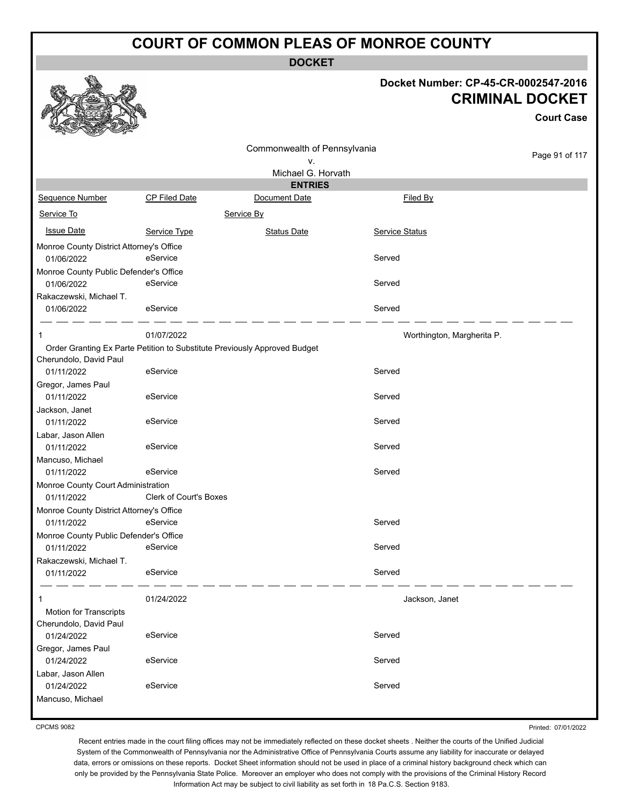**DOCKET**

### **Docket Number: CP-45-CR-0002547-2016 CRIMINAL DOCKET**

**Court Case**

|                                          |                        |                                                                           |                            | <b>Court Case</b> |
|------------------------------------------|------------------------|---------------------------------------------------------------------------|----------------------------|-------------------|
|                                          |                        | Commonwealth of Pennsylvania                                              |                            |                   |
|                                          |                        | v.                                                                        |                            | Page 91 of 117    |
|                                          |                        | Michael G. Horvath                                                        |                            |                   |
|                                          |                        | <b>ENTRIES</b>                                                            |                            |                   |
| Sequence Number                          | <b>CP Filed Date</b>   | Document Date                                                             | Filed By                   |                   |
| Service To                               |                        | Service By                                                                |                            |                   |
| <b>Issue Date</b>                        | Service Type           | <b>Status Date</b>                                                        | Service Status             |                   |
| Monroe County District Attorney's Office |                        |                                                                           |                            |                   |
| 01/06/2022                               | eService               |                                                                           | Served                     |                   |
| Monroe County Public Defender's Office   |                        |                                                                           |                            |                   |
| 01/06/2022                               | eService               |                                                                           | Served                     |                   |
| Rakaczewski, Michael T.                  |                        |                                                                           |                            |                   |
| 01/06/2022                               | eService               |                                                                           | Served                     |                   |
| 1                                        | 01/07/2022             |                                                                           | Worthington, Margherita P. |                   |
| Cherundolo, David Paul                   |                        | Order Granting Ex Parte Petition to Substitute Previously Approved Budget |                            |                   |
| 01/11/2022                               | eService               |                                                                           | Served                     |                   |
| Gregor, James Paul                       |                        |                                                                           |                            |                   |
| 01/11/2022                               | eService               |                                                                           | Served                     |                   |
| Jackson, Janet                           |                        |                                                                           |                            |                   |
| 01/11/2022                               | eService               |                                                                           | Served                     |                   |
| Labar, Jason Allen                       | eService               |                                                                           | Served                     |                   |
| 01/11/2022                               |                        |                                                                           |                            |                   |
| Mancuso, Michael<br>01/11/2022           | eService               |                                                                           | Served                     |                   |
| Monroe County Court Administration       |                        |                                                                           |                            |                   |
| 01/11/2022                               | Clerk of Court's Boxes |                                                                           |                            |                   |
| Monroe County District Attorney's Office |                        |                                                                           |                            |                   |
| 01/11/2022                               | eService               |                                                                           | Served                     |                   |
| Monroe County Public Defender's Office   |                        |                                                                           |                            |                   |
| 01/11/2022                               | eService               |                                                                           | Served                     |                   |
| Rakaczewski, Michael T.                  |                        |                                                                           |                            |                   |
| 01/11/2022                               | eService               |                                                                           | Served                     |                   |
| 1                                        | 01/24/2022             |                                                                           | Jackson, Janet             |                   |
| <b>Motion for Transcripts</b>            |                        |                                                                           |                            |                   |
| Cherundolo, David Paul                   |                        |                                                                           |                            |                   |
| 01/24/2022                               | eService               |                                                                           | Served                     |                   |
| Gregor, James Paul                       |                        |                                                                           |                            |                   |
| 01/24/2022                               | eService               |                                                                           | Served                     |                   |
| Labar, Jason Allen                       |                        |                                                                           |                            |                   |
| 01/24/2022                               | eService               |                                                                           | Served                     |                   |
| Mancuso, Michael                         |                        |                                                                           |                            |                   |

CPCMS 9082

Recent entries made in the court filing offices may not be immediately reflected on these docket sheets . Neither the courts of the Unified Judicial System of the Commonwealth of Pennsylvania nor the Administrative Office of Pennsylvania Courts assume any liability for inaccurate or delayed data, errors or omissions on these reports. Docket Sheet information should not be used in place of a criminal history background check which can only be provided by the Pennsylvania State Police. Moreover an employer who does not comply with the provisions of the Criminal History Record

Information Act may be subject to civil liability as set forth in 18 Pa.C.S. Section 9183.

Printed: 07/01/2022

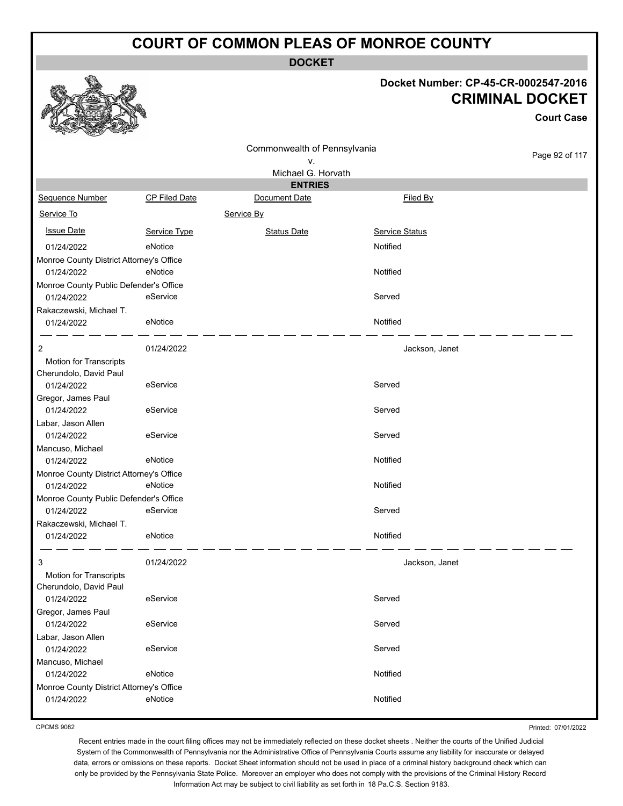**DOCKET**

### **Docket Number: CP-45-CR-0002547-2016 CRIMINAL DOCKET**

**Court Case**

|                                                        |               | Commonwealth of Pennsylvania |                       |                |
|--------------------------------------------------------|---------------|------------------------------|-----------------------|----------------|
|                                                        |               | ٧.                           |                       | Page 92 of 117 |
|                                                        |               | Michael G. Horvath           |                       |                |
|                                                        |               | <b>ENTRIES</b>               |                       |                |
| Sequence Number                                        | CP Filed Date | Document Date                | Filed By              |                |
| Service To                                             |               | Service By                   |                       |                |
| <b>Issue Date</b>                                      | Service Type  | <b>Status Date</b>           | <b>Service Status</b> |                |
| 01/24/2022                                             | eNotice       |                              | Notified              |                |
| Monroe County District Attorney's Office               |               |                              |                       |                |
| 01/24/2022                                             | eNotice       |                              | Notified              |                |
| Monroe County Public Defender's Office                 |               |                              |                       |                |
| 01/24/2022                                             | eService      |                              | Served                |                |
| Rakaczewski, Michael T.                                |               |                              |                       |                |
| 01/24/2022                                             | eNotice       |                              | Notified              |                |
| 2                                                      | 01/24/2022    |                              | Jackson, Janet        |                |
| <b>Motion for Transcripts</b>                          |               |                              |                       |                |
| Cherundolo, David Paul                                 |               |                              |                       |                |
| 01/24/2022                                             | eService      |                              | Served                |                |
| Gregor, James Paul                                     |               |                              |                       |                |
| 01/24/2022                                             | eService      |                              | Served                |                |
| Labar, Jason Allen                                     |               |                              |                       |                |
| 01/24/2022                                             | eService      |                              | Served                |                |
| Mancuso, Michael                                       |               |                              |                       |                |
| 01/24/2022                                             | eNotice       |                              | Notified              |                |
| Monroe County District Attorney's Office<br>01/24/2022 | eNotice       |                              | Notified              |                |
| Monroe County Public Defender's Office                 |               |                              |                       |                |
| 01/24/2022                                             | eService      |                              | Served                |                |
| Rakaczewski, Michael T.                                |               |                              |                       |                |
| 01/24/2022                                             | eNotice       |                              | Notified              |                |
| 3                                                      | 01/24/2022    |                              | Jackson, Janet        |                |
| <b>Motion for Transcripts</b>                          |               |                              |                       |                |
| Cherundolo, David Paul                                 |               |                              |                       |                |
| 01/24/2022                                             | eService      |                              | Served                |                |
| Gregor, James Paul                                     |               |                              |                       |                |
| 01/24/2022                                             | eService      |                              | Served                |                |
| Labar, Jason Allen                                     |               |                              |                       |                |
| 01/24/2022                                             | eService      |                              | Served                |                |
| Mancuso, Michael                                       |               |                              |                       |                |
| 01/24/2022                                             | eNotice       |                              | Notified              |                |
| Monroe County District Attorney's Office               |               |                              |                       |                |
| 01/24/2022                                             | eNotice       |                              | Notified              |                |
|                                                        |               |                              |                       |                |

CPCMS 9082

Printed: 07/01/2022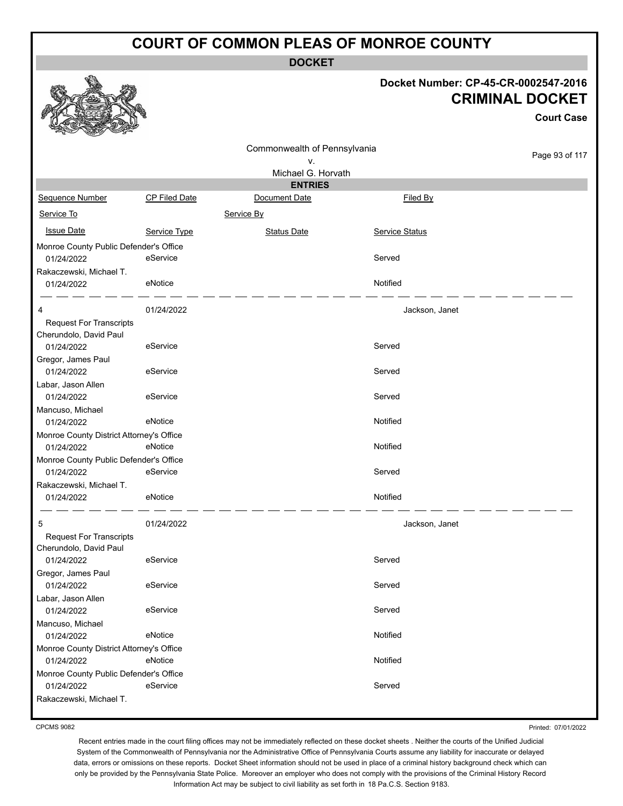**DOCKET**

### **Docket Number: CP-45-CR-0002547-2016 CRIMINAL DOCKET**

**Court Case**

|                                                          |                      |                              |                       | <b>Court Case</b> |
|----------------------------------------------------------|----------------------|------------------------------|-----------------------|-------------------|
|                                                          |                      | Commonwealth of Pennsylvania |                       |                   |
|                                                          |                      | ٧.                           |                       | Page 93 of 117    |
|                                                          |                      | Michael G. Horvath           |                       |                   |
|                                                          |                      | <b>ENTRIES</b>               |                       |                   |
| Sequence Number                                          | <b>CP Filed Date</b> | Document Date                | Filed By              |                   |
| Service To                                               |                      | Service By                   |                       |                   |
| <b>Issue Date</b>                                        | Service Type         | <b>Status Date</b>           | <b>Service Status</b> |                   |
| Monroe County Public Defender's Office                   |                      |                              |                       |                   |
| 01/24/2022                                               | eService             |                              | Served                |                   |
| Rakaczewski, Michael T.                                  |                      |                              |                       |                   |
| 01/24/2022                                               | eNotice              |                              | Notified              |                   |
| 4                                                        | 01/24/2022           |                              | Jackson, Janet        |                   |
| <b>Request For Transcripts</b><br>Cherundolo, David Paul |                      |                              |                       |                   |
| 01/24/2022                                               | eService             |                              | Served                |                   |
| Gregor, James Paul                                       |                      |                              |                       |                   |
| 01/24/2022                                               | eService             |                              | Served                |                   |
| Labar, Jason Allen                                       |                      |                              |                       |                   |
| 01/24/2022                                               | eService             |                              | Served                |                   |
| Mancuso, Michael                                         |                      |                              |                       |                   |
| 01/24/2022                                               | eNotice              |                              | Notified              |                   |
| Monroe County District Attorney's Office<br>01/24/2022   | eNotice              |                              | Notified              |                   |
| Monroe County Public Defender's Office                   |                      |                              |                       |                   |
| 01/24/2022                                               | eService             |                              | Served                |                   |
| Rakaczewski, Michael T.                                  |                      |                              |                       |                   |
| 01/24/2022                                               | eNotice              |                              | Notified              |                   |
| 5                                                        | 01/24/2022           |                              | Jackson, Janet        |                   |
| <b>Request For Transcripts</b>                           |                      |                              |                       |                   |
| Cherundolo, David Paul                                   |                      |                              |                       |                   |
| 01/24/2022                                               | eService             |                              | Served                |                   |
| Gregor, James Paul                                       |                      |                              |                       |                   |
| 01/24/2022                                               | eService             |                              | Served                |                   |
| Labar, Jason Allen                                       |                      |                              |                       |                   |
| 01/24/2022                                               | eService             |                              | Served                |                   |
| Mancuso, Michael                                         |                      |                              |                       |                   |
| 01/24/2022                                               | eNotice              |                              | Notified              |                   |
| Monroe County District Attorney's Office<br>01/24/2022   | eNotice              |                              | Notified              |                   |
| Monroe County Public Defender's Office                   |                      |                              |                       |                   |
| 01/24/2022                                               | eService             |                              | Served                |                   |
| Rakaczewski, Michael T.                                  |                      |                              |                       |                   |
|                                                          |                      |                              |                       |                   |

CPCMS 9082

Printed: 07/01/2022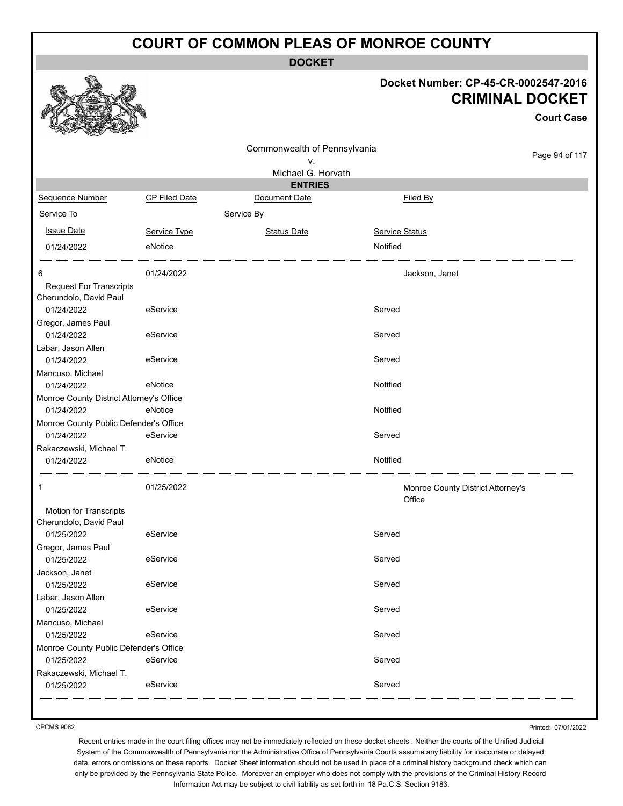**DOCKET**

#### **Docket Number: CP-45-CR-0002547-2016 CRIMINAL DOCKET**

|                                                               |                      |                                    |                | <b>Court Case</b>                 |
|---------------------------------------------------------------|----------------------|------------------------------------|----------------|-----------------------------------|
|                                                               |                      | Commonwealth of Pennsylvania<br>٧. |                | Page 94 of 117                    |
|                                                               |                      | Michael G. Horvath                 |                |                                   |
|                                                               |                      | <b>ENTRIES</b>                     |                |                                   |
| Sequence Number                                               | <b>CP Filed Date</b> | Document Date                      | Filed By       |                                   |
| Service To                                                    |                      | Service By                         |                |                                   |
| <b>Issue Date</b>                                             | Service Type         | <b>Status Date</b>                 | Service Status |                                   |
| 01/24/2022                                                    | eNotice              |                                    | Notified       |                                   |
| 6<br><b>Request For Transcripts</b><br>Cherundolo, David Paul | 01/24/2022           |                                    | Jackson, Janet |                                   |
| 01/24/2022                                                    | eService             |                                    | Served         |                                   |
| Gregor, James Paul<br>01/24/2022                              | eService             |                                    | Served         |                                   |
| Labar, Jason Allen<br>01/24/2022                              | eService             |                                    | Served         |                                   |
| Mancuso, Michael<br>01/24/2022                                | eNotice              |                                    | Notified       |                                   |
| Monroe County District Attorney's Office                      |                      |                                    |                |                                   |
| 01/24/2022                                                    | eNotice              |                                    | Notified       |                                   |
| Monroe County Public Defender's Office                        |                      |                                    |                |                                   |
| 01/24/2022                                                    | eService             |                                    | Served         |                                   |
| Rakaczewski, Michael T.                                       |                      |                                    |                |                                   |
| 01/24/2022                                                    | eNotice              |                                    | Notified       |                                   |
| 1                                                             | 01/25/2022           |                                    | Office         | Monroe County District Attorney's |
| Motion for Transcripts<br>Cherundolo, David Paul              |                      |                                    |                |                                   |
| 01/25/2022                                                    | eService             |                                    | Served         |                                   |
| Gregor, James Paul                                            |                      |                                    |                |                                   |
| 01/25/2022                                                    | eService             |                                    | Served         |                                   |
| Jackson, Janet                                                |                      |                                    |                |                                   |
| 01/25/2022                                                    | eService             |                                    | Served         |                                   |
| Labar, Jason Allen                                            |                      |                                    |                |                                   |
| 01/25/2022                                                    | eService             |                                    | Served         |                                   |
| Mancuso, Michael                                              |                      |                                    |                |                                   |
| 01/25/2022                                                    | eService             |                                    | Served         |                                   |
| Monroe County Public Defender's Office                        |                      |                                    |                |                                   |
| 01/25/2022                                                    | eService             |                                    | Served         |                                   |
| Rakaczewski, Michael T.<br>01/25/2022                         | eService             |                                    | Served         |                                   |
|                                                               |                      |                                    |                |                                   |

CPCMS 9082

Printed: 07/01/2022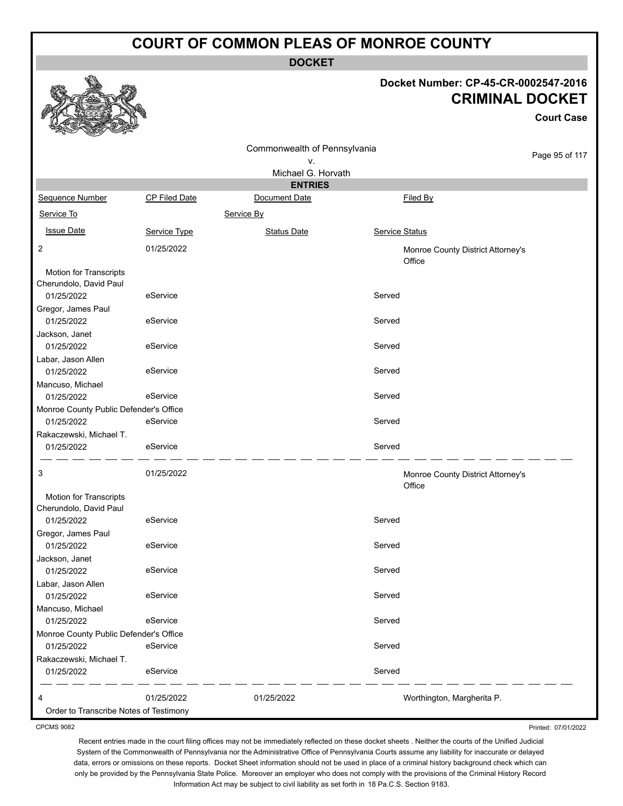**DOCKET**

### **Docket Number: CP-45-CR-0002547-2016 CRIMINAL DOCKET**

**Court Case**

|                                        |               | Commonwealth of Pennsylvania |                                   | Page 95 of 117 |
|----------------------------------------|---------------|------------------------------|-----------------------------------|----------------|
|                                        |               | ν.<br>Michael G. Horvath     |                                   |                |
|                                        |               | <b>ENTRIES</b>               |                                   |                |
| Sequence Number                        | CP Filed Date | Document Date                | Filed By                          |                |
| Service To                             |               | Service By                   |                                   |                |
| <b>Issue Date</b>                      | Service Type  | <b>Status Date</b>           | Service Status                    |                |
| 2                                      | 01/25/2022    |                              | Monroe County District Attorney's |                |
|                                        |               |                              | Office                            |                |
| Motion for Transcripts                 |               |                              |                                   |                |
| Cherundolo, David Paul                 |               |                              |                                   |                |
| 01/25/2022                             | eService      |                              | Served                            |                |
| Gregor, James Paul                     |               |                              | Served                            |                |
| 01/25/2022<br>Jackson, Janet           | eService      |                              |                                   |                |
| 01/25/2022                             | eService      |                              | Served                            |                |
| Labar, Jason Allen                     |               |                              |                                   |                |
| 01/25/2022                             | eService      |                              | Served                            |                |
| Mancuso, Michael                       |               |                              |                                   |                |
| 01/25/2022                             | eService      |                              | Served                            |                |
| Monroe County Public Defender's Office |               |                              |                                   |                |
| 01/25/2022                             | eService      |                              | Served                            |                |
| Rakaczewski, Michael T.<br>01/25/2022  | eService      |                              | Served                            |                |
|                                        |               |                              |                                   |                |
| 3                                      | 01/25/2022    |                              | Monroe County District Attorney's |                |
|                                        |               |                              | Office                            |                |
| Motion for Transcripts                 |               |                              |                                   |                |
| Cherundolo, David Paul<br>01/25/2022   | eService      |                              | Served                            |                |
| Gregor, James Paul                     |               |                              |                                   |                |
| 01/25/2022                             | eService      |                              | Served                            |                |
| Jackson, Janet                         |               |                              |                                   |                |
| 01/25/2022                             | eService      |                              | Served                            |                |
| Labar, Jason Allen                     |               |                              |                                   |                |
| 01/25/2022                             | eService      |                              | Served                            |                |
| Mancuso, Michael                       |               |                              |                                   |                |
| 01/25/2022                             | eService      |                              | Served                            |                |
| Monroe County Public Defender's Office |               |                              |                                   |                |
| 01/25/2022<br>Rakaczewski, Michael T.  | eService      |                              | Served                            |                |
| 01/25/2022                             | eService      |                              | Served                            |                |
|                                        |               |                              |                                   |                |
| 4                                      | 01/25/2022    | 01/25/2022                   | Worthington, Margherita P.        |                |
| Order to Transcribe Notes of Testimony |               |                              |                                   |                |

CPCMS 9082

Printed: 07/01/2022

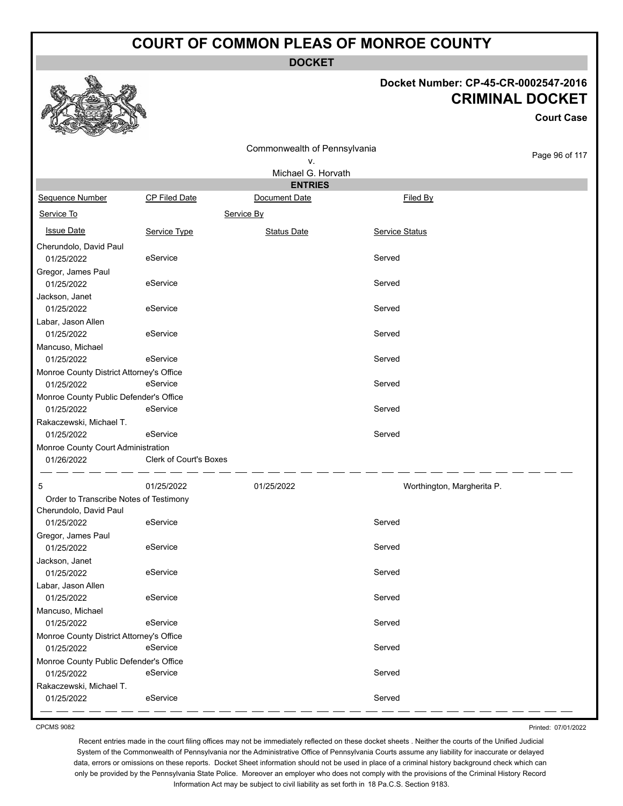**DOCKET**

### **Docket Number: CP-45-CR-0002547-2016 CRIMINAL DOCKET**

|                                                                  |                        |                                    |                            | <b>Court Case</b> |
|------------------------------------------------------------------|------------------------|------------------------------------|----------------------------|-------------------|
|                                                                  |                        | Commonwealth of Pennsylvania<br>v. |                            | Page 96 of 117    |
|                                                                  |                        | Michael G. Horvath                 |                            |                   |
|                                                                  |                        | <b>ENTRIES</b>                     |                            |                   |
| Sequence Number                                                  | <b>CP Filed Date</b>   | Document Date                      | Filed By                   |                   |
| Service To                                                       |                        | Service By                         |                            |                   |
| <b>Issue Date</b>                                                | Service Type           | <b>Status Date</b>                 | <b>Service Status</b>      |                   |
| Cherundolo, David Paul<br>01/25/2022                             | eService               |                                    | Served                     |                   |
| Gregor, James Paul<br>01/25/2022                                 | eService               |                                    | Served                     |                   |
| Jackson, Janet<br>01/25/2022                                     | eService               |                                    | Served                     |                   |
| Labar, Jason Allen<br>01/25/2022                                 | eService               |                                    | Served                     |                   |
| Mancuso, Michael<br>01/25/2022                                   | eService               |                                    | Served                     |                   |
| Monroe County District Attorney's Office<br>01/25/2022           | eService               |                                    | Served                     |                   |
| Monroe County Public Defender's Office<br>01/25/2022             | eService               |                                    | Served                     |                   |
| Rakaczewski, Michael T.<br>01/25/2022                            | eService               |                                    | Served                     |                   |
| Monroe County Court Administration<br>01/26/2022                 | Clerk of Court's Boxes |                                    |                            |                   |
| 5                                                                | 01/25/2022             | 01/25/2022                         | Worthington, Margherita P. |                   |
| Order to Transcribe Notes of Testimony<br>Cherundolo, David Paul |                        |                                    |                            |                   |
| 01/25/2022                                                       | eService               |                                    | Served                     |                   |
| Gregor, James Paul                                               |                        |                                    |                            |                   |
| 01/25/2022                                                       | eService               |                                    | Served                     |                   |
| Jackson, Janet<br>01/25/2022                                     | eService               |                                    | Served                     |                   |
| Labar, Jason Allen<br>01/25/2022                                 | eService               |                                    | Served                     |                   |
| Mancuso, Michael                                                 |                        |                                    |                            |                   |
| 01/25/2022                                                       | eService               |                                    | Served                     |                   |
| Monroe County District Attorney's Office                         |                        |                                    |                            |                   |
| 01/25/2022                                                       | eService               |                                    | Served                     |                   |
| Monroe County Public Defender's Office                           |                        |                                    |                            |                   |
| 01/25/2022                                                       | eService               |                                    | Served                     |                   |
| Rakaczewski, Michael T.<br>01/25/2022                            | eService               |                                    | Served                     |                   |

CPCMS 9082

Printed: 07/01/2022

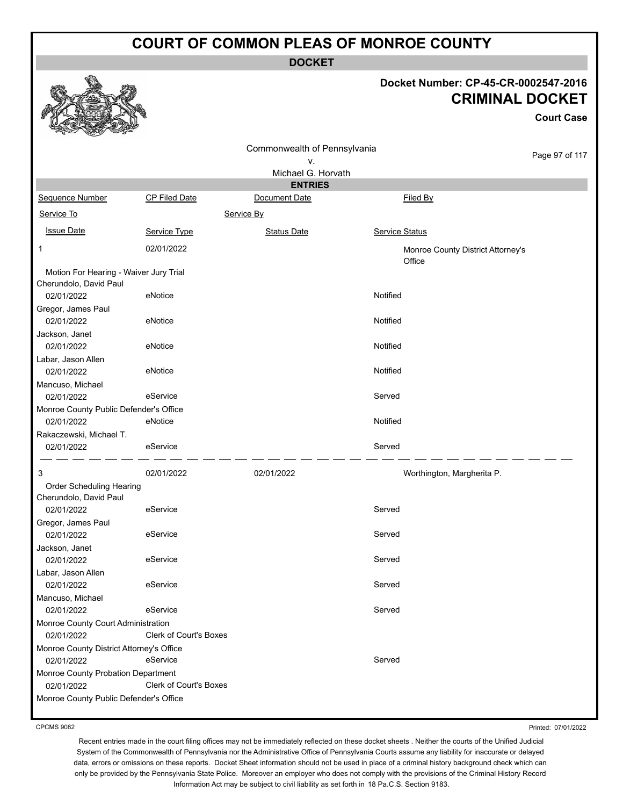**DOCKET**

### **Docket Number: CP-45-CR-0002547-2016 CRIMINAL DOCKET**

**Court Case**

|                                                                  |                        | Commonwealth of Pennsylvania |                                             |                |
|------------------------------------------------------------------|------------------------|------------------------------|---------------------------------------------|----------------|
|                                                                  |                        | ۷.                           |                                             | Page 97 of 117 |
|                                                                  |                        | Michael G. Horvath           |                                             |                |
|                                                                  |                        | <b>ENTRIES</b>               |                                             |                |
| Sequence Number                                                  | <b>CP Filed Date</b>   | Document Date                | Filed By                                    |                |
| Service To                                                       |                        | Service By                   |                                             |                |
| <b>Issue Date</b>                                                | Service Type           | <b>Status Date</b>           | <b>Service Status</b>                       |                |
| 1                                                                | 02/01/2022             |                              | Monroe County District Attorney's<br>Office |                |
| Motion For Hearing - Waiver Jury Trial<br>Cherundolo, David Paul |                        |                              |                                             |                |
| 02/01/2022                                                       | eNotice                |                              | Notified                                    |                |
| Gregor, James Paul                                               |                        |                              |                                             |                |
| 02/01/2022                                                       | eNotice                |                              | Notified                                    |                |
| Jackson, Janet                                                   |                        |                              |                                             |                |
| 02/01/2022                                                       | eNotice                |                              | Notified                                    |                |
| Labar, Jason Allen                                               |                        |                              |                                             |                |
| 02/01/2022                                                       | eNotice                |                              | Notified                                    |                |
| Mancuso, Michael                                                 |                        |                              |                                             |                |
| 02/01/2022                                                       | eService               |                              | Served                                      |                |
| Monroe County Public Defender's Office                           |                        |                              |                                             |                |
| 02/01/2022                                                       | eNotice                |                              | Notified                                    |                |
| Rakaczewski, Michael T.                                          |                        |                              |                                             |                |
| 02/01/2022                                                       | eService               |                              | Served                                      |                |
| 3                                                                | 02/01/2022             | 02/01/2022                   | Worthington, Margherita P.                  |                |
| Order Scheduling Hearing                                         |                        |                              |                                             |                |
| Cherundolo, David Paul                                           |                        |                              | Served                                      |                |
| 02/01/2022                                                       | eService               |                              |                                             |                |
| Gregor, James Paul                                               | eService               |                              | Served                                      |                |
| 02/01/2022                                                       |                        |                              |                                             |                |
| Jackson, Janet<br>02/01/2022                                     | eService               |                              | Served                                      |                |
| Labar, Jason Allen                                               |                        |                              |                                             |                |
| 02/01/2022                                                       | eService               |                              | Served                                      |                |
| Mancuso, Michael                                                 |                        |                              |                                             |                |
| 02/01/2022                                                       | eService               |                              | Served                                      |                |
| Monroe County Court Administration                               |                        |                              |                                             |                |
| 02/01/2022                                                       | Clerk of Court's Boxes |                              |                                             |                |
| Monroe County District Attorney's Office                         |                        |                              |                                             |                |
| 02/01/2022                                                       | eService               |                              | Served                                      |                |
| Monroe County Probation Department                               |                        |                              |                                             |                |
| 02/01/2022                                                       | Clerk of Court's Boxes |                              |                                             |                |
| Monroe County Public Defender's Office                           |                        |                              |                                             |                |

CPCMS 9082

Printed: 07/01/2022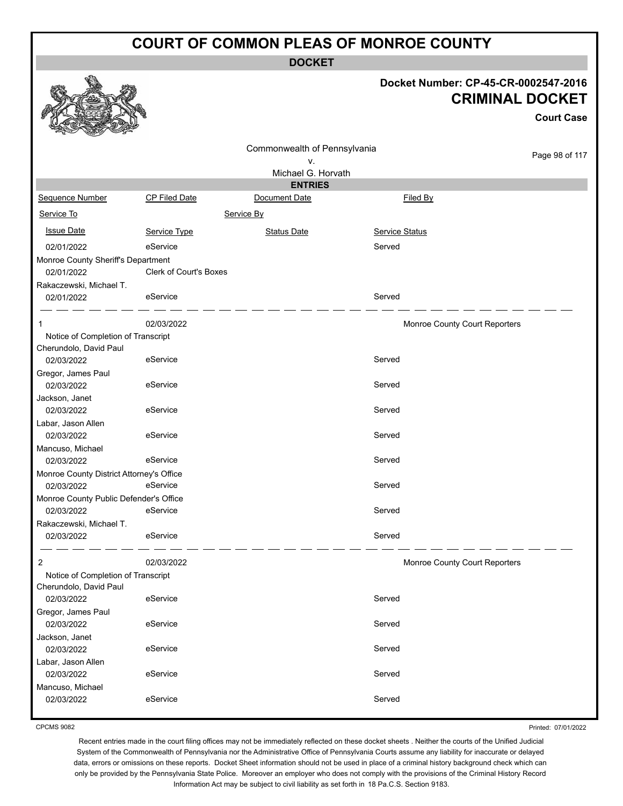**DOCKET**

### **Docket Number: CP-45-CR-0002547-2016 CRIMINAL DOCKET**

**Court Case**

|                                          |                               |                              |                |                               | <b>Court Case</b> |
|------------------------------------------|-------------------------------|------------------------------|----------------|-------------------------------|-------------------|
|                                          |                               | Commonwealth of Pennsylvania |                |                               |                   |
|                                          |                               | ٧.                           |                |                               | Page 98 of 117    |
|                                          |                               | Michael G. Horvath           |                |                               |                   |
|                                          |                               | <b>ENTRIES</b>               |                |                               |                   |
| Sequence Number                          | <b>CP Filed Date</b>          | Document Date                |                | Filed By                      |                   |
| Service To                               |                               | Service By                   |                |                               |                   |
| <b>Issue Date</b>                        | Service Type                  | <b>Status Date</b>           | Service Status |                               |                   |
| 02/01/2022                               | eService                      |                              | Served         |                               |                   |
| Monroe County Sheriff's Department       |                               |                              |                |                               |                   |
| 02/01/2022                               | <b>Clerk of Court's Boxes</b> |                              |                |                               |                   |
| Rakaczewski, Michael T.                  |                               |                              |                |                               |                   |
| 02/01/2022                               | eService                      |                              | Served         |                               |                   |
| 1                                        | 02/03/2022                    |                              |                | Monroe County Court Reporters |                   |
| Notice of Completion of Transcript       |                               |                              |                |                               |                   |
| Cherundolo, David Paul                   |                               |                              |                |                               |                   |
| 02/03/2022                               | eService                      |                              | Served         |                               |                   |
| Gregor, James Paul                       |                               |                              |                |                               |                   |
| 02/03/2022                               | eService                      |                              | Served         |                               |                   |
| Jackson, Janet                           |                               |                              |                |                               |                   |
| 02/03/2022                               | eService                      |                              | Served         |                               |                   |
| Labar, Jason Allen                       |                               |                              |                |                               |                   |
| 02/03/2022                               | eService                      |                              | Served         |                               |                   |
| Mancuso, Michael                         |                               |                              |                |                               |                   |
| 02/03/2022                               | eService                      |                              | Served         |                               |                   |
| Monroe County District Attorney's Office |                               |                              |                |                               |                   |
| 02/03/2022                               | eService                      |                              | Served         |                               |                   |
| Monroe County Public Defender's Office   |                               |                              |                |                               |                   |
| 02/03/2022                               | eService                      |                              | Served         |                               |                   |
| Rakaczewski, Michael T.                  |                               |                              |                |                               |                   |
| 02/03/2022                               | eService                      |                              | Served         |                               |                   |
| 2                                        | 02/03/2022                    |                              |                | Monroe County Court Reporters |                   |
| Notice of Completion of Transcript       |                               |                              |                |                               |                   |
| Cherundolo, David Paul                   |                               |                              |                |                               |                   |
| 02/03/2022                               | eService                      |                              | Served         |                               |                   |
| Gregor, James Paul                       |                               |                              |                |                               |                   |
| 02/03/2022                               | eService                      |                              | Served         |                               |                   |
| Jackson, Janet                           |                               |                              |                |                               |                   |
| 02/03/2022                               | eService                      |                              | Served         |                               |                   |
| Labar, Jason Allen                       |                               |                              |                |                               |                   |
| 02/03/2022                               | eService                      |                              | Served         |                               |                   |
| Mancuso, Michael                         |                               |                              |                |                               |                   |
| 02/03/2022                               | eService                      |                              | Served         |                               |                   |
|                                          |                               |                              |                |                               |                   |

CPCMS 9082

Printed: 07/01/2022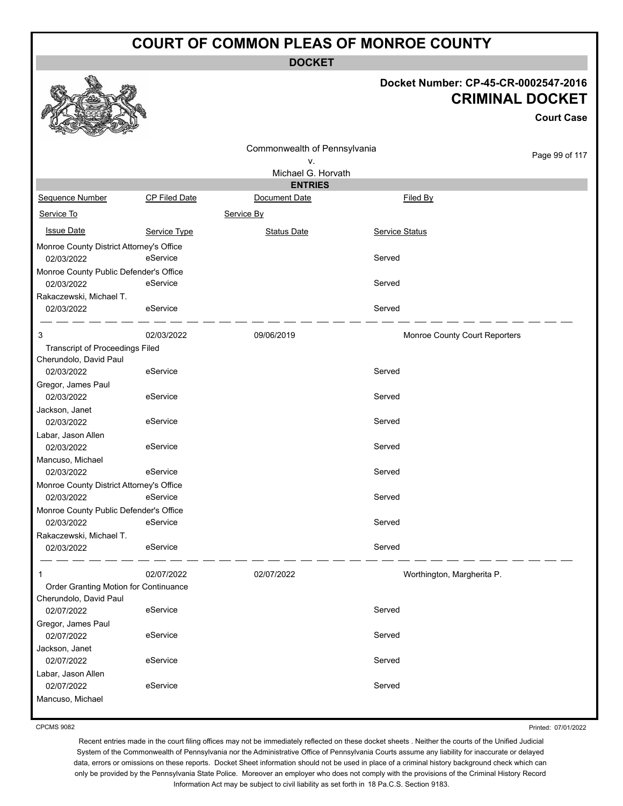**DOCKET**

### **Docket Number: CP-45-CR-0002547-2016 CRIMINAL DOCKET**

**Court Case**

|                                                                 |               | Commonwealth of Pennsylvania |                               |                |
|-----------------------------------------------------------------|---------------|------------------------------|-------------------------------|----------------|
|                                                                 |               | v.                           |                               | Page 99 of 117 |
|                                                                 |               | Michael G. Horvath           |                               |                |
|                                                                 |               | <b>ENTRIES</b>               |                               |                |
| Sequence Number                                                 | CP Filed Date | Document Date                | Filed By                      |                |
| Service To                                                      |               | Service By                   |                               |                |
| <b>Issue Date</b>                                               | Service Type  | <b>Status Date</b>           | Service Status                |                |
| Monroe County District Attorney's Office                        |               |                              |                               |                |
| 02/03/2022                                                      | eService      |                              | Served                        |                |
| Monroe County Public Defender's Office                          |               |                              |                               |                |
| 02/03/2022                                                      | eService      |                              | Served                        |                |
| Rakaczewski, Michael T.                                         |               |                              |                               |                |
| 02/03/2022                                                      | eService      |                              | Served                        |                |
| 3                                                               | 02/03/2022    | 09/06/2019                   | Monroe County Court Reporters |                |
| <b>Transcript of Proceedings Filed</b>                          |               |                              |                               |                |
| Cherundolo, David Paul                                          |               |                              |                               |                |
| 02/03/2022                                                      | eService      |                              | Served                        |                |
| Gregor, James Paul                                              |               |                              |                               |                |
| 02/03/2022                                                      | eService      |                              | Served                        |                |
| Jackson, Janet                                                  |               |                              |                               |                |
| 02/03/2022                                                      | eService      |                              | Served                        |                |
| Labar, Jason Allen                                              | eService      |                              | Served                        |                |
| 02/03/2022                                                      |               |                              |                               |                |
| Mancuso, Michael<br>02/03/2022                                  | eService      |                              | Served                        |                |
| Monroe County District Attorney's Office                        |               |                              |                               |                |
| 02/03/2022                                                      | eService      |                              | Served                        |                |
| Monroe County Public Defender's Office                          |               |                              |                               |                |
| 02/03/2022                                                      | eService      |                              | Served                        |                |
| Rakaczewski, Michael T.                                         |               |                              |                               |                |
| 02/03/2022                                                      | eService      |                              | Served                        |                |
|                                                                 |               |                              |                               |                |
|                                                                 | 02/07/2022    | 02/07/2022                   | Worthington, Margherita P.    |                |
| Order Granting Motion for Continuance<br>Cherundolo, David Paul |               |                              |                               |                |
| 02/07/2022                                                      | eService      |                              | Served                        |                |
| Gregor, James Paul                                              |               |                              |                               |                |
| 02/07/2022                                                      | eService      |                              | Served                        |                |
| Jackson, Janet                                                  |               |                              |                               |                |
| 02/07/2022                                                      | eService      |                              | Served                        |                |
| Labar, Jason Allen                                              |               |                              |                               |                |
| 02/07/2022                                                      | eService      |                              | Served                        |                |
| Mancuso, Michael                                                |               |                              |                               |                |
|                                                                 |               |                              |                               |                |

CPCMS 9082

Recent entries made in the court filing offices may not be immediately reflected on these docket sheets . Neither the courts of the Unified Judicial System of the Commonwealth of Pennsylvania nor the Administrative Office of Pennsylvania Courts assume any liability for inaccurate or delayed data, errors or omissions on these reports. Docket Sheet information should not be used in place of a criminal history background check which can only be provided by the Pennsylvania State Police. Moreover an employer who does not comply with the provisions of the Criminal History Record Information Act may be subject to civil liability as set forth in 18 Pa.C.S. Section 9183.

Printed: 07/01/2022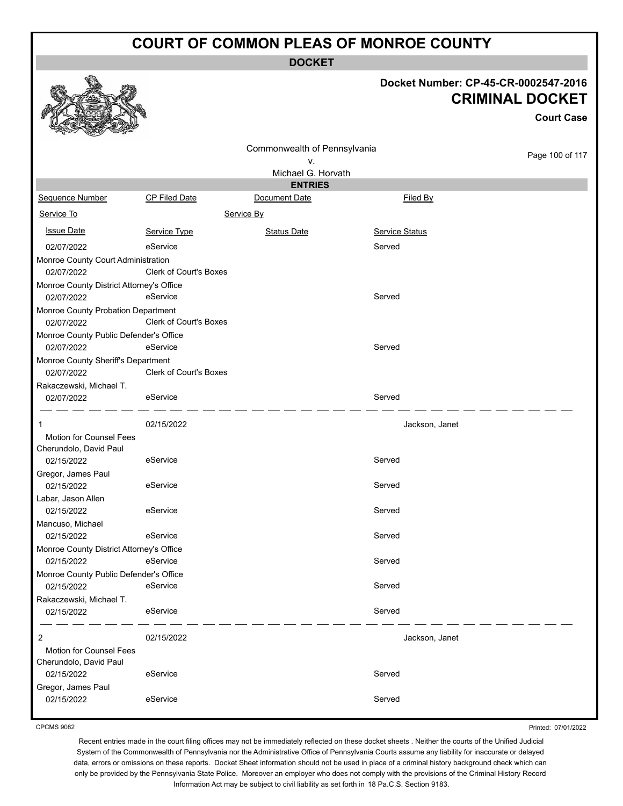**DOCKET**

### **Docket Number: CP-45-CR-0002547-2016 CRIMINAL DOCKET**

**Court Case**

| Commonwealth of Pennsylvania                         |                               |                    | Page 100 of 117 |  |
|------------------------------------------------------|-------------------------------|--------------------|-----------------|--|
|                                                      |                               | ν.                 |                 |  |
|                                                      |                               | Michael G. Horvath |                 |  |
|                                                      |                               | <b>ENTRIES</b>     |                 |  |
| Sequence Number                                      | CP Filed Date                 | Document Date      | Filed By        |  |
| Service To                                           |                               | Service By         |                 |  |
| <b>Issue Date</b>                                    | Service Type                  | <b>Status Date</b> | Service Status  |  |
| 02/07/2022                                           | eService                      |                    | Served          |  |
| Monroe County Court Administration                   |                               |                    |                 |  |
| 02/07/2022                                           | <b>Clerk of Court's Boxes</b> |                    |                 |  |
| Monroe County District Attorney's Office             |                               |                    |                 |  |
| 02/07/2022                                           | eService                      |                    | Served          |  |
| Monroe County Probation Department                   | Clerk of Court's Boxes        |                    |                 |  |
| 02/07/2022                                           |                               |                    |                 |  |
| Monroe County Public Defender's Office<br>02/07/2022 | eService                      |                    | Served          |  |
| Monroe County Sheriff's Department                   |                               |                    |                 |  |
| 02/07/2022                                           | Clerk of Court's Boxes        |                    |                 |  |
| Rakaczewski, Michael T.                              |                               |                    |                 |  |
| 02/07/2022                                           | eService                      |                    | Served          |  |
| 1                                                    | 02/15/2022                    |                    | Jackson, Janet  |  |
| <b>Motion for Counsel Fees</b>                       |                               |                    |                 |  |
| Cherundolo, David Paul                               |                               |                    |                 |  |
| 02/15/2022                                           | eService                      |                    | Served          |  |
| Gregor, James Paul                                   |                               |                    |                 |  |
| 02/15/2022                                           | eService                      |                    | Served          |  |
| Labar, Jason Allen<br>02/15/2022                     | eService                      |                    | Served          |  |
| Mancuso, Michael                                     |                               |                    |                 |  |
| 02/15/2022                                           | eService                      |                    | Served          |  |
| Monroe County District Attorney's Office             |                               |                    |                 |  |
| 02/15/2022                                           | eService                      |                    | Served          |  |
| Monroe County Public Defender's Office               |                               |                    |                 |  |
| 02/15/2022                                           | eService                      |                    | Served          |  |
| Rakaczewski, Michael T.                              |                               |                    |                 |  |
| 02/15/2022                                           | eService                      |                    | Served          |  |
| 2                                                    | 02/15/2022                    |                    | Jackson, Janet  |  |
| Motion for Counsel Fees                              |                               |                    |                 |  |
| Cherundolo, David Paul                               |                               |                    |                 |  |
| 02/15/2022                                           | eService                      |                    | Served          |  |
| Gregor, James Paul                                   |                               |                    |                 |  |
| 02/15/2022                                           | eService                      |                    | Served          |  |

CPCMS 9082

Printed: 07/01/2022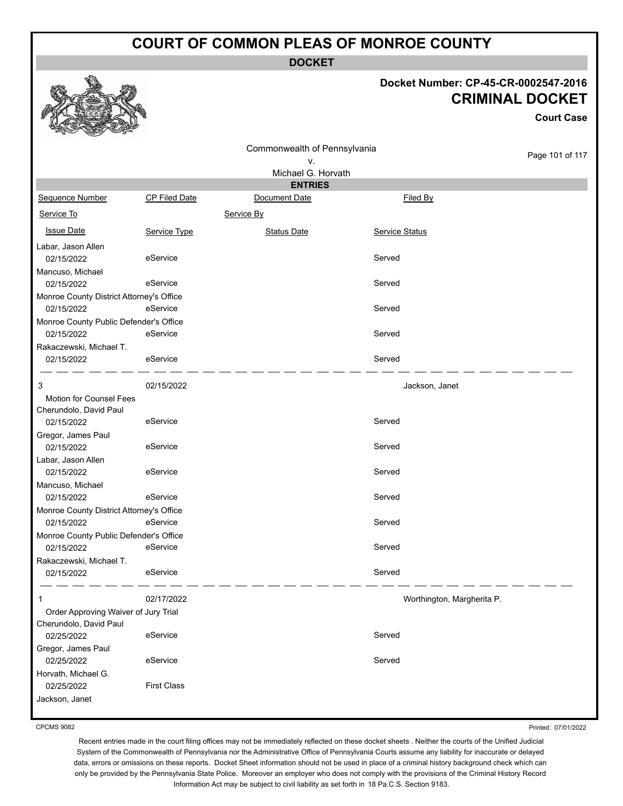**DOCKET**

### **Docket Number: CP-45-CR-0002547-2016 CRIMINAL DOCKET**

Printed: 07/01/2022

|                                          |                      |                                    |                            | <b>Court Case</b> |
|------------------------------------------|----------------------|------------------------------------|----------------------------|-------------------|
|                                          |                      | Commonwealth of Pennsylvania<br>٧. |                            | Page 101 of 117   |
|                                          |                      | Michael G. Horvath                 |                            |                   |
|                                          |                      | <b>ENTRIES</b>                     |                            |                   |
| Sequence Number                          | <b>CP Filed Date</b> | Document Date                      | Filed By                   |                   |
| Service To                               |                      | Service By                         |                            |                   |
| <b>Issue Date</b>                        | Service Type         | Status Date                        | <b>Service Status</b>      |                   |
| Labar, Jason Allen                       |                      |                                    |                            |                   |
| 02/15/2022                               | eService             |                                    | Served                     |                   |
| Mancuso, Michael                         |                      |                                    |                            |                   |
| 02/15/2022                               | eService             |                                    | Served                     |                   |
| Monroe County District Attorney's Office |                      |                                    |                            |                   |
| 02/15/2022                               | eService             |                                    | Served                     |                   |
| Monroe County Public Defender's Office   |                      |                                    |                            |                   |
| 02/15/2022                               | eService             |                                    | Served                     |                   |
| Rakaczewski, Michael T.                  |                      |                                    |                            |                   |
| 02/15/2022                               | eService             |                                    | Served                     |                   |
| 3                                        | 02/15/2022           |                                    | Jackson, Janet             |                   |
| Motion for Counsel Fees                  |                      |                                    |                            |                   |
| Cherundolo, David Paul                   |                      |                                    |                            |                   |
| 02/15/2022                               | eService             |                                    | Served                     |                   |
| Gregor, James Paul                       |                      |                                    |                            |                   |
| 02/15/2022                               | eService             |                                    | Served                     |                   |
| Labar, Jason Allen                       |                      |                                    |                            |                   |
| 02/15/2022                               | eService             |                                    | Served                     |                   |
| Mancuso, Michael                         |                      |                                    |                            |                   |
| 02/15/2022                               | eService             |                                    | Served                     |                   |
| Monroe County District Attorney's Office |                      |                                    |                            |                   |
| 02/15/2022                               | eService             |                                    | Served                     |                   |
| Monroe County Public Defender's Office   |                      |                                    |                            |                   |
| 02/15/2022                               | eService             |                                    | Served                     |                   |
| Rakaczewski, Michael T.                  |                      |                                    |                            |                   |
| 02/15/2022                               | eService             |                                    | Served                     |                   |
| 1                                        | 02/17/2022           |                                    | Worthington, Margherita P. |                   |
| Order Approving Waiver of Jury Trial     |                      |                                    |                            |                   |
| Cherundolo, David Paul                   |                      |                                    |                            |                   |
| 02/25/2022                               | eService             |                                    | Served                     |                   |
| Gregor, James Paul                       |                      |                                    |                            |                   |
| 02/25/2022                               | eService             |                                    | Served                     |                   |
| Horvath, Michael G.                      |                      |                                    |                            |                   |
| 02/25/2022                               | <b>First Class</b>   |                                    |                            |                   |
| Jackson, Janet                           |                      |                                    |                            |                   |
|                                          |                      |                                    |                            |                   |

CPCMS 9082

Recent entries made in the court filing offices may not be immediately reflected on these docket sheets . Neither the courts of the Unified Judicial System of the Commonwealth of Pennsylvania nor the Administrative Office of Pennsylvania Courts assume any liability for inaccurate or delayed data, errors or omissions on these reports. Docket Sheet information should not be used in place of a criminal history background check which can only be provided by the Pennsylvania State Police. Moreover an employer who does not comply with the provisions of the Criminal History Record

Information Act may be subject to civil liability as set forth in 18 Pa.C.S. Section 9183.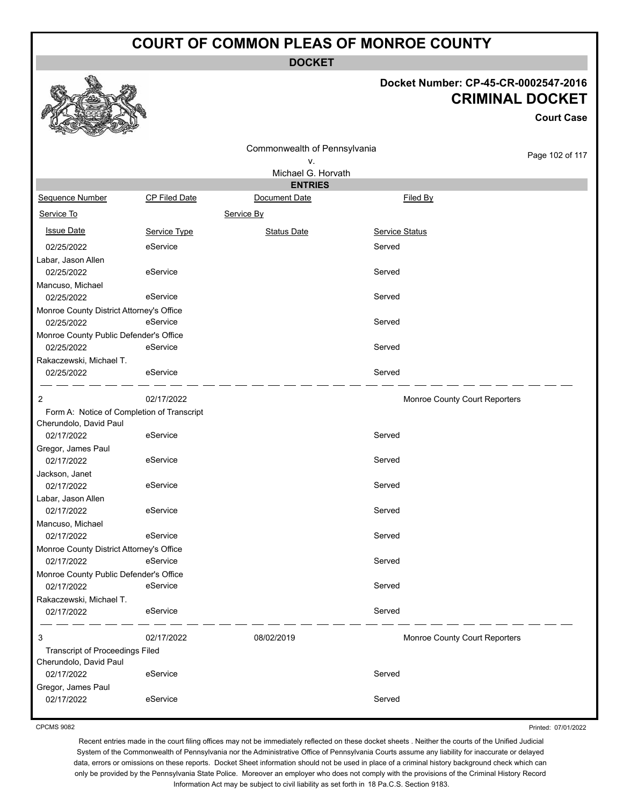**DOCKET**

### **Docket Number: CP-45-CR-0002547-2016 CRIMINAL DOCKET**

**Court Case**

|                                                           |                      | Commonwealth of Pennsylvania |                               |                 |
|-----------------------------------------------------------|----------------------|------------------------------|-------------------------------|-----------------|
|                                                           |                      | ۷.                           |                               | Page 102 of 117 |
|                                                           |                      | Michael G. Horvath           |                               |                 |
|                                                           |                      | <b>ENTRIES</b>               |                               |                 |
| <b>Sequence Number</b>                                    | <b>CP Filed Date</b> | Document Date                | Filed By                      |                 |
| Service To                                                |                      | Service By                   |                               |                 |
| <b>Issue Date</b>                                         | Service Type         | <b>Status Date</b>           | <b>Service Status</b>         |                 |
| 02/25/2022                                                | eService             |                              | Served                        |                 |
| Labar, Jason Allen                                        |                      |                              |                               |                 |
| 02/25/2022                                                | eService             |                              | Served                        |                 |
| Mancuso, Michael                                          |                      |                              |                               |                 |
| 02/25/2022                                                | eService             |                              | Served                        |                 |
| Monroe County District Attorney's Office<br>02/25/2022    | eService             |                              | Served                        |                 |
| Monroe County Public Defender's Office                    |                      |                              |                               |                 |
| 02/25/2022                                                | eService             |                              | Served                        |                 |
| Rakaczewski, Michael T.                                   |                      |                              |                               |                 |
| 02/25/2022                                                | eService             |                              | Served                        |                 |
| $\overline{2}$                                            | 02/17/2022           |                              |                               |                 |
| Form A: Notice of Completion of Transcript                |                      |                              | Monroe County Court Reporters |                 |
| Cherundolo, David Paul                                    |                      |                              |                               |                 |
| 02/17/2022                                                | eService             |                              | Served                        |                 |
| Gregor, James Paul                                        |                      |                              |                               |                 |
| 02/17/2022                                                | eService             |                              | Served                        |                 |
| Jackson, Janet                                            |                      |                              |                               |                 |
| 02/17/2022                                                | eService             |                              | Served                        |                 |
| Labar, Jason Allen                                        |                      |                              |                               |                 |
| 02/17/2022                                                | eService             |                              | Served                        |                 |
| Mancuso, Michael                                          |                      |                              |                               |                 |
| 02/17/2022                                                | eService             |                              | Served                        |                 |
| Monroe County District Attorney's Office                  |                      |                              |                               |                 |
| 02/17/2022                                                | eService             |                              | Served                        |                 |
| Monroe County Public Defender's Office<br>02/17/2022      | eService             |                              | Served                        |                 |
| Rakaczewski, Michael T.                                   |                      |                              |                               |                 |
| 02/17/2022                                                | eService             |                              | Served                        |                 |
|                                                           |                      |                              |                               |                 |
| 3                                                         | 02/17/2022           | 08/02/2019                   | Monroe County Court Reporters |                 |
| Transcript of Proceedings Filed<br>Cherundolo, David Paul |                      |                              |                               |                 |
| 02/17/2022                                                | eService             |                              | Served                        |                 |
| Gregor, James Paul                                        |                      |                              |                               |                 |
| 02/17/2022                                                | eService             |                              | Served                        |                 |
|                                                           |                      |                              |                               |                 |

CPCMS 9082

Printed: 07/01/2022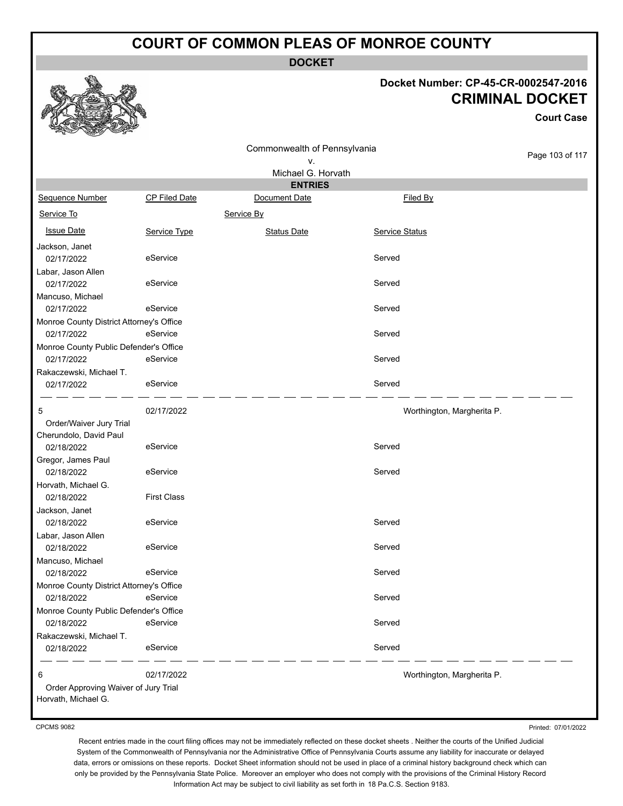**DOCKET**

### **Docket Number: CP-45-CR-0002547-2016 CRIMINAL DOCKET**

**Court Case**

|                                          |                      | Commonwealth of Pennsylvania |                            |                 |
|------------------------------------------|----------------------|------------------------------|----------------------------|-----------------|
|                                          | v.                   |                              |                            | Page 103 of 117 |
|                                          |                      | Michael G. Horvath           |                            |                 |
|                                          |                      | <b>ENTRIES</b>               |                            |                 |
| Sequence Number                          | <b>CP Filed Date</b> | Document Date                | Filed By                   |                 |
| Service To                               |                      | Service By                   |                            |                 |
| <b>Issue Date</b>                        | Service Type         | <b>Status Date</b>           | Service Status             |                 |
| Jackson, Janet                           |                      |                              |                            |                 |
| 02/17/2022                               | eService             |                              | Served                     |                 |
| Labar, Jason Allen                       |                      |                              |                            |                 |
| 02/17/2022                               | eService             |                              | Served                     |                 |
| Mancuso, Michael                         |                      |                              |                            |                 |
| 02/17/2022                               | eService             |                              | Served                     |                 |
| Monroe County District Attorney's Office |                      |                              |                            |                 |
| 02/17/2022                               | eService             |                              | Served                     |                 |
| Monroe County Public Defender's Office   |                      |                              |                            |                 |
| 02/17/2022                               | eService             |                              | Served                     |                 |
| Rakaczewski, Michael T.                  |                      |                              |                            |                 |
| 02/17/2022                               | eService             |                              | Served                     |                 |
| 5                                        | 02/17/2022           |                              | Worthington, Margherita P. |                 |
| Order/Waiver Jury Trial                  |                      |                              |                            |                 |
| Cherundolo, David Paul                   |                      |                              |                            |                 |
| 02/18/2022                               | eService             |                              | Served                     |                 |
| Gregor, James Paul                       |                      |                              |                            |                 |
| 02/18/2022                               | eService             |                              | Served                     |                 |
| Horvath, Michael G.                      |                      |                              |                            |                 |
| 02/18/2022                               | <b>First Class</b>   |                              |                            |                 |
| Jackson, Janet                           |                      |                              |                            |                 |
| 02/18/2022                               | eService             |                              | Served                     |                 |
| Labar, Jason Allen                       |                      |                              |                            |                 |
| 02/18/2022                               | eService             |                              | Served                     |                 |
| Mancuso, Michael                         |                      |                              |                            |                 |
| 02/18/2022                               | eService             |                              | Served                     |                 |
| Monroe County District Attorney's Office |                      |                              |                            |                 |
| 02/18/2022                               | eService             |                              | Served                     |                 |
| Monroe County Public Defender's Office   |                      |                              |                            |                 |
| 02/18/2022                               | eService             |                              | Served                     |                 |
| Rakaczewski, Michael T.                  |                      |                              |                            |                 |
| 02/18/2022                               | eService             |                              | Served                     |                 |
| 6                                        | 02/17/2022           |                              | Worthington, Margherita P. |                 |
| Order Approving Waiver of Jury Trial     |                      |                              |                            |                 |
| Horvath, Michael G.                      |                      |                              |                            |                 |

CPCMS 9082

Printed: 07/01/2022

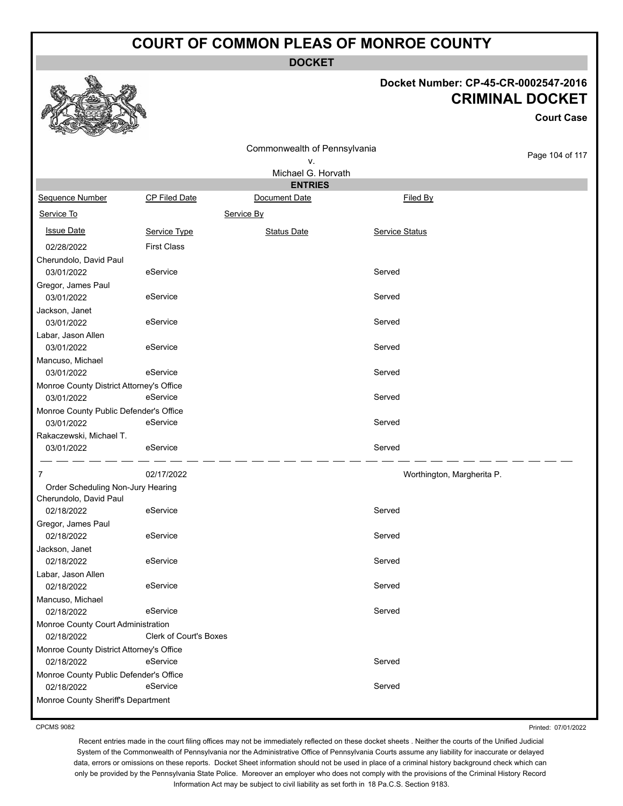**DOCKET**

### **Docket Number: CP-45-CR-0002547-2016 CRIMINAL DOCKET**

**Court Case**

| Page 104 of 117 |                            |                                                                    |                              |                                                                      |                                                                                                                                                                                                                                                                                                                        |
|-----------------|----------------------------|--------------------------------------------------------------------|------------------------------|----------------------------------------------------------------------|------------------------------------------------------------------------------------------------------------------------------------------------------------------------------------------------------------------------------------------------------------------------------------------------------------------------|
|                 |                            |                                                                    | Commonwealth of Pennsylvania |                                                                      |                                                                                                                                                                                                                                                                                                                        |
|                 |                            |                                                                    | ν.                           |                                                                      |                                                                                                                                                                                                                                                                                                                        |
|                 |                            |                                                                    | Michael G. Horvath           |                                                                      |                                                                                                                                                                                                                                                                                                                        |
|                 |                            |                                                                    | <b>ENTRIES</b>               |                                                                      |                                                                                                                                                                                                                                                                                                                        |
|                 | Filed By                   |                                                                    | Document Date                | <b>CP Filed Date</b>                                                 | Sequence Number                                                                                                                                                                                                                                                                                                        |
|                 |                            |                                                                    | Service By                   |                                                                      | Service To                                                                                                                                                                                                                                                                                                             |
|                 |                            | Service Status                                                     | <b>Status Date</b>           | Service Type                                                         | <b>Issue Date</b>                                                                                                                                                                                                                                                                                                      |
|                 |                            |                                                                    |                              | <b>First Class</b>                                                   | 02/28/2022                                                                                                                                                                                                                                                                                                             |
|                 |                            |                                                                    |                              |                                                                      | Cherundolo, David Paul                                                                                                                                                                                                                                                                                                 |
|                 |                            | Served                                                             |                              | eService                                                             | 03/01/2022                                                                                                                                                                                                                                                                                                             |
|                 |                            |                                                                    |                              |                                                                      | Gregor, James Paul                                                                                                                                                                                                                                                                                                     |
|                 |                            |                                                                    |                              | eService                                                             |                                                                                                                                                                                                                                                                                                                        |
|                 |                            |                                                                    |                              |                                                                      |                                                                                                                                                                                                                                                                                                                        |
|                 |                            |                                                                    |                              |                                                                      |                                                                                                                                                                                                                                                                                                                        |
|                 |                            |                                                                    |                              |                                                                      |                                                                                                                                                                                                                                                                                                                        |
|                 |                            |                                                                    |                              |                                                                      |                                                                                                                                                                                                                                                                                                                        |
|                 |                            | Served                                                             |                              | eService                                                             |                                                                                                                                                                                                                                                                                                                        |
|                 |                            |                                                                    |                              |                                                                      |                                                                                                                                                                                                                                                                                                                        |
|                 |                            | Served                                                             |                              | eService                                                             | 03/01/2022                                                                                                                                                                                                                                                                                                             |
|                 |                            |                                                                    |                              |                                                                      | Monroe County Public Defender's Office                                                                                                                                                                                                                                                                                 |
|                 |                            | Served                                                             |                              | eService                                                             | 03/01/2022                                                                                                                                                                                                                                                                                                             |
|                 |                            |                                                                    |                              |                                                                      | Rakaczewski, Michael T.                                                                                                                                                                                                                                                                                                |
|                 |                            | Served                                                             |                              | eService                                                             | 03/01/2022                                                                                                                                                                                                                                                                                                             |
|                 | Worthington, Margherita P. |                                                                    |                              | 02/17/2022                                                           | 7                                                                                                                                                                                                                                                                                                                      |
|                 |                            |                                                                    |                              |                                                                      | Order Scheduling Non-Jury Hearing                                                                                                                                                                                                                                                                                      |
|                 |                            |                                                                    |                              |                                                                      | Cherundolo, David Paul                                                                                                                                                                                                                                                                                                 |
|                 |                            | Served                                                             |                              | eService                                                             | 02/18/2022                                                                                                                                                                                                                                                                                                             |
|                 |                            |                                                                    |                              |                                                                      | Gregor, James Paul                                                                                                                                                                                                                                                                                                     |
|                 |                            |                                                                    |                              |                                                                      |                                                                                                                                                                                                                                                                                                                        |
|                 |                            |                                                                    |                              |                                                                      |                                                                                                                                                                                                                                                                                                                        |
|                 |                            |                                                                    |                              |                                                                      |                                                                                                                                                                                                                                                                                                                        |
|                 |                            |                                                                    |                              |                                                                      |                                                                                                                                                                                                                                                                                                                        |
|                 |                            |                                                                    |                              |                                                                      |                                                                                                                                                                                                                                                                                                                        |
|                 |                            |                                                                    |                              |                                                                      |                                                                                                                                                                                                                                                                                                                        |
|                 |                            |                                                                    |                              |                                                                      |                                                                                                                                                                                                                                                                                                                        |
|                 |                            |                                                                    |                              | Clerk of Court's Boxes                                               | 02/18/2022                                                                                                                                                                                                                                                                                                             |
|                 |                            |                                                                    |                              |                                                                      | Monroe County District Attorney's Office                                                                                                                                                                                                                                                                               |
|                 |                            | Served                                                             |                              | eService                                                             | 02/18/2022                                                                                                                                                                                                                                                                                                             |
|                 |                            |                                                                    |                              |                                                                      | Monroe County Public Defender's Office                                                                                                                                                                                                                                                                                 |
|                 |                            | Served                                                             |                              | eService                                                             | 02/18/2022                                                                                                                                                                                                                                                                                                             |
|                 |                            |                                                                    |                              |                                                                      | Monroe County Sheriff's Department                                                                                                                                                                                                                                                                                     |
|                 |                            | Served<br>Served<br>Served<br>Served<br>Served<br>Served<br>Served |                              | eService<br>eService<br>eService<br>eService<br>eService<br>eService | 03/01/2022<br>Jackson, Janet<br>03/01/2022<br>Labar, Jason Allen<br>03/01/2022<br>Mancuso, Michael<br>03/01/2022<br>Monroe County District Attorney's Office<br>02/18/2022<br>Jackson, Janet<br>02/18/2022<br>Labar, Jason Allen<br>02/18/2022<br>Mancuso, Michael<br>02/18/2022<br>Monroe County Court Administration |

CPCMS 9082

Printed: 07/01/2022

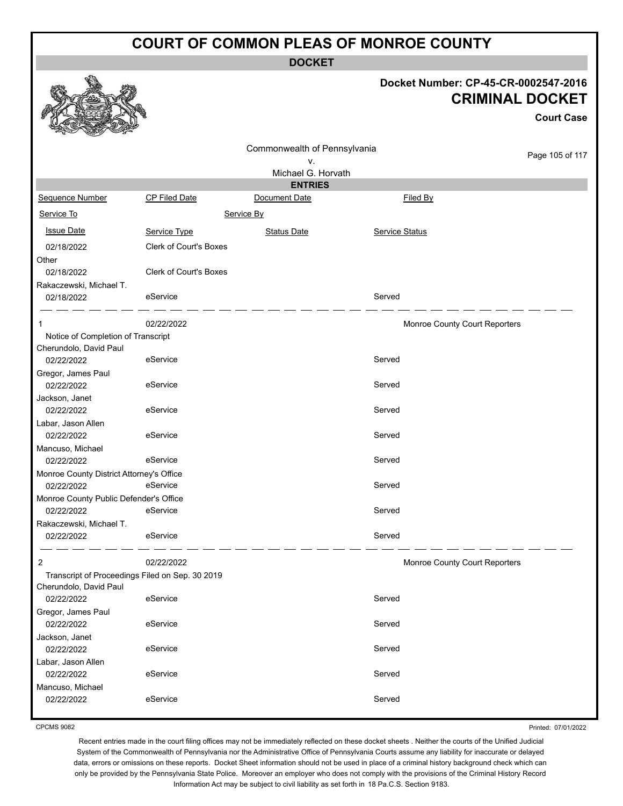**DOCKET**

### **Docket Number: CP-45-CR-0002547-2016 CRIMINAL DOCKET**

**Court Case**

|                                                 |                               | Commonwealth of Pennsylvania |                |                               |
|-------------------------------------------------|-------------------------------|------------------------------|----------------|-------------------------------|
|                                                 |                               | ν.                           |                | Page 105 of 117               |
|                                                 |                               | Michael G. Horvath           |                |                               |
|                                                 |                               | <b>ENTRIES</b>               |                |                               |
| Sequence Number                                 | CP Filed Date                 | Document Date                | Filed By       |                               |
| Service To                                      |                               | Service By                   |                |                               |
| <b>Issue Date</b>                               | Service Type                  | <b>Status Date</b>           | Service Status |                               |
| 02/18/2022                                      | <b>Clerk of Court's Boxes</b> |                              |                |                               |
| Other                                           |                               |                              |                |                               |
| 02/18/2022                                      | <b>Clerk of Court's Boxes</b> |                              |                |                               |
| Rakaczewski, Michael T.                         |                               |                              |                |                               |
| 02/18/2022                                      | eService                      |                              | Served         |                               |
|                                                 |                               |                              |                |                               |
|                                                 | 02/22/2022                    |                              |                | Monroe County Court Reporters |
| Notice of Completion of Transcript              |                               |                              |                |                               |
| Cherundolo, David Paul                          |                               |                              |                |                               |
| 02/22/2022                                      | eService                      |                              | Served         |                               |
| Gregor, James Paul                              |                               |                              |                |                               |
| 02/22/2022                                      | eService                      |                              | Served         |                               |
| Jackson, Janet                                  |                               |                              |                |                               |
| 02/22/2022                                      | eService                      |                              | Served         |                               |
| Labar, Jason Allen                              |                               |                              |                |                               |
| 02/22/2022                                      | eService                      |                              | Served         |                               |
| Mancuso, Michael                                |                               |                              |                |                               |
| 02/22/2022                                      | eService                      |                              | Served         |                               |
| Monroe County District Attorney's Office        |                               |                              |                |                               |
| 02/22/2022                                      | eService                      |                              | Served         |                               |
| Monroe County Public Defender's Office          |                               |                              |                |                               |
| 02/22/2022                                      | eService                      |                              | Served         |                               |
| Rakaczewski, Michael T.                         |                               |                              |                |                               |
| 02/22/2022                                      | eService                      |                              | Served         |                               |
| 2                                               | 02/22/2022                    |                              |                | Monroe County Court Reporters |
| Transcript of Proceedings Filed on Sep. 30 2019 |                               |                              |                |                               |
| Cherundolo, David Paul                          |                               |                              |                |                               |
| 02/22/2022                                      | eService                      |                              | Served         |                               |
| Gregor, James Paul                              |                               |                              |                |                               |
| 02/22/2022                                      | eService                      |                              | Served         |                               |
| Jackson, Janet                                  |                               |                              |                |                               |
| 02/22/2022                                      | eService                      |                              | Served         |                               |
| Labar, Jason Allen                              |                               |                              |                |                               |
| 02/22/2022                                      | eService                      |                              | Served         |                               |
| Mancuso, Michael                                |                               |                              |                |                               |
| 02/22/2022                                      | eService                      |                              | Served         |                               |
|                                                 |                               |                              |                |                               |

CPCMS 9082

Printed: 07/01/2022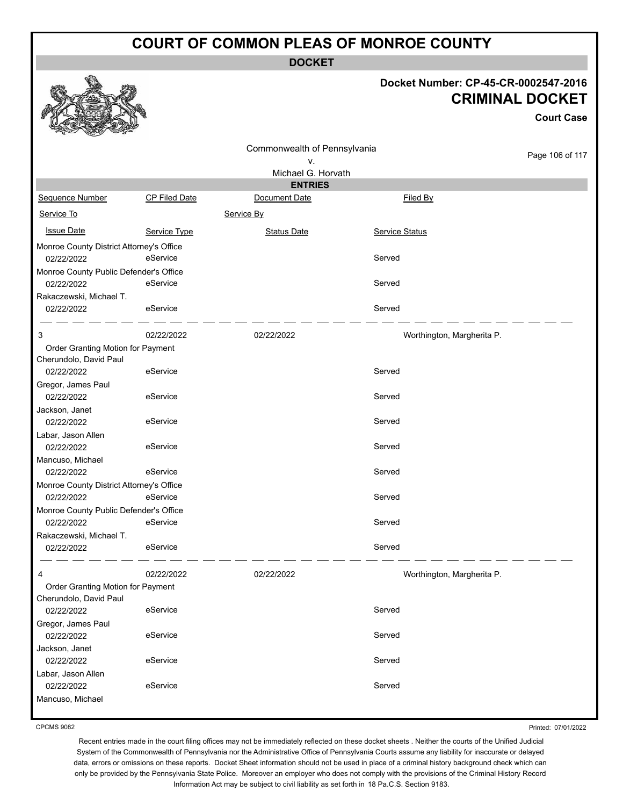**DOCKET**

### **Docket Number: CP-45-CR-0002547-2016 CRIMINAL DOCKET**

**Court Case**

|                                                      |                      |                                 |                            | <b>Court Case</b> |
|------------------------------------------------------|----------------------|---------------------------------|----------------------------|-------------------|
|                                                      |                      | Commonwealth of Pennsylvania    |                            |                   |
|                                                      |                      | ٧.                              |                            | Page 106 of 117   |
|                                                      |                      | Michael G. Horvath              |                            |                   |
| Sequence Number                                      | <b>CP Filed Date</b> | <b>ENTRIES</b><br>Document Date | Filed By                   |                   |
|                                                      |                      |                                 |                            |                   |
| Service To                                           |                      | Service By                      |                            |                   |
| <b>Issue Date</b>                                    | Service Type         | <b>Status Date</b>              | <b>Service Status</b>      |                   |
| Monroe County District Attorney's Office             |                      |                                 |                            |                   |
| 02/22/2022                                           | eService             |                                 | Served                     |                   |
| Monroe County Public Defender's Office               |                      |                                 |                            |                   |
| 02/22/2022<br>Rakaczewski, Michael T.                | eService             |                                 | Served                     |                   |
| 02/22/2022                                           | eService             |                                 | Served                     |                   |
|                                                      |                      |                                 |                            |                   |
| 3                                                    | 02/22/2022           | 02/22/2022                      | Worthington, Margherita P. |                   |
| Order Granting Motion for Payment                    |                      |                                 |                            |                   |
| Cherundolo, David Paul                               |                      |                                 |                            |                   |
| 02/22/2022                                           | eService             |                                 | Served                     |                   |
| Gregor, James Paul<br>02/22/2022                     | eService             |                                 | Served                     |                   |
| Jackson, Janet                                       |                      |                                 |                            |                   |
| 02/22/2022                                           | eService             |                                 | Served                     |                   |
| Labar, Jason Allen                                   |                      |                                 |                            |                   |
| 02/22/2022                                           | eService             |                                 | Served                     |                   |
| Mancuso, Michael                                     |                      |                                 |                            |                   |
| 02/22/2022                                           | eService             |                                 | Served                     |                   |
| Monroe County District Attorney's Office             |                      |                                 |                            |                   |
| 02/22/2022                                           | eService             |                                 | Served                     |                   |
| Monroe County Public Defender's Office<br>02/22/2022 | eService             |                                 | Served                     |                   |
| Rakaczewski, Michael T.                              |                      |                                 |                            |                   |
| 02/22/2022                                           | eService             |                                 | Served                     |                   |
|                                                      |                      |                                 |                            |                   |
| 4                                                    | 02/22/2022           | 02/22/2022                      | Worthington, Margherita P. |                   |
| Order Granting Motion for Payment                    |                      |                                 |                            |                   |
| Cherundolo, David Paul                               |                      |                                 |                            |                   |
| 02/22/2022                                           | eService             |                                 | Served                     |                   |
| Gregor, James Paul                                   |                      |                                 |                            |                   |
| 02/22/2022                                           | eService             |                                 | Served                     |                   |
| Jackson, Janet<br>02/22/2022                         | eService             |                                 | Served                     |                   |
| Labar, Jason Allen                                   |                      |                                 |                            |                   |
| 02/22/2022                                           | eService             |                                 | Served                     |                   |
| Mancuso, Michael                                     |                      |                                 |                            |                   |
|                                                      |                      |                                 |                            |                   |

CPCMS 9082

Printed: 07/01/2022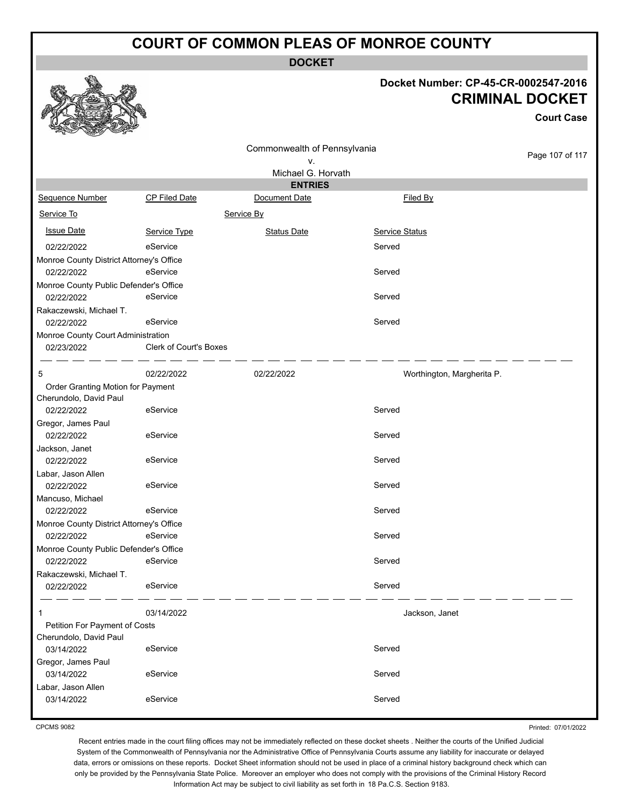**DOCKET**

### **Docket Number: CP-45-CR-0002547-2016 CRIMINAL DOCKET**

**Court Case**

|                                                        |                        | Commonwealth of Pennsylvania |                            |                 |
|--------------------------------------------------------|------------------------|------------------------------|----------------------------|-----------------|
|                                                        |                        | v.                           |                            | Page 107 of 117 |
|                                                        |                        | Michael G. Horvath           |                            |                 |
|                                                        |                        | <b>ENTRIES</b>               |                            |                 |
| Sequence Number                                        | <b>CP Filed Date</b>   | Document Date                | Filed By                   |                 |
| Service To                                             |                        | Service By                   |                            |                 |
| <b>Issue Date</b>                                      | Service Type           | <b>Status Date</b>           | Service Status             |                 |
| 02/22/2022                                             | eService               |                              | Served                     |                 |
| Monroe County District Attorney's Office               |                        |                              |                            |                 |
| 02/22/2022                                             | eService               |                              | Served                     |                 |
| Monroe County Public Defender's Office                 |                        |                              |                            |                 |
| 02/22/2022                                             | eService               |                              | Served                     |                 |
| Rakaczewski, Michael T.                                |                        |                              |                            |                 |
| 02/22/2022                                             | eService               |                              | Served                     |                 |
| Monroe County Court Administration<br>02/23/2022       | Clerk of Court's Boxes |                              |                            |                 |
|                                                        |                        |                              |                            |                 |
| 5                                                      | 02/22/2022             | 02/22/2022                   | Worthington, Margherita P. |                 |
| Order Granting Motion for Payment                      |                        |                              |                            |                 |
| Cherundolo, David Paul                                 |                        |                              |                            |                 |
| 02/22/2022                                             | eService               |                              | Served                     |                 |
| Gregor, James Paul                                     |                        |                              |                            |                 |
| 02/22/2022                                             | eService               |                              | Served                     |                 |
| Jackson, Janet                                         |                        |                              |                            |                 |
| 02/22/2022                                             | eService               |                              | Served                     |                 |
| Labar, Jason Allen                                     |                        |                              |                            |                 |
| 02/22/2022                                             | eService               |                              | Served                     |                 |
| Mancuso, Michael                                       | eService               |                              | Served                     |                 |
| 02/22/2022                                             |                        |                              |                            |                 |
| Monroe County District Attorney's Office<br>02/22/2022 | eService               |                              | Served                     |                 |
| Monroe County Public Defender's Office                 |                        |                              |                            |                 |
| 02/22/2022                                             | eService               |                              | Served                     |                 |
| Rakaczewski, Michael T.                                |                        |                              |                            |                 |
| 02/22/2022                                             | eService               |                              | Served                     |                 |
|                                                        |                        |                              |                            |                 |
| 1                                                      | 03/14/2022             |                              | Jackson, Janet             |                 |
| Petition For Payment of Costs                          |                        |                              |                            |                 |
| Cherundolo, David Paul                                 |                        |                              |                            |                 |
| 03/14/2022                                             | eService               |                              | Served                     |                 |
| Gregor, James Paul                                     |                        |                              |                            |                 |
| 03/14/2022                                             | eService               |                              | Served                     |                 |
| Labar, Jason Allen<br>03/14/2022                       | eService               |                              | Served                     |                 |
|                                                        |                        |                              |                            |                 |

CPCMS 9082

Printed: 07/01/2022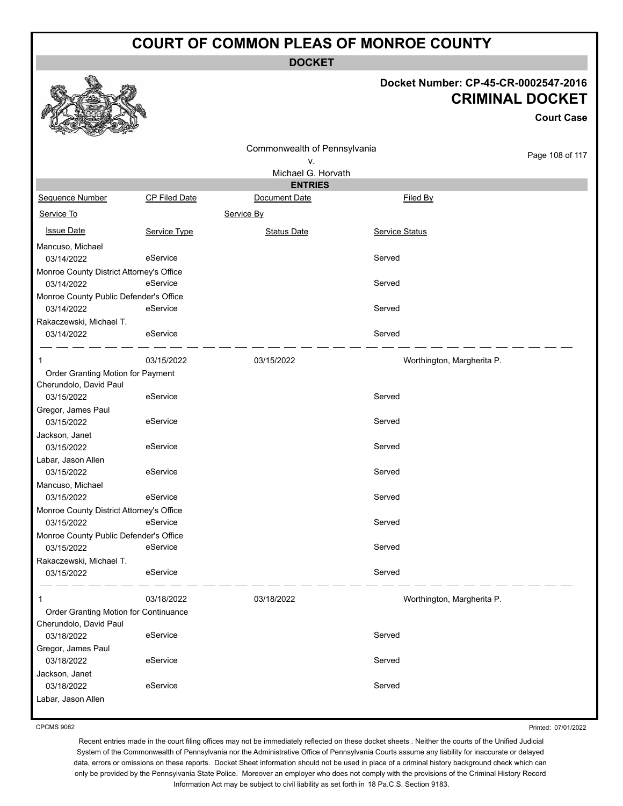**DOCKET**

### **Docket Number: CP-45-CR-0002547-2016 CRIMINAL DOCKET**

**Court Case**

|                                          |               | Commonwealth of Pennsylvania |                            |                 |
|------------------------------------------|---------------|------------------------------|----------------------------|-----------------|
|                                          |               | ٧.                           |                            | Page 108 of 117 |
|                                          |               | Michael G. Horvath           |                            |                 |
|                                          |               | <b>ENTRIES</b>               |                            |                 |
| Sequence Number                          | CP Filed Date | Document Date                | Filed By                   |                 |
| Service To                               |               | Service By                   |                            |                 |
| <b>Issue Date</b>                        | Service Type  | <b>Status Date</b>           | Service Status             |                 |
| Mancuso, Michael                         |               |                              |                            |                 |
| 03/14/2022                               | eService      |                              | Served                     |                 |
| Monroe County District Attorney's Office |               |                              |                            |                 |
| 03/14/2022                               | eService      |                              | Served                     |                 |
| Monroe County Public Defender's Office   |               |                              |                            |                 |
| 03/14/2022                               | eService      |                              | Served                     |                 |
| Rakaczewski, Michael T.                  |               |                              |                            |                 |
| 03/14/2022                               | eService      |                              | Served                     |                 |
| 1                                        | 03/15/2022    | 03/15/2022                   | Worthington, Margherita P. |                 |
| Order Granting Motion for Payment        |               |                              |                            |                 |
| Cherundolo, David Paul                   |               |                              |                            |                 |
| 03/15/2022                               | eService      |                              | Served                     |                 |
| Gregor, James Paul                       |               |                              |                            |                 |
| 03/15/2022                               | eService      |                              | Served                     |                 |
| Jackson, Janet                           |               |                              |                            |                 |
| 03/15/2022                               | eService      |                              | Served                     |                 |
| Labar, Jason Allen                       |               |                              |                            |                 |
| 03/15/2022                               | eService      |                              | Served                     |                 |
| Mancuso, Michael                         |               |                              |                            |                 |
| 03/15/2022                               | eService      |                              | Served                     |                 |
| Monroe County District Attorney's Office |               |                              |                            |                 |
| 03/15/2022                               | eService      |                              | Served                     |                 |
| Monroe County Public Defender's Office   |               |                              |                            |                 |
| 03/15/2022                               | eService      |                              | Served                     |                 |
| Rakaczewski, Michael T.                  |               |                              |                            |                 |
| 03/15/2022                               | eService      |                              | Served                     |                 |
| 1                                        | 03/18/2022    | 03/18/2022                   | Worthington, Margherita P. |                 |
| Order Granting Motion for Continuance    |               |                              |                            |                 |
| Cherundolo, David Paul                   |               |                              |                            |                 |
| 03/18/2022                               | eService      |                              | Served                     |                 |
| Gregor, James Paul                       |               |                              |                            |                 |
| 03/18/2022                               | eService      |                              | Served                     |                 |
| Jackson, Janet                           |               |                              |                            |                 |
| 03/18/2022                               | eService      |                              | Served                     |                 |
| Labar, Jason Allen                       |               |                              |                            |                 |
|                                          |               |                              |                            |                 |

CPCMS 9082

Printed: 07/01/2022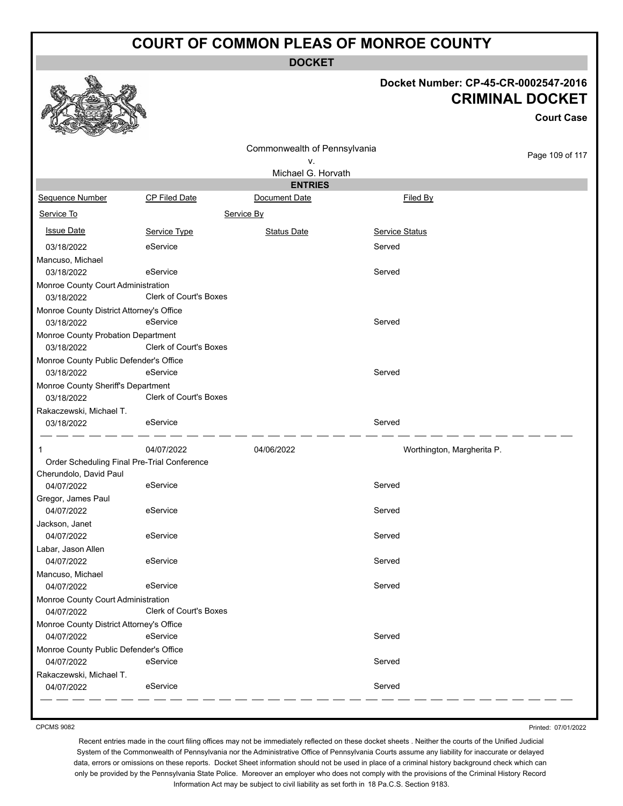**DOCKET**

### **Docket Number: CP-45-CR-0002547-2016 CRIMINAL DOCKET**

**Court Case**

|                                          |                                             | Commonwealth of Pennsylvania |                            | Page 109 of 117 |
|------------------------------------------|---------------------------------------------|------------------------------|----------------------------|-----------------|
|                                          |                                             | ٧.                           |                            |                 |
|                                          |                                             | Michael G. Horvath           |                            |                 |
|                                          |                                             | <b>ENTRIES</b>               |                            |                 |
| Sequence Number                          | CP Filed Date                               | Document Date                | Filed By                   |                 |
| Service To                               |                                             | Service By                   |                            |                 |
| <b>Issue Date</b>                        | Service Type                                | <b>Status Date</b>           | <b>Service Status</b>      |                 |
| 03/18/2022                               | eService                                    |                              | Served                     |                 |
| Mancuso, Michael                         |                                             |                              |                            |                 |
| 03/18/2022                               | eService                                    |                              | Served                     |                 |
| Monroe County Court Administration       |                                             |                              |                            |                 |
| 03/18/2022                               | <b>Clerk of Court's Boxes</b>               |                              |                            |                 |
| Monroe County District Attorney's Office |                                             |                              |                            |                 |
| 03/18/2022                               | eService                                    |                              | Served                     |                 |
| Monroe County Probation Department       |                                             |                              |                            |                 |
| 03/18/2022                               | <b>Clerk of Court's Boxes</b>               |                              |                            |                 |
| Monroe County Public Defender's Office   |                                             |                              |                            |                 |
| 03/18/2022                               | eService                                    |                              | Served                     |                 |
| Monroe County Sheriff's Department       |                                             |                              |                            |                 |
| 03/18/2022                               | <b>Clerk of Court's Boxes</b>               |                              |                            |                 |
| Rakaczewski, Michael T.                  |                                             |                              |                            |                 |
| 03/18/2022                               | eService                                    |                              | Served                     |                 |
| 1                                        | 04/07/2022                                  | 04/06/2022                   | Worthington, Margherita P. |                 |
|                                          | Order Scheduling Final Pre-Trial Conference |                              |                            |                 |
| Cherundolo, David Paul                   |                                             |                              |                            |                 |
| 04/07/2022                               | eService                                    |                              | Served                     |                 |
| Gregor, James Paul                       |                                             |                              |                            |                 |
| 04/07/2022                               | eService                                    |                              | Served                     |                 |
| Jackson, Janet                           |                                             |                              |                            |                 |
| 04/07/2022                               | eService                                    |                              | Served                     |                 |
| Labar, Jason Allen                       |                                             |                              |                            |                 |
| 04/07/2022                               | eService                                    |                              | Served                     |                 |
| Mancuso, Michael                         |                                             |                              |                            |                 |
| 04/07/2022                               | eService                                    |                              | Served                     |                 |
| Monroe County Court Administration       |                                             |                              |                            |                 |
| 04/07/2022                               | Clerk of Court's Boxes                      |                              |                            |                 |
| Monroe County District Attorney's Office |                                             |                              |                            |                 |
| 04/07/2022                               | eService                                    |                              | Served                     |                 |
| Monroe County Public Defender's Office   |                                             |                              |                            |                 |
| 04/07/2022                               | eService                                    |                              | Served                     |                 |
| Rakaczewski, Michael T.<br>04/07/2022    | eService                                    |                              | Served                     |                 |
|                                          |                                             |                              |                            |                 |
|                                          |                                             |                              |                            |                 |

CPCMS 9082

Printed: 07/01/2022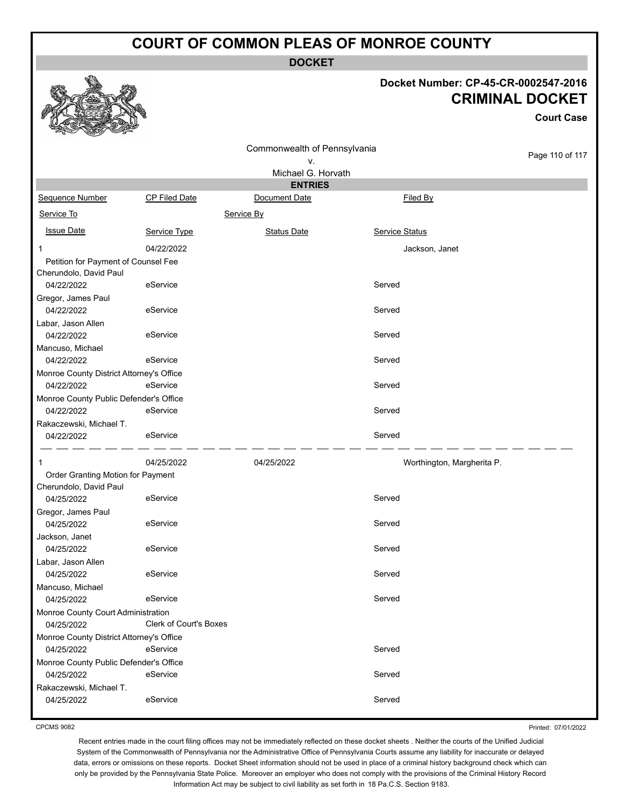**DOCKET**

Commonwealth of Pennsylvania

## **Docket Number: CP-45-CR-0002547-2016 CRIMINAL DOCKET**

**Court Case**

| Sequence Number | <b>CP Filed Date</b> |
|-----------------|----------------------|

| COMMUNIVERIN UL FEMISJIVANIA             |                        |                          |                            |  |
|------------------------------------------|------------------------|--------------------------|----------------------------|--|
|                                          |                        | ۷.<br>Michael G. Horvath |                            |  |
|                                          |                        | <b>ENTRIES</b>           |                            |  |
| Sequence Number                          | <b>CP Filed Date</b>   | Document Date            | Filed By                   |  |
| Service To                               |                        | Service By               |                            |  |
| <b>Issue Date</b>                        |                        |                          |                            |  |
|                                          | Service Type           | <b>Status Date</b>       | Service Status             |  |
| 1                                        | 04/22/2022             |                          | Jackson, Janet             |  |
| Petition for Payment of Counsel Fee      |                        |                          |                            |  |
| Cherundolo, David Paul<br>04/22/2022     | eService               |                          | Served                     |  |
| Gregor, James Paul                       |                        |                          |                            |  |
| 04/22/2022                               | eService               |                          | Served                     |  |
| Labar, Jason Allen                       |                        |                          |                            |  |
| 04/22/2022                               | eService               |                          | Served                     |  |
| Mancuso, Michael                         |                        |                          |                            |  |
| 04/22/2022                               | eService               |                          | Served                     |  |
| Monroe County District Attorney's Office |                        |                          |                            |  |
| 04/22/2022                               | eService               |                          | Served                     |  |
| Monroe County Public Defender's Office   | eService               |                          |                            |  |
| 04/22/2022<br>Rakaczewski, Michael T.    |                        |                          | Served                     |  |
| 04/22/2022                               | eService               |                          | Served                     |  |
|                                          |                        |                          |                            |  |
| 1                                        | 04/25/2022             | 04/25/2022               | Worthington, Margherita P. |  |
| Order Granting Motion for Payment        |                        |                          |                            |  |
| Cherundolo, David Paul                   |                        |                          |                            |  |
| 04/25/2022                               | eService               |                          | Served                     |  |
| Gregor, James Paul                       |                        |                          |                            |  |
| 04/25/2022                               | eService               |                          | Served                     |  |
| Jackson, Janet<br>04/25/2022             | eService               |                          | Served                     |  |
| Labar, Jason Allen                       |                        |                          |                            |  |
| 04/25/2022                               | eService               |                          | Served                     |  |
| Mancuso, Michael                         |                        |                          |                            |  |
| 04/25/2022                               | eService               |                          | Served                     |  |
| Monroe County Court Administration       |                        |                          |                            |  |
| 04/25/2022                               | Clerk of Court's Boxes |                          |                            |  |
| Monroe County District Attorney's Office |                        |                          |                            |  |
| 04/25/2022                               | eService               |                          | Served                     |  |
| Monroe County Public Defender's Office   |                        |                          |                            |  |
| 04/25/2022                               | eService               |                          | Served                     |  |
| Rakaczewski, Michael T.                  |                        |                          |                            |  |
| 04/25/2022                               | eService               |                          | Served                     |  |

CPCMS 9082

Printed: 07/01/2022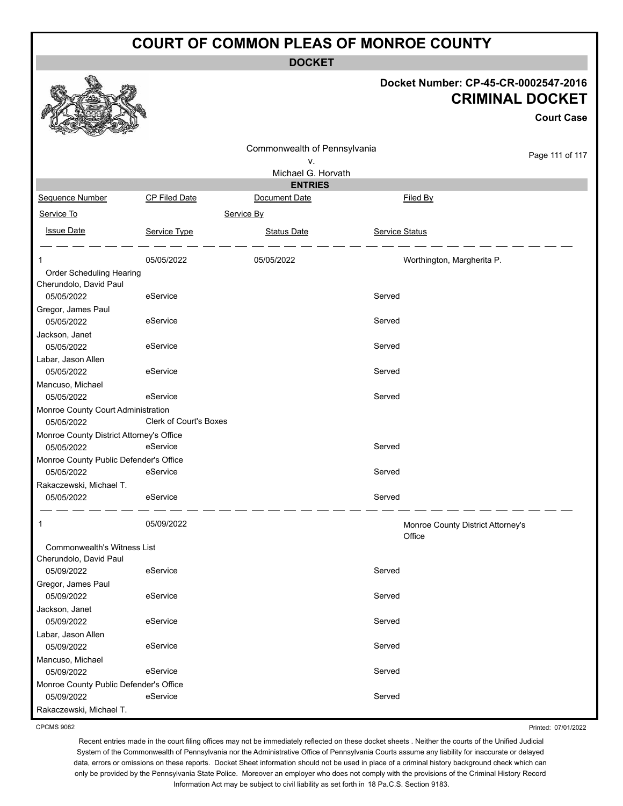**DOCKET**

## **Docket Number: CP-45-CR-0002547-2016 CRIMINAL DOCKET**

**Court Case**

Printed: 07/01/2022

|                                                        |                        | Commonwealth of Pennsylvania |                                             |                 |
|--------------------------------------------------------|------------------------|------------------------------|---------------------------------------------|-----------------|
|                                                        |                        | ν.                           |                                             | Page 111 of 117 |
|                                                        |                        | Michael G. Horvath           |                                             |                 |
|                                                        |                        | <b>ENTRIES</b>               |                                             |                 |
| Sequence Number                                        | <b>CP Filed Date</b>   | Document Date                | Filed By                                    |                 |
| Service To                                             |                        | Service By                   |                                             |                 |
| <b>Issue Date</b>                                      | Service Type           | <b>Status Date</b>           | Service Status                              |                 |
| 1                                                      | 05/05/2022             | 05/05/2022                   | Worthington, Margherita P.                  |                 |
| Order Scheduling Hearing                               |                        |                              |                                             |                 |
| Cherundolo, David Paul<br>05/05/2022                   | eService               |                              | Served                                      |                 |
| Gregor, James Paul                                     |                        |                              |                                             |                 |
| 05/05/2022                                             | eService               |                              | Served                                      |                 |
| Jackson, Janet                                         |                        |                              |                                             |                 |
| 05/05/2022                                             | eService               |                              | Served                                      |                 |
| Labar, Jason Allen<br>05/05/2022                       | eService               |                              | Served                                      |                 |
| Mancuso, Michael                                       |                        |                              |                                             |                 |
| 05/05/2022                                             | eService               |                              | Served                                      |                 |
| Monroe County Court Administration                     |                        |                              |                                             |                 |
| 05/05/2022                                             | Clerk of Court's Boxes |                              |                                             |                 |
| Monroe County District Attorney's Office<br>05/05/2022 | eService               |                              | Served                                      |                 |
| Monroe County Public Defender's Office                 |                        |                              |                                             |                 |
| 05/05/2022                                             | eService               |                              | Served                                      |                 |
| Rakaczewski, Michael T.                                |                        |                              |                                             |                 |
| 05/05/2022                                             | eService               |                              | Served                                      |                 |
| 1                                                      | 05/09/2022             |                              | Monroe County District Attorney's<br>Office |                 |
| <b>Commonwealth's Witness List</b>                     |                        |                              |                                             |                 |
| Cherundolo, David Paul<br>05/09/2022                   | eService               |                              | Served                                      |                 |
| Gregor, James Paul                                     |                        |                              |                                             |                 |
| 05/09/2022                                             | eService               |                              | Served                                      |                 |
| Jackson, Janet                                         |                        |                              |                                             |                 |
| 05/09/2022                                             | eService               |                              | Served                                      |                 |
| Labar, Jason Allen                                     |                        |                              |                                             |                 |
| 05/09/2022                                             | eService               |                              | Served                                      |                 |
| Mancuso, Michael<br>05/09/2022                         | eService               |                              | Served                                      |                 |
| Monroe County Public Defender's Office                 |                        |                              |                                             |                 |
| 05/09/2022                                             | eService               |                              | Served                                      |                 |
| Rakaczewski, Michael T.                                |                        |                              |                                             |                 |

CPCMS 9082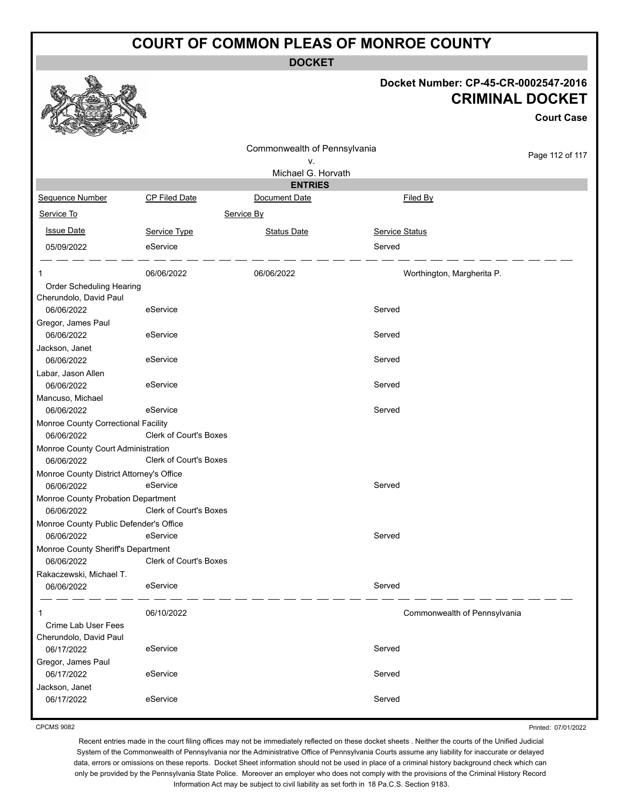**DOCKET**

## **Docket Number: CP-45-CR-0002547-2016 CRIMINAL DOCKET**

**Court Case**

|                                                    |                               |                                    |                | <b>Court Case</b>            |
|----------------------------------------------------|-------------------------------|------------------------------------|----------------|------------------------------|
|                                                    |                               | Commonwealth of Pennsylvania<br>ν. |                | Page 112 of 117              |
|                                                    |                               | Michael G. Horvath                 |                |                              |
|                                                    |                               | <b>ENTRIES</b>                     |                |                              |
| Sequence Number                                    | CP Filed Date                 | Document Date                      | Filed By       |                              |
| Service To                                         |                               | Service By                         |                |                              |
| <b>Issue Date</b>                                  | Service Type                  | <b>Status Date</b>                 | Service Status |                              |
| 05/09/2022                                         | eService                      |                                    | Served         |                              |
| 1                                                  | 06/06/2022                    | 06/06/2022                         |                | Worthington, Margherita P.   |
| Order Scheduling Hearing<br>Cherundolo, David Paul |                               |                                    |                |                              |
| 06/06/2022                                         | eService                      |                                    | Served         |                              |
| Gregor, James Paul                                 |                               |                                    |                |                              |
| 06/06/2022                                         | eService                      |                                    | Served         |                              |
| Jackson, Janet                                     |                               |                                    |                |                              |
| 06/06/2022                                         | eService                      |                                    | Served         |                              |
| Labar, Jason Allen                                 |                               |                                    |                |                              |
| 06/06/2022                                         | eService                      |                                    | Served         |                              |
| Mancuso, Michael                                   |                               |                                    |                |                              |
| 06/06/2022                                         | eService                      |                                    | Served         |                              |
| Monroe County Correctional Facility                |                               |                                    |                |                              |
| 06/06/2022                                         | <b>Clerk of Court's Boxes</b> |                                    |                |                              |
| Monroe County Court Administration                 |                               |                                    |                |                              |
| 06/06/2022                                         | <b>Clerk of Court's Boxes</b> |                                    |                |                              |
| Monroe County District Attorney's Office           |                               |                                    |                |                              |
| 06/06/2022                                         | eService                      |                                    | Served         |                              |
| Monroe County Probation Department<br>06/06/2022   | Clerk of Court's Boxes        |                                    |                |                              |
| Monroe County Public Defender's Office             |                               |                                    |                |                              |
| 06/06/2022                                         | eService                      |                                    | Served         |                              |
| Monroe County Sheriff's Department                 |                               |                                    |                |                              |
| 06/06/2022                                         | <b>Clerk of Court's Boxes</b> |                                    |                |                              |
| Rakaczewski, Michael T.                            |                               |                                    |                |                              |
| 06/06/2022                                         | eService                      |                                    | Served         |                              |
| 1                                                  | 06/10/2022                    |                                    |                | Commonwealth of Pennsylvania |
| Crime Lab User Fees                                |                               |                                    |                |                              |
| Cherundolo, David Paul                             |                               |                                    |                |                              |
| 06/17/2022                                         | eService                      |                                    | Served         |                              |
| Gregor, James Paul                                 |                               |                                    |                |                              |
| 06/17/2022                                         | eService                      |                                    | Served         |                              |
| Jackson, Janet<br>06/17/2022                       | eService                      |                                    | Served         |                              |
|                                                    |                               |                                    |                |                              |

CPCMS 9082

Printed: 07/01/2022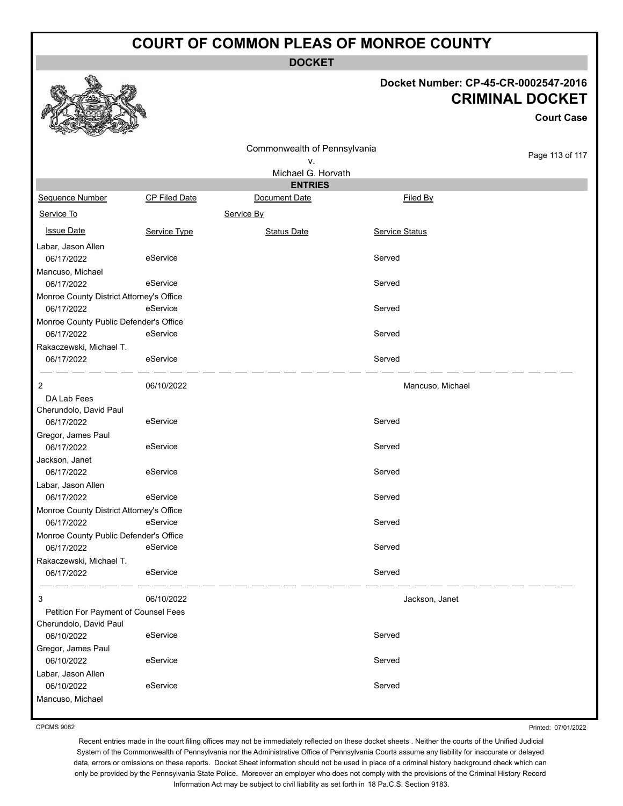**DOCKET**

### **Docket Number: CP-45-CR-0002547-2016 CRIMINAL DOCKET**

|                                          |               |                              |                  | <b>Court Case</b> |
|------------------------------------------|---------------|------------------------------|------------------|-------------------|
|                                          |               | Commonwealth of Pennsylvania |                  |                   |
|                                          |               | V.                           |                  | Page 113 of 117   |
|                                          |               | Michael G. Horvath           |                  |                   |
|                                          |               | <b>ENTRIES</b>               |                  |                   |
| Sequence Number                          | CP Filed Date | Document Date                | Filed By         |                   |
| Service To                               |               | Service By                   |                  |                   |
| <b>Issue Date</b>                        | Service Type  | <b>Status Date</b>           | Service Status   |                   |
| Labar, Jason Allen                       |               |                              |                  |                   |
| 06/17/2022                               | eService      |                              | Served           |                   |
| Mancuso, Michael                         |               |                              |                  |                   |
| 06/17/2022                               | eService      |                              | Served           |                   |
| Monroe County District Attorney's Office |               |                              |                  |                   |
| 06/17/2022                               | eService      |                              | Served           |                   |
| Monroe County Public Defender's Office   |               |                              |                  |                   |
| 06/17/2022                               | eService      |                              | Served           |                   |
| Rakaczewski, Michael T.                  |               |                              |                  |                   |
| 06/17/2022                               | eService      |                              | Served           |                   |
| 2                                        | 06/10/2022    |                              | Mancuso, Michael |                   |
| DA Lab Fees                              |               |                              |                  |                   |
| Cherundolo, David Paul                   |               |                              |                  |                   |
| 06/17/2022                               | eService      |                              | Served           |                   |
| Gregor, James Paul                       |               |                              |                  |                   |
| 06/17/2022                               | eService      |                              | Served           |                   |
| Jackson, Janet                           |               |                              |                  |                   |
| 06/17/2022                               | eService      |                              | Served           |                   |
| Labar, Jason Allen                       |               |                              |                  |                   |
| 06/17/2022                               | eService      |                              | Served           |                   |
| Monroe County District Attorney's Office |               |                              |                  |                   |
| 06/17/2022                               | eService      |                              | Served           |                   |
| Monroe County Public Defender's Office   |               |                              |                  |                   |
| 06/17/2022                               | eService      |                              | Served           |                   |
| Rakaczewski, Michael T.                  |               |                              |                  |                   |
| 06/17/2022                               | eService      |                              | Served           |                   |
| 3                                        | 06/10/2022    |                              | Jackson, Janet   |                   |
| Petition For Payment of Counsel Fees     |               |                              |                  |                   |
| Cherundolo, David Paul                   |               |                              |                  |                   |
| 06/10/2022                               | eService      |                              | Served           |                   |
| Gregor, James Paul                       |               |                              |                  |                   |
| 06/10/2022                               | eService      |                              | Served           |                   |
| Labar, Jason Allen                       |               |                              |                  |                   |
| 06/10/2022                               | eService      |                              | Served           |                   |
| Mancuso, Michael                         |               |                              |                  |                   |

CPCMS 9082

Printed: 07/01/2022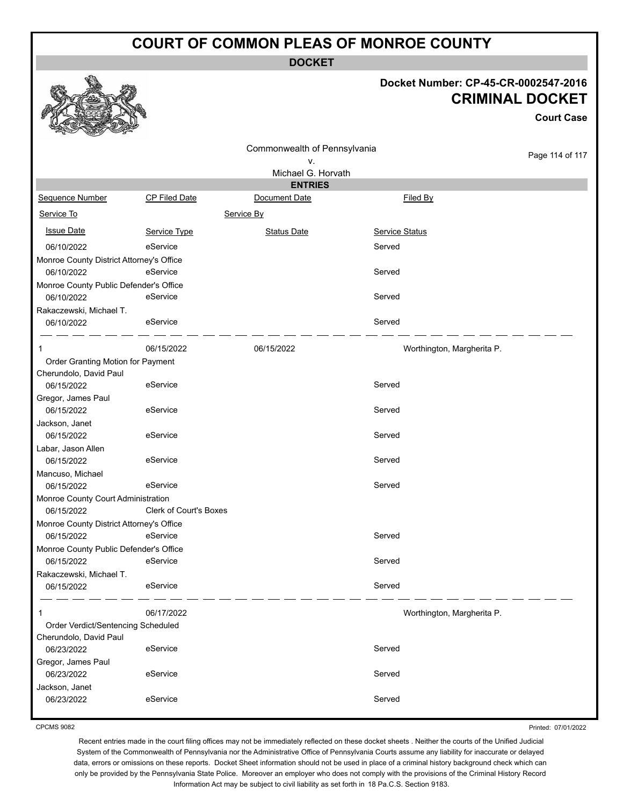**DOCKET**

## **Docket Number: CP-45-CR-0002547-2016 CRIMINAL DOCKET**

**Court Case**

|                                          |                               | Commonwealth of Pennsylvania |                            |                 |
|------------------------------------------|-------------------------------|------------------------------|----------------------------|-----------------|
|                                          |                               | ٧.                           |                            | Page 114 of 117 |
|                                          |                               | Michael G. Horvath           |                            |                 |
|                                          |                               | <b>ENTRIES</b>               |                            |                 |
| Sequence Number                          | <b>CP Filed Date</b>          | Document Date                | Filed By                   |                 |
| Service To                               |                               | Service By                   |                            |                 |
| <b>Issue Date</b>                        | Service Type                  | <b>Status Date</b>           | <b>Service Status</b>      |                 |
| 06/10/2022                               | eService                      |                              | Served                     |                 |
| Monroe County District Attorney's Office |                               |                              |                            |                 |
| 06/10/2022                               | eService                      |                              | Served                     |                 |
| Monroe County Public Defender's Office   |                               |                              |                            |                 |
| 06/10/2022                               | eService                      |                              | Served                     |                 |
| Rakaczewski, Michael T.                  |                               |                              |                            |                 |
| 06/10/2022                               | eService                      |                              | Served                     |                 |
| 1                                        | 06/15/2022                    | 06/15/2022                   | Worthington, Margherita P. |                 |
| Order Granting Motion for Payment        |                               |                              |                            |                 |
| Cherundolo, David Paul                   |                               |                              |                            |                 |
| 06/15/2022                               | eService                      |                              | Served                     |                 |
| Gregor, James Paul                       |                               |                              |                            |                 |
| 06/15/2022                               | eService                      |                              | Served                     |                 |
| Jackson, Janet                           |                               |                              |                            |                 |
| 06/15/2022                               | eService                      |                              | Served                     |                 |
| Labar, Jason Allen                       |                               |                              |                            |                 |
| 06/15/2022                               | eService                      |                              | Served                     |                 |
| Mancuso, Michael                         |                               |                              |                            |                 |
| 06/15/2022                               | eService                      |                              | Served                     |                 |
| Monroe County Court Administration       |                               |                              |                            |                 |
| 06/15/2022                               | <b>Clerk of Court's Boxes</b> |                              |                            |                 |
| Monroe County District Attorney's Office |                               |                              |                            |                 |
| 06/15/2022                               | eService                      |                              | Served                     |                 |
| Monroe County Public Defender's Office   |                               |                              |                            |                 |
| 06/15/2022                               | eService                      |                              | Served                     |                 |
| Rakaczewski, Michael T.                  |                               |                              |                            |                 |
| 06/15/2022                               | eService                      |                              | Served                     |                 |
|                                          | 06/17/2022                    |                              | Worthington, Margherita P. |                 |
| Order Verdict/Sentencing Scheduled       |                               |                              |                            |                 |
| Cherundolo, David Paul                   |                               |                              |                            |                 |
| 06/23/2022                               | eService                      |                              | Served                     |                 |
| Gregor, James Paul                       |                               |                              |                            |                 |
| 06/23/2022                               | eService                      |                              | Served                     |                 |
| Jackson, Janet                           |                               |                              |                            |                 |
| 06/23/2022                               | eService                      |                              | Served                     |                 |
|                                          |                               |                              |                            |                 |

CPCMS 9082

Printed: 07/01/2022

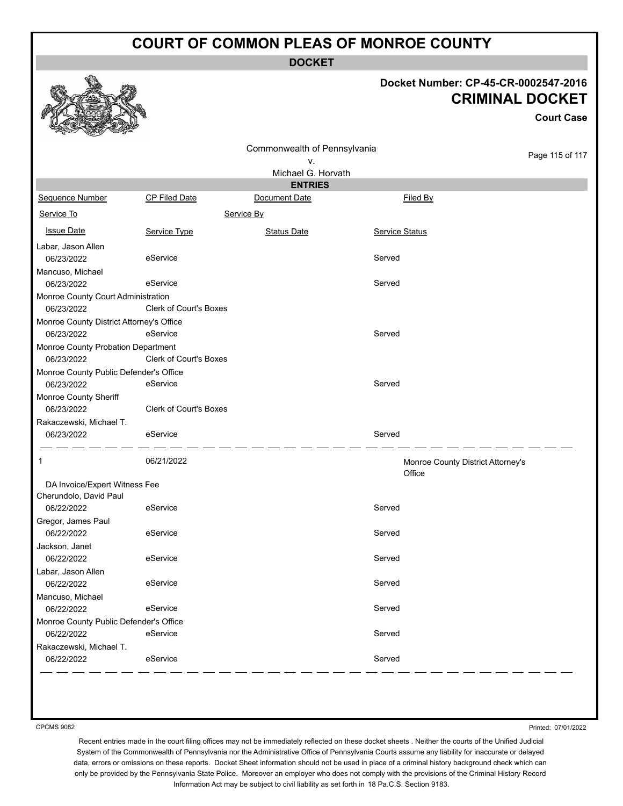**DOCKET**

Commonwealth of Pennsylvania

#### **Docket Number: CP-45-CR-0002547-2016 CRIMINAL DOCKET**

**Court Case**

 $\mathbf{11} = \mathbf{11} \cdot \mathbf{11} = \mathbf{11} \cdot \mathbf{11} = \mathbf{11} \cdot \mathbf{11} = \mathbf{11} \cdot \mathbf{11} = \mathbf{11} \cdot \mathbf{11} = \mathbf{11} \cdot \mathbf{11} = \mathbf{11} \cdot \mathbf{11} = \mathbf{11} \cdot \mathbf{11} = \mathbf{11} \cdot \mathbf{11} = \mathbf{11} \cdot \mathbf{11} = \mathbf{11} \cdot \mathbf{11} = \mathbf{11} \cdot \mathbf{11} = \mathbf{11} \$ 

| Sequence Number<br>Service To | CP Filed Date |
|-------------------------------|---------------|

|                                                         |                               | ν.                 |                                             | Page 115 or 117 |
|---------------------------------------------------------|-------------------------------|--------------------|---------------------------------------------|-----------------|
|                                                         |                               | Michael G. Horvath |                                             |                 |
|                                                         |                               | <b>ENTRIES</b>     |                                             |                 |
| Sequence Number                                         | CP Filed Date                 | Document Date      | Filed By                                    |                 |
| Service To                                              |                               | Service By         |                                             |                 |
| <b>Issue Date</b>                                       | Service Type                  | <b>Status Date</b> | Service Status                              |                 |
| Labar, Jason Allen<br>06/23/2022                        | eService                      |                    | Served                                      |                 |
| Mancuso, Michael<br>06/23/2022                          | eService                      |                    | Served                                      |                 |
| Monroe County Court Administration                      |                               |                    |                                             |                 |
| 06/23/2022                                              | <b>Clerk of Court's Boxes</b> |                    |                                             |                 |
| Monroe County District Attorney's Office                |                               |                    |                                             |                 |
| 06/23/2022                                              | eService                      |                    | Served                                      |                 |
| Monroe County Probation Department<br>06/23/2022        | Clerk of Court's Boxes        |                    |                                             |                 |
| Monroe County Public Defender's Office                  |                               |                    |                                             |                 |
| 06/23/2022                                              | eService                      |                    | Served                                      |                 |
| Monroe County Sheriff<br>06/23/2022                     | <b>Clerk of Court's Boxes</b> |                    |                                             |                 |
| Rakaczewski, Michael T.                                 |                               |                    |                                             |                 |
| 06/23/2022                                              | eService                      |                    | Served                                      |                 |
| 1                                                       | 06/21/2022                    |                    | Monroe County District Attorney's<br>Office |                 |
| DA Invoice/Expert Witness Fee<br>Cherundolo, David Paul |                               |                    |                                             |                 |
| 06/22/2022                                              | eService                      |                    | Served                                      |                 |
| Gregor, James Paul                                      |                               |                    |                                             |                 |
| 06/22/2022                                              | eService                      |                    | Served                                      |                 |
| Jackson, Janet                                          |                               |                    |                                             |                 |
| 06/22/2022                                              | eService                      |                    | Served                                      |                 |
| Labar, Jason Allen                                      | eService                      |                    | Served                                      |                 |
| 06/22/2022<br>Mancuso, Michael                          |                               |                    |                                             |                 |
| 06/22/2022                                              | eService                      |                    | Served                                      |                 |
| Monroe County Public Defender's Office                  |                               |                    |                                             |                 |
| 06/22/2022                                              | eService                      |                    | Served                                      |                 |
| Rakaczewski, Michael T.                                 |                               |                    |                                             |                 |
| 06/22/2022                                              | eService                      |                    | Served                                      |                 |
|                                                         |                               |                    |                                             |                 |

CPCMS 9082

Printed: 07/01/2022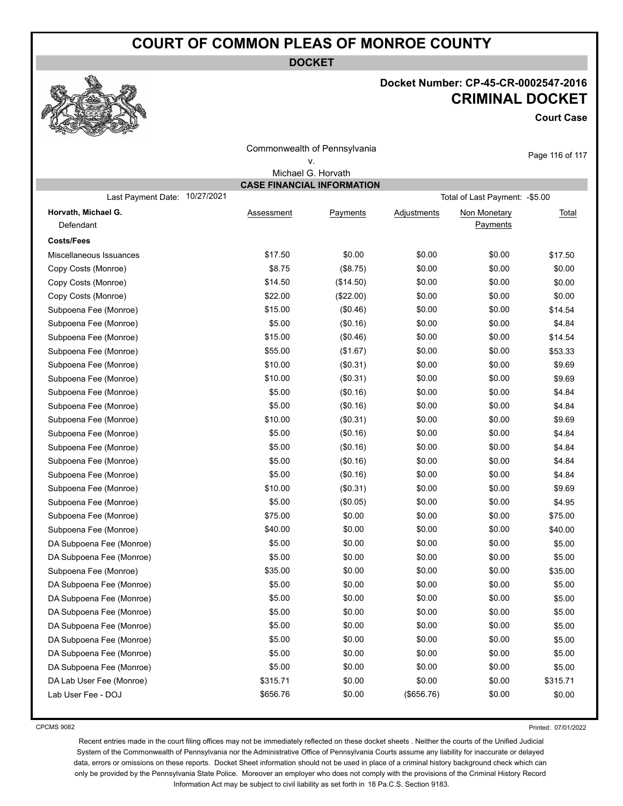**DOCKET**

## **Docket Number: CP-45-CR-0002547-2016 CRIMINAL DOCKET**

**Court Case**

| Commonwealth of Pennsylvania     |            |                                                         |                    | Page 116 of 117                 |              |
|----------------------------------|------------|---------------------------------------------------------|--------------------|---------------------------------|--------------|
|                                  |            | ۷.                                                      |                    |                                 |              |
|                                  |            | Michael G. Horvath<br><b>CASE FINANCIAL INFORMATION</b> |                    |                                 |              |
| Last Payment Date: 10/27/2021    |            |                                                         |                    | Total of Last Payment: - \$5.00 |              |
| Horvath, Michael G.<br>Defendant | Assessment | Payments                                                | <b>Adjustments</b> | Non Monetary<br>Payments        | <b>Total</b> |
| <b>Costs/Fees</b>                |            |                                                         |                    |                                 |              |
| Miscellaneous Issuances          | \$17.50    | \$0.00                                                  | \$0.00             | \$0.00                          | \$17.50      |
| Copy Costs (Monroe)              | \$8.75     | (\$8.75)                                                | \$0.00             | \$0.00                          | \$0.00       |
| Copy Costs (Monroe)              | \$14.50    | (\$14.50)                                               | \$0.00             | \$0.00                          | \$0.00       |
| Copy Costs (Monroe)              | \$22.00    | (\$22.00)                                               | \$0.00             | \$0.00                          | \$0.00       |
| Subpoena Fee (Monroe)            | \$15.00    | (\$0.46)                                                | \$0.00             | \$0.00                          | \$14.54      |
| Subpoena Fee (Monroe)            | \$5.00     | (\$0.16)                                                | \$0.00             | \$0.00                          | \$4.84       |
| Subpoena Fee (Monroe)            | \$15.00    | (\$0.46)                                                | \$0.00             | \$0.00                          | \$14.54      |
| Subpoena Fee (Monroe)            | \$55.00    | (\$1.67)                                                | \$0.00             | \$0.00                          | \$53.33      |
| Subpoena Fee (Monroe)            | \$10.00    | (\$0.31)                                                | \$0.00             | \$0.00                          | \$9.69       |
| Subpoena Fee (Monroe)            | \$10.00    | (\$0.31)                                                | \$0.00             | \$0.00                          | \$9.69       |
| Subpoena Fee (Monroe)            | \$5.00     | (\$0.16)                                                | \$0.00             | \$0.00                          | \$4.84       |
| Subpoena Fee (Monroe)            | \$5.00     | (\$0.16)                                                | \$0.00             | \$0.00                          | \$4.84       |
| Subpoena Fee (Monroe)            | \$10.00    | (\$0.31)                                                | \$0.00             | \$0.00                          | \$9.69       |
| Subpoena Fee (Monroe)            | \$5.00     | (\$0.16)                                                | \$0.00             | \$0.00                          | \$4.84       |
| Subpoena Fee (Monroe)            | \$5.00     | (\$0.16)                                                | \$0.00             | \$0.00                          | \$4.84       |
| Subpoena Fee (Monroe)            | \$5.00     | (\$0.16)                                                | \$0.00             | \$0.00                          | \$4.84       |
| Subpoena Fee (Monroe)            | \$5.00     | (\$0.16)                                                | \$0.00             | \$0.00                          | \$4.84       |
| Subpoena Fee (Monroe)            | \$10.00    | (\$0.31)                                                | \$0.00             | \$0.00                          | \$9.69       |
| Subpoena Fee (Monroe)            | \$5.00     | (\$0.05)                                                | \$0.00             | \$0.00                          | \$4.95       |
| Subpoena Fee (Monroe)            | \$75.00    | \$0.00                                                  | \$0.00             | \$0.00                          | \$75.00      |
| Subpoena Fee (Monroe)            | \$40.00    | \$0.00                                                  | \$0.00             | \$0.00                          | \$40.00      |
| DA Subpoena Fee (Monroe)         | \$5.00     | \$0.00                                                  | \$0.00             | \$0.00                          | \$5.00       |
| DA Subpoena Fee (Monroe)         | \$5.00     | \$0.00                                                  | \$0.00             | \$0.00                          | \$5.00       |
| Subpoena Fee (Monroe)            | \$35.00    | \$0.00                                                  | \$0.00             | \$0.00                          | \$35.00      |
| DA Subpoena Fee (Monroe)         | \$5.00     | \$0.00                                                  | \$0.00             | \$0.00                          | \$5.00       |
| DA Subpoena Fee (Monroe)         | \$5.00     | \$0.00                                                  | \$0.00             | \$0.00                          | \$5.00       |
| DA Subpoena Fee (Monroe)         | \$5.00     | \$0.00                                                  | \$0.00             | \$0.00                          | \$5.00       |
| DA Subpoena Fee (Monroe)         | \$5.00     | \$0.00                                                  | \$0.00             | \$0.00                          | \$5.00       |
| DA Subpoena Fee (Monroe)         | \$5.00     | \$0.00                                                  | \$0.00             | \$0.00                          | \$5.00       |
| DA Subpoena Fee (Monroe)         | \$5.00     | \$0.00                                                  | \$0.00             | \$0.00                          | \$5.00       |
| DA Subpoena Fee (Monroe)         | \$5.00     | \$0.00                                                  | \$0.00             | \$0.00                          | \$5.00       |
| DA Lab User Fee (Monroe)         | \$315.71   | \$0.00                                                  | \$0.00             | \$0.00                          | \$315.71     |
| Lab User Fee - DOJ               | \$656.76   | \$0.00                                                  | (\$656.76)         | \$0.00                          | \$0.00       |

CPCMS 9082

Printed: 07/01/2022